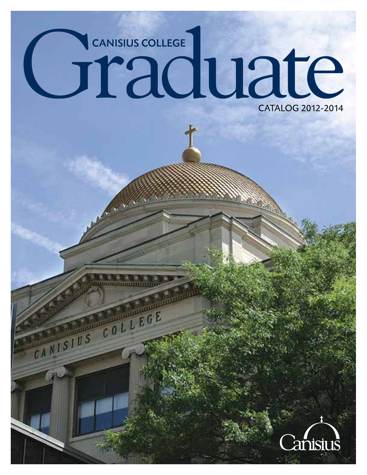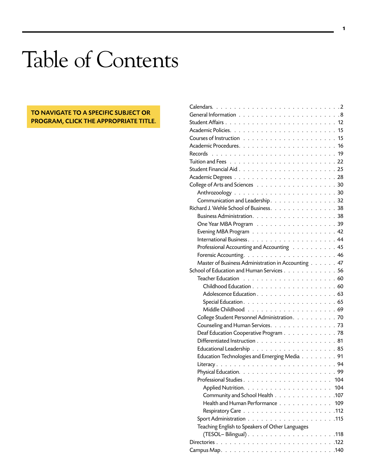## Table of Contents

## TO NAVIGATE TO A SPECIFIC SUBJECT OR PROGRAM, CLICK THE APPROPRIATE TITLE.

| Tuition and Fees $\ldots \ldots \ldots \ldots \ldots \ldots \ldots \ldots \ldots \ldots 22$ |  |
|---------------------------------------------------------------------------------------------|--|
|                                                                                             |  |
|                                                                                             |  |
|                                                                                             |  |
|                                                                                             |  |
| Communication and Leadership. 32                                                            |  |
| Richard J. Wehle School of Business. 38                                                     |  |
|                                                                                             |  |
|                                                                                             |  |
|                                                                                             |  |
|                                                                                             |  |
| Professional Accounting and Accounting 45                                                   |  |
|                                                                                             |  |
| Master of Business Administration in Accounting 47                                          |  |
| School of Education and Human Services 56                                                   |  |
|                                                                                             |  |
|                                                                                             |  |
|                                                                                             |  |
|                                                                                             |  |
|                                                                                             |  |
| College Student Personnel Administration. 70                                                |  |
| Counseling and Human Services. 73                                                           |  |
| Deaf Education Cooperative Program 78                                                       |  |
| Differentiated Instruction 81                                                               |  |
|                                                                                             |  |
| Education Technologies and Emerging Media 91                                                |  |
|                                                                                             |  |
|                                                                                             |  |
|                                                                                             |  |
|                                                                                             |  |
| Community and School Health 107                                                             |  |
| Health and Human Performance 109                                                            |  |
|                                                                                             |  |
|                                                                                             |  |
| Teaching English to Speakers of Other Languages                                             |  |
|                                                                                             |  |
|                                                                                             |  |
|                                                                                             |  |
|                                                                                             |  |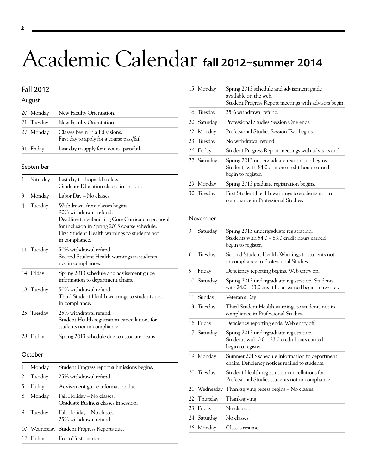## <span id="page-2-0"></span>Academic Calendar fall 2012~summer 2014

## Fall 2012

### August

| 20 Monday  | New Faculty Orientation.                                                      |
|------------|-------------------------------------------------------------------------------|
| 21 Tuesday | New Faculty Orientation.                                                      |
| 27 Monday  | Classes begin in all divisions.<br>First day to apply for a course pass/fail. |
| 31 Friday  | Last day to apply for a course pass/fail.                                     |

#### September

| 1 | Saturday   | Last day to drop/add a class.<br>Graduate Education classes in session.                                                                                                                                                           |
|---|------------|-----------------------------------------------------------------------------------------------------------------------------------------------------------------------------------------------------------------------------------|
| 3 | Monday     | Labor Day – No classes.                                                                                                                                                                                                           |
| 4 | Tuesday    | Withdrawal from classes begins.<br>90% withdrawal refund.<br>Deadline for submitting Core Curriculum proposal<br>for inclusion in Spring 2013 course schedule.<br>First Student Health warnings to students not<br>in compliance. |
|   | 11 Tuesday | 50% withdrawal refund.<br>Second Student Health warnings to students<br>not in compliance.                                                                                                                                        |
|   | 14 Friday  | Spring 2013 schedule and advisement guide<br>information to department chairs.                                                                                                                                                    |
|   | 18 Tuesday | 50% withdrawal refund.<br>Third Student Health warnings to students not<br>in compliance.                                                                                                                                         |
|   | 25 Tuesday | 25% withdrawal refund.<br>Student Health registration cancellations for<br>students not in compliance.                                                                                                                            |
|   | 28 Friday  | Spring 2013 schedule due to associate deans.                                                                                                                                                                                      |

#### **October**

|   | Monday    | Student Progress report submissions begins.                         |
|---|-----------|---------------------------------------------------------------------|
|   | Tuesday   | 25% withdrawal refund.                                              |
|   | Friday    | Advisement guide information due.                                   |
| 8 | Monday    | Fall Holiday - No classes.<br>Graduate Business classes in session. |
|   | Tuesday   | Fall Holiday - No classes.<br>25% withdrawal refund.                |
|   |           | 10 Wednesday Student Progress Reports due.                          |
|   | 12 Friday | End of first quarter.                                               |

|    | 15 Monday   | Spring 2013 schedule and advisement guide<br>available on the web.<br>Student Progress Report meetings with advisors begin. |
|----|-------------|-----------------------------------------------------------------------------------------------------------------------------|
|    | 16 Tuesday  | 25% withdrawal refund.                                                                                                      |
|    | 20 Saturday | Professional Studies Session One ends.                                                                                      |
|    | 22 Monday   | Professional Studies Session Two begins.                                                                                    |
|    | 23 Tuesday  | No withdrawal refund.                                                                                                       |
|    | 26 Friday   | Student Progress Report meetings with advisors end.                                                                         |
|    | 27 Saturday | Spring 2013 undergraduate registration begins.<br>Students with 84.0 or more credit hours earned<br>begin to register.      |
| 29 | Monday      | Spring 2013 graduate registration begins.                                                                                   |
|    | 30 Tuesday  | First Student Health warnings to students not in<br>compliance in Professional Studies.                                     |
|    |             |                                                                                                                             |

#### November

| 3  | Saturday    | Spring 2013 undergraduate registration.<br>Students with 54.0 - 83.0 credit hours earned<br>begin to register. |
|----|-------------|----------------------------------------------------------------------------------------------------------------|
| 6  | Tuesday     | Second Student Health Warnings to students not<br>in compliance in Professional Studies.                       |
| 9  | Friday      | Deficiency reporting begins. Web entry on.                                                                     |
|    | 10 Saturday | Spring 2013 undergraduate registration. Students<br>with $24.0 - 53.0$ credit hours earned begin to register.  |
| 11 | Sunday      | Veteran's Day                                                                                                  |
|    | 13 Tuesday  | Third Student Health warnings to students not in<br>compliance in Professional Studies.                        |
| 16 | Friday      | Deficiency reporting ends. Web entry off.                                                                      |
|    | 17 Saturday | Spring 2013 undergraduate registration.<br>Students with 0.0 - 23.0 credit hours earned<br>begin to register.  |
|    | 19 Monday   | Summer 2013 schedule information to department<br>chairs. Deficiency notices mailed to students.               |
|    | 20 Tuesday  | Student Health registration cancellations for<br>Professional Studies students not in compliance.              |
| 21 |             | Wednesday Thanksgiving recess begins – No classes.                                                             |
| 22 | Thursday    | Thanksgiving.                                                                                                  |
| 23 | Friday      | No classes.                                                                                                    |
|    | 24 Saturday | No classes.                                                                                                    |
|    | 26 Monday   | Classes resume.                                                                                                |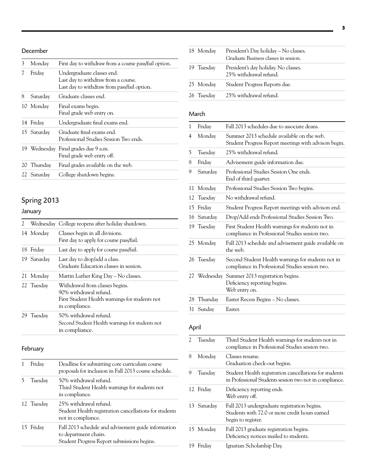## December

| 3 | Monday      | First day to withdraw from a course pass/fail option.                                                            |
|---|-------------|------------------------------------------------------------------------------------------------------------------|
|   | Friday      | Undergraduate classes end.<br>Last day to withdraw from a course.<br>Last day to withdraw from pass/fail option. |
| 8 | Saturday    | Graduate classes end.                                                                                            |
|   | 10 Monday   | Final exams begin.<br>Final grade web entry on.                                                                  |
|   | 14 Friday   | Undergraduate final exams end.                                                                                   |
|   | 15 Saturday | Graduate final exams end.<br>Professional Studies Session Two ends.                                              |
|   |             | 19 Wednesday Final grades due 9 a.m.<br>Final grade web entry off.                                               |
|   | 20 Thursday | Final grades available on the web.                                                                               |
|   | 22 Saturday | College shutdown begins.                                                                                         |

## Spring 2013

## January

| 2. |             | Wednesday College reopens after holiday shutdown.                                                                             |
|----|-------------|-------------------------------------------------------------------------------------------------------------------------------|
|    | 14 Monday   | Classes begin in all divisions.<br>First day to apply for course pass/fail.                                                   |
|    | 18 Friday   | Last day to apply for course pass/fail.                                                                                       |
|    | 19 Saturday | Last day to drop/add a class.<br>Graduate Education classes in session.                                                       |
| 21 | Monday      | Martin Luther King Day – No classes.                                                                                          |
|    | 22 Tuesday  | Withdrawal from classes begins.<br>90% withdrawal refund.<br>First Student Health warnings for students not<br>in compliance. |
| 29 | Tuesday     | 50% withdrawal refund.<br>Second Student Health warnings for students not<br>in compliance.                                   |

## February

| Friday     | Deadline for submitting core curriculum course<br>proposals for inclusion in Fall 2013 course schedule.                     |
|------------|-----------------------------------------------------------------------------------------------------------------------------|
| Tuesday    | 50% withdrawal refund.<br>Third Student Health warnings for students not<br>in compliance.                                  |
| 12 Tuesday | 25% withdrawal refund.<br>Student Health registration cancellations for students<br>not in compliance.                      |
| 15 Friday  | Fall 2013 schedule and advisement guide information<br>to department chairs.<br>Student Progress Report submissions begins. |

| 18 Monday  | President's Day holiday – No classes.<br>Graduate Business classes in session. |
|------------|--------------------------------------------------------------------------------|
| 19 Tuesday | President's day holiday. No classes.<br>25% withdrawal refund.                 |
| 25 Monday  | Student Progress Reports due.                                                  |
| 26 Tuesday | – 25% withdrawal refund.                                                       |

## March

| 1  | Friday     | Fall 2013 schedules due to associate deans.                                                           |
|----|------------|-------------------------------------------------------------------------------------------------------|
| 4  | Monday     | Summer 2013 schedule available on the web.<br>Student Progress Report meetings with advisors begin.   |
| 5  | Tuesday    | 25% withdrawal refund.                                                                                |
| 8  | Friday     | Advisement guide information due.                                                                     |
| 9  | Saturday   | Professional Studies Session One ends.<br>End of third quarter.                                       |
| 11 | Monday     | Professional Studies Session Two begins.                                                              |
| 12 | Tuesday    | No withdrawal refund.                                                                                 |
| 15 | Friday     | Student Progress Report meetings with advisors end.                                                   |
| 16 | Saturday   | Drop/Add ends Professional Studies Session Two.                                                       |
|    | 19 Tuesday | First Student Health warnings for students not in<br>compliance in Professional Studies session two.  |
|    | 25 Monday  | Fall 2013 schedule and advisement guide available on<br>the web.                                      |
|    | 26 Tuesday | Second Student Health warnings for students not in<br>compliance in Professional Studies session two. |
|    |            | 27 Wednesday Summer 2013 registration begins.<br>Deficiency reporting begins.<br>Web entry on.        |
| 28 | Thursday   | Easter Recess Begins - No classes.                                                                    |
|    | 31 Sunday  | Easter.                                                                                               |
|    |            |                                                                                                       |

## April

| 2  | Tuesday     | Third Student Health warnings for students not in<br>compliance in Professional Studies session two.                 |
|----|-------------|----------------------------------------------------------------------------------------------------------------------|
| 8  | Monday      | Classes resume.<br>Graduation check-out begins.                                                                      |
| 9  | Tuesday     | Student Health registration cancellations for students<br>in Professional Students session two not in compliance.    |
|    | 12 Friday   | Deficiency reporting ends.<br>Web entry off.                                                                         |
|    | 13 Saturday | Fall 2013 undergraduate registration begins.<br>Students with 72.0 or more credit hours earned<br>begin to register. |
|    | 15 Monday   | Fall 2013 graduate registration begins.<br>Deficiency notices mailed to students.                                    |
| 19 | Friday      | Ignatian Scholarship Day.                                                                                            |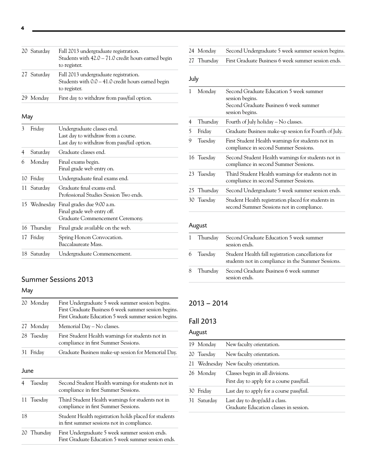| 20 Saturday | Fall 2013 undergraduate registration.<br>Students with 42.0 - 71.0 credit hours earned begin<br>to register. |
|-------------|--------------------------------------------------------------------------------------------------------------|
| 27 Saturday | Fall 2013 undergraduate registration.<br>Students with 0.0 - 41.0 credit hours earned begin<br>to register.  |
| 29 Monday   | First day to withdraw from pass/fail option.                                                                 |

## May

| 3  | Friday      | Undergraduate classes end.<br>Last day to withdraw from a course.<br>Last day to withdraw from pass/fail option. |
|----|-------------|------------------------------------------------------------------------------------------------------------------|
| 4  | Saturday    | Graduate classes end.                                                                                            |
| 6  | Monday      | Final exams begin.<br>Final grade web entry on.                                                                  |
| 10 | Friday      | Undergraduate final exams end.                                                                                   |
|    | 11 Saturday | Graduate final exams end.<br>Professional Studies Session Two ends.                                              |
|    |             | 15 Wednesday Final grades due 9:00 a.m.<br>Final grade web entry off.<br>Graduate Commencement Ceremony.         |
|    | 16 Thursday | Final grade available on the web.                                                                                |
|    | 17 Friday   | Spring Honors Convocation.<br>Baccalaureate Mass.                                                                |
|    | 18 Saturday | Undergraduate Commencement.                                                                                      |

## Summer Sessions 2013

## May

|           | 20 Monday   | First Undergraduate 5 week summer session begins.<br>First Graduate Business 6 week summer session begins.<br>First Graduate Education 5 week summer session begins. |
|-----------|-------------|----------------------------------------------------------------------------------------------------------------------------------------------------------------------|
| 27        | Monday      | Memorial Day - No classes.                                                                                                                                           |
|           | 28 Tuesday  | First Student Health warnings for students not in<br>compliance in first Summer Sessions.                                                                            |
| 31        | Friday      | Graduate Business make-up session for Memorial Day.                                                                                                                  |
| June<br>4 | Tuesday     | Second Student Health warnings for students not in                                                                                                                   |
|           |             | compliance in first Summer Sessions.                                                                                                                                 |
|           | 11 Tuesday  | Third Student Health warnings for students not in<br>compliance in first Summer Sessions.                                                                            |
| 18        |             | Student Health registration holds placed for students<br>in first summer sessions not in compliance.                                                                 |
|           | 20 Thursday | First Undergraduate 5 week summer session ends.<br>First Graduate Education 5 week summer session ends.                                                              |

|  | 24 Monday |  |  |  | Second Undergraduate 5 week summer session begins. |  |  |
|--|-----------|--|--|--|----------------------------------------------------|--|--|
|--|-----------|--|--|--|----------------------------------------------------|--|--|

27 Thursday First Graduate Business 6 week summer session ends.

## July

|    | Monday     | Second Graduate Education 5 week summer<br>session begins.<br>Second Graduate Business 6 week summer<br>session begins. |
|----|------------|-------------------------------------------------------------------------------------------------------------------------|
| 4  | Thursday   | Fourth of July holiday – No classes.                                                                                    |
| 5  | Friday     | Graduate Business make-up session for Fourth of July.                                                                   |
| 9  | Tuesday    | First Student Health warnings for students not in<br>compliance in second Summer Sessions.                              |
|    | 16 Tuesday | Second Student Health warnings for students not in<br>compliance in second Summer Sessions.                             |
|    | 23 Tuesday | Third Student Health warnings for students not in<br>compliance in second Summer Sessions.                              |
| 25 | Thursday   | Second Undergraduate 5 week summer session ends.                                                                        |
|    | 30 Tuesday | Student Health registration placed for students in<br>second Summer Sessions not in compliance.                         |
|    |            |                                                                                                                         |

## August

|           | 1 Thursday Second Graduate Education 5 week summer<br>session ends.                                      |
|-----------|----------------------------------------------------------------------------------------------------------|
| 6 Tuesday | Student Health fall registration cancellations for<br>students not in compliance in the Summer Sessions. |
|           | 8 Thursday Second Graduate Business 6 week summer<br>session ends.                                       |

## 2013 – 2014

## Fall 2013

## August

| 19 Monday   | New faculty orientation.                                                      |
|-------------|-------------------------------------------------------------------------------|
| 20 Tuesday  | New faculty orientation.                                                      |
|             | 21 Wednesday New faculty orientation.                                         |
| 26 Monday   | Classes begin in all divisions.<br>First day to apply for a course pass/fail. |
| 30 Friday   | Last day to apply for a course pass/fail.                                     |
| 31 Saturday | Last day to drop/add a class.<br>Graduate Education classes in session.       |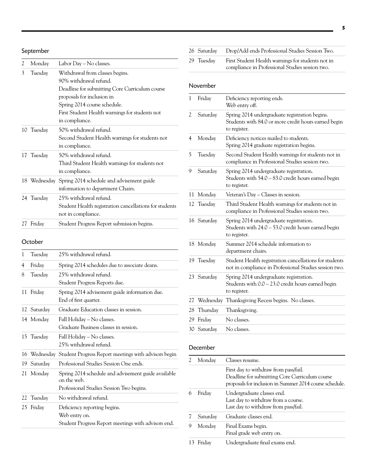| 2  | Monday     | Labor Day – No classes.                                |
|----|------------|--------------------------------------------------------|
| 3  | Tuesday    | Withdrawal from classes begins.                        |
|    |            | 90% withdrawal refund.                                 |
|    |            | Deadline for submitting Core Curriculum course         |
|    |            | proposals for inclusion in                             |
|    |            | Spring 2014 course schedule.                           |
|    |            | First Student Health warnings for students not         |
|    |            | in compliance.                                         |
|    | 10 Tuesday | 50% withdrawal refund.                                 |
|    |            | Second Student Health warnings for students not        |
|    |            | in compliance.                                         |
|    | 17 Tuesday | 50% withdrawal refund.                                 |
|    |            | Third Student Health warnings for students not         |
|    |            | in compliance.                                         |
|    |            | 18 Wednesday Spring 2014 schedule and advisement guide |
|    |            | information to department Chairs.                      |
|    | 24 Tuesday | 25% withdrawal refund.                                 |
|    |            | Student Health registration cancellations for students |
|    |            | not in compliance.                                     |
| 27 | Friday     | Student Progress Report submission begins.             |

### October

| 1   | Tuesday     | 25% withdrawal refund.                                                                                         |
|-----|-------------|----------------------------------------------------------------------------------------------------------------|
| 4   | Friday      | Spring 2014 schedules due to associate deans.                                                                  |
| 8   | Tuesday     | 25% withdrawal refund.<br>Student Progress Reports due.                                                        |
| 11  | Friday      | Spring 2014 advisement guide information due.<br>End of first quarter.                                         |
|     | 12 Saturday | Graduate Education classes in session.                                                                         |
|     | 14 Monday   | Fall Holiday – No classes.<br>Graduate Business classes in session.                                            |
|     | 15 Tuesday  | Fall Holiday - No classes.<br>25% withdrawal refund.                                                           |
| 16  |             | Wednesday Student Progress Report meetings with advisors begin                                                 |
| 19. | Saturday    | Professional Studies Session One ends.                                                                         |
|     | 21 Monday   | Spring 2014 schedule and advisement guide available<br>on the web.<br>Professional Studies Session Two begins. |
|     | 22 Tuesday  | No withdrawal refund.                                                                                          |
|     | 25 Friday   | Deficiency reporting begins.<br>Web entry on.<br>Student Progress Report meetings with advisors end.           |

| 26 Saturday | Drop/Add ends Professional Studies Session Two.                                                      |
|-------------|------------------------------------------------------------------------------------------------------|
| 29 Tuesday  | First Student Health warnings for students not in<br>compliance in Professional Studies session two. |

### November

| 1  | Friday      | Deficiency reporting ends.<br>Web entry off.                                                                           |
|----|-------------|------------------------------------------------------------------------------------------------------------------------|
| 2  | Saturday    | Spring 2014 undergraduate registration begins.<br>Students with 84.0 or more credit hours earned begin<br>to register. |
| 4  | Monday      | Deficiency notices mailed to students.<br>Spring 2014 graduate registration begins.                                    |
| 5  | Tuesday     | Second Student Health warnings for students not in<br>compliance in Professional Studies session two.                  |
| 9  | Saturday    | Spring 2014 undergraduate registration.<br>Students with 54.0 - 83.0 credit hours earned begin<br>to register.         |
| 11 | Monday      | Veteran's Day - Classes in session.                                                                                    |
| 12 | Tuesday     | Third Student Health warnings for students not in<br>compliance in Professional Studies session two.                   |
|    | 16 Saturday | Spring 2014 undergraduate registration.<br>Students with 24.0 - 53.0 credit hours earned begin<br>to register.         |
|    | 18 Monday   | Summer 2014 schedule information to<br>department chairs.                                                              |
|    | 19 Tuesday  | Student Health registration cancellations for students<br>not in compliance in Professional Studies session two.       |
|    | 23 Saturday | Spring 2014 undergraduate registration.<br>Students with $0.0 - 23.0$ credit hours earned begin<br>to register.        |
| 27 | Wednesday   | Thanksgiving Recess begins. No classes.                                                                                |
| 28 | Thursday    | Thanksgiving.                                                                                                          |
| 29 | Friday      | No classes.                                                                                                            |
|    | 30 Saturday | No classes.                                                                                                            |
|    |             |                                                                                                                        |

#### December

| 2  | Monday   | Classes resume.                                                                                                                                    |
|----|----------|----------------------------------------------------------------------------------------------------------------------------------------------------|
|    |          | First day to withdraw from pass/fail.<br>Deadline for submitting Core Curriculum course<br>proposals for inclusion in Summer 2014 course schedule. |
| 6  | Friday   | Undergraduate classes end.<br>Last day to withdraw from a course.<br>Last day to withdraw from pass/fail.                                          |
|    | Saturday | Graduate classes end.                                                                                                                              |
| 9  | Monday   | Final Exams begin.<br>Final grade web entry on.                                                                                                    |
| 13 | Fridav   | Undergraduate final exams end.                                                                                                                     |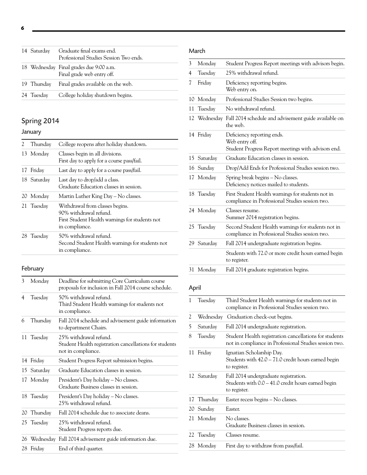| 14 Saturday | Graduate final exams end.<br>Professional Studies Session Two ends.   |
|-------------|-----------------------------------------------------------------------|
|             | 18 Wednesday Final grades due 9:00 a.m.<br>Final grade web entry off. |
|             | 19 Thursday Final grades available on the web.                        |
| 24 Tuesdav  | College holiday shutdown begins.                                      |

## Spring 2014

## January

| 2. | Thursday    | College reopens after holiday shutdown.                                                                                       |  |
|----|-------------|-------------------------------------------------------------------------------------------------------------------------------|--|
|    | 13 Monday   | Classes begin in all divisions.<br>First day to apply for a course pass/fail.                                                 |  |
|    | 17 Friday   | Last day to apply for a course pass/fail.                                                                                     |  |
|    | 18 Saturday | Last day to drop/add a class.<br>Graduate Education classes in session.                                                       |  |
|    | 20 Monday   | Martin Luther King Day – No classes.                                                                                          |  |
|    | 21 Tuesday  | Withdrawal from classes begins.<br>90% withdrawal refund.<br>First Student Health warnings for students not<br>in compliance. |  |
|    | 28 Tuesday  | 50% withdrawal refund.<br>Second Student Health warnings for students not<br>in compliance.                                   |  |

## February

| 3  | Monday      | Deadline for submitting Core Curriculum course<br>proposals for inclusion in Fall 2014 course schedule. |  |
|----|-------------|---------------------------------------------------------------------------------------------------------|--|
| 4  | Tuesday     | 50% withdrawal refund.<br>Third Student Health warnings for students not<br>in compliance.              |  |
| 6  | Thursday    | Fall 2014 schedule and advisement guide information<br>to department Chairs.                            |  |
|    | 11 Tuesday  | 25% withdrawal refund.<br>Student Health registration cancellations for students<br>not in compliance.  |  |
| 14 | Friday      | Student Progress Report submission begins.                                                              |  |
|    | 15 Saturday | Graduate Education classes in session.                                                                  |  |
|    | 17 Monday   | President's Day holiday – No classes.<br>Graduate Business classes in session.                          |  |
|    | 18 Tuesday  | President's Day holiday – No classes.<br>25% withdrawal refund.                                         |  |
| 20 | Thursday    | Fall 2014 schedule due to associate deans.                                                              |  |
|    | 25 Tuesday  | 25% withdrawal refund.<br>Student Progress reports due.                                                 |  |
|    |             | 26 Wednesday Fall 2014 advisement guide information due.                                                |  |
|    | 28 Friday   | End of third quarter.                                                                                   |  |
|    |             |                                                                                                         |  |

## March

| 3  | Monday     | Student Progress Report meetings with advisors begin.                                                 |  |
|----|------------|-------------------------------------------------------------------------------------------------------|--|
| 4  | Tuesday    | 25% withdrawal refund.                                                                                |  |
| 7  | Friday     | Deficiency reporting begins.<br>Web entry on.                                                         |  |
| 10 | Monday     | Professional Studies Session two begins.                                                              |  |
| 11 | Tuesday    | No withdrawal refund.                                                                                 |  |
| 12 | Wednesday  | Fall 2014 schedule and advisement guide available on<br>the web.                                      |  |
|    | 14 Friday  | Deficiency reporting ends.<br>Web entry off.<br>Student Progress Report meetings with advisors end.   |  |
| 15 | Saturday   | Graduate Education classes in session.                                                                |  |
|    | 16 Sunday  | Drop/Add Ends for Professional Studies session two.                                                   |  |
|    | 17 Monday  | Spring break begins - No classes.<br>Deficiency notices mailed to students.                           |  |
|    | 18 Tuesday | First Student Health warnings for students not in<br>compliance in Professional Studies session two.  |  |
|    | 24 Monday  | Classes resume.<br>Summer 2014 registration begins.                                                   |  |
|    | 25 Tuesday | Second Student Health warnings for students not in<br>compliance in Professional Studies session two. |  |
| 29 | Saturday   | Fall 2014 undergraduate registration begins.                                                          |  |
|    |            | Students with 72.0 or more credit hours earned begin<br>to register.                                  |  |
|    | 31 Monday  | Fall 2014 graduate registration begins.                                                               |  |

## April

| 1  | Tuesday     | Third Student Health warnings for students not in<br>compliance in Professional Studies session two.             |  |  |
|----|-------------|------------------------------------------------------------------------------------------------------------------|--|--|
| 2  |             | Wednesday Graduation check-out begins.                                                                           |  |  |
| 5  | Saturday    | Fall 2014 undergraduate registration.                                                                            |  |  |
| 8  | Tuesday     | Student Health registration cancellations for students<br>not in compliance in Professional Studies session two. |  |  |
| 11 | Friday      | Ignatian Scholarship Day.<br>Students with 42.0 – 71.0 credit hours earned begin<br>to register.                 |  |  |
|    | 12 Saturday | Fall 2014 undergraduate registration.<br>Students with 0.0 – 41.0 credit hours earned begin<br>to register.      |  |  |
|    | 17 Thursday | Easter recess begins - No classes.                                                                               |  |  |
|    | 20 Sunday   | Easter.                                                                                                          |  |  |
|    | 21 Monday   | No classes.<br>Graduate Business classes in session.                                                             |  |  |
|    | 22 Tuesday  | Classes resume.                                                                                                  |  |  |
|    | 28 Monday   | First day to withdraw from pass/fail.                                                                            |  |  |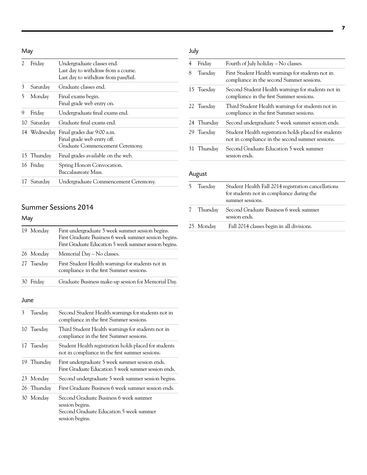## May

| 2    | Friday       | Undergraduate classes end.<br>Last day to withdraw from a course.<br>Last day to withdraw from pass/fail. |  |
|------|--------------|-----------------------------------------------------------------------------------------------------------|--|
| 3    | Saturday     | Graduate classes end.                                                                                     |  |
| 5    | Monday       | Final exams begin.<br>Final grade web entry on.                                                           |  |
| 9    | Friday       | Undergraduate final exams end.                                                                            |  |
| 10   | Saturday     | Graduate final exams end.                                                                                 |  |
|      | 14 Wednesday | Final grades due 9:00 a.m.<br>Final grade web entry off.<br>Graduate Commencement Ceremony.               |  |
|      | 15 Thursday  | Final grades available on the web.                                                                        |  |
|      | 16 Friday    | Spring Honors Convocation.<br>Baccalaureate Mass.                                                         |  |
| 17 - | Saturday     | Undergraduate Commencement Ceremony.                                                                      |  |

## Summer Sessions 2014

## May

| 19 Monday  |           | First undergraduate 5 week summer session begins.<br>First Graduate Business 6 week summer session begins.<br>First Graduate Education 5 week summer session begins. |
|------------|-----------|----------------------------------------------------------------------------------------------------------------------------------------------------------------------|
|            | 26 Monday | Memorial Day – No classes.                                                                                                                                           |
| 27 Tuesday |           | First Student Health warnings for students not in<br>compliance in the first Summer sessions.                                                                        |
|            | Friday    | Graduate Business make-up session for Memorial Day.                                                                                                                  |

#### June

| 3  | Tuesday     | Second Student Health warnings for students not in<br>compliance in the first Summer sessions.                          |  |
|----|-------------|-------------------------------------------------------------------------------------------------------------------------|--|
|    | 10 Tuesday  | Third Student Health warnings for students not in<br>compliance in the first Summer sessions.                           |  |
|    | 17 Tuesday  | Student Health registration holds placed for students<br>not in compliance in the first summer sessions.                |  |
| 19 | Thursday    | First undergraduate 5 week summer session ends.<br>First Graduate Education 5 week summer session ends.                 |  |
|    | 23 Monday   | Second undergraduate 5 week summer session begins.                                                                      |  |
|    | 26 Thursday | First Graduate Business 6 week summer session ends.                                                                     |  |
|    | 30 Monday   | Second Graduate Business 6 week summer<br>session begins.<br>Second Graduate Education 5 week summer<br>session begins. |  |

## July

| 4  | Friday      | Fourth of July holiday - No classes.                                                                      |  |
|----|-------------|-----------------------------------------------------------------------------------------------------------|--|
| 8  | Tuesday     | First Student Health warnings for students not in<br>compliance in the second Summer sessions.            |  |
|    | 15 Tuesday  | Second Student Health warnings for students not in<br>compliance in the first Summer sessions.            |  |
|    | 22 Tuesday  | Third Student Health warnings for students not in<br>compliance in the first Summer sessions.             |  |
|    | 24 Thursday | Second undergraduate 5 week summer session ends.                                                          |  |
|    | 29 Tuesday  | Student Health registration holds placed for students<br>not in compliance in the second summer sessions. |  |
| 31 | Thursday    | Second Graduate Education 5 week summer<br>session ends.                                                  |  |

## August

| 5 | Tuesday   | Student Health Fall 2014 registration cancellations<br>for students not in compliance during the<br>summer sessions. |
|---|-----------|----------------------------------------------------------------------------------------------------------------------|
| 7 | Thursday  | Second Graduate Business 6 week summer<br>session ends.                                                              |
|   | 25 Monday | Fall 2014 classes begin in all divisions.                                                                            |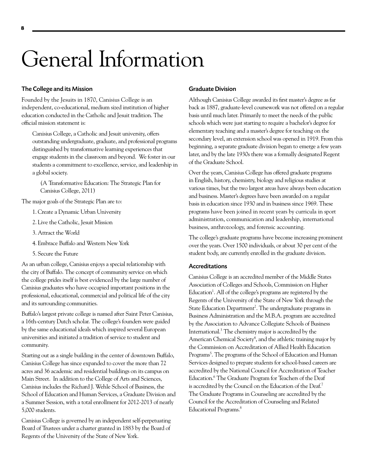## <span id="page-8-0"></span>General Information

#### The College and its Mission

Founded by the Jesuits in 1870, Canisius College is an independent, co-educational, medium sized institution of higher education conducted in the Catholic and Jesuit tradition. The official mission statement is:

Canisius College, a Catholic and Jesuit university, offers outstanding undergraduate, graduate, and professional programs distinguished by transformative learning experiences that engage students in the classroom and beyond. We foster in our students a commitment to excellence, service, and leadership in a global society.

(A Transformative Education: The Strategic Plan for Canisius College, 2011)

The major goals of the Strategic Plan are to:

- 1. Create a Dynamic Urban University
- 2. Live the Catholic, Jesuit Mission
- 3. Attract the World
- 4. Embrace Buffalo and Western New York
- 5. Secure the Future

As an urban college, Canisius enjoys a special relationship with the city of Buffalo. The concept of community service on which the college prides itself is best evidenced by the large number of Canisius graduates who have occupied important positions in the professional, educational, commercial and political life of the city and its surrounding communities.

Buffalo's largest private college is named after Saint Peter Canisius, a 16th-century Dutch scholar. The college's founders were guided by the same educational ideals which inspired several European universities and initiated a tradition of service to student and community.

Starting out as a single building in the center of downtown Buffalo, Canisius College has since expanded to cover the more than 72 acres and 36 academic and residential buildings on its campus on Main Street. In addition to the College of Arts and Sciences, Canisius includes the Richard J. Wehle School of Business, the School of Education and Human Services, a Graduate Division and a Summer Session, with a total enrollment for 2012-2013 of nearly 5,000 students.

Canisius College is governed by an independent self-perpetuating Board of Trustees under a charter granted in 1883 by the Board of Regents of the University of the State of New York.

#### Graduate Division

Although Canisius College awarded its first master's degree as far back as 1887, graduate-level coursework was not offered on a regular basis until much later. Primarily to meet the needs of the public schools which were just starting to require a bachelor's degree for elementary teaching and a master's degree for teaching on the secondary level, an extension school was opened in 1919. From this beginning, a separate graduate division began to emerge a few years later, and by the late 1930s there was a formally designated Regent of the Graduate School.

Over the years, Canisius College has offered graduate programs in English, history, chemistry, biology and religious studies at various times, but the two largest areas have always been education and business. Master's degrees have been awarded on a regular basis in education since 1930 and in business since 1969. These programs have been joined in recent years by curricula in sport administration, communication and leadership, international business, anthrozoology, and forensic accounting.

The college's graduate programs have become increasing prominent over the years. Over 1500 individuals, or about 30 per cent of the student body, are currently enrolled in the graduate division.

#### Accreditations

Canisius College is an accredited member of the Middle States Association of Colleges and Schools, Commission on Higher Education<sup>1</sup>. All of the college's programs are registered by the Regents of the University of the State of New York through the State Education Department<sup>2</sup>. The undergraduate programs in Business Administration and the M.B.A. program are accredited by the Association to Advance Collegiate Schools of Business International.3 The chemistry major is accredited by the American Chemical Society<sup>4</sup>, and the athletic training major by the Commission on Accreditation of Allied Health Education Programs<sup>5</sup>. The programs of the School of Education and Human Services designed to prepare students for school-based careers are accredited by the National Council for Accreditation of Teacher Education.<sup>6</sup> The Graduate Program for Teachers of the Deaf is accredited by the Council on the Education of the Deaf.7 The Graduate Programs in Counseling are accredited by the Council for the Accreditation of Counseling and Related Educational Programs.<sup>8</sup>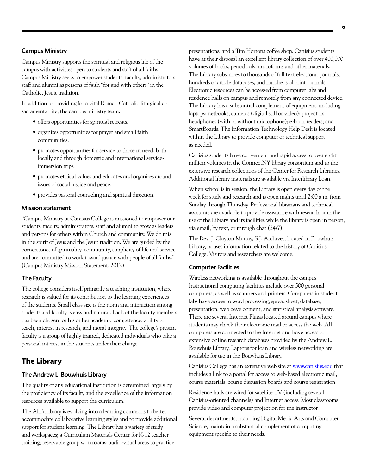#### Campus Ministry

Campus Ministry supports the spiritual and religious life of the campus with activities open to students and staff of all faiths. Campus Ministry seeks to empower students, faculty, administrators, staff and alumni as persons of faith "for and with others" in the Catholic, Jesuit tradition.

In addition to providing for a vital Roman Catholic liturgical and sacramental life, the campus ministry team:

- • offers opportunities for spiritual retreats.
- • organizes opportunities for prayer and small faith communities.
- promotes opportunities for service to those in need, both locally and through domestic and international serviceimmersion trips.
- • promotes ethical values and educates and organizes around issues of social justice and peace.
- • provides pastoral counseling and spiritual direction.

#### Mission statement

"Campus Ministry at Canisius College is missioned to empower our students, faculty, administrators, staff and alumni to grow as leaders and persons for others within Church and community. We do this in the spirit of Jesus and the Jesuit tradition. We are guided by the cornerstones of spirituality, community, simplicity of life and service and are committed to work toward justice with people of all faiths." (Campus Ministry Mission Statement, 2012)

#### The Faculty

The college considers itself primarily a teaching institution, where research is valued for its contribution to the learning experiences of the students. Small class size is the norm and interaction among students and faculty is easy and natural. Each of the faculty members has been chosen for his or her academic competence, ability to teach, interest in research, and moral integrity. The college's present faculty is a group of highly trained, dedicated individuals who take a personal interest in the students under their charge.

#### **The Library**

#### The Andrew L. Bouwhuis Library

The quality of any educational institution is determined largely by the proficiency of its faculty and the excellence of the information resources available to support the curriculum.

The ALB Library is evolving into a learning commons to better accommodate collaborative learning styles and to provide additional support for student learning. The Library has a variety of study and workspaces; a Curriculum Materials Center for K-12 teacher training; reservable group workrooms; audio-visual areas to practice

presentations; and a Tim Hortons coffee shop. Canisius students have at their disposal an excellent library collection of over 400,000 volumes of books, periodicals, microforms and other materials. The Library subscribes to thousands of full text electronic journals, hundreds of article databases, and hundreds of print journals. Electronic resources can be accessed from computer labs and residence halls on campus and remotely from any connected device. The Library has a substantial complement of equipment, including laptops; netbooks; cameras (digital still or video); projectors; headphones (with or without microphone); e-book readers; and SmartBoards. The Information Technology Help Desk is located within the Library to provide computer or technical support as needed.

Canisius students have convenient and rapid access to over eight million volumes in the ConnectNY library consortium and to the extensive research collections of the Center for Research Libraries. Additional library materials are available via Interlibrary Loan.

When school is in session, the Library is open every day of the week for study and research and is open nights until 2:00 a.m. from Sunday through Thursday. Professional librarians and technical assistants are available to provide assistance with research or in the use of the Library and its facilities while the library is open in person, via email, by text, or through chat (24/7).

The Rev. J. Clayton Murray, S.J. Archives, located in Bouwhuis Library, houses information related to the history of Canisius College. Visitors and researchers are welcome.

#### Computer Facilities

Wireless networking is available throughout the campus. Instructional computing facilities include over 500 personal computers, as well as scanners and printers. Computers in student labs have access to word processing, spreadsheet, database, presentation, web development, and statistical analysis software. There are several Internet Plazas located around campus where students may check their electronic mail or access the web. All computers are connected to the Internet and have access to extensive online research databases provided by the Andrew L. Bouwhuis Library. Laptops for loan and wireless networking are available for use in the Bouwhuis Library.

Canisius College has an extensive web site at [www.canisius.edu](http://www.canisius.edu) that includes a link to a portal for access to web-based electronic mail, course materials, course discussion boards and course registration.

Residence halls are wired for satellite TV (including several Canisius-oriented channels) and Internet access. Most classrooms provide video and computer projection for the instructor.

Several departments, including Digital Media Arts and Computer Science, maintain a substantial complement of computing equipment specific to their needs.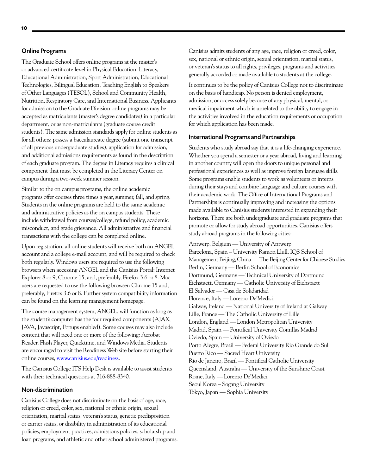#### Online Programs

The Graduate School offers online programs at the master's or advanced certificate level in Physical Education, Literacy, Educational Administration, Sport Administration, Educational Technologies, Bilingual Education, Teaching English to Speakers of Other Languages (TESOL), School and Community Health, Nutrition, Respiratory Care, and International Business. Applicants for admission to the Graduate Division online programs may be accepted as matriculants (master's degree candidates) in a particular department, or as non-matriculants (graduate course credit students). The same admission standards apply for online students as for all others: possess a baccalaureate degree (submit one transcript of all previous undergraduate studies), application for admission, and additional admissions requirements as found in the description of each graduate program. The degree in Literacy requires a clinical component that must be completed in the Literacy Center on campus during a two-week summer session.

Similar to the on campus programs, the online academic programs offer courses three times a year, summer, fall, and spring. Students in the online programs are held to the same academic and administrative policies as the on campus students. These include withdrawal from courses/college, refund policy, academic misconduct, and grade grievance. All administrative and financial transactions with the college can be completed online.

Upon registration, all online students will receive both an ANGEL account and a college e-mail account, and will be required to check both regularly. Windows users are required to use the following browsers when accessing ANGEL and the Canisius Portal: Internet Explorer 8 or 9, Chrome 15, and, preferably, Firefox 3.6 or 8. Mac users are requested to use the following browser: Chrome 15 and, preferably, Firefox 3.6 or 8. Further system compatibility information can be found on the learning management homepage.

The course management system, ANGEL, will function as long as the student's computer has the four required components (AJAX, JAVA, Javascript, Popups enabled). Some courses may also include content that will need one or more of the following: Acrobat Reader, Flash Player, Quicktime, and Windows Media. Students are encouraged to visit the Readiness Web site before starting their online courses, [www.canisius.edu/readiness.](http://www.canisius.edu/readiness)

The Canisius College ITS Help Desk is available to assist students with their technical questions at 716-888-8340.

#### Non-discrimination

Canisius College does not discriminate on the basis of age, race, religion or creed, color, sex, national or ethnic origin, sexual orientation, marital status, veteran's status, genetic predisposition or carrier status, or disability in administration of its educational policies, employment practices, admissions policies, scholarship and loan programs, and athletic and other school administered programs. Canisius admits students of any age, race, religion or creed, color, sex, national or ethnic origin, sexual orientation, marital status, or veteran's status to all rights, privileges, programs and activities generally accorded or made available to students at the college.

It continues to be the policy of Canisius College not to discriminate on the basis of handicap. No person is denied employment, admission, or access solely because of any physical, mental, or medical impairment which is unrelated to the ability to engage in the activities involved in the education requirements or occupation for which application has been made.

#### International Programs and Partnerships

Students who study abroad say that it is a life-changing experience. Whether you spend a semester or a year abroad, living and learning in another country will open the doors to unique personal and professional experiences as well as improve foreign language skills. Some programs enable students to work as volunteers or interns during their stays and combine language and culture courses with their academic work. The Office of International Programs and Partnerships is continually improving and increasing the options made available to Canisius students interested in expanding their horizons. There are both undergraduate and graduate programs that promote or allow for study abroad opportunities. Canisius offers study abroad programs in the following cities:

Antwerp, Belgium — University of Antwerp Barcelona, Spain – University Ramon Llull, IQS School of Management Beijing, China — The Beijing Center for Chinese Studies Berlin, Germany — Berlin School of Economics Dortmund, Germany — Technical University of Dortmund Eichstaett, Germany — Catholic University of Eichstaett El Salvador — Casa de Solidaridad Florence, Italy — Lorenzo De'Medici Galway, Ireland — National University of Ireland at Galway Lille, France — The Catholic University of Lille London, England — London Metropolitan University Madrid, Spain — Pontifical University Comillas Madrid Oviedo, Spain — University of Oviedo Porto Alegre, Brazil — Federal University Rio Grande do Sul Puerto Rico — Sacred Heart University Rio de Janeiro, Brazil — Pontifical Catholic University Queensland, Australia — University of the Sunshine Coast Rome, Italy — Lorenzo De'Medici Seoul Korea – Sogang University Tokyo, Japan — Sophia University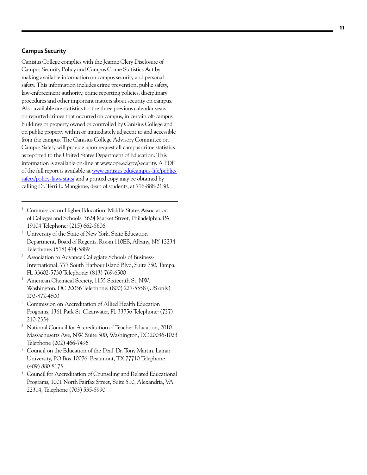#### Campus Security

Canisius College complies with the Jeanne Clery Disclosure of Campus Security Policy and Campus Crime Statistics Act by making available information on campus security and personal safety. This information includes crime prevention, public safety, law-enforcement authority, crime reporting policies, disciplinary procedures and other important matters about security on campus. Also available are statistics for the three previous calendar years on reported crimes that occurred on campus, in certain off-campus buildings or property owned or controlled by Canisius College and on public property within or immediately adjacent to and accessible from the campus. The Canisius College Advisory Committee on Campus Safety will provide upon request all campus crime statistics as reported to the United States Department of Education. This information is available on-line at [www.ope.ed.gov/security.](http://www.ope.ed.gov/security) A PDF of the full report is available at [www.canisius.edu/campus-life/public](http://www.canisius.edu/campus-life/public-safety/policy-laws-stats/)[safety/policy-laws-stats/](http://www.canisius.edu/campus-life/public-safety/policy-laws-stats/) and a printed copy may be obtained by calling Dr. Terri L. Mangione, dean of students, at 716-888-2130.

- <sup>1</sup> Commission on Higher Education, Middle States Association of Colleges and Schools, 3624 Market Street, Philadelphia, PA 19104 Telephone: (215) 662-5606
- <sup>2</sup> University of the State of New York, State Education Department, Board of Regents, Room 110EB, Albany, NY 12234 Telephone: (518) 474-5889
- <sup>3</sup> Association to Advance Collegiate Schools of Business-International, 777 South Harbour Island Blvd, Suite 750, Tampa, FL 33602-5730 Telephone: (813) 769-6500
- <sup>4</sup> American Chemical Society, 1155 Sixteenth St, NW, Washington, DC 20036 Telephone: (800) 227-5558 (US only) 202-872-4600
- <sup>5</sup> Commission on Accreditation of Allied Health Education Programs, 1361 Park St, Clearwater, FL 33756 Telephone: (727) 210-2354
- <sup>6</sup> National Council for Accreditation of Teacher Education, 2010 Massachusetts Ave, NW, Suite 500, Washington, DC 20036-1023 Telephone (202) 466-7496
- <sup>7</sup> Council on the Education of the Deaf, Dr. Tony Martin, Lamar University, PO Box 10076, Beaumont, TX 77710 Telephone (409) 880-8175
- <sup>8</sup> Council for Accreditation of Counseling and Related Educational Programs, 1001 North Fairfax Street, Suite 510, Alexandria, VA 22314, Telephone (703) 535-5990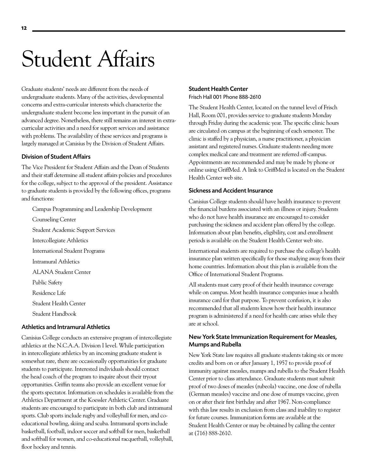## <span id="page-12-0"></span>Student Affairs

Graduate students' needs are different from the needs of undergraduate students. Many of the activities, developmental concerns and extra-curricular interests which characterize the undergraduate student become less important in the pursuit of an advanced degree. Nonetheless, there still remains an interest in extracurricular activities and a need for support services and assistance with problems. The availability of these services and programs is largely managed at Canisius by the Division of Student Affairs.

#### Division of Student Affairs

The Vice President for Student Affairs and the Dean of Students and their staff determine all student affairs policies and procedures for the college, subject to the approval of the president. Assistance to graduate students is provided by the following offices, programs and functions:

[Campus Programming and Leadership Development](http://www.canisius.edu/campus_leader/)

[Counseling Center](http://www.canisius.edu/counseling/)

[Student Academic Support Services](http://www.canisius.edu/academics/support.asp)

[Intercollegiate Athletics](http://www.canisius.edu/athletics/)

[International Student Programs](http://www.canisius.edu/isp/)

Intramural Athletics

ALANA Student Center

[Public Safety](http://www.canisius.edu/public_safety/)

[Residence Life](http://www.canisius.edu/reslife/)

[Student Health Center](http://www.canisius.edu/student_health/)

[Student Handbook](http://www.canisius.edu/studentlife/stuaffairs_handbook.asp)

#### Athletics and Intramural Athletics

Canisius College conducts an extensive program of intercollegiate athletics at the N.C.A.A. Division I level. While participation in intercollegiate athletics by an incoming graduate student is somewhat rare, there are occasionally opportunities for graduate students to participate. Interested individuals should contact the head coach of the program to inquire about their tryout opportunities. Griffin teams also provide an excellent venue for the sports spectator. Information on schedules is available from the Athletics Department at the Koessler Athletic Center. Graduate students are encouraged to participate in both club and intramural sports. Club sports include rugby and volleyball for men, and coeducational bowling, skiing and scuba. Intramural sports include basketball, football, indoor soccer and softball for men, basketball and softball for women, and co-educational racquetball, volleyball, floor hockey and tennis.

#### [Student Health Center](http://www.canisius.edu/student_health/) Frisch Hall 001 Phone 888-2610

The Student Health Center, located on the tunnel level of Frisch Hall, Room 001, provides service to graduate students Monday through Friday during the academic year. The specific clinic hours are circulated on campus at the beginning of each semester. The clinic is staffed by a physician, a nurse practitioner, a physician assistant and registered nurses. Graduate students needing more complex medical care and treatment are referred off-campus. Appointments are recommended and may be made by phone or online using GriffMed. A link to GriffMed is located on the Student Health Center web site.

#### Sickness and Accident Insurance

Canisius College students should have health insurance to prevent the financial burdens associated with an illness or injury. Students who do not have health insurance are encouraged to consider purchasing the sickness and accident plan offered by the college. Information about plan benefits, eligibility, cost and enrollment periods is available on the Student Health Center web site.

International students are required to purchase the college's health insurance plan written specifically for those studying away from their home countries. Information about this plan is available from the Office of International Student Programs.

All students must carry proof of their health insurance coverage while on campus. Most health insurance companies issue a health insurance card for that purpose. To prevent confusion, it is also recommended that all students know how their health insurance program is administered if a need for health care arises while they are at school.

#### New York State Immunization Requirement for Measles, Mumps and Rubella

New York State law requires all graduate students taking six or more credits and born on or after January 1, 1957 to provide proof of immunity against measles, mumps and rubella to the Student Health Center prior to class attendance. Graduate students must submit proof of two doses of measles (rubeola) vaccine, one dose of rubella (German measles) vaccine and one dose of mumps vaccine, given on or after their first birthday and after 1967. Non-compliance with this law results in exclusion from class and inability to register for future courses. Immunization forms are available at the Student Health Center or may be obtained by calling the center at (716) 888-2610.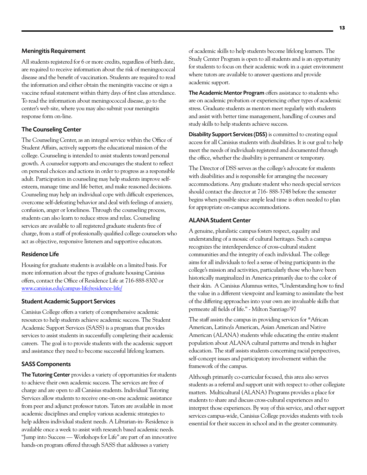#### Meningitis Requirement

All students registered for 6 or more credits, regardless of birth date, are required to receive information about the risk of meningococcal disease and the benefit of vaccination. Students are required to read the information and either obtain the meningitis vaccine or sign a vaccine refusal statement within thirty days of first class attendance. To read the information about meningococcal disease, go to the center's web site, where you may also submit your meningitis response form on-line.

#### The Counseling Center

The Counseling Center, as an integral service within the Office of Student Affairs, actively supports the educational mission of the college. Counseling is intended to assist students toward personal growth. A counselor supports and encourages the student to reflect on personal choices and actions in order to progress as a responsible adult. Participation in counseling may help students improve selfesteem, manage time and life better, and make reasoned decisions. Counseling may help an individual cope with difficult experiences, overcome self-defeating behavior and deal with feelings of anxiety, confusion, anger or loneliness. Through the counseling process, students can also learn to reduce stress and relax. Counseling services are available to all registered graduate students free of charge, from a staff of professionally qualified college counselors who act as objective, responsive listeners and supportive educators.

#### Residence Life

Housing for graduate students is available on a limited basis. For more information about the types of graduate housing Canisius offers, contact the Office of Residence Life at 716-888-8300 or [www.canisius.edu/campus-life/residence-life/](http://www.canisius.edu/campus-life/residence-life/)

#### Student Academic Support Services

Canisius College offers a variety of comprehensive academic resources to help students achieve academic success. The Student Academic Support Services (SASS) is a program that provides services to assist students in successfully completing their academic careers. The goal is to provide students with the academic support and assistance they need to become successful lifelong learners.

#### SASS Components

The Tutoring Center provides a variety of opportunities for students to achieve their own academic success. The services are free of charge and are open to all Canisius students. Individual Tutoring Services allow students to receive one-on-one academic assistance from peer and adjunct professor tutors. Tutors are available in most academic disciplines and employ various academic strategies to help address individual student needs. A Librarian-in- Residence is available once a week to assist with research based academic needs. "Jump into Success — Workshops for Life" are part of an innovative hands-on program offered through SASS that addresses a variety

of academic skills to help students become lifelong learners. The Study Center Program is open to all students and is an opportunity for students to focus on their academic work in a quiet environment where tutors are available to answer questions and provide academic support.

The Academic Mentor Program offers assistance to students who are on academic probation or experiencing other types of academic stress. Graduate students as mentors meet regularly with students and assist with better time management, handling of courses and study skills to help students achieve success.

Disability Support Services (DSS) is committed to creating equal access for all Canisius students with disabilities. It is our goal to help meet the needs of individuals registered and documented through the office, whether the disability is permanent or temporary.

The Director of DSS serves as the college's advocate for students with disabilities and is responsible for arranging the necessary accommodations. Any graduate student who needs special services should contact the director at 716- 888-3748 before the semester begins when possible since ample lead time is often needed to plan for appropriate on-campus accommodations.

#### ALANA Student Center

A genuine, pluralistic campus fosters respect, equality and understanding of a mosaic of cultural heritages. Such a campus recognizes the interdependence of cross-cultural student communities and the integrity of each individual. The college aims for all individuals to feel a sense of being participants in the college's mission and activities, particularly those who have been historically marginalized in America primarily due to the color of their skin. A Canisius Alumnus writes, "Understanding how to find the value in a different viewpoint and learning to assimilate the best of the differing approaches into your own are invaluable skills that permeate all fields of life." - Milton Santiago'97

The staff assists the campus in providing services for \*African American, Latino/a American, Asian American and Native American (ALANA) students while educating the entire student population about ALANA cultural patterns and trends in higher education. The staff assists students concerning racial perspectives, self-concept issues and participatory involvement within the framework of the campus.

Although primarily co-curricular focused, this area also serves students as a referral and support unit with respect to other collegiate matters. Multicultural (ALANA) Programs provides a place for students to share and discuss cross-cultural experiences and to interpret those experiences. By way of this service, and other support services campus-wide, Canisius College provides students with tools essential for their success in school and in the greater community.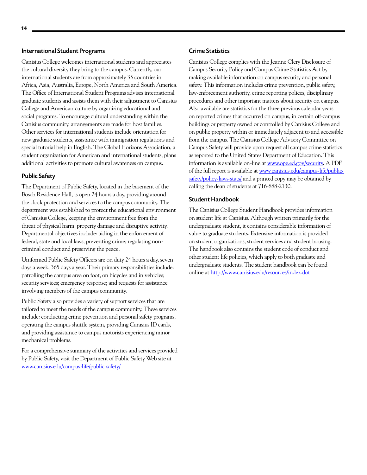#### International Student Programs

Canisius College welcomes international students and appreciates the cultural diversity they bring to the campus. Currently, our international students are from approximately 35 countries in Africa, Asia, Australia, Europe, North America and South America. The Office of International Student Programs advises international graduate students and assists them with their adjustment to Canisius College and American culture by organizing educational and social programs. To encourage cultural understanding within the Canisius community, arrangements are made for host families. Other services for international students include orientation for new graduate students, assistance with immigration regulations and special tutorial help in English. The Global Horizons Association, a student organization for American and international students, plans additional activities to promote cultural awareness on campus.

#### Public Safety

The Department of Public Safety, located in the basement of the Bosch Residence Hall, is open 24 hours a day, providing around the clock protection and services to the campus community. The department was established to protect the educational environment of Canisius College, keeping the environment free from the threat of physical harm, property damage and disruptive activity. Departmental objectives include: aiding in the enforcement of federal, state and local laws; preventing crime; regulating noncriminal conduct and preserving the peace.

Uniformed Public Safety Officers are on duty 24 hours a day, seven days a week, 365 days a year. Their primary responsibilities include: patrolling the campus area on foot, on bicycles and in vehicles; security services; emergency response; and requests for assistance involving members of the campus community.

Public Safety also provides a variety of support services that are tailored to meet the needs of the campus community. These services include: conducting crime prevention and personal safety programs, operating the campus shuttle system, providing Canisius ID cards, and providing assistance to campus motorists experiencing minor mechanical problems.

For a comprehensive summary of the activities and services provided by Public Safety, visit the Department of Public Safety Web site at [www.canisius.edu/campus-life/public-safety/](http://www.canisius.edu/campus-life/public-safety/)

#### Crime Statistics

Canisius College complies with the Jeanne Clery Disclosure of Campus Security Policy and Campus Crime Statistics Act by making available information on campus security and personal safety. This information includes crime prevention, public safety, law-enforcement authority, crime reporting polices, disciplinary procedures and other important matters about security on campus. Also available are statistics for the three previous calendar years on reported crimes that occurred on campus, in certain off-campus buildings or property owned or controlled by Canisius College and on public property within or immediately adjacent to and accessible from the campus. The Canisius College Advisory Committee on Campus Safety will provide upon request all campus crime statistics as reported to the United States Department of Education. This information is available on-line at [www.ope.ed.gov/security.](http://www.ope.ed.gov/security) A PDF of the full report is available at [www.canisius.edu/campus-life/public](www.canisius.edu/campus-life/public-safety/policy-laws-stats/)[safety/policy-laws-stats/](www.canisius.edu/campus-life/public-safety/policy-laws-stats/) and a printed copy may be obtained by calling the dean of students at 716-888-2130.

#### Student Handbook

The Canisius College Student Handbook provides information on student life at Canisius. Although written primarily for the undergraduate student, it contains considerable information of value to graduate students. Extensive information is provided on student organizations, student services and student housing. The handbook also contains the student code of conduct and other student life policies, which apply to both graduate and undergraduate students. The student handbook can be found online at<http://www.canisius.edu/resources/index.dot>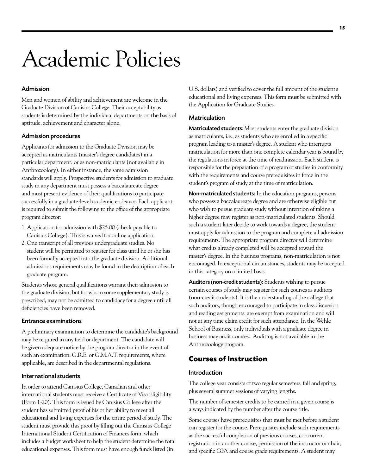## <span id="page-15-0"></span>Academic Policies

#### Admission

Men and women of ability and achievement are welcome in the Graduate Division of Canisius College. Their acceptability as students is determined by the individual departments on the basis of aptitude, achievement and character alone.

#### Admission procedures

Applicants for admission to the Graduate Division may be accepted as matriculants (master's degree candidates) in a particular department, or as non-matriculants (not available in Anthrozoology). In either instance, the same admission standards will apply. Prospective students for admission to graduate study in any department must possess a baccalaureate degree and must present evidence of their qualifications to participate successfully in a graduate-level academic endeavor. Each applicant is required to submit the following to the office of the appropriate program director:

- 1. Application for admission with \$25.00 (check payable to Canisius College). This is waived for online application.
- 2. One transcript of all previous undergraduate studies. No student will be permitted to register for class until he or she has been formally accepted into the graduate division. Additional admissions requirements may be found in the description of each graduate program.

Students whose general qualifications warrant their admission to the graduate division, but for whom some supplementary study is prescribed, may not be admitted to candidacy for a degree until all deficiencies have been removed.

#### Entrance examinations

A preliminary examination to determine the candidate's background may be required in any field or department. The candidate will be given adequate notice by the program director in the event of such an examination. G.R.E. or G.M.A.T. requirements, where applicable, are described in the departmental regulations.

#### International students

In order to attend Canisius College, Canadian and other international students must receive a Certificate of Visa Eligibility (Form 1-20). This form is issued by Canisius College after the student has submitted proof of his or her ability to meet all educational and living expenses for the entire period of study. The student must provide this proof by filling out the Canisius College International Student Certification of Finances form, which includes a budget worksheet to help the student determine the total educational expenses. This form must have enough funds listed (in

U.S. dollars) and verified to cover the full amount of the student's educational and living expenses. This form must be submitted with the Application for Graduate Studies.

#### Matriculation

Matriculated students: Most students enter the graduate division as matriculants, i.e., as students who are enrolled in a specific program leading to a master's degree. A student who interrupts matriculation for more than one complete calendar year is bound by the regulations in force at the time of readmission. Each student is responsible for the preparation of a program of studies in conformity with the requirements and course prerequisites in force in the student's program of study at the time of matriculation.

Non-matriculated students: In the education programs, persons who possess a baccalaureate degree and are otherwise eligible but who wish to pursue graduate study without intention of taking a higher degree may register as non-matriculated students. Should such a student later decide to work towards a degree, the student must apply for admission to the program and complete all admission requirements. The appropriate program director will determine what credits already completed will be accepted toward the master's degree. In the business programs, non-matriculation is not encouraged. In exceptional circumstances, students may be accepted in this category on a limited basis.

Auditors (non-credit students): Students wishing to pursue certain courses of study may register for such courses as auditors (non-credit students). It is the understanding of the college that such auditors, though encouraged to participate in class discussion and reading assignments, are exempt from examination and will not at any time claim credit for such attendance. In the Wehle School of Business, only individuals with a graduate degree in business may audit courses. Auditing is not available in the Anthrozoology program.

### **Courses of Instruction**

#### Introduction

The college year consists of two regular semesters, fall and spring, plus several summer sessions of varying lengths.

The number of semester credits to be earned in a given course is always indicated by the number after the course title.

Some courses have prerequisites that must be met before a student can register for the course. Prerequisites include such requirements as the successful completion of previous courses, concurrent registration in another course, permission of the instructor or chair, and specific GPA and course grade requirements. A student may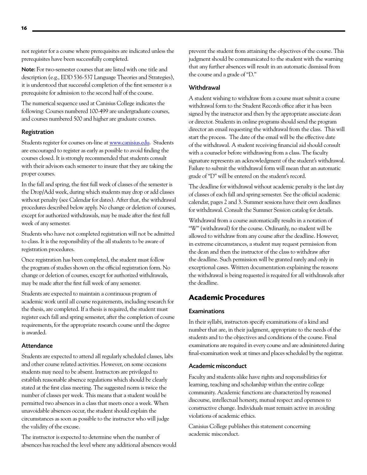<span id="page-16-0"></span>not register for a course where prerequisites are indicated unless the prerequisites have been successfully completed.

Note: For two-semester courses that are listed with one title and description (e.g., EDD 536-537 Language Theories and Strategies), it is understood that successful completion of the first semester is a prerequisite for admission to the second half of the course.

The numerical sequence used at Canisius College indicates the following: Courses numbered 100-499 are undergraduate courses, and courses numbered 500 and higher are graduate courses.

#### Registration

Students register for courses on-line at [www.canisius.edu](http://www.canisius.edu). Students are encouraged to register as early as possible to avoid finding the courses closed. It is strongly recommended that students consult with their advisors each semester to insure that they are taking the proper courses.

In the fall and spring, the first full week of classes of the semester is the Drop/Add week, during which students may drop or add classes without penalty (see Calendar for dates). After that, the withdrawal procedures described below apply. No change or deletion of courses, except for authorized withdrawals, may be made after the first full week of any semester.

Students who have not completed registration will not be admitted to class. It is the responsibility of the all students to be aware of registration procedures.

Once registration has been completed, the student must follow the program of studies shown on the official registration form. No change or deletion of courses, except for authorized withdrawals, may be made after the first full week of any semester.

Students are expected to maintain a continuous program of academic work until all course requirements, including research for the thesis, are completed. If a thesis is required, the student must register each fall and spring semester, after the completion of course requirements, for the appropriate research course until the degree is awarded.

#### **Attendance**

Students are expected to attend all regularly scheduled classes, labs and other course related activities. However, on some occasions students may need to be absent. Instructors are privileged to establish reasonable absence regulations which should be clearly stated at the first class meeting. The suggested norm is twice the number of classes per week. This means that a student would be permitted two absences in a class that meets once a week. When unavoidable absences occur, the student should explain the circumstances as soon as possible to the instructor who will judge the validity of the excuse.

The instructor is expected to determine when the number of absences has reached the level where any additional absences would prevent the student from attaining the objectives of the course. This judgment should be communicated to the student with the warning that any further absences will result in an automatic dismissal from the course and a grade of "D."

#### **Withdrawal**

A student wishing to withdraw from a course must submit a course withdrawal form to the Student Records office after it has been signed by the instructor and then by the appropriate associate dean or director. Students in online programs should send the program director an email requesting the withdrawal from the class. This will start the process. The date of the email will be the effective date of the withdrawal. A student receiving financial aid should consult with a counselor before withdrawing from a class. The faculty signature represents an acknowledgment of the student's withdrawal. Failure to submit the withdrawal form will mean that an automatic grade of "D" will be entered on the student's record.

The deadline for withdrawal without academic penalty is the last day of classes of each fall and spring semester. See the official academic calendar, pages 2 and 3. Summer sessions have their own deadlines for withdrawal. Consult the Summer Session catalog for details.

Withdrawal from a course automatically results in a notation of "W" (withdrawal) for the course. Ordinarily, no student will be allowed to withdraw from any course after the deadline. However, in extreme circumstances, a student may request permission from the dean and then the instructor of the class to withdraw after the deadline. Such permission will be granted rarely and only in exceptional cases. Written documentation explaining the reasons the withdrawal is being requested is required for all withdrawals after the deadline.

### **Academic Procedures**

#### **Examinations**

In their syllabi, instructors specify examinations of a kind and number that are, in their judgment, appropriate to the needs of the students and to the objectives and conditions of the course. Final examinations are required in every course and are administered during final-examination week at times and places scheduled by the registrar.

#### Academic misconduct

Faculty and students alike have rights and responsibilities for learning, teaching and scholarship within the entire college community. Academic functions are characterized by reasoned discourse, intellectual honesty, mutual respect and openness to constructive change. Individuals must remain active in avoiding violations of academic ethics.

Canisius College publishes this statement concerning academic misconduct.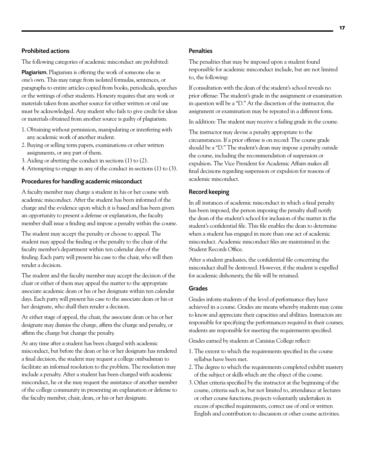#### Prohibited actions

The following categories of academic misconduct are prohibited:

Plagiarism. Plagiarism is offering the work of someone else as one's own. This may range from isolated formulas, sentences, or paragraphs to entire articles copied from books, periodicals, speeches or the writings of other students. Honesty requires that any work or materials taken from another source for either written or oral use must be acknowledged. Any student who fails to give credit for ideas or materials obtained from another source is guilty of plagiarism.

- 1. Obtaining without permission, manipulating or interfering with any academic work of another student.
- 2. Buying or selling term papers, examinations or other written assignments, or any part of them.
- 3. Aiding or abetting the conduct in sections (1) to (2).
- 4. Attempting to engage in any of the conduct in sections (1) to (3).

#### Procedures for handling academic misconduct

A faculty member may charge a student in his or her course with academic misconduct. After the student has been informed of the charge and the evidence upon which it is based and has been given an opportunity to present a defense or explanation, the faculty member shall issue a finding and impose a penalty within the course.

The student may accept the penalty or choose to appeal. The student may appeal the finding or the penalty to the chair of the faculty member's department within ten calendar days of the finding. Each party will present his case to the chair, who will then render a decision.

The student and the faculty member may accept the decision of the chair or either of them may appeal the matter to the appropriate associate academic dean or his or her designate within ten calendar days. Each party will present his case to the associate dean or his or her designate, who shall then render a decision.

At either stage of appeal, the chair, the associate dean or his or her designate may dismiss the charge, affirm the charge and penalty, or affirm the charge but change the penalty.

At any time after a student has been charged with academic misconduct, but before the dean or his or her designate has rendered a final decision, the student may request a college ombudsman to facilitate an informal resolution to the problem. The resolution may include a penalty. After a student has been charged with academic misconduct, he or she may request the assistance of another member of the college community in presenting an explanation or defense to the faculty member, chair, dean, or his or her designate.

#### **Penalties**

The penalties that may be imposed upon a student found responsible for academic misconduct include, but are not limited to, the following:

If consultation with the dean of the student's school reveals no prior offense: The student's grade in the assignment or examination in question will be a "D." At the discretion of the instructor, the assignment or examination may be repeated in a different form.

In addition: The student may receive a failing grade in the course.

The instructor may devise a penalty appropriate to the circumstances. If a prior offense is on record: The course grade should be a "D." The student's dean may impose a penalty outside the course, including the recommendation of suspension or expulsion. The Vice President for Academic Affairs makes all final decisions regarding suspension or expulsion for reasons of academic misconduct.

#### Record keeping

In all instances of academic misconduct in which a final penalty has been imposed, the person imposing the penalty shall notify the dean of the student's school for inclusion of the matter in the student's confidential file. This file enables the dean to determine when a student has engaged in more than one act of academic misconduct. Academic misconduct files are maintained in the Student Records Office.

After a student graduates, the confidential file concerning the misconduct shall be destroyed. However, if the student is expelled for academic dishonesty, the file will be retained.

#### Grades

Grades inform students of the level of performance they have achieved in a course. Grades are means whereby students may come to know and appreciate their capacities and abilities. Instructors are responsible for specifying the performances required in their courses; students are responsible for meeting the requirements specified.

Grades earned by students at Canisius College reflect:

- 1. The extent to which the requirements specified in the course syllabus have been met.
- 2. The degree to which the requirements completed exhibit mastery of the subject or skills which are the object of the course.
- 3. Other criteria specified by the instructor at the beginning of the course, criteria such as, but not limited to, attendance at lectures or other course functions, projects voluntarily undertaken in excess of specified requirements, correct use of oral or written English and contribution to discussion or other course activities.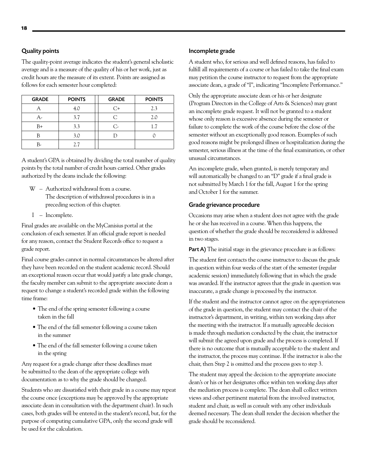#### Quality points

The quality-point average indicates the student's general scholastic average and is a measure of the quality of his or her work, just as credit hours are the measure of its extent. Points are assigned as follows for each semester hour completed:

| <b>GRADE</b> | <b>POINTS</b> | <b>GRADE</b> | <b>POINTS</b> |
|--------------|---------------|--------------|---------------|
|              | 4.0           | C+           | 2.3           |
| А-           | 3.7           | C            | 2.0           |
| $B+$         | 3.3           | C,           | 1.7           |
|              | 3.0           |              |               |
|              | 2.7           |              |               |

A student's GPA is obtained by dividing the total number of quality points by the total number of credit hours carried. Other grades authorized by the deans include the following:

- W Authorized withdrawal from a course. The description of withdrawal procedures is in a preceding section of this chapter.
- I Incomplete.

Final grades are available on the MyCanisius portal at the conclusion of each semester. If an official grade report is needed for any reason, contact the Student Records office to request a grade report.

Final course grades cannot in normal circumstances be altered after they have been recorded on the student academic record. Should an exceptional reason occur that would justify a late grade change, the faculty member can submit to the appropriate associate dean a request to change a student's recorded grade within the following time frame:

- The end of the spring semester following a course taken in the fall
- The end of the fall semester following a course taken in the summer
- The end of the fall semester following a course taken in the spring

Any request for a grade change after these deadlines must be submitted to the dean of the appropriate college with documentation as to why the grade should be changed.

Students who are dissatisfied with their grade in a course may repeat the course once (exceptions may be approved by the appropriate associate dean in consultation with the department chair). In such cases, both grades will be entered in the student's record, but, for the purpose of computing cumulative GPA, only the second grade will be used for the calculation.

#### Incomplete grade

A student who, for serious and well defined reasons, has failed to fulfill all requirements of a course or has failed to take the final exam may petition the course instructor to request from the appropriate associate dean, a grade of "I", indicating "Incomplete Performance."

Only the appropriate associate dean or his or her designate (Program Directors in the College of Arts & Sciences) may grant an incomplete grade request. It will not be granted to a student whose only reason is excessive absence during the semester or failure to complete the work of the course before the close of the semester without an exceptionally good reason. Examples of such good reasons might be prolonged illness or hospitalization during the semester, serious illness at the time of the final examination, or other unusual circumstances.

An incomplete grade, when granted, is merely temporary and will automatically be changed to an "D" grade if a final grade is not submitted by March 1 for the fall, August 1 for the spring and October 1 for the summer.

#### Grade grievance procedure

Occasions may arise when a student does not agree with the grade he or she has received in a course. When this happens, the question of whether the grade should be reconsidered is addressed in two stages.

Part A) The initial stage in the grievance procedure is as follows:

The student first contacts the course instructor to discuss the grade in question within four weeks of the start of the semester (regular academic session) immediately following that in which the grade was awarded. If the instructor agrees that the grade in question was inaccurate, a grade change is processed by the instructor.

If the student and the instructor cannot agree on the appropriateness of the grade in question, the student may contact the chair of the instructor's department, in writing, within ten working days after the meeting with the instructor. If a mutually agreeable decision is made through mediation conducted by the chair, the instructor will submit the agreed upon grade and the process is completed. If there is no outcome that is mutually acceptable to the student and the instructor, the process may continue. If the instructor is also the chair, then Step 2 is omitted and the process goes to step 3.

The student may appeal the decision to the appropriate associate dean's or his or her designates office within ten working days after the mediation process is complete. The dean shall collect written views and other pertinent material from the involved instructor, student and chair, as well as consult with any other individuals deemed necessary. The dean shall render the decision whether the grade should be reconsidered.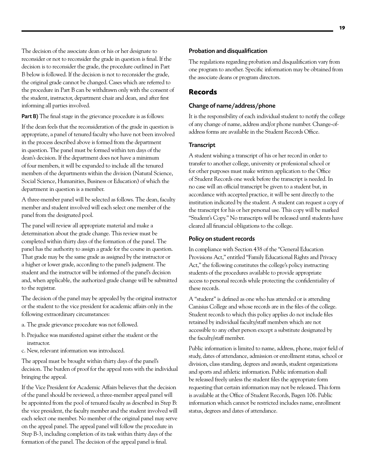<span id="page-19-0"></span>The decision of the associate dean or his or her designate to reconsider or not to reconsider the grade in question is final. If the decision is to reconsider the grade, the procedure outlined in Part B below is followed. If the decision is not to reconsider the grade, the original grade cannot be changed. Cases which are referred to the procedure in Part B can be withdrawn only with the consent of the student, instructor, department chair and dean, and after first informing all parties involved.

Part B) The final stage in the grievance procedure is as follows:

If the dean feels that the reconsideration of the grade in question is appropriate, a panel of tenured faculty who have not been involved in the process described above is formed from the department in question. The panel must be formed within ten days of the dean's decision. If the department does not have a minimum of four members, it will be expanded to include all the tenured members of the departments within the division (Natural Science, Social Science, Humanities, Business or Education) of which the department in question is a member.

A three-member panel will be selected as follows. The dean, faculty member and student involved will each select one member of the panel from the designated pool.

The panel will review all appropriate material and make a determination about the grade change. This review must be completed within thirty days of the formation of the panel. The panel has the authority to assign a grade for the course in question. That grade may be the same grade as assigned by the instructor or a higher or lower grade, according to the panel's judgment. The student and the instructor will be informed of the panel's decision and, when applicable, the authorized grade change will be submitted to the registrar.

The decision of the panel may be appealed by the original instructor or the student to the vice president for academic affairs only in the following extraordinary circumstances:

- a. The grade grievance procedure was not followed.
- b. Prejudice was manifested against either the student or the instructor.
- c. New, relevant information was introduced.

The appeal must be brought within thirty days of the panel's decision. The burden of proof for the appeal rests with the individual bringing the appeal.

If the Vice President for Academic Affairs believes that the decision of the panel should be reviewed, a three-member appeal panel will be appointed from the pool of tenured faculty as described in Step B: the vice president, the faculty member and the student involved will each select one member. No member of the original panel may serve on the appeal panel. The appeal panel will follow the procedure in Step B-3, including completion of its task within thirty days of the formation of the panel. The decision of the appeal panel is final.

#### Probation and disqualification

The regulations regarding probation and disqualification vary from one program to another. Specific information may be obtained from the associate deans or program directors.

### **Records**

#### Change of name/address/phone

It is the responsibility of each individual student to notify the college of any change of name, address and/or phone number. Change-ofaddress forms are available in the Student Records Office.

#### **Transcript**

A student wishing a transcript of his or her record in order to transfer to another college, university or professional school or for other purposes must make written application to the Office of Student Records one week before the transcript is needed. In no case will an official transcript be given to a student but, in accordance with accepted practice, it will be sent directly to the institution indicated by the student. A student can request a copy of the transcript for his or her personal use. This copy will be marked "Student's Copy." No transcripts will be released until students have cleared all financial obligations to the college.

#### Policy on student records

In compliance with Section 438 of the "General Education Provisions Act," entitled "Family Educational Rights and Privacy Act," the following constitutes the college's policy instructing students of the procedures available to provide appropriate access to personal records while protecting the confidentiality of these records.

A "student" is defined as one who has attended or is attending Canisius College and whose records are in the files of the college. Student records to which this policy applies do not include files retained by individual faculty/staff members which are not accessible to any other person except a substitute designated by the faculty/staff member.

Public information is limited to name, address, phone, major field of study, dates of attendance, admission or enrollment status, school or division, class standing, degrees and awards, student organizations and sports and athletic information. Public information shall be released freely unless the student files the appropriate form requesting that certain information may not be released. This form is available at the Office of Student Records, Bagen 106. Public information which cannot be restricted includes name, enrollment status, degrees and dates of attendance.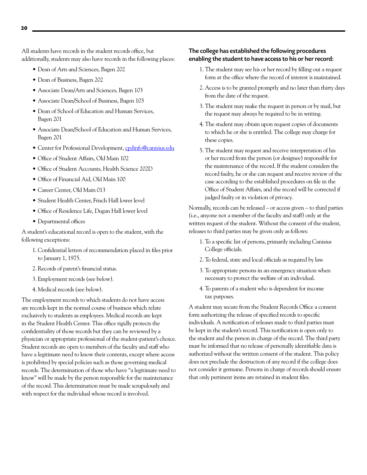All students have records in the student records office, but additionally, students may also have records in the following places:

- • Dean of Arts and Sciences, Bagen 202
- Dean of Business, Bagen 202
- Associate Dean/Arts and Sciences, Bagen 103
- • Associate Dean/School of Business, Bagen 103
- Dean of School of Education and Human Services, Bagen 201
- Associate Dean/School of Education and Human Services, Bagen 201
- Center for Professional Development, [cpdinfo@canisius.edu](mailto:cpdinfo@canisius.edu)
- Office of Student Affairs, Old Main 102
- Office of Student Accounts, Health Science 202D
- Office of Financial Aid, Old Main 100
- Career Center, Old Main 013
- Student Health Center, Frisch Hall lower level
- Office of Residence Life, Dugan Hall lower level
- Departmental offices

A student's educational record is open to the student, with the following exceptions:

- 1. Confidential letters of recommendation placed in files prior to January 1, 1975.
- 2. Records of parent's financial status.
- 3. Employment records (see below).
- 4. Medical records (see below).

The employment records to which students do not have access are records kept in the normal course of business which relate exclusively to students as employees. Medical records are kept in the Student Health Center. This office rigidly protects the confidentiality of those records but they can be reviewed by a physician or appropriate professional of the student-patient's choice. Student records are open to members of the faculty and staff who have a legitimate need to know their contents, except where access is prohibited by special policies such as those governing medical records. The determination of those who have "a legitimate need to know" will be made by the person responsible for the maintenance of the record. This determination must be made scrupulously and with respect for the individual whose record is involved.

#### The college has established the following procedures enabling the student to have access to his or her record:

- 1. The student may see his or her record by filling out a request form at the office where the record of interest is maintained.
- 2. Access is to be granted promptly and no later than thirty days from the date of the request.
- 3. The student may make the request in person or by mail, but the request may always be required to be in writing.
- 4. The student may obtain upon request copies of documents to which he or she is entitled. The college may charge for these copies.
- 5. The student may request and receive interpretation of his or her record from the person (or designee) responsible for the maintenance of the record. If the student considers the record faulty, he or she can request and receive review of the case according to the established procedures on file in the Office of Student Affairs, and the record will be corrected if judged faulty or in violation of privacy.

Normally, records can be released – or access given – to third parties (i.e., anyone not a member of the faculty and staff) only at the written request of the student. Without the consent of the student, releases to third parties may be given only as follows:

- 1. To a specific list of persons, primarily including Canisius College officials.
- 2. To federal, state and local officials as required by law.
- 3. To appropriate persons in an emergency situation when necessary to protect the welfare of an individual.
- 4. To parents of a student who is dependent for income tax purposes.

A student may secure from the Student Records Office a consent form authorizing the release of specified records to specific individuals. A notification of releases made to third parties must be kept in the student's record. This notification is open only to the student and the person in charge of the record. The third party must be informed that no release of personally identifiable data is authorized without the written consent of the student. This policy does not preclude the destruction of any record if the college does not consider it germane. Persons in charge of records should ensure that only pertinent items are retained in student files.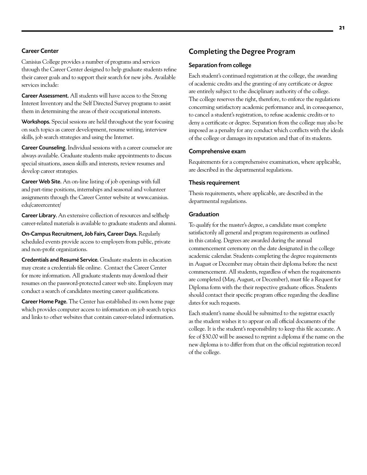#### Career Center

Canisius College provides a number of programs and services through the Career Center designed to help graduate students refine their career goals and to support their search for new jobs. Available services include:

Career Assessment. All students will have access to the Strong Interest Inventory and the Self Directed Survey programs to assist them in determining the areas of their occupational interests.

Workshops. Special sessions are held throughout the year focusing on such topics as career development, resume writing, interview skills, job search strategies and using the Internet.

Career Counseling. Individual sessions with a career counselor are always available. Graduate students make appointments to discuss special situations, assess skills and interests, review resumes and develop career strategies.

Career Web Site. An on-line listing of job openings with full and part-time positions, internships and seasonal and volunteer assignments through the Career Center website at [www.canisius.](http://www.canisius.edu/careercenter/) [edu/careercenter/](http://www.canisius.edu/careercenter/)

Career Library. An extensive collection of resources and selfhelp career-related materials is available to graduate students and alumni.

On-Campus Recruitment, Job Fairs, Career Days. Regularly scheduled events provide access to employers from public, private and non-profit organizations.

Credentials and Resumé Service. Graduate students in education may create a credentials file online. Contact the Career Center for more information. All graduate students may download their resumes on the password-protected career web site. Employers may conduct a search of candidates meeting career qualifications.

[Career Home Page](http://www.canisius.edu/career). The Center has established its own home page which provides computer access to information on job search topics and links to other websites that contain career-related information.

### Completing the Degree Program

#### Separation from college

Each student's continued registration at the college, the awarding of academic credits and the granting of any certificate or degree are entirely subject to the disciplinary authority of the college. The college reserves the right, therefore, to enforce the regulations concerning satisfactory academic performance and, in consequence, to cancel a student's registration, to refuse academic credits or to deny a certificate or degree. Separation from the college may also be imposed as a penalty for any conduct which conflicts with the ideals of the college or damages its reputation and that of its students.

#### Comprehensive exam

Requirements for a comprehensive examination, where applicable, are described in the departmental regulations.

#### Thesis requirement

Thesis requirements, where applicable, are described in the departmental regulations.

#### Graduation

To qualify for the master's degree, a candidate must complete satisfactorily all general and program requirements as outlined in this catalog. Degrees are awarded during the annual commencement ceremony on the date designated in the college academic calendar. Students completing the degree requirements in August or December may obtain their diploma before the next commencement. All students, regardless of when the requirements are completed (May, August, or December), must file a Request for Diploma form with the their respective graduate offices. Students should contact their specific program office regarding the deadline dates for such requests.

Each student's name should be submitted to the registrar exactly as the student wishes it to appear on all official documents of the college. It is the student's responsibility to keep this file accurate. A fee of \$30.00 will be assessed to reprint a diploma if the name on the new diploma is to differ from that on the official registration record of the college.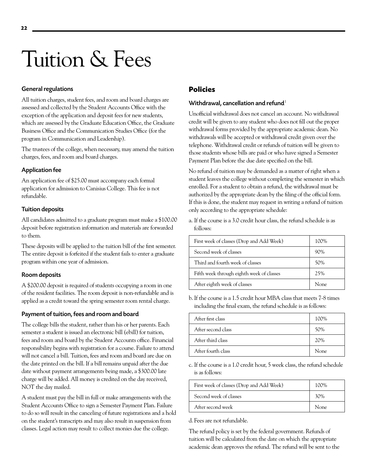## <span id="page-22-0"></span>Tuition & Fees

#### General regulations

All tuition charges, student fees, and room and board charges are assessed and collected by the Student Accounts Office with the exception of the application and deposit fees for new students, which are assessed by the Graduate Education Office, the Graduate Business Office and the Communication Studies Office (for the program in Communication and Leadership).

The trustees of the college, when necessary, may amend the tuition charges, fees, and room and board charges.

#### Application fee

An application fee of \$25.00 must accompany each formal application for admission to Canisius College. This fee is not refundable.

#### Tuition deposits

All candidates admitted to a graduate program must make a \$100.00 deposit before registration information and materials are forwarded to them.

These deposits will be applied to the tuition bill of the first semester. The entire deposit is forfeited if the student fails to enter a graduate program within one year of admission.

#### Room deposits

A \$200.00 deposit is required of students occupying a room in one of the resident facilities. The room deposit is non-refundable and is applied as a credit toward the spring semester room rental charge.

#### Payment of tuition, fees and room and board

The college bills the student, rather than his or her parents. Each semester a student is issued an electronic bill (ebill) for tuition, fees and room and board by the Student Accounts office. Financial responsibility begins with registration for a course. Failure to attend will not cancel a bill. Tuition, fees and room and board are due on the date printed on the bill. If a bill remains unpaid after the due date without payment arrangements being made, a \$300.00 late charge will be added. All money is credited on the day received, NOT the day mailed.

A student must pay the bill in full or make arrangements with the Student Accounts Office to sign a Semester Payment Plan. Failure to do so will result in the canceling of future registrations and a hold on the student's transcripts and may also result in suspension from classes. Legal action may result to collect monies due the college.

## **Policies**

#### Withdrawal, cancellation and refund $1$

Unofficial withdrawal does not cancel an account. No withdrawal credit will be given to any student who does not fill out the proper withdrawal forms provided by the appropriate academic dean. No withdrawals will be accepted or withdrawal credit given over the telephone. Withdrawal credit or refunds of tuition will be given to those students whose bills are paid or who have signed a Semester Payment Plan before the due date specified on the bill.

No refund of tuition may be demanded as a matter of right when a student leaves the college without completing the semester in which enrolled. For a student to obtain a refund, the withdrawal must be authorized by the appropriate dean by the filing of the official form. If this is done, the student may request in writing a refund of tuition only according to the appropriate schedule:

a. If the course is a 3.0 credit hour class, the refund schedule is as follows:

| First week of classes (Drop and Add Week) | 100% |
|-------------------------------------------|------|
| Second week of classes                    | 90%  |
| Third and fourth week of classes          | 50%  |
| Fifth week through eighth week of classes | 2.5% |
| After eighth week of classes              | None |

b. If the course is a 1.5 credit hour MBA class that meets 7-8 times including the final exam, the refund schedule is as follows:

| After first class  | 100%        |
|--------------------|-------------|
| After second class | 50%         |
| After third class  | 20%         |
| After fourth class | <b>None</b> |

c. If the course is a 1.0 credit hour, 5 week class, the refund schedule is as follows:

| First week of classes (Drop and Add Week) | 100\%       |
|-------------------------------------------|-------------|
| Second week of classes                    | 30%         |
| After second week                         | <b>None</b> |

d. Fees are not refundable.

The refund policy is set by the federal government. Refunds of tuition will be calculated from the date on which the appropriate academic dean approves the refund. The refund will be sent to the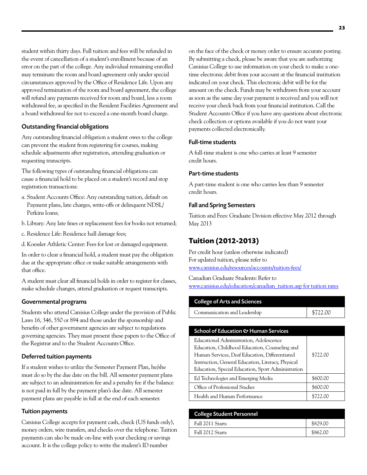student within thirty days. Full tuition and fees will be refunded in the event of cancellation of a student's enrollment because of an error on the part of the college. Any individual remaining enrolled may terminate the room and board agreement only under special circumstances approved by the Office of Residence Life. Upon any approved termination of the room and board agreement, the college will refund any payments received for room and board, less a room withdrawal fee, as specified in the Resident Facilities Agreement and a board withdrawal fee not to exceed a one-month board charge.

#### Outstanding financial obligations

Any outstanding financial obligation a student owes to the college can prevent the student from registering for courses, making schedule adjustments after registration, attending graduation or requesting transcripts.

The following types of outstanding financial obligations can cause a financial hold to be placed on a student's record and stop registration transactions:

- a. Student Accounts Office: Any outstanding tuition, default on Payment plans, late charges, write-offs or delinquent NDSL/ Perkins loans;
- b. Library: Any late fines or replacement fees for books not returned;
- c. Residence Life: Residence hall damage fees;
- d. Koessler Athletic Center: Fees for lost or damaged equipment.

In order to clear a financial hold, a student must pay the obligation due at the appropriate office or make suitable arrangements with that office.

A student must clear all financial holds in order to register for classes, make schedule changes, attend graduation or request transcripts.

#### Governmental programs

Students who attend Canisius College under the provision of Public Laws 16, 346, 550 or 894 and those under the sponsorship and benefits of other government agencies are subject to regulations governing agencies. They must present these papers to the Office of the Registrar and to the Student Accounts Office.

#### Deferred tuition payments

If a student wishes to utilize the Semester Payment Plan, he/she must do so by the due date on the bill. All semester payment plans are subject to an administration fee and a penalty fee if the balance is not paid in full by the payment plan's due date. All semester payment plans are payable in full at the end of each semester.

#### Tuition payments

Canisius College accepts for payment cash, check (US funds only), money orders, wire transfers, and checks over the telephone. Tuition payments can also be made on-line with your checking or savings account. It is the college policy to write the student's ID number

on the face of the check or money order to ensure accurate posting. By submitting a check, please be aware that you are authorizing Canisius College to use information on your check to make a onetime electronic debit from your account at the financial institution indicated on your check. This electronic debit will be for the amount on the check. Funds may be withdrawn from your account as soon as the same day your payment is received and you will not receive your check back from your financial institution. Call the Student Accounts Office if you have any questions about electronic check collection or options available if you do not want your payments collected electronically.

#### Full-time students

A full-time student is one who carries at least 9 semester credit hours.

#### Part-time students

A part-time student is one who carries less than 9 semester credit hours.

#### Fall and Spring Semesters

Tuition and Fees: Graduate Division effective May 2012 through May 2013

#### **Tuition (2012-2013)**

Per credit hour (unless otherwise indicated) For updated tuition, please refer to [www.canisius.edu/resources/accounts/tuition-fees/](http://www.canisius.edu/resources/accounts/tuition-fees/)

Canadian Graduate Students: Refer to [www.canisius.edu/education/canadian\\_tuition.asp](http://www.canisius.edu/education/canadian_tuition.asp) for tuition rates

#### College of Arts and Sciences

| Communication and Leadership | \$722.00 |
|------------------------------|----------|
|------------------------------|----------|

#### School of Education & Human Services

| Educational Administration, Adolescence            |          |
|----------------------------------------------------|----------|
| Education, Childhood Education, Counseling and     |          |
| Human Services, Deaf Education, Differentiated     | \$722.00 |
| Instruction, General Education, Literacy, Physical |          |
| Education, Special Education, Sport Administration |          |
| Ed Technologies and Emerging Media                 | \$600.00 |
| Office of Professional Studies                     | \$600.00 |
| Health and Human Performance                       |          |

| <b>College Student Personnel</b> |          |
|----------------------------------|----------|
| Fall 2011 Starts                 | \$829.00 |
| Fall 2012 Starts                 | \$862.00 |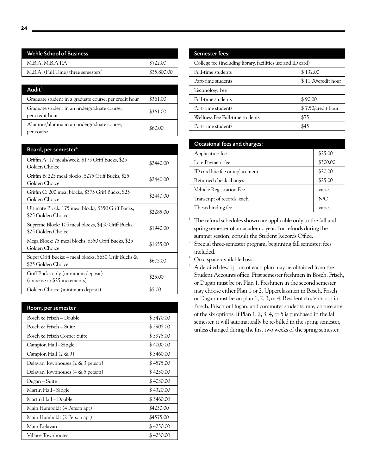| Wehle School of Business                        |             |
|-------------------------------------------------|-------------|
| M.B.A, M.B.A.P.A                                | \$722.00    |
| M.B.A. (Full Time) three semesters <sup>2</sup> | \$35,800.00 |

| Audit $3$                                                       |          |
|-----------------------------------------------------------------|----------|
| Graduate student in a graduate course, per credit hour          | \$361.00 |
| Graduate student in an undergraduate course,<br>per credit hour | \$361.00 |
| Alumnus/alumna in an undergraduate course,<br>per course        | \$60.00  |

| Board, per semester <sup>4</sup>                                            |           |
|-----------------------------------------------------------------------------|-----------|
| Griffin A: 17 meals/week, \$175 Griff Bucks, \$25<br>Golden Choice          | \$2440.00 |
| Griffin B: 225 meal blocks, \$275 Griff Bucks, \$25<br>Golden Choice        | \$2440.00 |
| Griffin C: 200 meal blocks, \$375 Griff Bucks, \$25<br>Golden Choice        | \$2440.00 |
| Ultimate Block: 175 meal blocks, \$350 Griff Bucks,<br>\$25 Golden Choice   | \$2285.00 |
| Supreme Block: 105 meal blocks, \$450 Griff Bucks,<br>\$25 Golden Choice    | \$1940.00 |
| Mega Block: 75 meal blocks, \$550 Griff Bucks, \$25<br>Golden Choice        | \$1655.00 |
| Super Griff Bucks: 4 meal blocks, \$650 Griff Bucks &<br>\$25 Golden Choice | \$675.00  |
| Griff Bucks only (minimum deposit)<br>(increase in \$25 increments)         | \$25.00   |
| Golden Choice (minimum deposit)                                             | \$5.00    |

| Room, per semester                |           |
|-----------------------------------|-----------|
| Bosch & Frisch – Double           | \$3470.00 |
| Bosch & Frisch – Suite            | \$3905.00 |
| Bosch & Frisch Corner Suite       | \$3975.00 |
| Campion Hall - Single             | \$4000.00 |
| Campion Hall $(2 \& 3)$           | \$3460.00 |
| Delavan Townhouses (2 & 3 person) | \$4575.00 |
| Delavan Townhouses (4 & 5 person) | \$4230.00 |
| Dugan – Suite                     | \$4030.00 |
| Martin Hall - Single              | \$4320.00 |
| Martin Hall – Double              | \$3460.00 |
| Main Humboldt (4 Person apt)      | \$4230.00 |
| Main Humboldt (2 Person apt)      | \$4575.00 |
| Main Delavan                      | \$4250.00 |
| Village Townhouses                | \$4230.00 |

| College fee (including library, facilities use and ID card) |
|-------------------------------------------------------------|
| \$132.00                                                    |
| \$11.00/credit hour                                         |
|                                                             |
| \$90.00                                                     |
| \$7.50/credit hour                                          |
| \$75                                                        |
| \$45                                                        |
|                                                             |

| <b>Occasional fees and charges:</b> |          |
|-------------------------------------|----------|
| Application fee                     | \$25.00  |
| Late Payment fee                    | \$300.00 |
| ID card late fee or replacement     | \$20.00  |
| Returned check charges              | \$25.00  |
| Vehicle Registration Fee            | varies   |
| Transcript of records, each         | N/C      |
| Thesis binding fee                  | varies   |

<sup>1</sup> The refund schedules shown are applicable only to the fall and spring semester of an academic year. For refunds during the summer session, consult the Student Records Office.

- $^{\rm 2}~$  Special three-semester program, beginning fall semester; fees included.
- <sup>3</sup> On a space-available basis.
- <sup>4</sup> A detailed description of each plan may be obtained from the Student Accounts office. First semester freshmen in Bosch, Frisch, or Dugan must be on Plan 1. Freshmen in the second semester may choose either Plan 1 or 2. Upperclassmen in Bosch, Frisch or Dugan must be on plan 1, 2, 3, or 4. Resident students not in Bosch, Frisch or Dugan, and commuter students, may choose any of the six options. If Plan 1, 2, 3, 4, or 5 is purchased in the fall semester, it will automatically be re-billed in the spring semester, unless changed during the first two weeks of the spring semester.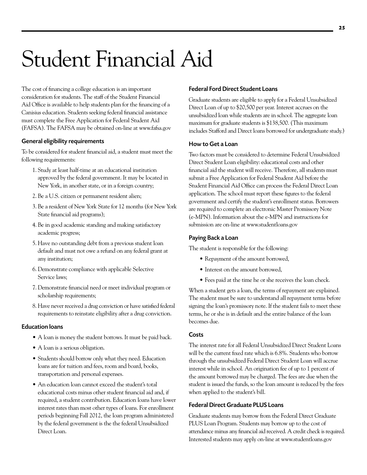# <span id="page-25-0"></span>Student Financial Aid

The cost of financing a college education is an important consideration for students. The staff of the Student Financial Aid Office is available to help students plan for the financing of a Canisius education. Students seeking federal financial assistance must complete the Free Application for Federal Student Aid (FAFSA). The FAFSA may be obtained on-line at [www.fafsa.gov](http://www.fafsa.gov)

#### General eligibility requirements

To be considered for student financial aid, a student must meet the following requirements:

- 1. Study at least half-time at an educational institution approved by the federal government. It may be located in New York, in another state, or in a foreign country;
- 2. Be a U.S. citizen or permanent resident alien;
- 3. Be a resident of New York State for 12 months (for New York State financial aid programs);
- 4. Be in good academic standing and making satisfactory academic progress;
- 5. Have no outstanding debt from a previous student loan default and must not owe a refund on any federal grant at any institution;
- 6. Demonstrate compliance with applicable Selective Service laws;
- 7. Demonstrate financial need or meet individual program or scholarship requirements;
- 8. Have never received a drug conviction or have satisfied federal requirements to reinstate eligibility after a drug conviction.

#### Education loans

- A loan is money the student borrows. It must be paid back.
- A loan is a serious obligation.
- Students should borrow only what they need. Education loans are for tuition and fees, room and board, books, transportation and personal expenses.
- An education loan cannot exceed the student's total educational costs minus other student financial aid and, if required, a student contribution. Education loans have lower interest rates than most other types of loans. For enrollment periods beginning Fall 2012, the loan program administered by the federal government is the the federal Unsubsidized Direct Loan.

#### Federal Ford Direct Student Loans

Graduate students are eligible to apply for a Federal Unsubsidized Direct Loan of up to \$20,500 per year. Interest accrues on the unsubsidized loan while students are in school. The aggregate loan maximum for graduate students is \$138,500. (This maximum includes Stafford and Direct loans borrowed for undergraduate study.)

#### How to Get a Loan

Two factors must be considered to determine Federal Unsubsidized Direct Student Loan eligibility: educational costs and other financial aid the student will receive. Therefore, all students must submit a Free Application for Federal Student Aid before the Student Financial Aid Office can process the Federal Direct Loan application. The school must report these figures to the federal government and certify the student's enrollment status. Borrowers are required to complete an electronic Master Promissory Note (e-MPN). Information about the e-MPN and instructions for submission are on-line at [www.studentloans.gov](http://www.studentloans.gov)

#### Paying Back a Loan

The student is responsible for the following:

- Repayment of the amount borrowed,
- Interest on the amount borrowed.
- Fees paid at the time he or she receives the loan check.

When a student gets a loan, the terms of repayment are explained. The student must be sure to understand all repayment terms before signing the loan's promissory note. If the student fails to meet these terms, he or she is in default and the entire balance of the loan becomes due.

#### **Costs**

The interest rate for all Federal Unsubsidized Direct Student Loans will be the current fixed rate which is 6.8%. Students who borrow through the unsubsidized Federal Direct Student Loan will accrue interest while in school. An origination fee of up to 1 percent of the amount borrowed may be charged. The fees are due when the student is issued the funds, so the loan amount is reduced by the fees when applied to the student's bill.

#### Federal Direct Graduate PLUS Loans

Graduate students may borrow from the Federal Direct Graduate PLUS Loan Program. Students may borrow up to the cost of attendance minus any financial aid received. A credit check is required. Interested students may apply on-line at [www.studentloans.gov](http://www.studentloans.gov)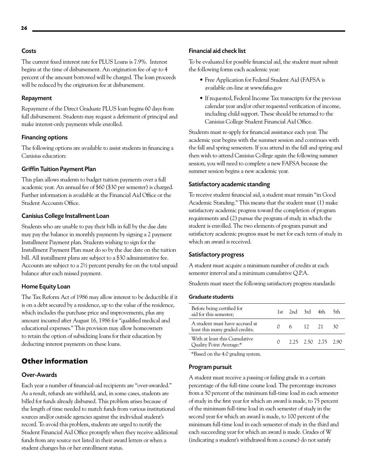#### **Costs**

The current fixed interest rate for PLUS Loans is 7.9%. Interest begins at the time of disbursement. An origination fee of up to 4 percent of the amount borrowed will be charged. The loan proceeds will be reduced by the origination fee at disbursement.

#### Repayment

Repayment of the Direct Graduate PLUS loan begins 60 days from full disbursement. Students may request a deferment of principal and make interest-only payments while enrolled.

#### Financing options

The following options are available to assist students in financing a Canisius education:

#### Griffin Tuition Payment Plan

This plan allows students to budget tuition payments over a full academic year. An annual fee of \$60 (\$30 per semester) is charged. Further information is available at the Financial Aid Office or the Student Accounts Office.

#### Canisius College Installment Loan

Students who are unable to pay their bills in full by the due date may pay the balance in monthly payments by signing a 2 payment Installment Payment plan. Students wishing to sign for the Installment Payment Plan must do so by the due date on the tuition bill. All installment plans are subject to a \$30 administrative fee. Accounts are subject to a 2½ percent penalty fee on the total unpaid balance after each missed payment.

#### Home Equity Loan

The Tax Reform Act of 1986 may allow interest to be deductible if it is on a debt secured by a residence, up to the value of the residence, which includes the purchase price and improvements, plus any amount incurred after August 16, 1986 for "qualified medical and educational expenses." This provision may allow homeowners to retain the option of subsidizing loans for their education by deducting interest payments on these loans.

### **Other information**

#### Over-Awards

Each year a number of financial-aid recipients are "over-awarded." As a result, refunds are withheld, and, in some cases, students are billed for funds already disbursed. This problem arises because of the length of time needed to match funds from various institutional sources and/or outside agencies against the individual student's record. To avoid this problem, students are urged to notify the Student Financial Aid Office promptly when they receive additional funds from any source not listed in their award letters or when a student changes his or her enrollment status.

#### Financial aid check list

To be evaluated for possible financial aid, the student must submit the following forms each academic year:

- Free Application for Federal Student Aid (FAFSA is available on-line at [www.fafsa.gov](http://www.fafsa.gov)
- If requested, Federal Income Tax transcripts for the previous calendar year and/or other requested verification of income, including child support. These should be returned to the Canisius College Student Financial Aid Office.

Students must re-apply for financial assistance each year. The academic year begins with the summer session and continues with the fall and spring semesters. If you attend in the fall and spring and then wish to attend Canisius College again the following summer session, you will need to complete a new FAFSA because the summer session begins a new academic year.

#### Satisfactory academic standing

To receive student financial aid, a student must remain "in Good Academic Standing." This means that the student must (1) make satisfactory academic progress toward the completion of program requirements and (2) pursue the program of study in which the student is enrolled. The two elements of program pursuit and satisfactory academic progress must be met for each term of study in which an award is received.

#### Satisfactory progress

A student must acquire a minimum number of credits at each semester interval and a minimum cumulative Q.P.A.

Students must meet the following satisfactory progress standards:

#### Graduate students

| Before being certified for<br>aid for this semester;              |  | 1st 2nd 3rd 4th 5th     |  |
|-------------------------------------------------------------------|--|-------------------------|--|
| A student must have accrued at<br>least this many graded credits; |  | 0 6 12 21 30            |  |
| With at least this Cumulative<br>Quality Point Average:*          |  | $0$ 2.25 2.50 2.75 2.90 |  |

\*Based on the 4.0 grading system.

#### Program pursuit

A student must receive a passing or failing grade in a certain percentage of the full-time course load. The percentage increases from a 50 percent of the minimum full-time load in each semester of study in the first year for which an award is made, to 75 percent of the minimum full-time load in each semester of study in the second year for which an award is made, to 100 percent of the minimum full-time load in each semester of study in the third and each succeeding year for which an award is made. Grades of W (indicating a student's withdrawal from a course) do not satisfy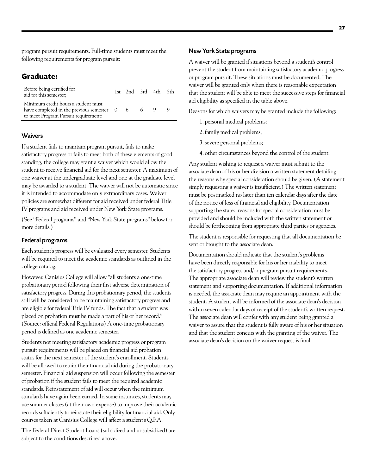program pursuit requirements. Full-time students must meet the following requirements for program pursuit:

### **Graduate:**

| Before being certified for<br>aid for this semester;                                                                     | 1st 2nd 3rd 4th 5th |   |   |  |
|--------------------------------------------------------------------------------------------------------------------------|---------------------|---|---|--|
| Minimum credit hours a student must<br>have completed in the previous semester 0<br>to meet Program Pursuit requirement: | -6                  | 6 | 9 |  |

#### **Waivers**

If a student fails to maintain program pursuit, fails to make satisfactory progress or fails to meet both of these elements of good standing, the college may grant a waiver which would allow the student to receive financial aid for the next semester. A maximum of one waiver at the undergraduate level and one at the graduate level may be awarded to a student. The waiver will not be automatic since it is intended to accommodate only extraordinary cases. Waiver policies are somewhat different for aid received under federal Title IV programs and aid received under New York State programs.

(See "Federal programs" and "New York State programs" below for more details.)

#### Federal programs

Each student's progress will be evaluated every semester. Students will be required to meet the academic standards as outlined in the college catalog.

However, Canisius College will allow "all students a one-time probationary period following their first adverse determination of satisfactory progress. During this probationary period, the students still will be considered to be maintaining satisfactory progress and are eligible for federal Title IV funds. The fact that a student was placed on probation must be made a part of his or her record." (Source: official Federal Regulations) A one-time probationary period is defined as one academic semester.

Students not meeting satisfactory academic progress or program pursuit requirements will be placed on financial aid probation status for the next semester of the student's enrollment. Students will be allowed to retain their financial aid during the probationary semester. Financial aid suspension will occur following the semester of probation if the student fails to meet the required academic standards. Reinstatement of aid will occur when the minimum standards have again been earned. In some instances, students may use summer classes (at their own expense) to improve their academic records sufficiently to reinstate their eligibility for financial aid. Only courses taken at Canisius College will affect a student's Q.P.A.

The Federal Direct Student Loans (subsidized and unsubsidized) are subject to the conditions described above.

#### New York State programs

A waiver will be granted if situations beyond a student's control prevent the student from maintaining satisfactory academic progress or program pursuit. These situations must be documented. The waiver will be granted only when there is reasonable expectation that the student will be able to meet the successive steps for financial aid eligibility as specified in the table above.

Reasons for which waivers may be granted include the following:

- 1. personal medical problems;
- 2. family medical problems;
- 3. severe personal problems;
- 4. other circumstances beyond the control of the student.

Any student wishing to request a waiver must submit to the associate dean of his or her division a written statement detailing the reasons why special consideration should be given. (A statement simply requesting a waiver is insufficient.) The written statement must be postmarked no later than ten calendar days after the date of the notice of loss of financial aid eligibility. Documentation supporting the stated reasons for special consideration must be provided and should be included with the written statement or should be forthcoming from appropriate third parties or agencies.

The student is responsible for requesting that all documentation be sent or brought to the associate dean.

Documentation should indicate that the student's problems have been directly responsible for his or her inability to meet the satisfactory progress and/or program pursuit requirements. The appropriate associate dean will review the student's written statement and supporting documentation. If additional information is needed, the associate dean may require an appointment with the student. A student will be informed of the associate dean's decision within seven calendar days of receipt of the student's written request. The associate dean will confer with any student being granted a waiver to assure that the student is fully aware of his or her situation and that the student concurs with the granting of the waiver. The associate dean's decision on the waiver request is final.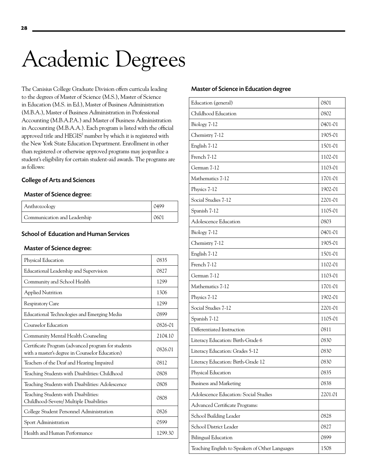# <span id="page-28-0"></span>Academic Degrees

The Canisius College Graduate Division offers curricula leading to the degrees of Master of Science (M.S.), Master of Science in Education (M.S. in Ed.), Master of Business Administration (M.B.A.), Master of Business Administration in Professional Accounting (M.B.A.P.A.) and Master of Business Administration in Accounting (M.B.A.A.). Each program is listed with the official approved title and HEGIS<sup>1</sup> number by which it is registered with the New York State Education Department. Enrollment in other than registered or otherwise approved programs may jeopardize a student's eligibility for certain student-aid awards. The programs are as follows:

#### College of Arts and Sciences

## Master of Science degree:

| Anthrozoology                |  |
|------------------------------|--|
| Communication and Leadership |  |

#### School of Education and Human Services

#### Master of Science degree:

| Physical Education                                                                                   | 0835    |
|------------------------------------------------------------------------------------------------------|---------|
| Educational Leadership and Supervision                                                               | 0827    |
| Community and School Health                                                                          | 1299    |
| <b>Applied Nutrition</b>                                                                             | 1306    |
| <b>Respiratory Care</b>                                                                              | 1299    |
| Educational Technologies and Emerging Media                                                          | 0899    |
| Counselor Education                                                                                  | 0826-01 |
| Community Mental Health Counseling                                                                   | 2104.10 |
| Certificate Program (advanced program for students<br>with a master's degree in Counselor Education) | 0826.01 |
| Teachers of the Deaf and Hearing Impaired                                                            | 0812    |
| Teaching Students with Disabilities: Childhood                                                       | 0808    |
| Teaching Students with Disabilities: Adolescence                                                     | 0808    |
| Teaching Students with Disabilities:<br>Childhood-Severe/ Multiple Disabilities                      | 0808    |
| College Student Personnel Administration                                                             | 0826    |
| Sport Administration                                                                                 | 0599    |
| Health and Human Performance                                                                         | 1299.30 |

#### Master of Science in Education degree

| Education (general)                             | 0801    |
|-------------------------------------------------|---------|
| Childhood Education                             | 0802    |
| Biology 7-12                                    | 0401-01 |
| Chemistry 7-12                                  | 1905-01 |
| English 7-12                                    | 1501-01 |
| French 7-12                                     | 1102-01 |
| German 7-12                                     | 1103-01 |
| Mathematics 7-12                                | 1701-01 |
| Physics 7-12                                    | 1902-01 |
| Social Studies 7-12                             | 2201-01 |
| Spanish 7-12                                    | 1105-01 |
| Adolescence Education                           | 0803    |
| Biology 7-12                                    | 0401-01 |
| Chemistry 7-12                                  | 1905-01 |
| English 7-12                                    | 1501-01 |
| French 7-12                                     | 1102-01 |
| German 7-12                                     | 1103-01 |
| Mathematics 7-12                                | 1701-01 |
| Physics 7-12                                    | 1902-01 |
| Social Studies 7-12                             | 2201-01 |
| Spanish 7-12                                    | 1105-01 |
| Differentiated Instruction                      | 0811    |
| Literacy Education: Birth-Grade 6               | 0830    |
| Literacy Education: Grades 5-12                 | 0830    |
| Literacy Education: Birth-Grade 12              | 0830    |
| Physical Education                              | 0835    |
| <b>Business and Marketing</b>                   | 0838    |
| Adolescence Education: Social Studies           | 2201.01 |
| Advanced Certificate Programs:                  |         |
| School Building Leader                          | 0828    |
| School District Leader                          | 0827    |
| <b>Bilingual Education</b>                      | 0899    |
| Teaching English to Speakers of Other Languages | 1508    |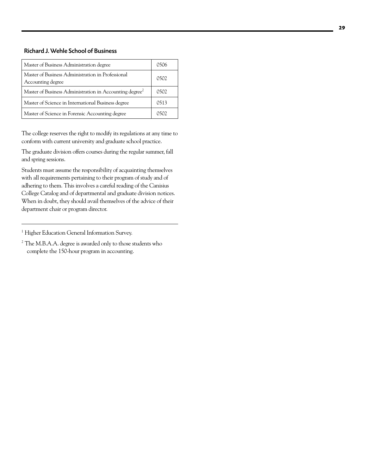#### Richard J. Wehle School of Business

| Master of Business Administration degree                               | 0506 |
|------------------------------------------------------------------------|------|
| Master of Business Administration in Professional<br>Accounting degree | 0502 |
| Master of Business Administration in Accounting degree <sup>2</sup>    | 0502 |
| Master of Science in International Business degree                     | 0513 |
| Master of Science in Forensic Accounting degree                        | 0502 |

The college reserves the right to modify its regulations at any time to conform with current university and graduate school practice.

The graduate division offers courses during the regular summer, fall and spring sessions.

Students must assume the responsibility of acquainting themselves with all requirements pertaining to their program of study and of adhering to them. This involves a careful reading of the Canisius College Catalog and of departmental and graduate division notices. When in doubt, they should avail themselves of the advice of their department chair or program director.

<sup>2</sup> The M.B.A.A. degree is awarded only to those students who complete the 150-hour program in accounting.

<sup>&</sup>lt;sup>1</sup> Higher Education General Information Survey.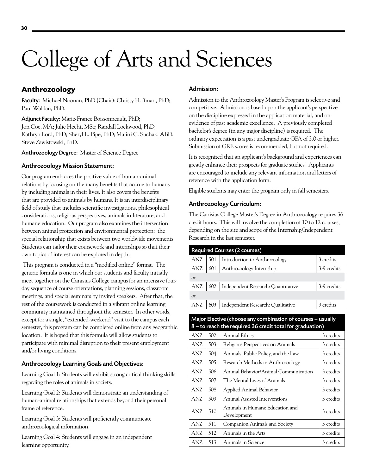## <span id="page-30-0"></span>College of Arts and Sciences

## **Anthrozoology**

Faculty: Michael Noonan, PhD (Chair); Christy Hoffman, PhD; Paul Waldau, PhD.

Adjunct Faculty: Marie-France Boissonneault, PhD; Jon Coe, MA; Julie Hecht, MSc; Randall Lockwood, PhD; Kathryn Lord, PhD; Sheryl L. Pipe, PhD; Malini C. Suchak, ABD; Steve Zawistowski, PhD.

Anthrozoology Degree: Master of Science Degree

#### Anthrozoology Mission Statement:

Our program embraces the positive value of human-animal relations by focusing on the many benefits that accrue to humans by including animals in their lives. It also covers the benefits that are provided to animals by humans. It is an interdisciplinary field of study that includes scientific investigations, philosophical considerations, religious perspectives, animals in literature, and humane education. Our program also examines the intersection between animal protection and environmental protection: the special relationship that exists between two worldwide movements. Students can tailor their coursework and internships so that their own topics of interest can be explored in depth.

 This program is conducted in a "modified online" format. The generic formula is one in which our students and faculty initially meet together on the Canisius College campus for an intensive fourday sequence of course orientations, planning sessions, classroom meetings, and special seminars by invited speakers. After that, the rest of the coursework is conducted in a vibrant online learning community maintained throughout the semester. In other words, except for a single, "extended-weekend" visit to the campus each semester, this program can be completed online from any geographic location. It is hoped that this formula will allow students to participate with minimal disruption to their present employment and/or living conditions.

#### Anthrozoology Learning Goals and Objectives:

Learning Goal 1: Students will exhibit strong critical thinking skills regarding the roles of animals in society.

Learning Goal 2: Students will demonstrate an understanding of human-animal relationships that extends beyond their personal frame of reference.

Learning Goal 3: Students will proficiently communicate anthrozoological information.

Learning Goal 4: Students will engage in an independent learning opportunity.

#### Admission:

Admission to the Anthrozoology Master's Program is selective and competitive. Admission is based upon the applicant's perspective on the discipline expressed in the application material, and on evidence of past academic excellence. A previously completed bachelor's degree (in any major discipline) is required. The ordinary expectation is a past undergraduate GPA of 3.0 or higher. Submission of GRE scores is recommended, but not required.

It is recognized that an applicant's background and experiences can greatly enhance their prospects for graduate studies. Applicants are encouraged to include any relevant information and letters of reference with the application form.

Eligible students may enter the program only in fall semesters.

#### Anthrozoology Curriculum:

The Canisius College Master's Degree in Anthrozoology requires 36 credit hours. This will involve the completion of 10 to 12 courses, depending on the size and scope of the Internship/Independent Research in the last semester.

| <b>Required Courses (2 courses)</b> |     |                                    |             |  |
|-------------------------------------|-----|------------------------------------|-------------|--|
| ANZ                                 | 501 | Introduction to Anthrozoology      | 3 credits   |  |
| ANZ                                 | 601 | Anthrozoology Internship           | 3-9 credits |  |
| <b>or</b>                           |     |                                    |             |  |
| ANZ                                 | 602 | Independent Research: Quantitative | 3-9 credits |  |
| <sub>or</sub>                       |     |                                    |             |  |
| ANZ                                 | 603 | Independent Research: Qualitative  | 9 credits   |  |

#### Major Elective (choose any combination of courses – usually 8 – to reach the required 36 credit total for graduation)

| ANZ        | 502 | <b>Animal Ethics</b>                           | 3 credits |
|------------|-----|------------------------------------------------|-----------|
| ANZ        | 503 | Religious Perspectives on Animals              | 3 credits |
| ANZ.       | 504 | Animals, Public Policy, and the Law            | 3 credits |
| ANZ        | 505 | Research Methods in Anthrozoology              | 3 credits |
| ANZ        | 506 | Animal Behavior/Animal Communication           | 3 credits |
| <b>ANZ</b> | 507 | The Mental Lives of Animals                    | 3 credits |
| ANZ.       | 508 | Applied Animal Behavior                        | 3 credits |
| ANZ        | 509 | Animal Assisted Interventions                  | 3 credits |
| ANZ.       | 510 | Animals in Humane Education and<br>Development | 3 credits |
| <b>ANZ</b> | 511 | Companion Animals and Society                  | 3 credits |
| ANZ.       | 512 | Animals in the Arts                            | 3 credits |
| ANZ        | 513 | Animals in Science                             | 3 credits |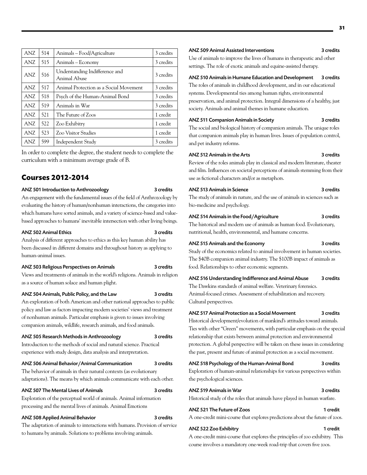| ANZ | 514 | Animals – Food/Agriculture                     | 3 credits |
|-----|-----|------------------------------------------------|-----------|
| ANZ | 515 | Animals – Economy                              | 3 credits |
| ANZ | 516 | Understanding Indifference and<br>Animal Abuse | 3 credits |
| ANZ | 517 | Animal Protection as a Social Movement         | 3 credits |
| ANZ | 518 | Psych of the Human-Animal Bond                 | 3 credits |
| ANZ | 519 | Animals in War                                 | 3 credits |
| ANZ | 521 | The Future of Zoos                             | 1 credit  |
| ANZ | 522 | Zoo Exhibitry                                  | 1 credit  |
| ANZ | 523 | <b>Zoo Visitor Studies</b>                     | 1 credit  |
| ANZ | 599 | Independent Study                              | 3 credits |

In order to complete the degree, the student needs to complete the curriculum with a minimum average grade of B.

#### **Courses 2012-2014**

#### ANZ 501 Introduction to Anthrozoology 3 credits

An engagement with the fundamental issues of the field of Anthrozoology by evaluating the history of human/nonhuman interactions, the categories into which humans have sorted animals, and a variety of science-based and valuebased approaches to humans' inevitable intersection with other living beings.

#### ANZ 502 Animal Ethics 3 credits

Analysis of different approaches to ethics as this key human ability has been discussed in different domains and throughout history as applying to human-animal issues.

#### ANZ 503 Religious Perspectives on Animals 3 credits

Views and treatments of animals in the world's religions. Animals in religion as a source of human solace and human plight.

#### ANZ 504 Animals, Public Policy, and the Law 3 credits

An exploration of both American and other national approaches to public policy and law as factors impacting modern societies' views and treatment of nonhuman animals. Particular emphasis is given to issues involving companion animals, wildlife, research animals, and food animals.

#### ANZ 505 Research Methods in Anthrozoology 3 credits

Introduction to the methods of social and natural science. Practical experience with study design, data analysis and interpretation.

#### ANZ 506 Animal Behavior/Animal Communication 3 credits

The behavior of animals in their natural contexts (as evolutionary adaptations). The means by which animals communicate with each other.

#### ANZ 507 The Mental Lives of Animals 3 credits

Exploration of the perceptual world of animals. Animal information processing and the mental lives of animals. Animal Emotions

#### ANZ 508 Applied Animal Behavior 3 credits

The adaptation of animals to interactions with humans. Provision of service to humans by animals. Solutions to problems involving animals.

#### ANZ 509 Animal Assisted Interventions 3 credits

Use of animals to improve the lives of humans in therapeutic and other settings. The role of exotic animals and equine-assisted therapy.

#### ANZ 510 Animals in Humane Education and Development 3 credits

The roles of animals in childhood development, and in our educational systems. Developmental ties among human rights, environmental preservation, and animal protection. Integral dimensions of a healthy, just society. Animals and animal themes in humane education.

#### ANZ 511 Companion Animals in Society 3 credits

The social and biological history of companion animals. The unique roles that companion animals play in human lives. Issues of population control, and pet industry reforms.

#### ANZ 512 Animals in the Arts 3 credits

Review of the roles animals play in classical and modern literature, theater and film. Influences on societal perceptions of animals stemming from their use as fictional characters and/or as metaphors.

#### ANZ 513 Animals in Science 3 credits

The study of animals in nature, and the use of animals in sciences such as bio-medicine and psychology.

#### ANZ 514 Animals in the Food/Agriculture 3 credits

The historical and modern use of animals as human food. Evolutionary, nutritional, health, environmental, and humane concerns.

#### ANZ 515 Animals and the Economy 3 credits

Study of the economics related to animal involvement in human societies. The \$40B companion animal industry. The \$100B impact of animals as food. Relationships to other economic segments.

#### ANZ 516 Understanding Indifference and Animal Abuse 3 credits

The Dawkins standards of animal welfare. Veterinary forensics. Animal-focused crimes. Assessment of rehabilitation and recovery. Cultural perspectives.

#### ANZ 517 Animal Protection as a Social Movement 3 credits

Historical development/evolution of mankind's attitudes toward animals. Ties with other "Green" movements, with particular emphasis on the special relationship that exists between animal protection and environmental protection. A global perspective will be taken on these issues in considering the past, present and future of animal protection as a social movement.

#### ANZ 518 Psychology of the Human-Animal Bond 3 credits

Exploration of human-animal relationships for various perspectives within the psychological sciences.

#### ANZ 519 Animals in War 3 credits Historical study of the roles that animals have played in human warfare.

#### ANZ 521 The Future of Zoos 1 credit A one-credit mini-course that explores predictions about the future of zoos.

#### ANZ 522 Zoo Exhibitry 1 credit

A one-credit mini-course that explores the principles of zoo exhibitry. This course involves a mandatory one-week road-trip that covers five zoos.

## **31**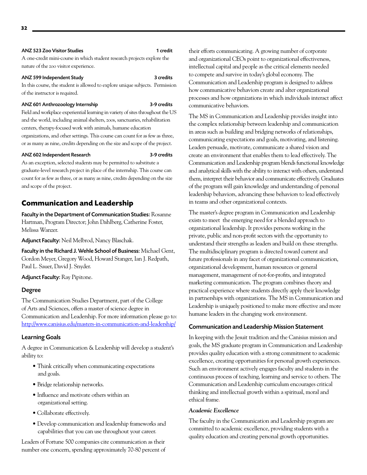#### <span id="page-32-0"></span>ANZ 523 Zoo Visitor Studies 1 credit

A one-credit mini-course in which student research projects explore the nature of the zoo visitor experience.

#### ANZ 599 Independent Study 3 credits

In this course, the student is allowed to explore unique subjects. Permission of the instructor is required.

#### ANZ 601 Anthrozoology Internship 3-9 credits

Field and workplace experiential learning in variety of sites throughout the US and the world, including animal shelters, zoos, sanctuaries, rehabilitation centers, therapy-focused work with animals, humane education organizations, and other settings. This course can count for as few as three, or as many as nine, credits depending on the size and scope of the project.

#### ANZ 602 Independent Research 3-9 credits

As an exception, selected students may be permitted to substitute a graduate-level research project in place of the internship. This course can count for as few as three, or as many as nine, credits depending on the size and scope of the project.

### **Communication and Leadership**

Faculty in the Department of Communication Studies: Rosanne Hartman, Program Director; John Dahlberg, Catherine Foster, Melissa Wanzer.

Adjunct Faculty: Neil Melbrod, Nancy Blaschak.

Faculty in the Richard J. Wehle School of Business: Michael Gent, Gordon Meyer, Gregory Wood, Howard Stanger, Ian J. Redpath, Paul L. Sauer, David J. Snyder.

Adjunct Faculty: Ray Pipitone.

#### Degree

The Communication Studies Department, part of the College of Arts and Sciences, offers a master of science degree in Communication and Leadership. For more information please go to: <http://www.canisius.edu/masters-in-communication-and-leadership/>

#### Learning Goals

A degree in Communication & Leadership will develop a student's ability to:

- Think critically when communicating expectations and goals.
- Bridge relationship networks.
- Influence and motivate others within an organizational setting.
- Collaborate effectively.
- Develop communication and leadership frameworks and capabilities that you can use throughout your career.

Leaders of Fortune 500 companies cite communication as their number one concern, spending approximately 70-80 percent of their efforts communicating. A growing number of corporate and organizational CEOs point to organizational effectiveness, intellectual capital and people as the critical elements needed to compete and survive in today's global economy. The Communication and Leadership program is designed to address how communicative behaviors create and alter organizational processes and how organizations in which individuals interact affect communicative behaviors.

The MS in Communication and Leadership provides insight into the complex relationship between leadership and communication in areas such as building and bridging networks of relationships, communicating expectations and goals, motivating, and listening. Leaders persuade, motivate, communicate a shared vision and create an environment that enables them to lead effectively. The Communication and Leadership program blends functional knowledge and analytical skills with the ability to interact with others, understand them, interpret their behavior and communicate effectively. Graduates of the program will gain knowledge and understanding of personal leadership behaviors, advancing these behaviors to lead effectively in teams and other organizational contexts.

The master's degree program in Communication and Leadership exists to meet the emerging need for a blended approach to organizational leadership. It provides persons working in the private, public and non-profit sectors with the opportunity to understand their strengths as leaders and build on these strengths. The multidisciplinary program is directed toward current and future professionals in any facet of organizational communication, organizational development, human resources or general management, management of not-for-profits, and integrated marketing communication. The program combines theory and practical experience where students directly apply their knowledge in partnerships with organizations. The MS in Communication and Leadership is uniquely positioned to make more effective and more humane leaders in the changing work environment.

#### Communication and Leadership Mission Statement

In keeping with the Jesuit tradition and the Canisius mission and goals, the MS graduate program in Communication and Leadership provides quality education with a strong commitment to academic excellence, creating opportunities for personal growth experiences. Such an environment actively engages faculty and students in the continuous process of teaching, learning and service to others. The Communication and Leadership curriculum encourages critical thinking and intellectual growth within a spiritual, moral and ethical frame.

#### *Academic Excellence*

The faculty in the Communication and Leadership program are committed to academic excellence, providing students with a quality education and creating personal growth opportunities.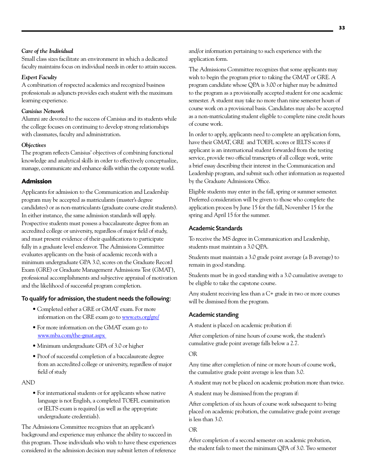#### *Care of the Individual*

Small class sizes facilitate an environment in which a dedicated faculty maintains focus on individual needs in order to attain success.

#### *Expert Faculty*

A combination of respected academics and recognized business professionals as adjuncts provides each student with the maximum learning experience.

#### *Canisius Network*

Alumni are devoted to the success of Canisius and its students while the college focuses on continuing to develop strong relationships with classmates, faculty and administration.

#### *Objectives*

The program reflects Canisius' objectives of combining functional knowledge and analytical skills in order to effectively conceptualize, manage, communicate and enhance skills within the corporate world.

#### **Admission**

Applicants for admission to the Communication and Leadership program may be accepted as matriculants (master's degree candidates) or as non-matriculants (graduate course credit students). In either instance, the same admission standards will apply. Prospective students must possess a baccalaureate degree from an accredited college or university, regardless of major field of study, and must present evidence of their qualifications to participate fully in a graduate level endeavor. The Admissions Committee evaluates applicants on the basis of academic records with a minimum undergraduate GPA 3.0, scores on the Graduate Record Exam (GRE) or Graduate Management Admissions Test (GMAT), professional accomplishments and subjective appraisal of motivation and the likelihood of successful program completion.

### To qualify for admission, the student needs the following:

- Completed either a GRE or GMAT exam. For more information on the GRE exam go to [www.ets.org/gre/](http://www.ets.org/gre/)
- For more information on the GMAT exam go to [www.mba.com/the-gmat.aspx](http://www.mba.com/the-gmat.aspx)
- Minimum undergraduate GPA of 3.0 or higher
- Proof of successful completion of a baccalaureate degree from an accredited college or university, regardless of major field of study

#### AND

• For international students or for applicants whose native language is not English, a completed TOEFL examination or IELTS exam is required (as well as the appropriate undergraduate credentials).

The Admissions Committee recognizes that an applicant's background and experience may enhance the ability to succeed in this program. Those individuals who wish to have these experiences considered in the admission decision may submit letters of reference

and/or information pertaining to such experience with the application form.

The Admissions Committee recognizes that some applicants may wish to begin the program prior to taking the GMAT or GRE. A program candidate whose QPA is 3.00 or higher may be admitted to the program as a provisionally accepted student for one academic semester. A student may take no more than nine semester hours of course work on a provisional basis. Candidates may also be accepted as a non-matriculating student eligible to complete nine credit hours of course work.

In order to apply, applicants need to complete an application form, have their GMAT, GRE and TOEFL scores or IELTS scores if applicant is an international student forwarded from the testing service, provide two official transcripts of all college work, write a brief essay describing their interest in the Communication and Leadership program, and submit such other information as requested by the Graduate Admissions Office.

Eligible students may enter in the fall, spring or summer semester. Preferred consideration will be given to those who complete the application process by June 15 for the fall, November 15 for the spring and April 15 for the summer.

#### Academic Standards

To receive the MS degree in Communication and Leadership, students must maintain a 3.0 QPA.

Students must maintain a 3.0 grade point average (a B average) to remain in good standing.

Students must be in good standing with a 3.0 cumulative average to be eligible to take the capstone course.

Any student receiving less than a C+ grade in two or more courses will be dismissed from the program.

#### Academic standing

A student is placed on academic probation if:

After completion of nine hours of course work, the student's cumulative grade point average falls below a 2.7.

#### OR

Any time after completion of nine or more hours of course work, the cumulative grade point average is less than 3.0.

A student may not be placed on academic probation more than twice.

A student may be dismissed from the program if:

After completion of six hours of course work subsequent to being placed on academic probation, the cumulative grade point average is less than 3.0.

#### OR

After completion of a second semester on academic probation, the student fails to meet the minimum QPA of 3.0. Two semester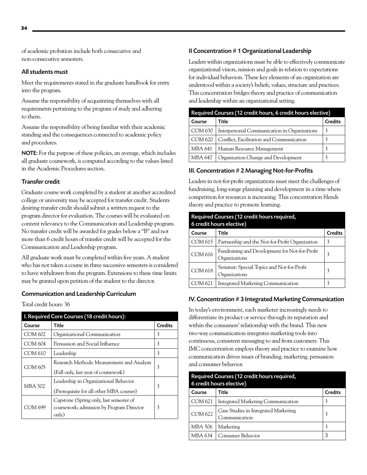of academic probation include both consecutive and non-consecutive semesters.

#### All students must

Meet the requirements stated in the graduate handbook for entry into the program.

Assume the responsibility of acquainting themselves with all requirements pertaining to the program of study and adhering to them.

Assume the responsibility of being familiar with their academic standing and the consequences connected to academic policy and procedures.

NOTE: For the purpose of these policies, an average, which includes all graduate coursework, is computed according to the values listed in the Academic Procedures section.

#### Transfer credit

Graduate course work completed by a student at another accredited college or university may be accepted for transfer credit. Students desiring transfer credit should submit a written request to the program director for evaluation. The courses will be evaluated on content relevancy to the Communication and Leadership program. No transfer credit will be awarded for grades below a "B" and not more than 6 credit hours of transfer credit will be accepted for the Communication and Leadership program.

All graduate work must be completed within five years. A student who has not taken a course in three successive semesters is considered to have withdrawn from the program. Extensions to these time limits may be granted upon petition of the student to the director.

#### Communication and Leadership Curriculum

Total credit hours: 36

| I. Required Core Courses (18 credit hours): |                                                                                               |                |  |  |
|---------------------------------------------|-----------------------------------------------------------------------------------------------|----------------|--|--|
| Course                                      | Title                                                                                         | <b>Credits</b> |  |  |
| COM 602                                     | Organizational Communication                                                                  | 3              |  |  |
| COM 604                                     | Persuasion and Social Influence                                                               | 3              |  |  |
| COM 610                                     | Leadership                                                                                    | 3              |  |  |
| COM 605                                     | Research Methods: Measurement and Analysis<br>(Fall only, last year of coursework)            | 3              |  |  |
| MBA 502                                     | Leadership in Organizational Behavior<br>(Prerequisite for all other MBA courses)             | 3              |  |  |
| COM 699                                     | Capstone (Spring only, last semester of<br>coursework; admission by Program Director<br>only) | 3              |  |  |

#### II Concentration # 1 Organizational Leadership

Leaders within organizations must be able to effectively communicate organizational vision, mission and goals in relation to expectations for individual behaviors. These key elements of an organization are understood within a society's beliefs, values, structure and practices. This concentration bridges theory and practice of communication and leadership within an organizational setting.

| Required Courses (12 credit hours, 6 credit hours elective) |                                              |                |  |
|-------------------------------------------------------------|----------------------------------------------|----------------|--|
| Course                                                      | Title                                        | <b>Credits</b> |  |
| COM 630                                                     | Interpersonal Communication in Organizations |                |  |
| COM 620                                                     | Conflict, Facilitation and Communication     |                |  |
| MBA 641                                                     | Human Resource Management                    | 3              |  |
| MBA 647                                                     | Organization Change and Development          |                |  |

#### III. Concentration # 2 Managing Not-for-Profits

Leaders in not-for-profit organizations must meet the challenges of fundraising, long-range planning and development in a time where competition for resources is increasing. This concentration blends theory and practice to promote learning.

| Required Courses (12 credit hours required,<br>6 credit hours elective) |                                                                 |                |  |  |
|-------------------------------------------------------------------------|-----------------------------------------------------------------|----------------|--|--|
| Course                                                                  | Title                                                           | <b>Credits</b> |  |  |
| COM 615                                                                 | Partnership and the Not-for-Profit Organization                 | 3              |  |  |
| <b>COM 616</b>                                                          | Fundraising and Development for Not-for-Profit<br>Organizations | 3              |  |  |
| <b>COM 618</b>                                                          | Seminar: Special Topics and Not-for-Profit<br>Organizations     | 3              |  |  |
| 4 621                                                                   | <b>Integrated Marketing Communication</b>                       | 3              |  |  |

#### IV. Concentration # 3 Integrated Marketing Communication

In today's environment, each marketer increasingly needs to differentiate its product or service through its reputation and within the consumers' relationship with the brand. This new two-way communication integrates marketing tools into continuous, consistent messaging to and from customers. This IMC concentration employs theory and practice to examine how communication drives issues of branding, marketing, persuasion and consumer behavior.

| Required Courses (12 credit hours required,<br>6 credit hours elective) |                                                       |                |  |
|-------------------------------------------------------------------------|-------------------------------------------------------|----------------|--|
| Course                                                                  | Title                                                 | <b>Credits</b> |  |
| COM 621                                                                 | Integrated Marketing Communication                    | 3              |  |
| <b>COM 622</b>                                                          | Case Studies in Integrated Marketing<br>Communication | 3              |  |
| <b>MBA 506</b>                                                          | Marketing                                             | 3              |  |
| <b>MBA 634</b>                                                          | Consumer Behavior                                     | 3              |  |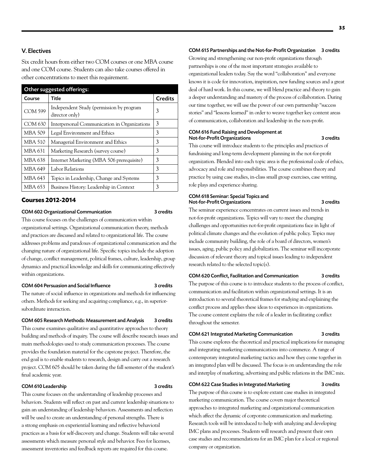#### V. Electives

Six credit hours from either two COM courses or one MBA course and one COM course. Students can also take courses offered in other concentrations to meet this requirement.

| Other suggested offerings: |                                                            |                |  |
|----------------------------|------------------------------------------------------------|----------------|--|
| Course                     | Title                                                      | <b>Credits</b> |  |
| <b>COM 599</b>             | Independent Study (permission by program<br>director only) | 3              |  |
| COM 630                    | Interpersonal Communication in Organizations               | 3              |  |
| MBA 509                    | Legal Environment and Ethics                               | 3              |  |
| <b>MBA 510</b>             | Managerial Environment and Ethics                          | 3              |  |
| MBA 631                    | Marketing Research (survey course)                         | 3              |  |
| MBA 638                    | Internet Marketing (MBA 506 prerequisite)                  | 3              |  |
| MBA 649                    | Labor Relations                                            | 3              |  |
| MBA 643                    | Topics in Leadership, Change and Systems                   | 3              |  |
| MBA 653                    | Business History: Leadership in Context                    | 3              |  |

#### **Courses 2012-2014**

#### COM 602 Organizational Communication 3 credits

This course focuses on the challenges of communication within organizational settings. Organizational communication theory, methods and practices are discussed and related to organizational life. The course addresses problems and paradoxes of organizational communication and the changing nature of organizational life. Specific topics include the adoption of change, conflict management, political frames, culture, leadership, group dynamics and practical knowledge and skills for communicating effectively within organizations.

#### COM 604 Persuasion and Social Influence 3 credits

The nature of social influence in organizations and methods for influencing others. Methods for seeking and acquiring compliance, e.g., in superiorsubordinate interaction.

#### COM 605 Research Methods: Measurement and Analysis 3 credits

This course examines qualitative and quantitative approaches to theory building and methods of inquiry. The course will describe research issues and main methodologies used to study communication processes. The course provides the foundation material for the capstone project. Therefore, the end goal is to enable students to research, design and carry out a research project. COM 605 should be taken during the fall semester of the student's final academic year.

#### COM 610 Leadership 3 credits

This course focuses on the understanding of leadership processes and behaviors. Students will reflect on past and current leadership situations to gain an understanding of leadership behaviors. Assessments and reflection will be used to create an understanding of personal strengths. There is a strong emphasis on experiential learning and reflective behavioral practices as a basis for self-discovery and change. Students will take several assessments which measure personal style and behavior. Fees for licenses, assessment inventories and feedback reports are required for this course.

#### COM 615 Partnerships and the Not-for-Profit Organization 3 credits

Growing and strengthening our non-profit organizations through partnerships is one of the most important strategies available to organizational leaders today. Say the word "collaboration" and everyone knows it is code for innovation, inspiration, new funding sources and a great deal of hard work. In this course, we will blend practice and theory to gain a deeper understanding and mastery of the process of collaboration. During our time together, we will use the power of our own partnership "success stories" and "lessons learned" in order to weave together key content areas of communication, collaboration and leadership in the non-profit.

#### COM 616 Fund Raising and Development at Not-for-Profit Organizations 3 credits

This course will introduce students to the principles and practices of fundraising and long-term development planning in the not-for-profit organization. Blended into each topic area is the professional code of ethics, advocacy and role and responsibilities. The course combines theory and practice by using case studies, in-class small group exercises, case writing, role plays and experience sharing.

#### COM 618 Seminar: Special Topics and Not-for-Profit Organizations 3 credits

The seminar experience concentrates on current issues and trends in not-for-profit organizations. Topics will vary to meet the changing challenges and opportunities not-for-profit organizations face in light of political climate changes and the evolution of public policy. Topics may include community building, the role of a board of directors, women's issues, aging, public policy and globalization. The seminar will incorporate discussion of relevant theory and topical issues leading to independent research related to the selected topic(s).

#### COM 620 Conflict, Facilitation and Communication 3 credits

The purpose of this course is to introduce students to the process of conflict, communication and facilitation within organizational settings. It is an introduction to several theoretical frames for studying and explaining the conflict process and applies these ideas to experiences in organizations. The course content explains the role of a leader in facilitating conflict throughout the semester.

#### COM 621 Integrated Marketing Communication 3 credits

This course explores the theoretical and practical implications for managing and integrating marketing communications into commerce. A range of contemporary integrated marketing tactics and how they come together in an integrated plan will be discussed. The focus is on understanding the role and interplay of marketing, advertising and public relations in the IMC mix.

#### COM 622 Case Studies in Integrated Marketing 3 credits

The purpose of this course is to explore extant case studies in integrated marketing communication. The course covers major theoretical approaches to integrated marketing and organizational communication which affect the dynamic of corporate communication and marketing. Research tools will be introduced to help with analyzing and developing IMC plans and processes. Students will research and present their own case studies and recommendations for an IMC plan for a local or regional company or organization.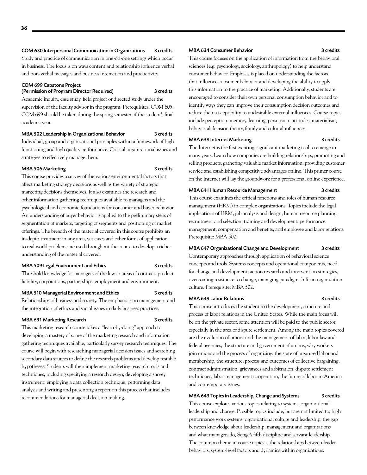#### COM 630 Interpersonal Communication in Organizations 3 credits

Study and practice of communication in one-on-one settings which occur in business. The focus is on ways content and relationship influence verbal and non-verbal messages and business interaction and productivity.

#### COM 699 Capstone Project

#### (Permission of Program Director Required) 3 credits

Academic inquiry, case study, field project or directed study under the supervision of the faculty advisor in the program. Prerequisites: COM 605. COM 699 should be taken during the spring semester of the student's final academic year.

#### MBA 502 Leadership in Organizational Behavior 3 credits

Individual, group and organizational principles within a framework of high functioning and high quality performance. Critical organizational issues and strategies to effectively manage them.

#### MBA 506 Marketing 3 credits

This course provides a survey of the various environmental factors that affect marketing strategy decisions as well as the variety of strategic marketing decisions themselves. It also examines the research and other information gathering techniques available to managers and the psychological and economic foundations for consumer and buyer behavior. An understanding of buyer behavior is applied to the preliminary steps of segmentation of markets, targeting of segments and positioning of market offerings. The breadth of the material covered in this course prohibits an in-depth treatment in any area, yet cases and other forms of application to real world problems are used throughout the course to develop a richer understanding of the material covered.

#### MBA 509 Legal Environment and Ethics 3 credits

Threshold knowledge for managers of the law in areas of contract, product liability, corporations, partnerships, employment and environment.

#### MBA 510 Managerial Environment and Ethics 3 credits

Relationships of business and society. The emphasis is on management and the integration of ethics and social issues in daily business practices.

#### MBA 631 Marketing Research 3 credits

This marketing research course takes a "learn-by-doing" approach to developing a mastery of some of the marketing research and information gathering techniques available, particularly survey research techniques. The course will begin with researching managerial decision issues and searching secondary data sources to define the research problems and develop testable hypotheses. Students will then implement marketing research tools and techniques, including specifying a research design, developing a survey instrument, employing a data collection technique, performing data analysis and writing and presenting a report on this process that includes recommendations for managerial decision making.

#### MBA 634 Consumer Behavior 3 credits

This course focuses on the application of information from the behavioral sciences (e.g. psychology, sociology, anthropology) to help understand consumer behavior. Emphasis is placed on understanding the factors that influence consumer behavior and developing the ability to apply this information to the practice of marketing. Additionally, students are encouraged to consider their own personal consumption behavior and to identify ways they can improve their consumption decision outcomes and reduce their susceptibility to undesirable external influences. Course topics include perception, memory, learning, persuasion, attitudes, materialism, behavioral decision theory, family and cultural influences.

#### MBA 638 Internet Marketing 3 credits

The Internet is the first exciting, significant marketing tool to emerge in many years. Learn how companies are building relationships, promoting and selling products, gathering valuable market information, providing customer service and establishing competitive advantages online. This primer course on the Internet will lay the groundwork for a professional online experience.

#### MBA 641 Human Resource Management 3 credits

This course examines the critical functions and roles of human resource management (HRM) in complex organizations. Topics include the legal implications of HRM, job analysis and design, human resource planning, recruitment and selection, training and development, performance management, compensation and benefits, and employee and labor relations. Prerequisite: MBA 502.

#### MBA 647 Organizational Change and Development 3 credits

Contemporary approaches through application of behavioral science concepts and tools. Systems concepts and operational components, need for change and development, action research and intervention strategies, overcoming resistance to change, managing paradigm shifts in organization culture. Prerequisite: MBA 502.

#### MBA 649 Labor Relations 3 credits

This course introduces the student to the development, structure and process of labor relations in the United States. While the main focus will be on the private sector, some attention will be paid to the public sector, especially in the area of dispute settlement. Among the main topics covered are the evolution of unions and the management of labor, labor law and federal agencies, the structure and government of unions, why workers join unions and the process of organizing, the state of organized labor and membership, the structure, process and outcomes of collective bargaining, contract administration, grievances and arbitration, dispute settlement techniques, labor-management cooperation, the future of labor in America and contemporary issues.

#### MBA 643 Topics in Leadership, Change and Systems 3 credits

This course explores various topics relating to systems, organizational leadership and change. Possible topics include, but are not limited to, high performance work systems, organizational culture and leadership, the gap between knowledge about leadership, management and organizations and what managers do, Senge's fifth discipline and servant leadership. The common theme in course topics is the relationships between leader behaviors, system-level factors and dynamics within organizations.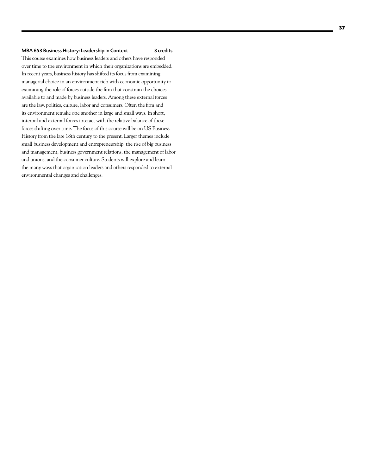#### MBA 653 Business History: Leadership in Context 3 credits

This course examines how business leaders and others have responded over time to the environment in which their organizations are embedded. In recent years, business history has shifted its focus from examining managerial choice in an environment rich with economic opportunity to examining the role of forces outside the firm that constrain the choices available to and made by business leaders. Among these external forces are the law, politics, culture, labor and consumers. Often the firm and its environment remake one another in large and small ways. In short, internal and external forces interact with the relative balance of these forces shifting over time. The focus of this course will be on US Business History from the late 18th century to the present. Larger themes include small business development and entrepreneurship, the rise of big business and management, business government relations, the management of labor and unions, and the consumer culture. Students will explore and learn the many ways that organization leaders and others responded to external environmental changes and challenges.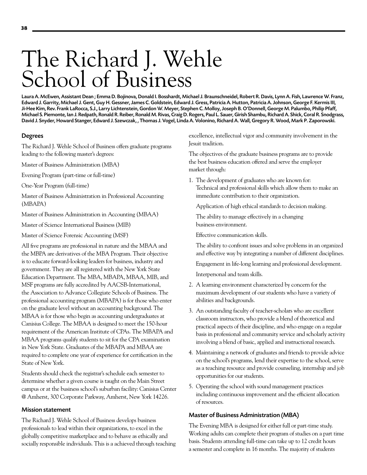# The Richard J. Wehle School of Business

Laura A. McEwen, Assistant Dean ; Emma D. Bojinova, Donald I. Bosshardt, Michael J. Braunschneidel, Robert R. Davis, Lynn A. Fish, Lawrence W. Franz, Edward J. Garrity, Michael J. Gent, Guy H. Gessner, James C. Goldstein, Edward J. Gress, Patricia A. Hutton, Patricia A. Johnson, George F. Kermis III, Ji-Hee Kim, Rev. Frank LaRocca, S.J., Larry Lichtenstein, Gordon W. Meyer, Stephen C. Molloy, Joseph B. O'Donnell, George M. Palumbo, Philip Pfaff, Michael S. Piemonte, Ian J. Redpath, Ronald R. Reiber, Ronald M. Rivas, Craig D. Rogers, Paul L. Sauer, Girish Shambu, Richard A. Shick, Coral R. Snodgrass, David J. Snyder, Howard Stanger, Edward J. Szewczak, , Thomas J. Vogel, Linda A. Volonino, Richard A. Wall, Gregory R. Wood, Mark P. Zaporowski.

#### Degrees

The Richard J. Wehle School of Business offers graduate programs leading to the following master's degrees:

Master of Business Administration (MBA)

Evening Program (part-time or full-time)

One-Year Program (full-time)

Master of Business Administration in Professional Accounting (MBAPA)

Master of Business Administration in Accounting (MBAA)

Master of Science International Business (MIB)

Master of Science Forensic Accounting (MSF)

All five programs are professional in nature and the MBAA and the MBPA are derivatives of the MBA Program. Their objective is to educate forward-looking leaders for business, industry and government. They are all registered with the New York State Education Department. The MBA, MBAPA, MBAA, MIB, and MSF programs are fully accredited by AACSB-International, the Association to Advance Collegiate Schools of Business. The professional accounting program (MBAPA) is for those who enter on the graduate level without an accounting background. The MBAA is for those who begin as accounting undergraduates at Canisius College. The MBAA is designed to meet the 150-hour requirement of the American Institute of CPAs. The MBAPA and MBAA programs qualify students to sit for the CPA examination in New York State. Graduates of the MBAPA and MBAA are required to complete one year of experience for certification in the State of New York.

Students should check the registrar's schedule each semester to determine whether a given course is taught on the Main Street campus or at the business school's suburban facility: Canisius Center @ Amherst, 300 Corporate Parkway, Amherst, New York 14226.

#### Mission statement

The Richard J. Wehle School of Business develops business professionals to lead within their organizations, to excel in the globally competitive marketplace and to behave as ethically and socially responsible individuals. This is a achieved through teaching excellence, intellectual vigor and community involvement in the Jesuit tradition.

The objectives of the graduate business programs are to provide the best business education offered and serve the employer market through:

1. The development of graduates who are known for: Technical and professional skills which allow them to make an immediate contribution to their organization.

Application of high ethical standards to decision making.

The ability to manage effectively in a changing business environment.

Effective communication skills.

The ability to confront issues and solve problems in an organized and effective way by integrating a number of different disciplines.

Engagement in life-long learning and professional development. Interpersonal and team skills.

- 2. A learning environment characterized by concern for the maximum development of our students who have a variety of abilities and backgrounds.
- 3. An outstanding faculty of teacher-scholars who are excellent classroom instructors, who provide a blend of theoretical and practical aspects of their discipline, and who engage on a regular basis in professional and community service and scholarly activity involving a blend of basic, applied and instructional research.
- 4. Maintaining a network of graduates and friends to provide advice on the school's programs, lend their expertise to the school, serve as a teaching resource and provide counseling, internship and job opportunities for our students.
- 5. Operating the school with sound management practices including continuous improvement and the efficient allocation of resources.

#### Master of Business Administration (MBA)

The Evening MBA is designed for either full or part-time study. Working adults can complete their program of studies on a part time basis. Students attending full-time can take up to 12 credit hours a semester and complete in 16 months. The majority of students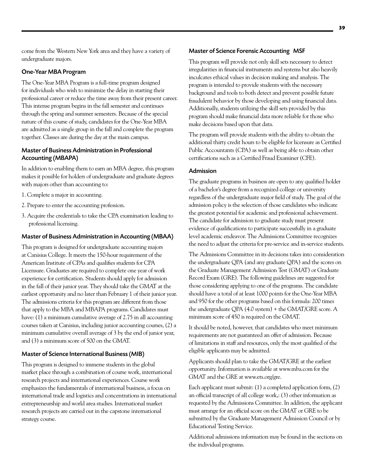come from the Western New York area and they have a variety of undergraduate majors.

# One-Year MBA Program

The One-Year MBA Program is a full-time program designed for individuals who wish to minimize the delay in starting their professional career or reduce the time away from their present career. This intense program begins in the fall semester and continues through the spring and summer semesters. Because of the special nature of this course of study, candidates for the One-Year MBA are admitted as a single group in the fall and complete the program together. Classes are during the day at the main campus.

# Master of Business Administration in Professional Accounting (MBAPA)

In addition to enabling them to earn an MBA degree, this program makes it possible for holders of undergraduate and graduate degrees with majors other than accounting to:

- 1. Complete a major in accounting.
- 2. Prepare to enter the accounting profession.
- 3. Acquire the credentials to take the CPA examination leading to professional licensing.

# Master of Business Administration in Accounting (MBAA)

This program is designed for undergraduate accounting majors at Canisius College. It meets the 150-hour requirement of the American Institute of CPAs and qualifies students for CPA Licensure. Graduates are required to complete one year of work experience for certification. Students should apply for admission in the fall of their junior year. They should take the GMAT at the earliest opportunity and no later than February 1 of their junior year. The admissions criteria for this program are different from those that apply to the MBA and MBAPA programs. Candidates must have: (1) a minimum cumulative average of 2.75 in all accounting courses taken at Canisius, including junior accounting courses, (2) a minimum cumulative overall average of 3 by the end of junior year, and (3) a minimum score of 500 on the GMAT.

#### Master of Science International Business (MIB)

This program is designed to immerse students in the global market place through a combination of course work, international research projects and international experiences. Course work emphasizes the fundamentals of international business, a focus on international trade and logistics and concentrations in international entrepreneurship and world area studies. International market research projects are carried out in the capstone international strategy course.

#### Master of Science Forensic Accounting MSF

This program will provide not only skill sets necessary to detect irregularities in financial instruments and systems but also heavily inculcates ethical values in decision making and analysis. The program is intended to provide students with the necessary background and tools to both detect and prevent possible future fraudulent behavior by those developing and using financial data. Additionally, students utilizing the skill sets provided by this program should make financial data more reliable for those who make decisions based upon that data.

The program will provide students with the ability to obtain the additional thirty credit hours to be eligible for licensure as Certified Public Accountants (CPA) as well as being able to obtain other certifications such as a Certified Fraud Examiner (CFE).

## Admission

The graduate programs in business are open to any qualified holder of a bachelor's degree from a recognized college or university regardless of the undergraduate major field of study. The goal of the admission policy is the selection of those candidates who indicate the greatest potential for academic and professional achievement. The candidate for admission to graduate study must present evidence of qualifications to participate successfully in a graduate level academic endeavor. The Admissions Committee recognizes the need to adjust the criteria for pre-service and in-service students.

The Admissions Committee in its decisions takes into consideration the undergraduate QPA (and any graduate QPA) and the scores on the Graduate Management Admission Test (GMAT) or Graduate Record Exam (GRE). The following guidelines are suggested for those considering applying to one of the programs. The candidate should have a total of at least 1000 points for the One-Year MBA and 950 for the other programs based on this formula: 200 times the undergraduate QPA (4.0 system) + the GMAT/GRE score. A minimum score of 450 is required on the GMAT.

It should be noted, however, that candidates who meet minimum requirements are not guaranteed an offer of admission. Because of limitations in staff and resources, only the most qualified of the eligible applicants may be admitted.

Applicants should plan to take the GMAT/GRE at the earliest opportunity. Information is available at [www.mba.com](http://www.mba.com) for the GMAT and the GRE at www.ets.org/gre.

Each applicant must submit: (1) a completed application form, (2) an official transcript of all college work,: (3) other information as requested by the Admissions Committee. In addition, the applicant must arrange for an official score on the GMAT or GRE to be submitted by the Graduate Management Admission Council or by Educational Testing Service.

Additional admissions information may be found in the sections on the individual programs.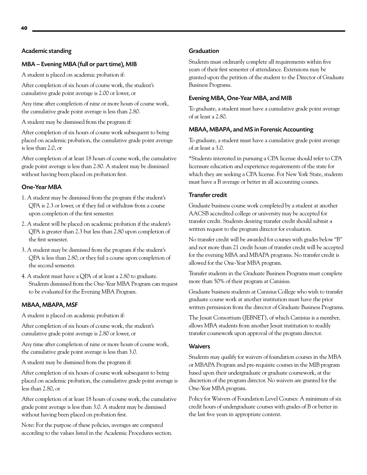#### Academic standing

## MBA – Evening MBA (full or part time), MIB

A student is placed on academic probation if:

After completion of six hours of course work, the student's cumulative grade point average is 2.00 or lower, or

Any time after completion of nine or more hours of course work, the cumulative grade point average is less than 2.80.

A student may be dismissed from the program if:

After completion of six hours of course work subsequent to being placed on academic probation, the cumulative grade point average is less than 2.0, or

After completion of at least 18 hours of course work, the cumulative grade point average is less than 2.80. A student may be dismissed without having been placed on probation first.

### One-Year MBA

- 1. A student may be dismissed from the program if the student's QPA is 2.3 or lower, or if they fail or withdraw from a course upon completion of the first semester.
- 2. A student will be placed on academic probation if the student's QPA is greater than 2.3 but less than 2.80 upon completion of the first semester.
- 3. A student may be dismissed from the program if the student's QPA is less than 2.80, or they fail a course upon completion of the second semester.
- 4. A student must have a QPA of at least a 2.80 to graduate. Students dismissed from the One-Year MBA Program can request to be evaluated for the Evening MBA Program.

#### MBAA, MBAPA, MSF

A student is placed on academic probation if:

After completion of six hours of course work, the student's cumulative grade point average is 2.80 or lower, or

Any time after completion of nine or more hours of course work, the cumulative grade point average is less than 3.0.

A student may be dismissed from the program if:

After completion of six hours of course work subsequent to being placed on academic probation, the cumulative grade point average is less than 2.80, or

After completion of at least 18 hours of course work, the cumulative grade point average is less than 3.0. A student may be dismissed without having been placed on probation first.

Note: For the purpose of these policies, averages are computed according to the values listed in the Academic Procedures section.

## Graduation

Students must ordinarily complete all requirements within five years of their first semester of attendance. Extensions may be granted upon the petition of the student to the Director of Graduate Business Programs.

# Evening MBA, One-Year MBA, and MIB

To graduate, a student must have a cumulative grade point average of at least a 2.80.

#### MBAA, MBAPA, and MS in Forensic Accounting

To graduate, a student must have a cumulative grade point average of at least a 3.0.

\*Students interested in pursuing a CPA license should refer to CPA licensure education and experience requirements of the state for which they are seeking a CPA license. For New York State, students must have a B average or better in all accounting courses.

#### Transfer credit

Graduate business course work completed by a student at another AACSB accredited college or university may be accepted for transfer credit. Students desiring transfer credit should submit a written request to the program director for evaluation.

No transfer credit will be awarded for courses with grades below "B" and not more than 21 credit hours of transfer credit will be accepted for the evening MBA and MBAPA programs. No transfer credit is allowed for the One-Year MBA program.

Transfer students in the Graduate Business Programs must complete more than 50% of their program at Canisius.

Graduate business students at Canisius College who wish to transfer graduate course work at another institution must have the prior written permission from the director of Graduate Business Programs.

The Jesuit Consortium (JEBNET), of which Canisius is a member, allows MBA students from another Jesuit institution to readily transfer coursework upon approval of the program director.

#### **Waivers**

Students may qualify for waivers of foundation courses in the MBA or MBAPA Program and pre-requisite courses in the MIB program based upon their undergraduate or graduate coursework, at the discretion of the program director. No waivers are granted for the One-Year MBA program.

Policy for Waivers of Foundation Level Courses: A minimum of six credit hours of undergraduate courses with grades of B or better in the last five years in appropriate content.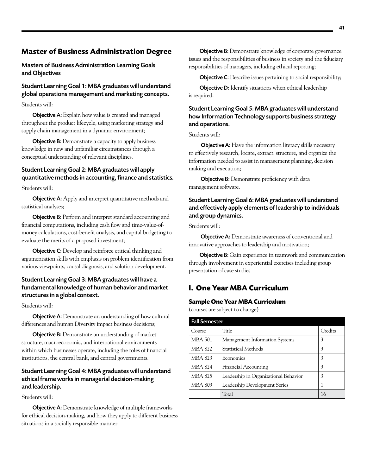# **Master of Business Administration Degree**

Masters of Business Administration Learning Goals and Objectives

Student Learning Goal 1: MBA graduates will understand global operations management and marketing concepts.

Students will:

Objective A: Explain how value is created and managed throughout the product lifecycle, using marketing strategy and supply chain management in a dynamic environment;

**Objective B:** Demonstrate a capacity to apply business knowledge in new and unfamiliar circumstances through a conceptual understanding of relevant disciplines.

# Student Learning Goal 2: MBA graduates will apply quantitative methods in accounting, finance and statistics.

Students will:

**Objective A:** Apply and interpret quantitative methods and statistical analyses;

Objective B: Perform and interpret standard accounting and financial computations, including cash flow and time-value-ofmoney calculations, cost-benefit analysis, and capital budgeting to evaluate the merits of a proposed investment;

**Objective C:** Develop and reinforce critical thinking and argumentation skills with emphasis on problem identification from various viewpoints, causal diagnosis, and solution development.

# Student Learning Goal 3: MBA graduates will have a fundamental knowledge of human behavior and market structures in a global context.

Students will:

**Objective A:** Demonstrate an understanding of how cultural differences and human Diversity impact business decisions;

**Objective B:** Demonstrate an understanding of market structure, macroeconomic, and international environments within which businesses operate, including the roles of financial institutions, the central bank, and central governments.

# Student Learning Goal 4: MBA graduates will understand ethical frame works in managerial decision-making and leadership.

Students will:

Objective A: Demonstrate knowledge of multiple frameworks for ethical decision-making, and how they apply to different business situations in a socially responsible manner;

Objective B: Demonstrate knowledge of corporate governance issues and the responsibilities of business in society and the fiduciary responsibilities of managers, including ethical reporting;

Objective C: Describe issues pertaining to social responsibility;

Objective D: Identify situations when ethical leadership is required.

# Student Learning Goal 5: MBA graduates will understand how Information Technology supports business strategy and operations.

Students will:

**Objective A:** Have the information literacy skills necessary to effectively research, locate, extract, structure, and organize the information needed to assist in management planning, decision making and execution;

**Objective B:** Demonstrate proficiency with data management software.

# Student Learning Goal 6: MBA graduates will understand and effectively apply elements of leadership to individuals and group dynamics.

Students will:

 Objective A: Demonstrate awareness of conventional and innovative approaches to leadership and motivation;

Objective B: Gain experience in teamwork and communication through involvement in experiential exercises including group presentation of case studies.

# **I. One Year MBA Curriculum**

# **Sample One Year MBA Curriculum**

(courses are subject to change)

| <b>Fall Semester</b> |                                       |         |
|----------------------|---------------------------------------|---------|
| Course               | Title                                 | Credits |
| <b>MBA 501</b>       | <b>Management Information Systems</b> | 3       |
| <b>MBA 822</b>       | <b>Statistical Methods</b>            | 3       |
| <b>MBA 823</b>       | Economics                             | 3       |
| <b>MBA 824</b>       | <b>Financial Accounting</b>           | 3       |
| MBA 825              | Leadership in Organizational Behavior | 3       |
| <b>MBA 803</b>       | Leadership Development Series         |         |
|                      | Total                                 | 16      |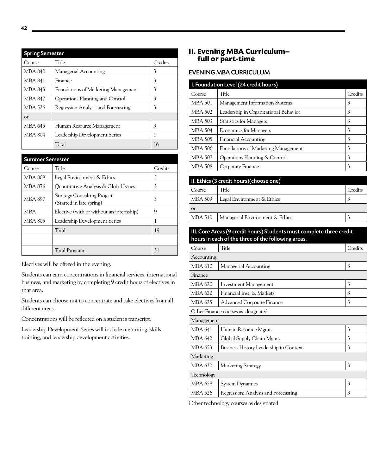| <b>Spring Semester</b> |                                     |         |  |
|------------------------|-------------------------------------|---------|--|
| Course                 | Title                               | Credits |  |
| MBA 840                | Managerial Accounting               | 3       |  |
| <b>MBA 841</b>         | Finance                             | 3       |  |
| MBA 843                | Foundations of Marketing Management | 3       |  |
| MBA 847                | Operations Planning and Control     | 3       |  |
| MBA 526                | Regression Analysis and Forecasting | 3       |  |
| $_{\rm O}r$            |                                     |         |  |
| MBA 645                | Human Resource Management           | 3       |  |
| <b>MBA 804</b>         | Leadership Development Series       | 1       |  |
|                        | Total                               | 16      |  |

| <b>Summer Semester</b> |                                                                |         |
|------------------------|----------------------------------------------------------------|---------|
| Course                 | Title                                                          | Credits |
| MBA 809                | Legal Environment & Ethics                                     | 3       |
| MBA 876                | Quantitative Analysis & Global Issues                          | 3       |
| <b>MBA 897</b>         | <b>Strategy Consulting Project</b><br>(Started in late spring) | 3       |
| <b>MBA</b>             | Elective (with or without an internship)                       | 9       |
| <b>MBA 805</b>         | Leadership Development Series                                  |         |
|                        | Total                                                          | 19      |
|                        |                                                                |         |
|                        | Total Program                                                  | 51      |

Electives will be offered in the evening.

Students can earn concentrations in financial services, international business, and marketing by completing 9 credit hours of electives in that area.

Students can choose not to concentrate and take electives from all different areas.

Concentrations will be reflected on a student's transcript.

Leadership Development Series will include mentoring, skills training, and leadership development activities.

# **II. Evening MBA Curriculum– full or part-time**

# EVENING MBA CURRICULUM

| I. Foundation Level (24 credit hours)                 |  |  |
|-------------------------------------------------------|--|--|
| Title<br>Credits<br>Course                            |  |  |
| 3<br>MBA 501<br>Management Information Systems        |  |  |
| 3<br>MBA 502<br>Leadership in Organizational Behavior |  |  |
| 3<br>MBA 503<br><b>Statistics for Managers</b>        |  |  |
| 3<br>MBA 504<br><b>Economics for Managers</b>         |  |  |
| 3<br>MBA 505<br>Financial Accounting                  |  |  |
| 3<br>MBA 506<br>Foundations of Marketing Management   |  |  |
| 3<br>MBA 507<br>Operations Planning & Control         |  |  |
| 3<br>MBA 508<br>Corporate Finance                     |  |  |

| II. Ethics (3 credit hours)(choose one) |                                 |         |
|-----------------------------------------|---------------------------------|---------|
| Course                                  | Title                           | Credits |
| MBA 509                                 | Legal Environment & Ethics      |         |
| $\alpha$                                |                                 |         |
| MBA 510                                 | Managerial Environment & Ethics |         |
|                                         |                                 |         |

# III. Core Areas (9 credit hours) Students must complete three credit hours in each of the three of the following areas.

| Course         | Title                                  | Credits |
|----------------|----------------------------------------|---------|
| Accounting     |                                        |         |
| MBA 610        | Managerial Accounting                  | 3       |
| Finance        |                                        |         |
| MBA 620        | <b>Investment Management</b>           | 3       |
| MBA 622        | Financial Inst. & Markets              | 3       |
| MBA 625        | <b>Advanced Corporate Finance</b>      | 3       |
|                | Other Finance courses as designated    |         |
| Management     |                                        |         |
| MBA 641        | Human Resource Mgmt.                   | 3       |
| <b>MBA 642</b> | Global Supply Chain Mgmt.              | 3       |
| MBA 653        | Business History Leadership in Context | 3       |
| Marketing      |                                        |         |
| MBA 630        | Marketing Strategy                     | 3       |
| Technology     |                                        |         |
| MBA 658        | <b>System Dynamics</b>                 | 3       |
| MBA 526        | Regression: Analysis and Forecasting   | 3       |

Other technology courses as designated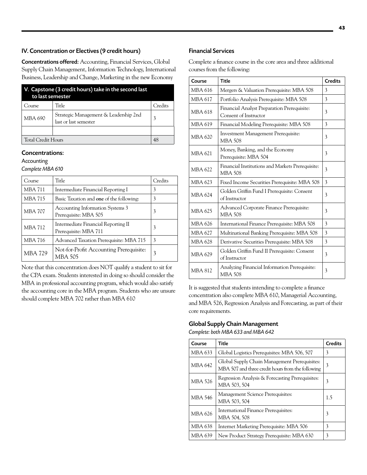# IV. Concentration or Electives (9 credit hours)

Concentrations offered: Accounting, Financial Services, Global Supply Chain Management, Information Technology, International Business, Leadership and Change, Marketing in the new Economy

| V. Capstone (3 credit hours) take in the second last<br>to last semester |                                                                |         |  |
|--------------------------------------------------------------------------|----------------------------------------------------------------|---------|--|
| Course                                                                   | Title                                                          | Credits |  |
| MBA 690                                                                  | Strategic Management & Leadership 2nd<br>last or last semester |         |  |
|                                                                          |                                                                |         |  |
| <b>Total Credit Hours</b>                                                |                                                                | 48      |  |

# Concentrations:

**Accounting** 

*Complete MBA 610*

| Course         | Title                                                        | Credits |
|----------------|--------------------------------------------------------------|---------|
| <b>MBA 711</b> | Intermediate Financial Reporting I                           | 3       |
| <b>MBA 715</b> | Basic Taxation and one of the following:                     | 3       |
| <b>MBA 707</b> | Accounting Information Systems 3<br>Prerequisite: MBA 505    | 3       |
| <b>MBA 712</b> | Intermediate Financial Reporting II<br>Prerequisite: MBA 711 | 3       |
| <b>MBA 716</b> | Advanced Taxation Prerequisite: MBA 715                      | 3       |
| <b>MBA 729</b> | Not-for-Profit Accounting Prerequisite:<br>MBA 505           | 3       |

Note that this concentration does NOT qualify a student to sit for the CPA exam. Students interested in doing so should consider the MBA in professional accounting program, which would also satisfy the accounting core in the MBA program. Students who are unsure should complete MBA 702 rather than MBA 610

# Financial Services

Complete a finance course in the core area and three additional courses from the following:

| Course         | <b>Title</b>                                                         | <b>Credits</b> |
|----------------|----------------------------------------------------------------------|----------------|
| MBA 616        | Mergers & Valuation Prerequisite: MBA 508                            | 3              |
| <b>MBA 617</b> | Portfolio Analysis Prerequisite: MBA 508                             | 3              |
| MBA 618        | Financial Analyst Preparation Prerequisite:<br>Consent of Instructor | 3              |
| MBA 619        | Financial Modeling Prerequisite: MBA 508                             | 3              |
| <b>MBA 620</b> | <b>Investment Management Prerequisite:</b><br><b>MBA 508</b>         | 3              |
| <b>MBA 621</b> | Money, Banking, and the Economy<br>Prerequisite: MBA 504             | 3              |
| MBA 622        | Financial Institutions and Markets Prerequisite:<br><b>MBA 508</b>   | 3              |
| MBA 623        | Fixed Income Securities Prerequisite: MBA 508                        | 3              |
| MBA 624        | Golden Griffin Fund I Prerequisite: Consent<br>of Instructor         | 3              |
| MBA 625        | Advanced Corporate Finance Prerequisite:<br><b>MBA 508</b>           | 3              |
| MBA 626        | International Finance Prerequisite: MBA 508                          | 3              |
| MBA 627        | Multinational Banking Prerequisite: MBA 508                          | 3              |
| <b>MBA 628</b> | Derivative Securities Prerequisite: MBA 508                          | 3              |
| MBA 629        | Golden Griffin Fund II Prerequisite: Consent<br>of Instructor        | 3              |
| <b>MBA 812</b> | Analyzing Financial Information Prerequisite:<br><b>MBA 508</b>      | 3              |

It is suggested that students intending to complete a finance concentration also complete MBA 610, Managerial Accounting, and MBA 526, Regression Analysis and Forecasting, as part of their core requirements.

# Global Supply Chain Management

*Complete: both MBA 633 and MBA 642*

| Course         | Title                                                                                              | <b>Credits</b> |
|----------------|----------------------------------------------------------------------------------------------------|----------------|
| MBA 633        | Global Logistics Prerequisites: MBA 506, 507                                                       | 3              |
| MBA 642        | Global Supply Chain Management Prerequisites:<br>MBA 507 and three credit hours from the following | 3              |
| MBA 526        | Regression Analysis & Forecasting Prerequisites:<br>MBA 503, 504                                   | 3              |
| <b>MBA 546</b> | Management Science Prerequisites:<br>MBA 503, 504                                                  | 1.5            |
| MBA 626        | International Finance Prerequisites:<br>MBA 504, 508                                               | 3              |
| <b>MBA 638</b> | Internet Marketing Prerequisite: MBA 506                                                           | 3              |
| MBA 639        | New Product Strategy Prerequisite: MBA 630                                                         | 3              |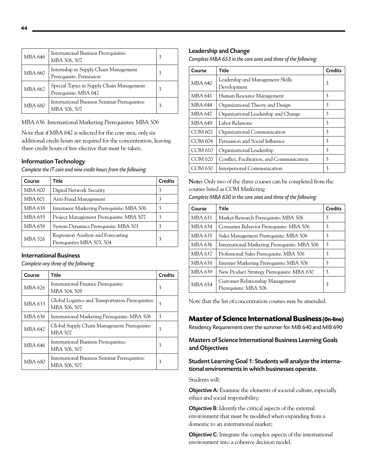| MBA 646        | International Business Prerequisites:<br>MBA 506, 507              |  |
|----------------|--------------------------------------------------------------------|--|
| MBA 660        | Internship in Supply Chain Management<br>Prerequisite: Permission  |  |
| MBA 662        | Special Topics in Supply Chain Management<br>Prerequisite: MBA 642 |  |
| <b>MBA 680</b> | International Business Seminar Prerequisites:<br>MBA 506, 507      |  |

MBA 636 International Marketing Prerequisites: MBA 506

Note that if MBA 642 is selected for the core area, only six additional credit hours are required for the concentration, leaving three credit hours of free elective that must be taken.

# Information Technology

*Complete the IT core and nine credit hours from the following:*

| Course         | Title                                                             | <b>Credits</b> |
|----------------|-------------------------------------------------------------------|----------------|
| MBA 600        | Digital Network Security                                          | 3              |
| <b>MBA 601</b> | Anti-Fraud Management                                             | 3              |
| MBA 638        | Interment Marketing Prerequisite: MBA 506                         | 3              |
| MBA 655        | Project Management Prerequisite: MBA 507                          | 3              |
| <b>MBA 658</b> | System Dynamics Prerequisite: MBA 501                             | 3              |
| <b>MBA 526</b> | Regression Analysis and Forecasting<br>Prerequisites MBA 503, 504 | 3              |

## International Business

*Complete any three of the following:* 

| Course         | Title                                                              | <b>Credits</b> |
|----------------|--------------------------------------------------------------------|----------------|
| MBA 626        | International Finance Prerequisite:<br>MBA 504, 508                | 3              |
| MBA 633        | Global Logistics and Transportation Prerequisites:<br>MBA 506, 507 | 3              |
| MBA 636        | International Marketing Prerequisite: MBA 506                      | 3              |
| <b>MBA 642</b> | Global Supply Chain Management Prerequisite:<br><b>MBA 507</b>     | 3              |
| <b>MBA 646</b> | International Business Prerequisites:<br>MBA 506, 507              | 3              |
| MBA 680        | International Business Seminar Prerequisites:<br>MBA 506, 507      | 3              |

#### Leadership and Change

*Complete MBA 653 in the core area and three of the following:* 

| Course         | Title                                           | <b>Credits</b> |
|----------------|-------------------------------------------------|----------------|
| MBA 640        | Leadership and Management Skills<br>Development | 3              |
| MBA 641        | Human Resource Management                       | 3              |
| MBA 644        | Organizational Theory and Design                | 3              |
| MBA 647        | Organizational Leadership and Change            | 3              |
| MBA 649        | Labor Relations                                 | 3              |
| COM 602        | Organizational Communication                    | 3              |
| <b>COM 604</b> | Persuasion and Social Influence                 | 3              |
| COM 610        | Organizational Leadership                       | 3              |
| COM 620        | Conflict, Facilitation, and Communication       | 3              |
| COM 630        | Interpersonal Communication                     | 3              |

**Note:** Only two of the three courses can be completed from the courses listed as COM Marketing

| Complete MBA 630 in the core area and three of the following: |  |  |
|---------------------------------------------------------------|--|--|
|---------------------------------------------------------------|--|--|

| Course         | Title                                                            | <b>Credits</b> |
|----------------|------------------------------------------------------------------|----------------|
| <b>MBA 631</b> | Market Research Prerequisite: MBA 506                            | 3              |
| MBA 634        | Consumer Behavior Prerequisite: MBA 506                          | 3              |
| MBA 635        | Sales Management Prerequisite: MBA 506                           | 3              |
| MBA 636        | International Marketing Prerequisite: MBA 506                    | 3              |
| MBA 637        | Professional Sales Prerequisite: MBA 506                         | 3              |
| MBA 638        | Internet Marketing Prerequisite: MBA 506                         | 3              |
| MBA 639        | New Product Strategy Prerequisite: MBA 630                       | 3              |
| <b>MBA 654</b> | <b>Customer Relationship Management</b><br>Prerequisite: MBA 506 | 3              |

Note that the list of concentration courses may be amended.

# **Master of Science International Business (0n-line)**

Residency Requirement over the summer for MIB 640 and MIB 690

Masters of Science International Business Learning Goals and Objectives

# Student Learning Goal 1: Students will analyze the international environments in which businesses operate.

Students will:

Objective A: Examine the elements of societal culture, especially ethics and social responsibility;

Objective B: Identify the critical aspects of the external environment that must be modified when expanding from a domestic to an international market;

Objective C: Integrate the complex aspects of the international environment into a cohesive decision model.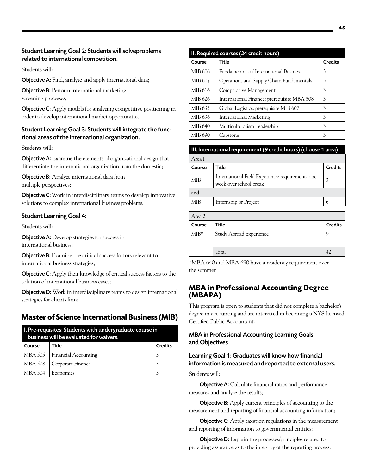# Student Learning Goal 2: Students will solveproblems related to international competition.

Students will:

**Objective A:** Find, analyze and apply international data;

**Objective B:** Perform international marketing screening processes;

**Objective C:** Apply models for analyzing competitive positioning in order to develop international market opportunities.

# Student Learning Goal 3: Students will integrate the functional areas of the international organization.

Students will:

**Objective A:** Examine the elements of organizational design that differentiate the international organization from the domestic;

**Objective B:** Analyze international data from multiple perspectives;

**Objective C:** Work in interdisciplinary teams to develop innovative solutions to complex international business problems.

# Student Learning Goal 4:

Students will:

**Objective A:** Develop strategies for success in international business;

**Objective B:** Examine the critical success factors relevant to international business strategies;

**Objective C:** Apply their knowledge of critical success factors to the solution of international business cases;

**Objective D:** Work in interdisciplinary teams to design international strategies for clients firms.

# **Master of Science International Business (MIB)**

| I. Pre-requisites: Students with undergraduate course in<br>business will be evaluated for waivers. |                      |                |  |
|-----------------------------------------------------------------------------------------------------|----------------------|----------------|--|
| Course                                                                                              | Title                | <b>Credits</b> |  |
| MBA 505                                                                                             | Financial Accounting |                |  |
| MBA 508                                                                                             | Corporate Finance    | 3              |  |
| MBA 504                                                                                             | Economics            |                |  |

| II. Required courses (24 credit hours) |                                             |                |  |
|----------------------------------------|---------------------------------------------|----------------|--|
| Course                                 | Title                                       | <b>Credits</b> |  |
| MIB 606                                | Fundamentals of International Business      | 3              |  |
| MIB 607                                | Operations and Supply Chain Fundamentals    | 3              |  |
| MIB 616                                | Comparative Management                      | 3              |  |
| MIB 626                                | International Finance: prerequisite MBA 508 | 3              |  |
| MIB 633                                | Global Logistics: prerequisite MIB 607      | 3              |  |
| MIB 636                                | International Marketing                     | 3              |  |
| MIB 640                                | Multiculturalism Leadership                 | 3              |  |
| MIB 690                                | Capstone                                    | 3              |  |

#### III. International requirement (9 credit hours) (choose 1 area)

| Area I     |                                                                          |                |
|------------|--------------------------------------------------------------------------|----------------|
| Course     | Title                                                                    | <b>Credits</b> |
| <b>MIB</b> | International Field Experience requirement-one<br>week over school break |                |
| and        |                                                                          |                |
| MIR        | Internship or Project                                                    | 6              |

| Area 2 |                         |                |
|--------|-------------------------|----------------|
| Course | Title                   | <b>Credits</b> |
| $MIB*$ | Study Abroad Experience |                |
|        |                         |                |
|        | Total                   |                |

\*MBA 640 and MBA 690 have a residency requirement over the summer

# **MBA in Professional Accounting Degree (MBAPA)**

This program is open to students that did not complete a bachelor's degree in accounting and are interested in becoming a NYS licensed Certified Public Accountant.

# MBA in Professional Accounting Learning Goals and Objectives

# Learning Goal 1: Graduates will know how financial information is measured and reported to external users.

Students will:

**Objective A:** Calculate financial ratios and performance measures and analyze the results;

**Objective B:** Apply current principles of accounting to the measurement and reporting of financial accounting information;

**Objective C:** Apply taxation regulations in the measurement and reporting of information to governmental entities;

Objective D: Explain the processes/principles related to providing assurance as to the integrity of the reporting process.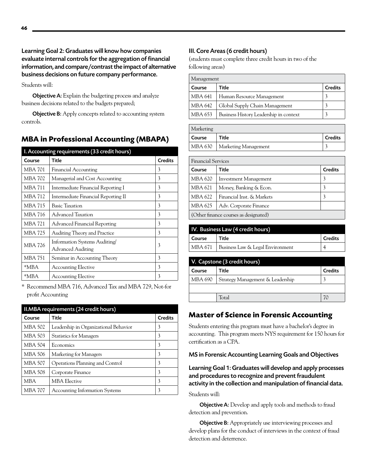Learning Goal 2: Graduates will know how companies evaluate internal controls for the aggregation of financial information, and compare/contrast the impact of alternative business decisions on future company performance.

Students will:

Objective A: Explain the budgeting process and analyze business decisions related to the budgets prepared;

**Objective B:** Apply concepts related to accounting system controls.

# **MBA in Professional Accounting (MBAPA)**

| I. Accounting requirements (33 credit hours) |                                                    |                |
|----------------------------------------------|----------------------------------------------------|----------------|
| Course                                       | Title                                              | <b>Credits</b> |
| MBA 701                                      | <b>Financial Accounting</b>                        | 3              |
| MBA 702                                      | Managerial and Cost Accounting                     | 3              |
| <b>MBA 711</b>                               | Intermediate Financial Reporting I                 | 3              |
| MBA 712                                      | Intermediate Financial Reporting II                | 3              |
| <b>MBA 715</b>                               | Basic Taxation                                     | 3              |
| MBA 716                                      | Advanced Taxation                                  | 3              |
| <b>MBA 721</b>                               | Advanced Financial Reporting                       | 3              |
| MBA 725                                      | Auditing Theory and Practice                       | 3              |
| <b>MBA 726</b>                               | Information Systems Auditing/<br>Advanced Auditing | 3              |
| <b>MBA 751</b>                               | Seminar in Accounting Theory                       | 3              |
| *MBA                                         | <b>Accounting Elective</b>                         | 3              |
| *MBA                                         | <b>Accounting Elective</b>                         | 3              |

\* Recommend MBA 716, Advanced Tax and MBA 729, Not-for profit Accounting

| II.MBA requirements (24 credit hours) |                                       |                |
|---------------------------------------|---------------------------------------|----------------|
| Course                                | <b>Title</b>                          | <b>Credits</b> |
| MBA 502                               | Leadership in Organizational Behavior | 3              |
| <b>MBA 503</b>                        | <b>Statistics for Managers</b>        | 3              |
| MBA 504                               | Economics                             | 3              |
| MBA 506                               | Marketing for Managers                | 3              |
| MBA 507                               | Operations Planning and Control       | 3              |
| MBA 508                               | Corporate Finance                     | 3              |
| <b>MBA</b>                            | <b>MBA Elective</b>                   | 3              |
| <b>MBA 707</b>                        | <b>Accounting Information Systems</b> | 3              |

# III. Core Areas (6 credit hours)

(students must complete three credit hours in two of the following areas)

| Management |                                        |                |
|------------|----------------------------------------|----------------|
| Course     | Title                                  | <b>Credits</b> |
| MBA 641    | Human Resource Management              |                |
| MBA 642    | Global Supply Chain Management         |                |
| MBA 653    | Business History Leadership in context |                |

| Marketing |                                |                |  |
|-----------|--------------------------------|----------------|--|
| Course    | Title                          | <b>Credits</b> |  |
|           | MBA 630   Marketing Management |                |  |

| <b>Financial Services</b>             |                           |                |  |
|---------------------------------------|---------------------------|----------------|--|
| Course                                | Title                     | <b>Credits</b> |  |
| MBA 620                               | Investment Management     | 3              |  |
| MBA 621                               | Money, Banking & Econ.    |                |  |
| MBA 622                               | Financial Inst. & Markets | 3              |  |
| MBA 625                               | Adv. Corporate Finance    |                |  |
| (Other finance courses as designated) |                           |                |  |

| IV. Business Law (4 credit hours) |                                            |                |
|-----------------------------------|--------------------------------------------|----------------|
| Course                            | Title                                      | <b>Credits</b> |
|                                   | MBA 671   Business Law & Legal Environment |                |

| V. Capstone (3 credit hours) |                                  |                |  |
|------------------------------|----------------------------------|----------------|--|
| Course                       | Title                            | <b>Credits</b> |  |
| MBA 690                      | Strategy Management & Leadership |                |  |
|                              |                                  |                |  |
|                              | Total                            | 7Λ             |  |

# **Master of Science in Forensic Accounting**

Students entering this program must have a bachelor's degree in accounting. This program meets NYS requirement for 150 hours for certification as a CPA.

MS in Forensic Accounting Learning Goals and Objectives

Learning Goal 1: Graduates will develop and apply processes and procedures to recognize and prevent fraudulent activity in the collection and manipulation of financial data.

#### Students will:

**Objective A:** Develop and apply tools and methods to fraud detection and prevention.

**Objective B:** Appropriately use interviewing processes and develop plans for the conduct of interviews in the context of fraud detection and deterrence.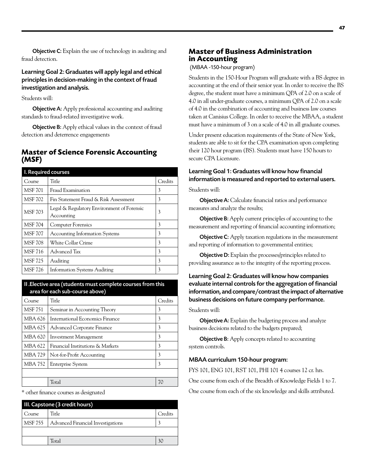**Objective C:** Explain the use of technology in auditing and fraud detection.

Learning Goal 2: Graduates will apply legal and ethical principles in decision-making in the context of fraud investigation and analysis.

Students will:

**Objective A:** Apply professional accounting and auditing standards to fraud-related investigative work.

**Objective B:** Apply ethical values in the context of fraud detection and deterrence engagements

# **Master of Science Forensic Accounting (MSF)**

| I. Required courses |                                                          |         |
|---------------------|----------------------------------------------------------|---------|
| Course              | Title                                                    | Credits |
| <b>MSF 701</b>      | Fraud Examination                                        | 3       |
| <b>MSF 702</b>      | Fin Statement Fraud & Risk Assessment                    | 3       |
| <b>MSF 703</b>      | Legal & Regulatory Environment of Forensic<br>Accounting | 3       |
| <b>MSF 704</b>      | <b>Computer Forensics</b>                                | 3       |
| <b>MSF 707</b>      | <b>Accounting Information Systems</b>                    | 3       |
| <b>MSF 708</b>      | White Collar Crime                                       | 3       |
| <b>MSF 716</b>      | Advanced Tax                                             | 3       |
| <b>MSF 725</b>      | Auditing                                                 | 3       |
| MSF 726             | <b>Information Systems Auditing</b>                      | 3       |

II .Elective area (students must complete courses from this area for each sub-course above)

| Course         | Title                            | Credits |
|----------------|----------------------------------|---------|
| <b>MSF 751</b> | Seminar in Accounting Theory     | 3       |
| MBA 626        | International Economics Finance  | 3       |
| MBA 625        | Advanced Corporate Finance       | 3       |
| MBA 620        | Investment Management            | 3       |
| MBA 622        | Financial Institutions & Markets | 3       |
| <b>MBA 729</b> | Not-for-Profit Accounting        | 3       |
| MBA 752        | <b>Enterprise System</b>         | 3       |
|                |                                  |         |
|                | Total                            | 70      |

\* other finance courses as designated

| III. Capstone (3 credit hours) |                                   |         |
|--------------------------------|-----------------------------------|---------|
| Course                         | Title                             | Credits |
| MSF 755                        | Advanced Financial Investigations |         |
|                                |                                   |         |
|                                | Total                             |         |

# **Master of Business Administration in Accounting**

(MBAA -150-hour program)

Students in the 150-Hour Program will graduate with a BS degree in accounting at the end of their senior year. In order to receive the BS degree, the student must have a minimum QPA of 2.0 on a scale of 4.0 in all under-graduate courses, a minimum QPA of 2.0 on a scale of 4.0 in the combination of accounting and business law courses taken at Canisius College. In order to receive the MBAA, a student must have a minimum of 3 on a scale of 4.0 in all graduate courses.

Under present education requirements of the State of New York, students are able to sit for the CPA examination upon completing their 120 hour program (BS). Students must have 150 hours to secure CPA Licensure.

# Learning Goal 1: Graduates will know how financial information is measured and reported to external users.

Students will:

Objective A: Calculate financial ratios and performance measures and analyze the results;

Objective B: Apply current principles of accounting to the measurement and reporting of financial accounting information;

**Objective C:** Apply taxation regulations in the measurement and reporting of information to governmental entities;

Objective D: Explain the processes/principles related to providing assurance as to the integrity of the reporting process.

# Learning Goal 2: Graduates will know how companies evaluate internal controls for the aggregation of financial information, and compare/contrast the impact of alternative business decisions on future company performance.

#### Students will:

**Objective A:** Explain the budgeting process and analyze business decisions related to the budgets prepared;

**Objective B:** Apply concepts related to accounting system controls.

#### MBAA curriculum 150-hour program:

FYS 101, ENG 101, RST 101, PHI 101 4 courses 12 cr. hrs. One course from each of the Breadth of Knowledge Fields 1 to 7. One course from each of the six knowledge and skills attributed.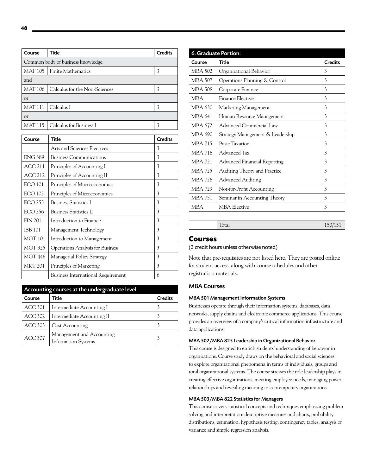|                                    | Course         | Title                         | <b>Credits</b> |
|------------------------------------|----------------|-------------------------------|----------------|
| Common body of business knowledge: |                |                               |                |
|                                    |                | MAT 105   Finite Mathematics  | 3              |
|                                    | and            |                               |                |
|                                    | <b>MAT 106</b> | Calculus for the Non-Sciences | 3              |
|                                    | <sub>or</sub>  |                               |                |
|                                    | <b>MAT 111</b> | Calculus I                    | 3              |
|                                    | <sub>or</sub>  |                               |                |
|                                    | MAT 115        | Calculus for Business I       | 3              |

| Course         | Title                                     | <b>Credits</b> |
|----------------|-------------------------------------------|----------------|
|                | Arts and Sciences Electives               | 3              |
| <b>ENG 389</b> | <b>Business Communications</b>            | 3              |
| <b>ACC 211</b> | Principles of Accounting I                | 3              |
| <b>ACC 212</b> | Principles of Accounting II               | 3              |
| ECO 101        | Principles of Macroeconomics              | 3              |
| <b>ECO 102</b> | Principles of Microeconomics              | 3              |
| <b>ECO 255</b> | <b>Business Statistics I</b>              | 3              |
| <b>ECO 256</b> | <b>Business Statistics II</b>             | 3              |
| <b>FIN 201</b> | Introduction to Finance                   | 3              |
| <b>ISB 101</b> | Management Technology                     | 3              |
| <b>MGT 101</b> | Introduction to Management                | 3              |
| <b>MGT 325</b> | <b>Operations Analysis for Business</b>   | 3              |
| MGT 446        | Managerial Policy Strategy                | 3              |
| <b>MKT 201</b> | Principles of Marketing                   | 3              |
|                | <b>Business International Requirement</b> | 6              |

| Accounting courses at the undergraduate level |                                                         |                |  |
|-----------------------------------------------|---------------------------------------------------------|----------------|--|
| Course                                        | Title                                                   | <b>Credits</b> |  |
| <b>ACC 301</b>                                | Intermediate Accounting I                               |                |  |
| ACC.302                                       | Intermediate Accounting II                              |                |  |
| ACC 303                                       | Cost Accounting                                         |                |  |
| <b>ACC 307</b>                                | Management and Accounting<br><b>Information Systems</b> | 3              |  |

| 6. Graduate Portion: |                                     |                |  |
|----------------------|-------------------------------------|----------------|--|
| Course               | Title                               | <b>Credits</b> |  |
| MBA 502              | Organizational Behavior             | 3              |  |
| <b>MBA 507</b>       | Operations Planning & Control       | 3              |  |
| MBA 508              | Corporate Finance                   | 3              |  |
| <b>MBA</b>           | <b>Finance Elective</b>             | 3              |  |
| MBA 630              | Marketing Management                | 3              |  |
| <b>MBA 641</b>       | Human Resource Management           | 3              |  |
| MBA 672              | Advanced Commercial Law             | 3              |  |
| MBA 690              | Strategy Management & Leadership    | 3              |  |
| <b>MBA 715</b>       | <b>Basic Taxation</b>               | 3              |  |
| <b>MBA 716</b>       | Advanced Tax                        | 3              |  |
| <b>MBA 721</b>       | <b>Advanced Financial Reporting</b> | 3              |  |
| <b>MBA 725</b>       | Auditing Theory and Practice        | 3              |  |
| MBA 726              | <b>Advanced Auditing</b>            | 3              |  |
| <b>MBA 729</b>       | Not-for-Profit Accounting           | 3              |  |
| <b>MBA 751</b>       | Seminar in Accounting Theory        | 3              |  |
| <b>MBA</b>           | <b>MBA</b> Elective                 | 3              |  |
|                      |                                     |                |  |
|                      | Total                               | 150/151        |  |
|                      |                                     |                |  |

#### **Courses**

(3 credit hours unless otherwise noted)

Note that pre-requisites are not listed here. They are posted online for student access, along with course schedules and other registration materials.

#### MBA Courses

#### MBA 501 Management Information Systems

Businesses operate through their information systems, databases, data networks, supply chains and electronic commerce applications. This course provides an overview of a company's critical information infrastructure and data applications.

#### MBA 502/MBA 825 Leadership in Organizational Behavior

This course is designed to enrich students' understanding of behavior in organizations. Course study draws on the behavioral and social sciences to explore organizational phenomena in terms of individuals, groups and total organizational systems. The course stresses the role leadership plays in creating effective organizations, meeting employee needs, managing power relationships and revealing meaning in contemporary organizations.

#### MBA 503/MBA 822 Statistics for Managers

This course covers statistical concepts and techniques emphasizing problem solving and interpretation: descriptive measures and charts, probability distributions, estimation, hypothesis testing, contingency tables, analysis of variance and simple regression analysis.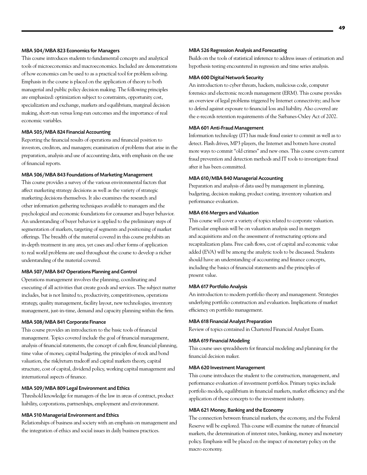#### MBA 504/MBA 823 Economics for Managers

This course introduces students to fundamental concepts and analytical tools of microeconomics and macroeconomics. Included are demonstrations of how economics can be used to as a practical tool for problem solving. Emphasis in the course is placed on the application of theory to both managerial and public policy decision making. The following principles are emphasized: optimization subject to constraints, opportunity cost, specialization and exchange, markets and equilibrium, marginal decision making, short-run versus long-run outcomes and the importance of real economic variables.

#### MBA 505/MBA 824 Financial Accounting

Reporting the financial results of operations and financial position to investors, creditors, and managers; examination of problems that arise in the preparation, analysis and use of accounting data, with emphasis on the use of financial reports.

#### MBA 506/MBA 843 Foundations of Marketing Management

This course provides a survey of the various environmental factors that affect marketing strategy decisions as well as the variety of strategic marketing decisions themselves. It also examines the research and other information gathering techniques available to managers and the psychological and economic foundations for consumer and buyer behavior. An understanding of buyer behavior is applied to the preliminary steps of segmentation of markets, targeting of segments and positioning of market offerings. The breadth of the material covered in this course prohibits an in-depth treatment in any area, yet cases and other forms of application to real world problems are used throughout the course to develop a richer understanding of the material covered.

#### MBA 507/MBA 847 Operations Planning and Control

Operations management involves the planning, coordinating and executing of all activities that create goods and services. The subject matter includes, but is not limited to, productivity, competitiveness, operations strategy, quality management, facility layout, new technologies, inventory management, just-in-time, demand and capacity planning within the firm.

#### MBA 508/MBA 841 Corporate Finance

This course provides an introduction to the basic tools of financial management. Topics covered include the goal of financial management, analysis of financial statements, the concept of cash flow, financial planning, time value of money, capital budgeting, the principles of stock and bond valuation, the risk/return tradeoff and capital markets theory, capital structure, cost of capital, dividend policy, working capital management and international aspects of finance.

#### MBA 509/MBA 809 Legal Environment and Ethics

Threshold knowledge for managers of the law in areas of contract, product liability, corporations, partnerships, employment and environment.

#### MBA 510 Managerial Environment and Ethics

Relationships of business and society with an emphasis on management and the integration of ethics and social issues in daily business practices.

#### MBA 526 Regression Analysis and Forecasting

Builds on the tools of statistical inference to address issues of estimation and hypothesis testing encountered in regression and time series analysis.

#### MBA 600 Digital Network Security

An introduction to cyber threats, hackers, malicious code, computer forensics and electronic records management (ERM). This course provides an overview of legal problems triggered by Internet connectivity; and how to defend against exposure to financial loss and liability. Also covered are the e-records retention requirements of the Sarbanes-Oxley Act of 2002.

#### MBA 601 Anti-Fraud Management

Information technology (IT) has made fraud easier to commit as well as to detect. Flash drives, MP3 players, the Internet and botnets have created more ways to commit "old crimes" and new ones. This course covers current fraud prevention and detection methods and IT tools to investigate fraud after it has been committed.

#### MBA 610/MBA 840 Managerial Accounting

Preparation and analysis of data used by management in planning, budgeting, decision making, product costing, inventory valuation and performance evaluation.

#### MBA 616 Mergers and Valuation

This course will cover a variety of topics related to corporate valuation. Particular emphasis will be on valuation analysis used in mergers and acquisitions and on the assessment of restructuring options and recapitalization plans. Free cash flows, cost of capital and economic value added (EVA) will be among the analytic tools to be discussed. Students should have an understanding of accounting and finance concepts, including the basics of financial statements and the principles of present value.

#### MBA 617 Portfolio Analysis

An introduction to modern portfolio theory and management. Strategies underlying portfolio construction and evaluation. Implications of market efficiency on portfolio management.

#### MBA 618 Financial Analyst Preparation

Review of topics contained in Chartered Financial Analyst Exam.

#### MBA 619 Financial Modeling

This course uses spreadsheets for financial modeling and planning for the financial decision maker.

#### MBA 620 Investment Management

This course introduces the student to the construction, management, and performance evaluation of investment portfolios. Primary topics include portfolio models, equilibrium in financial markets, market efficiency and the application of these concepts to the investment industry.

#### MBA 621 Money, Banking and the Economy

The connection between financial markets, the economy, and the Federal Reserve will be explored. This course will examine the nature of financial markets, the determination of interest rates, banking, money and monetary policy. Emphasis will be placed on the impact of monetary policy on the macro economy.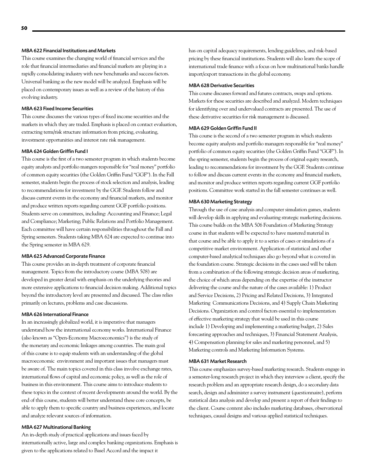#### MBA 622 Financial Institutions and Markets

This course examines the changing world of financial services and the role that financial intermediaries and financial markets are playing in a rapidly consolidating industry with new benchmarks and success factors. Universal banking as the new model will be analyzed. Emphasis will be placed on contemporary issues as well as a review of the history of this evolving industry.

#### MBA 623 Fixed Income Securities

This course discusses the various types of fixed income securities and the markets in which they are traded. Emphasis is placed on contact evaluation, extracting term/risk structure information from pricing, evaluating, investment opportunities and interest rate risk management.

#### MBA 624 Golden Griffin Fund I

This course is the first of a two semester program in which students become equity analysts and portfolio mangers responsible for "real money" portfolio of common equity securities (the Golden Griffin Fund "GGF"). In the Fall semester, students begin the process of stock selection and analysis, leading to recommendations for investment by the GGF. Students follow and discuss current events in the economy and financial markets, and monitor and produce written reports regarding current GGF portfolio positions. Students serve on committees, including: Accounting and Finance; Legal and Compliance; Marketing; Public Relations and Portfolio Management. Each committee will have certain responsibilities throughout the Fall and Spring semesters. Students taking MBA 624 are expected to continue into the Spring semester in MBA 629.

#### MBA 625 Advanced Corporate Finance

This course provides an in-depth treatment of corporate financial management. Topics from the introductory course (MBA 508) are developed in greater detail with emphasis on the underlying theories and more extensive applications to financial decision making. Additional topics beyond the introductory level are presented and discussed. The class relies primarily on lectures, problems and case discussions.

#### MBA 626 International Finance

In an increasingly globalized world, it is imperative that managers understand how the international economy works. International Finance (also known as "Open-Economy Macroeconomics") is the study of the monetary and economic linkages among countries. The main goal of this course is to equip students with an understanding of the global macroeconomic environment and important issues that managers must be aware of. The main topics covered in this class involve exchange rates, international flows of capital and economic policy, as well as the role of business in this environment. This course aims to introduce students to these topics in the context of recent developments around the world. By the end of this course, students will better understand these core concepts, be able to apply them to specific country and business experiences, and locate and analyze relevant sources of information.

#### MBA 627 Multinational Banking

An in-depth study of practical applications and issues faced by internationally active, large and complex banking organizations. Emphasis is given to the applications related to Basel Accord and the impact it

has on capital adequacy requirements, lending guidelines, and risk-based pricing by these financial institutions. Students will also learn the scope of international trade finance with a focus on how multinational banks handle import/export transactions in the global economy.

#### MBA 628 Derivative Securities

This course discusses forward and futures contracts, swaps and options. Markets for these securities are described and analyzed. Modern techniques for identifying over and undervalued contracts are presented. The use of these derivative securities for risk management is discussed.

#### MBA 629 Golden Griffin Fund II

This course is the second of a two semester program in which students become equity analysts and portfolio managers responsible for "real money" portfolio of common equity securities (the Golden Griffin Fund "GGF"). In the spring semester, students begin the process of original equity research, leading to recommendations for investment by the GGF. Students continue to follow and discuss current events in the economy and financial markets, and monitor and produce written reports regarding current GGF portfolio positions. Committee work started in the fall semester continues as well.

#### MBA 630 Marketing Strategy

Through the use of case analysis and computer simulation games, students will develop skills in applying and evaluating strategic marketing decisions. This course builds on the MBA 506 Foundation of Marketing Strategy course in that students will be expected to have mastered material in that course and be able to apply it to a series of cases or simulations of a competitive market environment. Application of statistical and other computer-based analytical techniques also go beyond what is covered in the foundation course. Strategic decisions in the cases used will be taken from a combination of the following strategic decision areas of marketing, the choice of which areas depending on the expertise of the instructor delivering the course and the nature of the cases available: 1) Product and Service Decisions, 2) Pricing and Related Decisions, 3) Integrated Marketing Communications Decisions, and 4) Supply Chain Marketing Decisions. Organization and control factors essential to implementation of effective marketing strategy that would be used in this course include 1) Developing and implementing a marketing budget, 2) Sales forecasting approaches and techniques, 3) Financial Statement Analysis, 4) Compensation planning for sales and marketing personnel, and 5) Marketing controls and Marketing Information Systems.

#### MBA 631 Market Research

This course emphasizes survey-based marketing research. Students engage in a semester-long research project in which they interview a client, specify the research problem and an appropriate research design, do a secondary data search, design and administer a survey instrument (questionnaire), perform statistical data analysis and develop and present a report of their findings to the client. Course content also includes marketing databases, observational techniques, causal designs and various applied statistical techniques.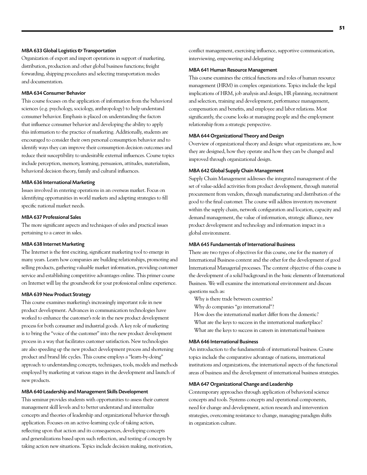#### MBA 633 Global Logistics & Transportation

Organization of export and import operations in support of marketing, distribution, production and other global business functions; freight forwarding, shipping procedures and selecting transportation modes and documentation.

#### MBA 634 Consumer Behavior

This course focuses on the application of information from the behavioral sciences (e.g. psychology, sociology, anthropology) to help understand consumer behavior. Emphasis is placed on understanding the factors that influence consumer behavior and developing the ability to apply this information to the practice of marketing. Additionally, students are encouraged to consider their own personal consumption behavior and to identify ways they can improve their consumption decision outcomes and reduce their susceptibility to undesirable external influences. Course topics include perception, memory, learning, persuasion, attitudes, materialism, behavioral decision theory, family and cultural influences.

#### MBA 636 International Marketing

Issues involved in entering operations in an overseas market. Focus on identifying opportunities in world markets and adapting strategies to fill specific national market needs.

#### MBA 637 Professional Sales

The more significant aspects and techniques of sales and practical issues pertaining to a career in sales.

#### MBA 638 Internet Marketing

The Internet is the first exciting, significant marketing tool to emerge in many years. Learn how companies are building relationships, promoting and selling products, gathering valuable market information, providing customer service and establishing competitive advantages online. This primer course on Internet will lay the groundwork for your professional online experience.

#### MBA 639 New Product Strategy

This course examines marketing's increasingly important role in new product development. Advances in communication technologies have worked to enhance the customer's role in the new product development process for both consumer and industrial goods. A key role of marketing is to bring the "voice of the customer" into the new product development process in a way that facilitates customer satisfaction. New technologies are also speeding up the new product development process and shortening product and brand life cycles. This course employs a "learn-by-doing" approach to understanding concepts, techniques, tools, models and methods employed by marketing at various stages in the development and launch of new products.

#### MBA 640 Leadership and Management Skills Development

This seminar provides students with opportunities to assess their current management skill levels and to better understand and internalize concepts and theories of leadership and organizational behavior through application. Focuses on an active-learning cycle of taking action, reflecting upon that action and its consequences, developing concepts and generalizations based upon such reflection, and testing of concepts by taking action new situations. Topics include decision making, motivation, conflict management, exercising influence, supportive communication, interviewing, empowering and delegating

#### MBA 641 Human Resource Management

This course examines the critical functions and roles of human resource management (HRM) in complex organizations. Topics include the legal implications of HRM, job analysis and design, HR planning, recruitment and selection, training and development, performance management, compensation and benefits, and employee and labor relations. Most significantly, the course looks at managing people and the employment relationship from a strategic perspective.

#### MBA 644 Organizational Theory and Design

Overview of organizational theory and design: what organizations are, how they are designed, how they operate and how they can be changed and improved through organizational design.

#### MBA 642 Global Supply Chain Management

Supply Chain Management addresses the integrated management of the set of value-added activities from product development, through material procurement from vendors, through manufacturing and distribution of the good to the final customer. The course will address inventory movement within the supply chain, network configuration and location, capacity and demand management, the value of information, strategic alliance, new product development and technology and information impact in a global environment.

#### MBA 645 Fundamentals of International Business

There are two types of objectives for this course, one for the mastery of International Business content and the other for the development of good International Managerial processes. The content objective of this course is the development of a solid background in the basic elements of International Business. We will examine the international environment and discuss questions such as:

Why is there trade between countries?

Why do companies "go international"?

- How does the international market differ from the domestic?
- What are the keys to success in the international marketplace?
- What are the keys to success in careers in international business

#### MBA 646 International Business

An introduction to the fundamentals of international business. Course topics include the comparative advantage of nations, international institutions and organizations, the international aspects of the functional areas of business and the development of international business strategies.

#### MBA 647 Organizational Change and Leadership

Contemporary approaches through application of behavioral science concepts and tools. Systems concepts and operational components, need for change and development, action research and intervention strategies, overcoming resistance to change, managing paradigm shifts in organization culture.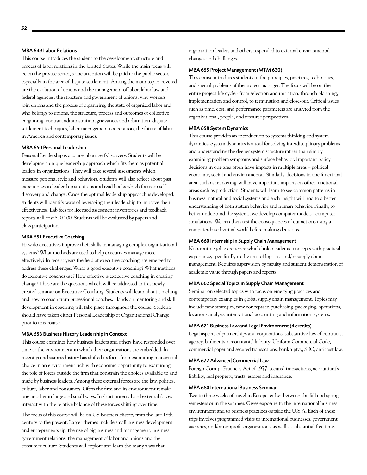#### MBA 649 Labor Relations

This course introduces the student to the development, structure and process of labor relations in the United States. While the main focus will be on the private sector, some attention will be paid to the public sector, especially in the area of dispute settlement. Among the main topics covered are the evolution of unions and the management of labor, labor law and federal agencies, the structure and government of unions, why workers join unions and the process of organizing, the state of organized labor and who belongs to unions, the structure, process and outcomes of collective bargaining, contract administration, grievances and arbitration, dispute settlement techniques, labor-management cooperation, the future of labor in America and contemporary issues.

#### MBA 650 Personal Leadership

Personal Leadership is a course about self-discovery. Students will be developing a unique leadership approach which fits them as potential leaders in organizations. They will take several assessments which measure personal style and behaviors. Students will also reflect about past experiences in leadership situations and read books which focus on selfdiscovery and change. Once the optimal leadership approach is developed, students will identify ways of leveraging their leadership to improve their effectiveness. Lab fees for licensed assessment inventories and feedback reports will cost \$100.00. Students will be evaluated by papers and class participation.

#### MBA 651 Executive Coaching

How do executives improve their skills in managing complex organizational systems? What methods are used to help executives manage more effectively? In recent years the field of executive coaching has emerged to address these challenges. What is good executive coaching? What methods do executive coaches use? How effective is executive coaching in creating change? These are the questions which will be addressed in this newly created seminar on Executive Coaching. Students will learn about coaching and how to coach from professional coaches. Hands on mentoring and skill development in coaching will take place throughout the course. Students should have taken either Personal Leadership or Organizational Change prior to this course.

#### MBA 653 Business History Leadership in Context

This course examines how business leaders and others have responded over time to the environment in which their organizations are embedded. In recent years business history has shifted its focus from examining managerial choice in an environment rich with economic opportunity to examining the role of forces outside the firm that constrain the choices available to and made by business leaders. Among these external forces are the law, politics, culture, labor and consumers. Often the firm and its environment remake one another in large and small ways. In short, internal and external forces interact with the relative balance of these forces shifting over time.

The focus of this course will be on US Business History from the late 18th century to the present. Larger themes include small business development and entrepreneurship, the rise of big business and management, business government relations, the management of labor and unions and the consumer culture. Students will explore and learn the many ways that

organization leaders and others responded to external environmental changes and challenges.

#### MBA 655 Project Management (MTM 630)

This course introduces students to the principles, practices, techniques, and special problems of the project manager. The focus will be on the entire project life cycle - from selection and initiation, through planning, implementation and control, to termination and close-out. Critical issues such as time, cost, and performance parameters are analyzed from the organizational, people, and resource perspectives.

#### MBA 658 System Dynamics

This course provides an introduction to systems thinking and system dynamics. System dynamics is a tool for solving interdisciplinary problems and understanding the deeper system structure rather than simply examining problem symptoms and surface behavior. Important policy decisions in one area often have impacts in multiple areas – political, economic, social and environmental. Similarly, decisions in one functional area, such as marketing, will have important impacts on other functional areas such as production. Students will learn to see common patterns in business, natural and social systems and such insight will lead to a better understanding of both system behavior and human behavior. Finally, to better understand the systems, we develop computer models - computer simulations. We can then test the consequences of our actions using a computer-based virtual world before making decisions.

#### MBA 660 Internship in Supply Chain Management

Non-routine job experience which links academic concepts with practical experience, specifically in the area of logistics and/or supply chain management. Requires supervision by faculty and student demonstration of academic value through papers and reports.

#### MBA 662 Special Topics in Supply Chain Management

Seminar on selected topics with focus on emerging practices and contemporary examples in global supply chain management. Topics may include new strategies, new concepts in purchasing, packaging, operations, locations analysis, international accounting and information systems.

#### MBA 671 Business Law and Legal Environment (4 credits)

Legal aspects of partnerships and corporations; substantive law of contracts, agency, bailments, accountants' liability; Uniform Commercial Code, commercial paper and secured transactions; bankruptcy, SEC, antitrust law.

#### MBA 672 Advanced Commercial Law

Foreign Corrupt Practices Act of 1977, secured transactions, accountant's liability, real property, trusts, estates and insurance.

#### MBA 680 International Business Seminar

Two to three weeks of travel in Europe, either between the fall and spring semesters or in the summer. Gives exposure to the international business environment and to business practices outside the U.S.A. Each of these trips involves programmed visits to international businesses, government agencies, and/or nonprofit organizations, as well as substantial free time.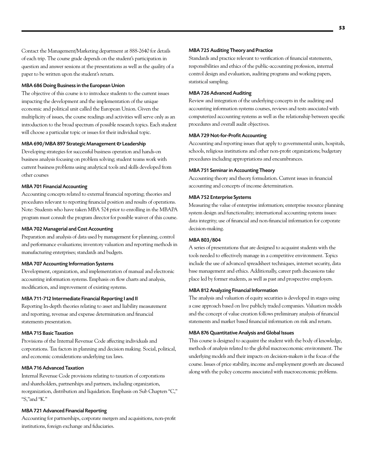Contact the Management/Marketing department at 888-2640 for details of each trip. The course grade depends on the student's participation in question and answer sessions at the presentations as well as the quality of a paper to be written upon the student's return.

#### MBA 686 Doing Business in the European Union

The objective of this course is to introduce students to the current issues impacting the development and the implementation of the unique economic and political unit called the European Union. Given the multiplicity of issues, the course readings and activities will serve only as an introduction to the broad spectrum of possible research topics. Each student will choose a particular topic or issues for their individual topic.

#### MBA 690/MBA 897 Strategic Management & Leadership

Developing strategies for successful business operation and hands-on business analysis focusing on problem solving; student teams work with current business problems using analytical tools and skills developed from other courses

#### MBA 701 Financial Accounting

Accounting concepts related to external financial reporting; theories and procedures relevant to reporting financial position and results of operations. Note: Students who have taken MBA 524 prior to enrolling in the MBAPA program must consult the program director for possible waiver of this course.

#### MBA 702 Managerial and Cost Accounting

Preparation and analysis of data used by management for planning, control and performance evaluations; inventory valuation and reporting methods in manufacturing enterprises; standards and budgets.

#### MBA 707 Accounting Information Systems

Development, organization, and implementation of manual and electronic accounting information systems. Emphasis on flow charts and analysis, modification, and improvement of existing systems.

#### MBA 711-712 Intermediate Financial Reporting I and II

Reporting In-depth theories relating to asset and liability measurement and reporting, revenue and expense determination and financial statements presentation.

#### MBA 715 Basic Taxation

Provisions of the Internal Revenue Code affecting individuals and corporations. Tax factors in planning and decision making. Social, political, and economic considerations underlying tax laws.

#### MBA 716 Advanced Taxation

Internal Revenue Code provisions relating to taxation of corporations and shareholders, partnerships and partners, including organization, reorganization, distribution and liquidation. Emphasis on Sub Chapters "C," "S,"and "K."

#### MBA 721 Advanced Financial Reporting

Accounting for partnerships, corporate mergers and acquisitions, non-profit institutions, foreign exchange and fiduciaries.

#### MBA 725 Auditing Theory and Practice

Standards and practice relevant to verification of financial statements, responsibilities and ethics of the public-accounting profession, internal control design and evaluation, auditing programs and working papers, statistical sampling.

#### MBA 726 Advanced Auditing

Review and integration of the underlying concepts in the auditing and accounting information systems courses, reviews and tests associated with computerized accounting systems as well as the relationship between specific procedures and overall audit objectives.

#### MBA 729 Not-for-Profit Accounting

Accounting and reporting issues that apply to governmental units, hospitals, schools, religious institutions and other non-profit organizations; budgetary procedures including appropriations and encumbrances.

#### MBA 751 Seminar in Accounting Theory

Accounting theory and theory formulation. Current issues in financial accounting and concepts of income determination.

#### MBA 752 Enterprise Systems

Measuring the value of enterprise information; enterprise resource planning system design and functionality; international accounting systems issues: data integrity; use of financial and non-financial information for corporate decision-making.

#### MBA 803/804

A series of presentations that are designed to acquaint students with the tools needed to effectively manage in a competitive environment. Topics include the use of advanced spreadsheet techniques, internet security, data base management and ethics. Additionally, career path discussions take place led by former students, as well as past and prospective employers.

#### MBA 812 Analyzing Financial Information

The analysis and valuation of equity securities is developed in stages using a case approach based on live publicly traded companies. Valuation models and the concept of value creation follows preliminary analysis of financial statements and market based financial information on risk and return.

#### MBA 876 Quantitative Analysis and Global Issues

This course is designed to acquaint the student with the body of knowledge, methods of analysis related to the global macroeconomic environment. The underlying models and their impacts on decision-makers is the focus of the course. Issues of price stability, income and employment growth are discussed along with the policy concerns associated with macroeconomic problems.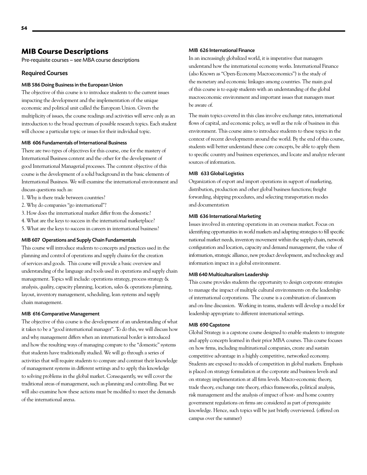# **MIB Course Descriptions**

Pre-requisite courses – see MBA course descriptions

#### Required Courses

#### MIB 586 Doing Business in the European Union

The objective of this course is to introduce students to the current issues impacting the development and the implementation of the unique economic and political unit called the European Union. Given the multiplicity of issues, the course readings and activities will serve only as an introduction to the broad spectrum of possible research topics. Each student will choose a particular topic or issues for their individual topic.

#### MIB 606 Fundamentals of International Business

There are two types of objectives for this course, one for the mastery of International Business content and the other for the development of good International Managerial processes. The content objective of this course is the development of a solid background in the basic elements of International Business. We will examine the international environment and discuss questions such as:

- 1. Why is there trade between countries?
- 2. Why do companies "go international"?
- 3. How does the international market differ from the domestic?
- 4. What are the keys to success in the international marketplace?
- 5. What are the keys to success in careers in international business?

#### MIB 607 Operations and Supply Chain Fundamentals

This course will introduce students to concepts and practices used in the planning and control of operations and supply chains for the creation of services and goods. This course will provide a basic overview and understanding of the language and tools used in operations and supply chain management. Topics will include: operations strategy, process strategy & analysis, quality, capacity planning, location, sales & operations planning, layout, inventory management, scheduling, lean systems and supply chain management.

#### MIB 616 Comparative Management

The objective of this course is the development of an understanding of what it takes to be a "good international manager". To do this, we will discuss how and why management differs when an international border is introduced and how the resulting ways of managing compare to the "domestic" systems that students have traditionally studied. We will go through a series of activities that will require students to compare and contrast their knowledge of management systems in different settings and to apply this knowledge to solving problems in the global market. Consequently, we will cover the traditional areas of management, such as planning and controlling. But we will also examine how these actions must be modified to meet the demands of the international arena.

#### MIB 626 International Finance

In an increasingly globalized world, it is imperative that managers understand how the international economy works. International Finance (also Known as "Open-Economy Macroeconomics") is the study of the monetary and economic linkages among countries. The main goal of this course is to equip students with an understanding of the global macroeconomic environment and important issues that managers must be aware of.

The main topics covered in this class involve exchange rates, international flows of capital, and economic policy, as well as the role of business in this environment. This course aims to introduce students to these topics in the context of recent developments around the world. By the end of this course, students will better understand these core concepts, be able to apply them to specific country and business experiences, and locate and analyze relevant sources of information.

#### MIB 633 Global Logistics

Organization of export and import operations in support of marketing, distribution, production and other global business functions; freight forwarding, shipping procedures, and selecting transportation modes and documentation

#### MIB 636 International Marketing

Issues involved in entering operations in an overseas market. Focus on identifying opportunities in world markets and adapting strategies to fill specific national market needs, inventory movement within the supply chain, network configuration and location, capacity and demand management, the value of information, strategic alliance, new product development, and technology and information impact in a global environment.

#### MIB 640 Multiculturalism Leadership

This course provides students the opportunity to design corporate strategies to manage the impact of multiple cultural environments on the leadership of international corporations. The course is a combination of classroom and on-line discussion. Working in teams, students will develop a model for leadership appropriate to different international settings.

#### MIB 690 Capstone

Global Strategy is a capstone course designed to enable students to integrate and apply concepts learned in their prior MBA courses. This course focuses on how firms, including multinational companies, create and sustain competitive advantage in a highly competitive, networked economy. Students are exposed to models of competition in global markets. Emphasis is placed on strategy formulation at the corporate and business levels and on strategy implementation at all firm levels. Macro-economic theory, trade theory, exchange rate theory, ethics frameworks, political analysis, risk management and the analysis of impact of host- and home country government regulations on firms are considered as part of prerequisite knowledge. Hence, such topics will be just briefly overviewed. (offered on campus over the summer)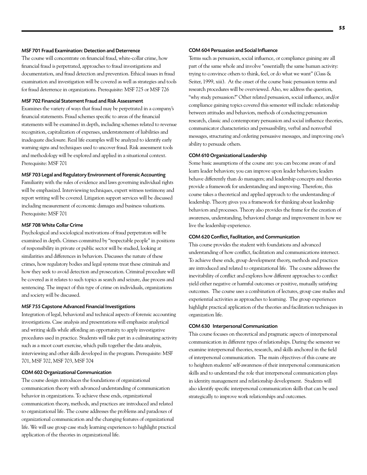#### MSF 701 Fraud Examination: Detection and Deterrence

The course will concentrate on financial fraud, white-collar crime, how financial fraud is perpetrated, approaches to fraud investigations and documentation, and fraud detection and prevention. Ethical issues in fraud examination and investigation will be covered as well as strategies and tools for fraud deterrence in organizations. Prerequisite: MSF 725 or MSF 726

#### MSF 702 Financial Statement Fraud and Risk Assessment

Examines the variety of ways that fraud may be perpetrated in a company's financial statements. Fraud schemes specific to areas of the financial statements will be examined in depth, including schemes related to revenue recognition, capitalization of expenses, understatement of liabilities and inadequate disclosure. Real life examples will be analyzed to identify early warning signs and techniques used to uncover fraud. Risk assessment tools and methodology will be explored and applied in a situational context. Prerequisite: MSF 701

#### MSF 703 Legal and Regulatory Environment of Forensic Accounting

Familiarity with the rules of evidence and laws governing individual rights will be emphasized. Interviewing techniques, expert witness testimony and report writing will be covered. Litigation support services will be discussed including measurement of economic damages and business valuations. Prerequisite: MSF 701

#### MSF 708 White Collar Crime

Psychological and sociological motivations of fraud perpetrators will be examined in depth. Crimes committed by "respectable people" in positions of responsibility in private or public sector will be studied, looking at similarities and differences in behaviors. Discusses the nature of these crimes, how regulatory bodies and legal systems treat these criminals and how they seek to avoid detection and prosecution. Criminal procedure will be covered as it relates to such topics as search and seizure, due process and sentencing. The impact of this type of crime on individuals, organizations and society will be discussed.

#### MSF 755 Capstone Advanced Financial Investigations

Integration of legal, behavioral and technical aspects of forensic accounting investigations. Case analysis and presentations will emphasize analytical and writing skills while affording an opportunity to apply investigative procedures used in practice. Students will take part in a culminating activity such as a moot court exercise, which pulls together the data analysis, interviewing and other skills developed in the program. Prerequisite: MSF 701, MSF 702, MSF 703, MSF 704

#### COM 602 Organizational Communication

The course design introduces the foundations of organizational communication theory with advanced understanding of communication behavior in organizations. To achieve these ends, organizational communication theory, methods, and practices are introduced and related to organizational life. The course addresses the problems and paradoxes of organizational communication and the changing features of organizational life. We will use group case study learning experiences to highlight practical application of the theories in organizational life.

#### COM 604 Persuasion and Social Influence

Terms such as persuasion, social influence, or compliance gaining are all part of the same whole and involve "essentially the same human activity: trying to convince others to think, feel, or do what we want" (Gass & Seiter, 1999, xiii). At the onset of the course basic persuasion terms and research procedures will be overviewed. Also, we address the question, "why study persuasion?" Other related persuasion, social influence, and/or compliance gaining topics covered this semester will include: relationship between attitudes and behaviors, methods of conducting persuasion research, classic and contemporary persuasion and social influence theories, communicator characteristics and persuasibility, verbal and nonverbal messages, structuring and ordering persuasive messages, and improving one's ability to persuade others.

#### COM 610 Organizational Leadership

Some basic assumptions of the course are: you can become aware of and learn leader behaviors; you can improve upon leader behaviors; leaders behave differently than do managers; and leadership concepts and theories provide a framework for understanding and improving. Therefore, this course takes a theoretical and applied approach to the understanding of leadership. Theory gives you a framework for thinking about leadership behaviors and processes. Theory also provides the frame for the creation of awareness, understanding, behavioral change and improvement in how we live the leadership experience.

#### COM 620 Conflict, Facilitation, and Communication

This course provides the student with foundations and advanced understanding of how conflict, facilitation and communications intersect. To achieve these ends, group development theory, methods and practices are introduced and related to organizational life. The course addresses the inevitability of conflict and explores how different approaches to conflict yield either negative or harmful outcomes or positive, mutually satisfying outcomes. The course uses a combination of lectures, group case studies and experiential activities as approaches to learning. The group experiences highlight practical application of the theories and facilitation techniques in organization life.

#### COM 630 Interpersonal Communication

This course focuses on theoretical and pragmatic aspects of interpersonal communication in different types of relationships. During the semester we examine interpersonal theories, research, and skills anchored in the field of interpersonal communication. The main objectives of this course are to heighten students' self-awareness of their interpersonal communication skills and to understand the role that interpersonal communication plays in identity management and relationship development. Students will also identify specific interpersonal communication skills that can be used strategically to improve work relationships and outcomes.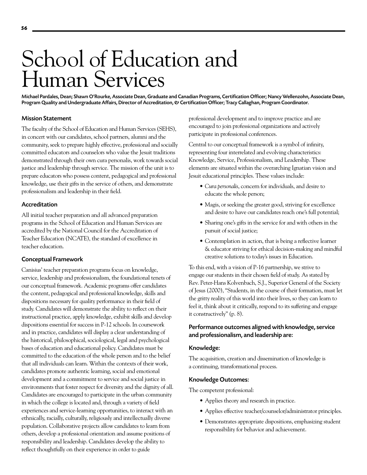# School of Education and Human Services

Michael Pardales, Dean; Shawn O'Rourke, Associate Dean, Graduate and Canadian Programs, Certification Officer; Nancy Wellenzohn, Associate Dean, Program Quality and Undergraduate Affairs, Director of Accreditation, & Certification Officer; Tracy Callaghan, Program Coordinator.

#### Mission Statement

The faculty of the School of Education and Human Services (SEHS), in concert with our candidates, school partners, alumni and the community, seek to prepare highly effective, professional and socially committed educators and counselors who value the Jesuit traditions demonstrated through their own cura personalis, work towards social justice and leadership through service. The mission of the unit is to prepare educators who possess content, pedagogical and professional knowledge, use their gifts in the service of others, and demonstrate professionalism and leadership in their field.

#### Accreditation

All initial teacher preparation and all advanced preparation programs in the School of Education and Human Services are accredited by the National Council for the Accreditation of Teacher Education (NCATE), the standard of excellence in teacher education.

#### Conceptual Framework

Canisius' teacher preparation programs focus on knowledge, service, leadership and professionalism, the foundational tenets of our conceptual framework. Academic programs offer candidates the content, pedagogical and professional knowledge, skills and dispositions necessary for quality performance in their field of study. Candidates will demonstrate the ability to reflect on their instructional practice, apply knowledge, exhibit skills and develop dispositions essential for success in P-12 schools. In coursework and in practice, candidates will display a clear understanding of the historical, philosophical, sociological, legal and psychological bases of education and educational policy. Candidates must be committed to the education of the whole person and to the belief that all individuals can learn. Within the contexts of their work, candidates promote authentic learning, social and emotional development and a commitment to service and social justice in environments that foster respect for diversity and the dignity of all. Candidates are encouraged to participate in the urban community in which the college is located and, through a variety of field experiences and service-learning opportunities, to interact with an ethnically, racially, culturally, religiously and intellectually diverse population. Collaborative projects allow candidates to learn from others, develop a professional orientation and assume positions of responsibility and leadership. Candidates develop the ability to reflect thoughtfully on their experience in order to guide

professional development and to improve practice and are encouraged to join professional organizations and actively participate in professional conferences.

Central to our conceptual framework is a symbol of infinity, representing four interrelated and evolving characteristics: Knowledge, Service, Professionalism, and Leadership. These elements are situated within the overarching Ignatian vision and Jesuit educational principles. These values include:

- • *Cura personalis*, concern for individuals, and desire to educate the whole person;
- • Magis, or seeking the greater good, striving for excellence and desire to have our candidates reach one's full potential;
- Sharing one's gifts in the service for and with others in the pursuit of social justice;
- • Contemplation in action, that is being a reflective learner & educator striving for ethical decision-making and mindful creative solutions to today's issues in Education.

To this end, with a vision of P-16 partnership, we strive to engage our students in their chosen field of study. As stated by Rev. Peter-Hans Kolvenbach, S.J., Superior General of the Society of Jesus (2000), "Students, in the course of their formation, must let the gritty reality of this world into their lives, so they can learn to feel it, think about it critically, respond to its suffering and engage it constructively" (p. 8).

# Performance outcomes aligned with knowledge, service and professionalism, and leadership are:

#### Knowledge:

The acquisition, creation and dissemination of knowledge is a continuing, transformational process.

#### Knowledge Outcomes:

The competent professional:

- Applies theory and research in practice.
- • Applies effective teacher/counselor/administrator principles.
- • Demonstrates appropriate dispositions, emphasizing student responsibility for behavior and achievement.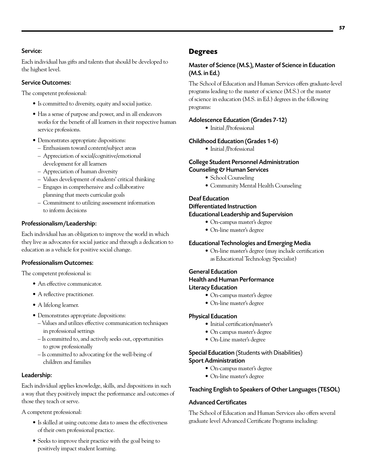Each individual has gifts and talents that should be developed to the highest level.

# Service Outcomes:

The competent professional:

- Is committed to diversity, equity and social justice.
- Has a sense of purpose and power, and in all endeavors works for the benefit of all learners in their respective human service professions.
- • Demonstrates appropriate dispositions:
	- Enthusiasm toward content/subject areas
	- Appreciation of social/cognitive/emotional development for all learners
	- Appreciation of human diversity
	- Values development of students' critical thinking
	- Engages in comprehensive and collaborative planning that meets curricular goals
	- Commitment to utilizing assessment information to inform decisions

# Professionalism/Leadership:

Each individual has an obligation to improve the world in which they live as advocates for social justice and through a dedication to education as a vehicle for positive social change.

# Professionalism Outcomes:

The competent professional is:

- An effective communicator.
- A reflective practitioner.
- A lifelong learner.
- • Demonstrates appropriate dispositions:
	- Values and utilizes effective communication techniques in professional settings
	- Is committed to, and actively seeks out, opportunities to grow professionally
	- Is committed to advocating for the well-being of children and families

# Leadership:

Each individual applies knowledge, skills, and dispositions in such a way that they positively impact the performance and outcomes of those they teach or serve.

A competent professional:

- Is skilled at using outcome data to assess the effectiveness of their own professional practice.
- Seeks to improve their practice with the goal being to positively impact student learning.

# **Degrees**

# Master of Science (M.S.), Master of Science in Education (M.S. in Ed.)

The School of Education and Human Services offers graduate-level programs leading to the master of science (M.S.) or the master of science in education (M.S. in Ed.) degrees in the following programs:

# Adolescence Education (Grades 7-12)

• Initial /Professional

# Childhood Education (Grades 1-6)

• Initial /Professional

# College Student Personnel Administration Counseling & Human Services

- School Counseling
- Community Mental Health Counseling

# Deaf Education Differentiated Instruction Educational Leadership and Supervision

- • On-campus master's degree
- • On-line master's degree

# Educational Technologies and Emerging Media

**•** On-line master's degree (may include certification as Educational Technology Specialist)

# General Education

Health and Human Performance

# Literacy Education

- **•** On-campus master's degree
- • On-line master's degree

# Physical Education

- • Initial certification/master's
- • On campus master's degree
- • On-Line master's degree

# Special Education (Students with Disabilities) Sport Administration

- **•** On-campus master's degree
- On-line master's degree

# Teaching English to Speakers of Other Languages (TESOL)

# Advanced Certificates

The School of Education and Human Services also offers several graduate level Advanced Certificate Programs including: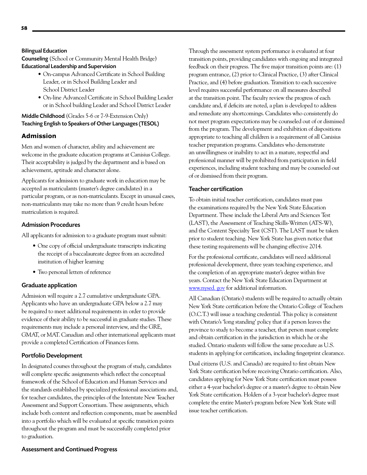Counseling (School or Community Mental Health Bridge) Educational Leadership and Supervision

- • On-campus Advanced Certificate in School Building Leader, or in School Building Leader and School District Leader
- • On-line Advanced Certificate in School Building Leader or in School building Leader and School District Leader

# Middle Childhood (Grades 5-6 or 7-9-Extension Only) Teaching English to Speakers of Other Languages (TESOL)

# **Admission**

Men and women of character, ability and achievement are welcome in the graduate education programs at Canisius College. Their acceptability is judged by the department and is based on achievement, aptitude and character alone.

Applicants for admission to graduate work in education may be accepted as matriculants (master's degree candidates) in a particular program, or as non-matriculants. Except in unusual cases, non-matriculants may take no more than 9 credit hours before matriculation is required.

# Admission Procedures

All applicants for admission to a graduate program must submit:

- One copy of official undergraduate transcripts indicating the receipt of a baccalaureate degree from an accredited institution of higher learning
- Two personal letters of reference

# Graduate application

Admission will require a 2.7 cumulative undergraduate GPA. Applicants who have an undergraduate GPA below a 2.7 may be required to meet additional requirements in order to provide evidence of their ability to be successful in graduate studies. These requirements may include a personal interview, and the GRE, GMAT, or MAT. Canadian and other international applicants must provide a completed Certification of Finances form.

# Portfolio Development

In designated courses throughout the program of study, candidates will complete specific assignments which reflect the conceptual framework of the School of Education and Human Services and the standards established by specialized professional associations and, for teacher candidates, the principles of the Interstate New Teacher Assessment and Support Consortium. These assignments, which include both content and reflection components, must be assembled into a portfolio which will be evaluated at specific transition points throughout the program and must be successfully completed prior to graduation.

Through the assessment system performance is evaluated at four transition points, providing candidates with ongoing and integrated feedback on their progress. The five major transition points are: (1) program entrance, (2) prior to Clinical Practice, (3) after Clinical Practice, and (4) before graduation. Transition to each successive level requires successful performance on all measures described at the transition point. The faculty review the progress of each candidate and, if deficits are noted, a plan is developed to address and remediate any shortcomings. Candidates who consistently do not meet program expectations may be counseled out of or dismissed from the program. The development and exhibition of dispositions appropriate to teaching all children is a requirement of all Canisius teacher preparation programs. Candidates who demonstrate an unwillingness or inability to act in a mature, respectful and professional manner will be prohibited from participation in field experiences, including student teaching and may be counseled out of or dismissed from their program.

# Teacher certification

To obtain initial teacher certification, candidates must pass the examinations required by the New York State Education Department. These include the Liberal Arts and Sciences Test (LAST), the Assessment of Teaching Skills-Written (ATS-W), and the Content Specialty Test (CST). The LAST must be taken prior to student teaching. New York State has given notice that these testing requirements will be changing effective 2014.

For the professional certificate, candidates will need additional professional development, three years teaching experience, and the completion of an appropriate master's degree within five years. Contact the New York State Education Department at [www.nysed](http://www.nysed). gov for additional information.

All Canadian (Ontario) students will be required to actually obtain New York State certification before the Ontario College of Teachers (O.C.T.) will issue a teaching credential. This policy is consistent with Ontario's 'long standing' policy that if a person leaves the province to study to become a teacher, that person must complete and obtain certification in the jurisdiction in which he or she studied. Ontario students will follow the same procedure as U.S. students in applying for certification, including fingerprint clearance.

Dual citizens (U.S. and Canada) are required to first obtain New York State certification before receiving Ontario certification. Also, candidates applying for New York State certification must possess either a 4-year bachelor's degree or a master's degree to obtain New York State certification. Holders of a 3-year bachelor's degree must complete the entire Master's program before New York State will issue teacher certification.

# Assessment and Continued Progress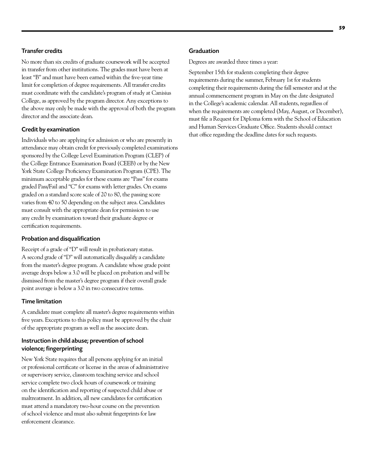# Transfer credits

No more than six credits of graduate coursework will be accepted in transfer from other institutions. The grades must have been at least "B" and must have been earned within the five-year time limit for completion of degree requirements. All transfer credits must coordinate with the candidate's program of study at Canisius College, as approved by the program director. Any exceptions to the above may only be made with the approval of both the program director and the associate dean.

## Credit by examination

Individuals who are applying for admission or who are presently in attendance may obtain credit for previously completed examinations sponsored by the College Level Examination Program (CLEP) of the College Entrance Examination Board (CEEB) or by the New York State College Proficiency Examination Program (CPE). The minimum acceptable grades for these exams are "Pass" for exams graded Pass/Fail and "C" for exams with letter grades. On exams graded on a standard score scale of 20 to 80, the passing score varies from 40 to 50 depending on the subject area. Candidates must consult with the appropriate dean for permission to use any credit by examination toward their graduate degree or certification requirements.

# Probation and disqualification

Receipt of a grade of "D" will result in probationary status. A second grade of "D" will automatically disqualify a candidate from the master's degree program. A candidate whose grade point average drops below a 3.0 will be placed on probation and will be dismissed from the master's degree program if their overall grade point average is below a 3.0 in two consecutive terms.

## Time limitation

A candidate must complete all master's degree requirements within five years. Exceptions to this policy must be approved by the chair of the appropriate program as well as the associate dean.

# Instruction in child abuse; prevention of school violence; fingerprinting

New York State requires that all persons applying for an initial or professional certificate or license in the areas of administrative or supervisory service, classroom teaching service and school service complete two clock hours of coursework or training on the identification and reporting of suspected child abuse or maltreatment. In addition, all new candidates for certification must attend a mandatory two-hour course on the prevention of school violence and must also submit fingerprints for law enforcement clearance.

#### Graduation

Degrees are awarded three times a year:

September 15th for students completing their degree requirements during the summer, February 1st for students completing their requirements during the fall semester and at the annual commencement program in May on the date designated in the College's academic calendar. All students, regardless of when the requirements are completed (May, August, or December), must file a Request for Diploma form with the School of Education and Human Services Graduate Office. Students should contact that office regarding the deadline dates for such requests.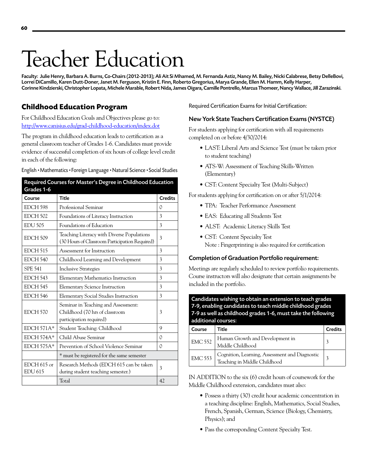# Teacher Education

Faculty: Julie Henry, Barbara A. Burns, Co-Chairs (2012-2013); Ali Ait Si Mhamed, M. Fernanda Astiz, Nancy M. Bailey, Nicki Calabrese, Betsy DelleBovi, Lorrei DiCamillo, Karen Dutt-Doner, Janet M. Ferguson, Kristin E. Finn, Roberto Gregorius, Marya Grande, Ellen M. Hamm, Kelly Harper, Corinne Kindzierski, Christopher Lopata, Michele Marable, Robert Nida, James Oigara, Camille Pontrello, Marcus Thomeer, Nancy Wallace, Jill Zarazinski.

# **Childhood Education Program**

For Childhood Education Goals and Objectives please go to: <http://www.canisius.edu/grad-childhood-education/index.dot>

The program in childhood education leads to certification as a general classroom teacher of Grades 1-6. Candidates must provide evidence of successful completion of six hours of college level credit in each of the following:

English • Mathematics • Foreign Language • Natural Science • Social Studies

| Grades 1-6                      | Required Courses for Master's Degree in Childhood Education                                      |                |
|---------------------------------|--------------------------------------------------------------------------------------------------|----------------|
| Course                          | <b>Title</b>                                                                                     | <b>Credits</b> |
| EDCH <sub>598</sub>             | Professional Seminar                                                                             | 0              |
| <b>EDCH 502</b>                 | Foundations of Literacy Instruction                                                              | 3              |
| <b>EDU 505</b>                  | Foundations of Education                                                                         | 3              |
| <b>EDCH 509</b>                 | Teaching Literacy with Diverse Populations<br>(30 Hours of Classroom Participation Required)     | 3              |
| EDCH 515                        | Assessment for Instruction                                                                       | 3              |
| EDCH 540                        | Childhood Learning and Development                                                               | 3              |
| <b>SPE 541</b>                  | <b>Inclusive Strategies</b>                                                                      | 3              |
| <b>EDCH 543</b>                 | <b>Elementary Mathematics Instruction</b>                                                        | 3              |
| EDCH 545                        | <b>Elementary Science Instruction</b>                                                            | 3              |
| EDCH 546                        | <b>Elementary Social Studies Instruction</b>                                                     | 3              |
| EDCH 570                        | Seminar in Teaching and Assessment:<br>Childhood (70 hrs of classroom<br>participation required) | 3              |
| $EDCH 571A*$                    | Student Teaching: Childhood                                                                      | 9              |
| EDCH 574A*                      | Child Abuse Seminar                                                                              | 0              |
| $EDCH 575A*$                    | Prevention of School Violence Seminar                                                            | 0              |
|                                 | * must be registered for the same semester                                                       |                |
| $EDCH 615$ or<br><b>EDU 615</b> | Research Methods (EDCH 615 can be taken<br>during student teaching semester.)                    | 3              |
|                                 | Total                                                                                            | 42             |

Required Certification Exams for Initial Certification:

# New York State Teachers Certification Exams (NYSTCE)

For students applying for certification with all requirements completed on or before 4/30/2014:

- • LAST: Liberal Arts and Science Test (must be taken prior to student teaching)
- ATS-W: Assessment of Teaching Skills-Written (Elementary)
- CST: Content Specialty Test (Multi-Subject)

For students applying for certification on or after 5/1/2014:

- • TPA: Teacher Performance Assessment
- EAS: Educating all Students Test
- ALST: Academic Literacy Skills Test
- • CST: Content Specialty Test Note : Fingerprinting is also required for certification

# Completion of Graduation Portfolio requirement:

Meetings are regularly scheduled to review portfolio requirements. Course instructors will also designate that certain assignments be included in the portfolio.

Candidates wishing to obtain an extension to teach grades 7-9, enabling candidates to teach middle childhood grades 7-9 as well as childhood grades 1-6, must take the following additional courses:

| Course         | Title                                                                          | <b>Credits</b> |
|----------------|--------------------------------------------------------------------------------|----------------|
| $EMC$ 552      | Human Growth and Development in<br>Middle Childhood                            |                |
| <b>EMC 553</b> | Cognition, Learning, Assessment and Diagnostic<br>Teaching in Middle Childhood |                |

IN ADDITION to the six (6) credit hours of coursework for the Middle Childhood extension, candidates must also:

- Possess a thirty (30) credit hour academic concentration in a teaching discipline: English, Mathematics, Social Studies, French, Spanish, German, Science (Biology, Chemistry, Physics); and
- Pass the corresponding Content Specialty Test.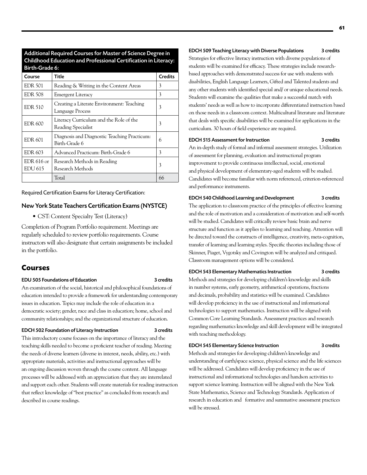| Birth-Grade 6:          |                                                               |                |
|-------------------------|---------------------------------------------------------------|----------------|
| Course                  | Title                                                         | <b>Credits</b> |
| <b>EDR 501</b>          | Reading & Writing in the Content Areas                        | 3              |
| <b>EDR 508</b>          | <b>Emergent Literacy</b>                                      | 3              |
| <b>EDR 510</b>          | Creating a Literate Environment: Teaching<br>Language Process | 3              |
| <b>EDR 600</b>          | Literacy Curriculum and the Role of the<br>Reading Specialist | 3              |
| EDR 601                 | Diagnosis and Diagnostic Teaching Practicum:<br>Birth-Grade 6 | 6              |
| <b>EDR 603</b>          | Advanced Practicum: Birth-Grade 6                             | 3              |
| $EDR$ 616 or<br>EDU 615 | Research Methods in Reading<br>Research Methods               | 3              |
|                         | Total                                                         | 66             |

Additional Required Courses for Master of Science Degree in Childhood Education and Professional Certification in Literacy:

Required Certification Exams for Literacy Certification:

#### New York State Teachers Certification Exams (NYSTCE)

• CST: Content Specialty Test (Literacy)

Completion of Program Portfolio requirement. Meetings are regularly scheduled to review portfolio requirements. Course instructors will also designate that certain assignments be included in the portfolio.

# **Courses**

#### EDU 505 Foundations of Education 3 credits

An examination of the social, historical and philosophical foundations of education intended to provide a framework for understanding contemporary issues in education. Topics may include the role of education in a democratic society; gender, race and class in education; home, school and community relationships; and the organizational structure of education.

#### EDCH 502 Foundation of Literacy Instruction 3 credits

This introductory course focuses on the importance of literacy and the teaching skills needed to become a proficient teacher of reading. Meeting the needs of diverse learners (diverse in interest, needs, ability, etc.) with appropriate materials, activities and instructional approaches will be an ongoing discussion woven through the course content. All language processes will be addressed with an appreciation that they are interrelated and support each other. Students will create materials for reading instruction that reflect knowledge of "best practice" as concluded from research and described in course readings.

#### EDCH 509 Teaching Literacy with Diverse Populations 3 credits

Strategies for effective literacy instruction with diverse populations of students will be examined for efficacy. These strategies include researchbased approaches with demonstrated success for use with students with disabilities, English Language Learners, Gifted and Talented students and any other students with identified special and/ or unique educational needs. Students will examine the qualities that make a successful match with students' needs as well as how to incorporate differentiated instruction based on those needs in a classroom context. Multicultural literature and literature that deals with specific disabilities will be examined for applications in the curriculum. 30 hours of field experience are required.

#### EDCH 515 Assessment for Instruction 3 credits

An in-depth study of formal and informal assessment strategies. Utilization of assessment for planning, evaluation and instructional program improvement to provide continuous intellectual, social, emotional and physical development of elementary-aged students will be studied. Candidates will become familiar with norm referenced, criterion-referenced and performance instruments.

### EDCH 540 Childhood Learning and Development 3 credits

The application to classroom practice of the principles of effective learning and the role of motivation and a consideration of motivation and self-worth will be studied. Candidates will critically review basic brain and nerve structure and function as it applies to learning and teaching. Attention will be directed toward the constructs of intelligence, creativity, meta-cognition, transfer of learning and learning styles. Specific theories including those of Skinner, Piaget, Vygotsky and Covington will be analyzed and critiqued. Classroom management options will be considered.

#### EDCH 543 Elementary Mathematics Instruction 3 credits

Methods and strategies for developing children's knowledge and skills in number systems, early geometry, arithmetical operations, fractions and decimals, probability and statistics will be examined. Candidates will develop proficiency in the use of instructional and informational technologies to support mathematics. Instruction will be aligned with Common Core Learning Standards. Assessment practices and research regarding mathematics knowledge and skill development will be integrated with teaching methodology.

#### EDCH 545 Elementary Science Instruction 3 credits

Methods and strategies for developing children's knowledge and understanding of earth/space science, physical science and the life sciences will be addressed. Candidates will develop proficiency in the use of instructional and informational technologies and handson activities to support science learning. Instruction will be aligned with the New York State Mathematics, Science and Technology Standards. Application of research in education and formative and summative assessment practices will be stressed.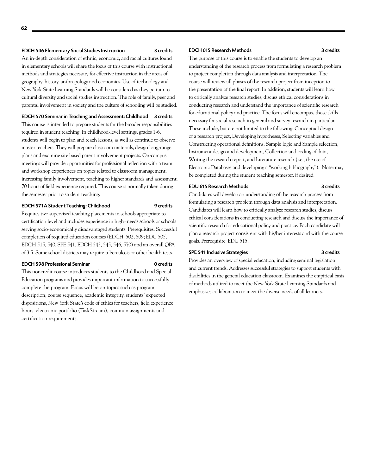#### EDCH 546 Elementary Social Studies Instruction 3 credits

An in-depth consideration of ethnic, economic, and racial cultures found in elementary schools will share the focus of this course with instructional methods and strategies necessary for effective instruction in the areas of geography, history, anthropology and economics. Use of technology and New York State Learning Standards will be considered as they pertain to cultural diversity and social studies instruction. The role of family, peer and parental involvement in society and the culture of schooling will be studied.

EDCH 570 Seminar in Teaching and Assessment: Childhood 3 credits This course is intended to prepare students for the broader responsibilities required in student teaching. In childhood-level settings, grades 1-6, students will begin to plan and teach lessons, as well as continue to observe master teachers. They will prepare classroom materials, design long-range plans and examine site based parent involvement projects. On-campus meetings will provide opportunities for professional reflection with a team and workshop experiences on topics related to classroom management, increasing family involvement, teaching to higher standards and assessment. 70 hours of field experience required. This course is normally taken during the semester prior to student teaching.

#### EDCH 571A Student Teaching: Childhood 9 credits

Requires two supervised teaching placements in schools appropriate to certification level and includes experience in high- needs schools or schools serving socio-economically disadvantaged students. Prerequisites: Successful completion of required education courses (EDCH, 502, 509; EDU 505, EDCH 515, 540, SPE 541, EDCH 543, 545, 546, 570) and an overall QPA of 3.5. Some school districts may require tuberculosis or other health tests.

#### EDCH 598 Professional Seminar 0 credits

This noncredit course introduces students to the Childhood and Special Education programs and provides important information to successfully complete the program. Focus will be on topics such as program description, course sequence, academic integrity, students' expected dispositions, New York State's code of ethics for teachers, field experience hours, electronic portfolio (TaskStream), common assignments and certification requirements.

#### EDCH 615 Research Methods 3 credits

The purpose of this course is to enable the students to develop an understanding of the research process from formulating a research problem to project completion through data analysis and interpretation. The course will review all phases of the research project from inception to the presentation of the final report. In addition, students will learn how to critically analyze research studies, discuss ethical considerations in conducting research and understand the importance of scientific research for educational policy and practice. The focus will encompass those skills necessary for social research in general and survey research in particular. These include, but are not limited to the following: Conceptual design of a research project, Developing hypotheses, Selecting variables and Constructing operational definitions, Sample logic and Sample selection, Instrument design and development, Collection and coding of data, Writing the research report, and Literature research (i.e., the use of Electronic Databases and developing a "working bibliography"). Note: may be completed during the student teaching semester, if desired.

#### EDU 615 Research Methods 3 credits

Candidates will develop an understanding of the research process from formulating a research problem through data analysis and interpretation. Candidates will learn how to critically analyze research studies, discuss ethical considerations in conducting research and discuss the importance of scientific research for educational policy and practice. Each candidate will plan a research project consistent with his/her interests and with the course goals. Prerequisite: EDU 515.

#### SPE 541 Inclusive Strategies 3 credits

Provides an overview of special education, including seminal legislation and current trends. Addresses successful strategies to support students with disabilities in the general education classroom. Examines the empirical basis of methods utilized to meet the New York State Learning Standards and emphasizes collaboration to meet the diverse needs of all learners.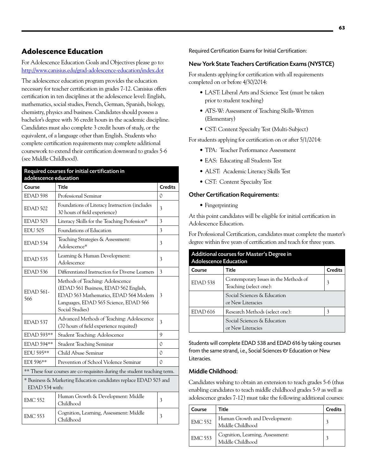# **Adolescence Education**

For Adolescence Education Goals and Objectives please go to: <http://www.canisius.edu/grad-adolescence-education/index.dot>

The adolescence education program provides the education necessary for teacher certification in grades 7-12. Canisius offers certification in ten disciplines at the adolescence level: English, mathematics, social studies, French, German, Spanish, biology, chemistry, physics and business. Candidates should possess a bachelor's degree with 36 credit hours in the academic discipline. Candidates must also complete 3 credit hours of study, or the equivalent, of a language other than English. Students who complete certification requirements may complete additional coursework to extend their certification downward to grades 5-6 (see Middle Childhood).

| Required courses for initial certification in                                      |                                                                                                                                                                                |                |
|------------------------------------------------------------------------------------|--------------------------------------------------------------------------------------------------------------------------------------------------------------------------------|----------------|
| adolescence education                                                              |                                                                                                                                                                                |                |
| Course                                                                             | <b>Title</b>                                                                                                                                                                   | <b>Credits</b> |
| EDAD 598                                                                           | Professional Seminar                                                                                                                                                           | 0              |
| EDAD 502                                                                           | Foundations of Literacy Instruction (includes<br>30 hours of field experience)                                                                                                 | 3              |
| EDAD <sub>503</sub>                                                                | Literacy Skills for the Teaching Profession*                                                                                                                                   | 3              |
| <b>EDU 505</b>                                                                     | Foundations of Education                                                                                                                                                       | 3              |
| EDAD 534                                                                           | Teaching Strategies & Assessment:<br>Adolescence*                                                                                                                              | 3              |
| EDAD 535                                                                           | Learning & Human Development:<br>Adolescence                                                                                                                                   | 3              |
| EDAD 536                                                                           | Differentiated Instruction for Diverse Learners                                                                                                                                | 3              |
| $EDAD$ 561-<br>566                                                                 | Methods of Teaching: Adolescence<br>(EDAD 561 Business, EDAD 562 English,<br>EDAD 563 Mathematics, EDAD 564 Modern<br>Languages, EDAD 565 Science, EDAD 566<br>Social Studies) | 3              |
| EDAD <sub>537</sub>                                                                | Advanced Methods of Teaching: Adolescence<br>(70 hours of field experience required)                                                                                           | 3              |
| EDAD 593**                                                                         | Student Teaching: Adolescence                                                                                                                                                  | 9              |
| EDAD 594**                                                                         | Student Teaching Seminar                                                                                                                                                       | 0              |
| EDU 595**                                                                          | Child Abuse Seminar                                                                                                                                                            | 0              |
| EDI 596**                                                                          | Prevention of School Violence Seminar                                                                                                                                          | 0              |
| ** These four courses are co-requisites during the student teaching term.          |                                                                                                                                                                                |                |
| * Business & Marketing Education candidates replace EDAD 503 and<br>EDAD 534 with: |                                                                                                                                                                                |                |
| <b>EMC 552</b>                                                                     | Human Growth & Development: Middle<br>Childhood                                                                                                                                | 3              |
| <b>EMC 553</b>                                                                     | Cognition, Learning, Assessment: Middle<br>Childhood                                                                                                                           | 3              |

Required Certification Exams for Initial Certification:

# New York State Teachers Certification Exams (NYSTCE)

For students applying for certification with all requirements completed on or before 4/30/2014:

- LAST: Liberal Arts and Science Test (must be taken prior to student teaching)
- ATS-W: Assessment of Teaching Skills-Written (Elementary)
- CST: Content Specialty Test (Multi-Subject)

For students applying for certification on or after 5/1/2014:

- TPA: Teacher Performance Assessment
- EAS: Educating all Students Test
- • ALST: Academic Literacy Skills Test
- • CST: Content Specialty Test

#### Other Certification Requirements:

• Fingerprinting

At this point candidates will be eligible for initial certification in Adolescence Education.

For Professional Certification, candidates must complete the master's degree within five years of certification and teach for three years.

| Additional courses for Master's Degree in<br><b>Adolescence Education</b> |                                                                 |                |  |
|---------------------------------------------------------------------------|-----------------------------------------------------------------|----------------|--|
| Course                                                                    | Title                                                           | <b>Credits</b> |  |
| EDAD 538                                                                  | Contemporary Issues in the Methods of<br>Teaching (select one): | 3              |  |
|                                                                           | Social Sciences & Education<br>or New Literacies                |                |  |
| EDAD <sub>616</sub>                                                       | Research Methods (select one):                                  | 3              |  |
|                                                                           | Social Sciences & Education<br>or New Literacies                |                |  |

Students will complete EDAD 538 and EDAD 616 by taking courses from the same strand, i.e., Social Sciences & Education or New Literacies.

## Middle Childhood:

Candidates wishing to obtain an extension to teach grades 5-6 (thus enabling candidates to teach middle childhood grades 5-9 as well as adolescence grades 7-12) must take the following additional courses:

| Course         | Title                                                | <b>Credits</b> |
|----------------|------------------------------------------------------|----------------|
| <b>EMC 552</b> | Human Growth and Development:<br>Middle Childhood    |                |
| <b>EMC 553</b> | Cognition, Learning, Assessment:<br>Middle Childhood |                |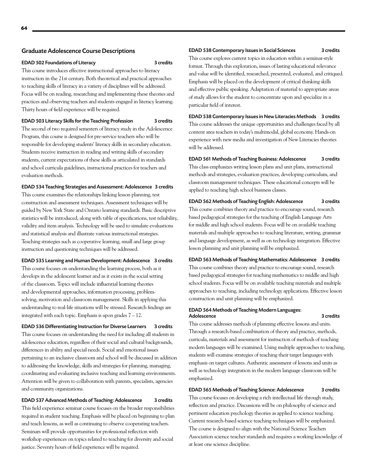#### Graduate Adolescence Course Descriptions

#### EDAD 502 Foundations of Literacy 3 credits

This course introduces effective instructional approaches to literacy instruction in the 21st century. Both theoretical and practical approaches to teaching skills of literacy in a variety of disciplines will be addressed. Focus will be on reading, researching and implementing these theories and practices and observing teachers and students engaged in literacy learning. Thirty hours of field experience will be required.

#### EDAD 503 Literacy Skills for the Teaching Profession 3 credits

The second of two required semesters of literacy study in the Adolescence Program, this course is designed for pre-service teachers who will be responsible for developing students' literacy skills in secondary education. Students receive instruction in reading and writing skills of secondary students, current expectations of these skills as articulated in standards and school curricula guidelines, instructional practices for teachers and evaluation methods.

#### EDAD 534 Teaching Strategies and Assessment: Adolescence 3 credits

This course examines the relationships linking lesson planning, test construction and assessment techniques. Assessment techniques will be guided by New York State and Ontario learning standards. Basic descriptive statistics will be introduced, along with table of specifications, test reliability, validity and item analysis. Technology will be used to simulate evaluations and statistical analysis and illustrate various instructional strategies. Teaching strategies such as cooperative learning, small and large group instruction and questioning techniques will be addressed.

#### EDAD 535 Learning and Human Development: Adolescence 3 credits

This course focuses on understanding the learning process, both as it develops in the adolescent learner and as it exists in the social setting of the classroom. Topics will include influential learning theories and developmental approaches, information processing, problemsolving, motivation and classroom management. Skills in applying this understanding to real-life situations will be stressed. Research findings are integrated with each topic. Emphasis is upon grades 7 – 12.

EDAD 536 Differentiating Instruction for Diverse Learners 3 credits This course focuses on understanding the need for including all students in adolescence education, regardless of their social and cultural backgrounds, differences in ability and special needs. Social and emotional issues pertaining to an inclusive classroom and school will be discussed in addition to addressing the knowledge, skills and strategies for planning, managing, coordinating and evaluating inclusive teaching and learning environments. Attention will be given to collaboration with parents, specialists, agencies and community organizations.

#### EDAD 537 Advanced Methods of Teaching: Adolescence 3 credits This field experience seminar course focuses on the broader responsibilities

required in student teaching. Emphasis will be placed on beginning to plan and teach lessons, as well as continuing to observe cooperating teachers. Seminars will provide opportunities for professional reflection with workshop experiences on topics related to teaching for diversity and social justice. Seventy hours of field experience will be required.

#### EDAD 538 Contemporary Issues in Social Sciences 3 credits

This course explores current topics in education within a seminar-style format. Through this exploration, issues of lasting educational relevance and value will be identified, researched, presented, evaluated, and critiqued. Emphasis will be placed on the development of critical thinking skills and effective public speaking. Adaptation of material to appropriate areas of study allows for the student to concentrate upon and specialize in a particular field of interest.

EDAD 538 Contemporary Issues in New Literacies Methods 3 credits This course addresses the unique opportunities and challenges faced by all content area teachers in today's multimodal, global economy. Hands-on experience with new media and investigation of New Literacies theories will be addressed.

# EDAD 561 Methods of Teaching Business: Adolescence 3 credits

This class emphasizes writing lesson plans and unit plans, instructional methods and strategies, evaluation practices, developing curriculum, and classroom management techniques. These educational concepts will be applied to teaching high school business classes.

# EDAD 562 Methods of Teaching English: Adolescence 3 credits

This course combines theory and practice to encourage sound, research based pedagogical strategies for the teaching of English Language Arts for middle and high school students. Focus will be on available teaching materials and multiple approaches to teaching literature, writing, grammar and language development, as well as on technology integration. Effective lesson planning and unit planning will be emphasized.

# EDAD 563 Methods of Teaching Mathematics: Adolescence 3 credits This course combines theory and practice to encourage sound, research based pedagogical strategies for teaching mathematics to middle and high school students. Focus will be on available teaching materials and multiple approaches to teaching, including technology applications. Effective lesson construction and unit planning will be emphasized.

#### EDAD 564 Methods of Teaching Modern Languages: Adolescence 3 credits

This course addresses methods of planning effective lessons and units. Through a research-based combination of theory and practice, methods, curricula, materials and assessment for instruction of methods of teaching modern languages will be examined. Using multiple approaches to teaching, students will examine strategies of teaching their target languages with emphasis on target cultures. Authentic assessment of lessons and units as well as technology integration in the modern language classroom will be emphasized.

## EDAD 565 Methods of Teaching Science: Adolescence 3 credits

This course focuses on developing a rich intellectual life through study, reflection and practice. Discussions will be on philosophy of science and pertinent education psychology theories as applied to science teaching. Current research-based science teaching techniques will be emphasized. The course is designed to align with the National Science Teachers Association science teacher standards and requires a working knowledge of at least one science discipline.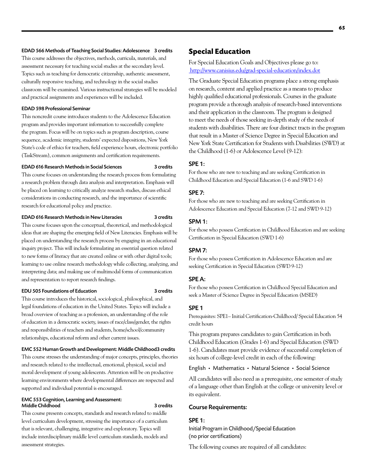#### EDAD 566 Methods of Teaching Social Studies: Adolescence 3 credits

This course addresses the objectives, methods, curricula, materials, and assessment necessary for teaching social studies at the secondary level. Topics such as teaching for democratic citizenship, authentic assessment, culturally responsive teaching, and technology in the social studies classroom will be examined. Various instructional strategies will be modeled and practical assignments and experiences will be included.

#### EDAD 598 Professional Seminar

This noncredit course introduces students to the Adolescence Education program and provides important information to successfully complete the program. Focus will be on topics such as program description, course sequence, academic integrity, students' expected dispositions, New York State's code of ethics for teachers, field experience hours, electronic portfolio (TaskStream), common assignments and certification requirements.

#### EDAD 616 Research Methods in Social Sciences 3 credits

This course focuses on understanding the research process from formulating a research problem through data analysis and interpretation. Emphasis will be placed on learning to critically analyze research studies, discuss ethical considerations in conducting research, and the importance of scientific research for educational policy and practice.

#### EDAD 616 Research Methods in New Literacies 3 credits

This course focuses upon the conceptual, theoretical, and methodological ideas that are shaping the emerging field of New Literacies. Emphasis will be placed on understanding the research process by engaging in an educational inquiry project. This will include formulating an essential question related to new forms of literacy that are created online or with other digital tools; learning to use online research methodology while collecting, analyzing, and interpreting data; and making use of multimodal forms of communication and representation to report research findings.

#### EDU 505 Foundations of Education 3 credits

This course introduces the historical, sociological, philosophical, and legal foundations of education in the United States. Topics will include a broad overview of teaching as a profession, an understanding of the role of education in a democratic society, issues of race/class/gender, the rights and responsibilities of teachers and students, home/school/community relationships, educational reform and other current issues.

#### EMC 552 Human Growth and Development: Middle Childhood3 credits

This course stresses the understanding of major concepts, principles, theories and research related to the intellectual, emotional, physical, social and moral development of young adolescents. Attention will be on productive learning environments where developmental differences are respected and supported and individual potential is encouraged.

#### EMC 553 Cognition, Learning and Assessment: Middle Childhood 3 credits

This course presents concepts, standards and research related to middle level curriculum development, stressing the importance of a curriculum that is relevant, challenging, integrative and exploratory. Topics will include interdisciplinary middle level curriculum standards, models and assessment strategies.

# **Special Education**

# For Special Education Goals and Objectives please go to: <http://www.canisius.edu/grad-special-education/index.dot>

The Graduate Special Education programs place a strong emphasis on research, content and applied practice as a means to produce highly qualified educational professionals. Courses in the graduate program provide a thorough analysis of research-based interventions and their application in the classroom. The program is designed to meet the needs of those seeking in-depth study of the needs of students with disabilities. There are four distinct tracts in the program that result in a Master of Science Degree in Special Education and New York State Certification for Students with Disabilities (SWD) at the Childhood (1-6) or Adolescence Level (9-12):

# SPE 1:

For those who are new to teaching and are seeking Certification in Childhood Education and Special Education (1-6 and SWD 1-6)

#### SPE 7:

For those who are new to teaching and are seeking Certification in Adolescence Education and Special Education (7-12 and SWD 9-12)

#### SPM 1:

For those who possess Certification in Childhood Education and are seeking Certification in Special Education (SWD 1-6)

# SPM 7:

For those who possess Certification in Adolescence Education and are seeking Certification in Special Education (SWD 9-12)

#### SPE A:

For those who possess Certification in Childhood Special Education and seek a Master of Science Degree in Special Education (MSED)

#### SPE 1

Prerequisites: SPE1– Initial Certification-Childhood/ Special Education 54 credit hours

This program prepares candidates to gain Certification in both Childhood Education (Grades 1-6) and Special Education (SWD 1-6). Candidates must provide evidence of successful completion of six hours of college-level credit in each of the following:

#### English • Mathematics • Natural Science • Social Science

All candidates will also need as a prerequisite, one semester of study of a language other than English at the college or university level or its equivalent.

#### Course Requirements:

#### SPE 1:

Initial Program in Childhood/Special Education (no prior certifications)

The following courses are required of all candidates: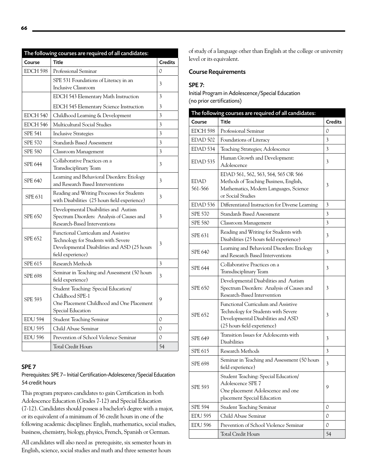| The following courses are required of all candidates: |                                                                                                                                                 |                         |
|-------------------------------------------------------|-------------------------------------------------------------------------------------------------------------------------------------------------|-------------------------|
| Course                                                | <b>Title</b>                                                                                                                                    | <b>Credits</b>          |
| EDCH 598                                              | Professional Seminar                                                                                                                            | 0                       |
|                                                       | SPE 531 Foundations of Literacy in an<br>Inclusive Classroom                                                                                    | 3                       |
|                                                       | EDCH 543 Elementary Math Instruction                                                                                                            | 3                       |
|                                                       | EDCH 545 Elementary Science Instruction                                                                                                         | 3                       |
| EDCH 540                                              | Childhood Learning & Development                                                                                                                | $\overline{\mathbf{3}}$ |
| EDCH 546                                              | Multicultural Social Studies                                                                                                                    | $\overline{3}$          |
| <b>SPE 541</b>                                        | <b>Inclusive Strategies</b>                                                                                                                     | $\overline{3}$          |
| <b>SPE 570</b>                                        | <b>Standards Based Assessment</b>                                                                                                               | 3                       |
| <b>SPE 580</b>                                        | Classroom Management                                                                                                                            | $\overline{3}$          |
| <b>SPE 644</b>                                        | Collaborative Practices on a<br>Transdisciplinary Team                                                                                          | 3                       |
| <b>SPE 640</b>                                        | Learning and Behavioral Disorders: Etiology<br>and Research Based Interventions                                                                 | 3                       |
| <b>SPE 631</b>                                        | Reading and Writing Processes for Students<br>with Disabilities (25 hours field experience)                                                     | 3                       |
| <b>SPE 650</b>                                        | Developmental Disabilities and Autism<br>Spectrum Disorders: Analysis of Causes and<br>Research-Based Interventions                             | 3                       |
| <b>SPE 652</b>                                        | Functional Curriculum and Assistive<br>Technology for Students with Severe<br>Developmental Disabilities and ASD (25 hours<br>field experience) | 3                       |
| <b>SPE 615</b>                                        | Research Methods                                                                                                                                | 3                       |
| SPE 698                                               | Seminar in Teaching and Assessment (50 hours<br>field experience)                                                                               | 3                       |
| <b>SPE 593</b>                                        | Student Teaching: Special Education/<br>Childhood SPE-1<br>One Placement Childhood and One Placement<br>Special Education                       | 9                       |
| <b>EDU 594</b>                                        | <b>Student Teaching Seminar</b>                                                                                                                 | $\mathcal{O}$           |
| <b>EDU 595</b>                                        | Child Abuse Seminar                                                                                                                             | 0                       |
| <b>EDU 596</b>                                        | Prevention of School Violence Seminar                                                                                                           | 0                       |
|                                                       | <b>Total Credit Hours</b>                                                                                                                       | 54                      |
|                                                       |                                                                                                                                                 |                         |

# SPE 7

# Prerequisites: SPE 7– Initial Certification-Adolescence/Special Education 54 credit hours

This program prepares candidates to gain Certification in both Adolescence Education (Grades 7-12) and Special Education (7-12). Candidates should possess a bachelor's degree with a major, or its equivalent of a minimum of 36 credit hours in one of the following academic disciplines: English, mathematics, social studies, business, chemistry, biology, physics, French, Spanish or German.

All candidates will also need as prerequisite, six semester hours in English, science, social studies and math and three semester hours

of study of a language other than English at the college or university level or its equivalent.

# Course Requirements

# SPE 7:

Initial Program in Adolescence/Special Education (no prior certifications)

| The following courses are required of all candidates: |                                                                                                                                                 |                |
|-------------------------------------------------------|-------------------------------------------------------------------------------------------------------------------------------------------------|----------------|
| Course                                                | Title                                                                                                                                           | <b>Credits</b> |
| EDCH 598                                              | Professional Seminar                                                                                                                            | 0              |
| EDAD 502                                              | Foundations of Literacy                                                                                                                         | 3              |
| EDAD <sub>534</sub>                                   | Teaching Strategies; Adolescence                                                                                                                | 3              |
| EDAD <sub>535</sub>                                   | Human Growth and Development:<br>Adolescence                                                                                                    | 3              |
| <b>EDAD</b><br>561-566                                | EDAD 561, 562, 563, 564, 565 OR 566<br>Methods of Teaching Business, English,<br>Mathematics, Modern Languages, Science<br>or Social Studies    | 3              |
| EDAD <sub>536</sub>                                   | Differentiated Instruction for Diverse Learning                                                                                                 | 3              |
| <b>SPE 570</b>                                        | <b>Standards Based Assessment</b>                                                                                                               | 3              |
| <b>SPE 580</b>                                        | Classroom Management                                                                                                                            | 3              |
| <b>SPE 631</b>                                        | Reading and Writing for Students with<br>Disabilities (25 hours field experience)                                                               | 3              |
| <b>SPE 640</b>                                        | Learning and Behavioral Disorders: Etiology<br>and Research Based Interventions                                                                 | 3              |
| <b>SPE 644</b>                                        | Collaborative Practices on a<br>Transdisciplinary Team                                                                                          | 3              |
| SPE 650                                               | Developmental Disabilities and Autism<br>Spectrum Disorders: Analysis of Causes and<br>Research-Based Intervention                              | 3              |
| <b>SPE 652</b>                                        | Functional Curriculum and Assistive<br>Technology for Students with Severe<br>Developmental Disabilities and ASD<br>(25 hours field experience) | 3              |
| <b>SPE 649</b>                                        | Transition Issues for Adolescents with<br><b>Disabilities</b>                                                                                   | 3              |
| SPE 615                                               | Research Methods                                                                                                                                | 3              |
| <b>SPE 698</b>                                        | Seminar in Teaching and Assessment (50 hours<br>field experience)                                                                               | 3              |
| <b>SPE 593</b>                                        | Student Teaching: Special Education/<br>Adolescence SPE 7<br>One placement Adolescence and one<br>placement Special Education                   | 9              |
| <b>SPE 594</b>                                        | <b>Student Teaching Seminar</b>                                                                                                                 | 0              |
| <b>EDU 595</b>                                        | Child Abuse Seminar                                                                                                                             | 0              |
| <b>EDU 596</b>                                        | Prevention of School Violence Seminar                                                                                                           | 0              |
|                                                       | <b>Total Credit Hours</b>                                                                                                                       | 54             |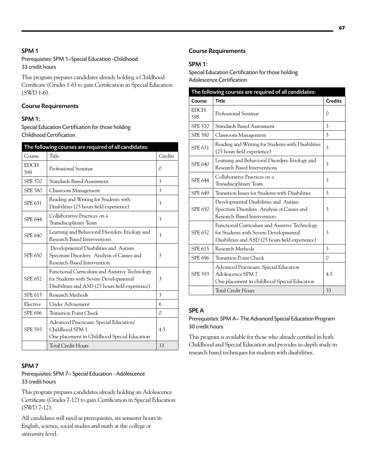# SPM 1

Prerequisites: SPM 1–Special Education -Childhood 33 credit hours

This program prepares candidates already holding a Childhood Certificate (Grades 1-6) to gain Certification in Special Education (SWD 1-6).

# Course Requirements

# SPM 1:

Special Education Certification for those holding Childhood Certification

| The following courses are required of all candidates: |                                                                                                                                              |         |
|-------------------------------------------------------|----------------------------------------------------------------------------------------------------------------------------------------------|---------|
| Course                                                | Title                                                                                                                                        | Credits |
| <b>EDCH</b><br>598                                    | Professional Seminar                                                                                                                         | 0       |
| <b>SPE 570</b>                                        | Standards Based Assessment                                                                                                                   | 3       |
| <b>SPE 580</b>                                        | Classroom Management                                                                                                                         | 3       |
| <b>SPE 631</b>                                        | Reading and Writing for Students with<br>Disabilities (25 hours field experience)                                                            | 3       |
| <b>SPE 644</b>                                        | Collaborative Practices on a<br>Transdisciplinary Team                                                                                       | 3       |
| <b>SPE 640</b>                                        | Learning and Behavioral Disorders: Etiology and<br>Research Based Interventions                                                              | 3       |
| <b>SPE 650</b>                                        | Developmental Disabilities and Autism<br>Spectrum Disorders: Analysis of Causes and<br>Research-Based Intervention                           | 3       |
| <b>SPE 652</b>                                        | Functional Curriculum and Assistive Technology<br>for Students with Severe Developmental<br>Disabilities and ASD (25 hours field experience) | 3       |
| SPE 615                                               | Research Methods                                                                                                                             | 3       |
| Elective                                              | <b>Under Advisement</b>                                                                                                                      | 6       |
| <b>SPE 696</b>                                        | <b>Transition Point Check</b>                                                                                                                | 0       |
| <b>SPE 593</b>                                        | Advanced Practicum: Special Education/<br>Childhood SPM 1<br>One placement in Childhood Special Education                                    | 4.5     |
|                                                       | <b>Total Credit Hours</b>                                                                                                                    | 33      |

# SPM 7

# Prerequisites: SPM 7– Special Education - Adolescence 33 credit hours

This program prepares candidates already holding an Adolescence Certificate (Grades 7-12) to gain Certification in Special Education (SWD 7-12).

All candidates will need as prerequisites, six semester hours in English, science, social studies and math at the college or university level.

# Course Requirements

# SPM 1:

Special Education Certification for those holding Adolescence Certification

| The following courses are required of all candidates: |                                                                                                                                              |                |
|-------------------------------------------------------|----------------------------------------------------------------------------------------------------------------------------------------------|----------------|
| Course                                                | <b>Title</b>                                                                                                                                 | <b>Credits</b> |
| <b>EDCH</b><br>598                                    | Professional Seminar                                                                                                                         | 0              |
| <b>SPE 570</b>                                        | Standards Based Assessment                                                                                                                   | 3              |
| <b>SPE 580</b>                                        | Classroom Management                                                                                                                         | 3              |
| <b>SPE 631</b>                                        | Reading and Writing for Students with Disabilities<br>(25 hours field experience)                                                            | 3              |
| <b>SPE 640</b>                                        | Learning and Behavioral Disorders: Etiology and<br>Research Based Interventions                                                              | 3              |
| <b>SPE 644</b>                                        | Collaborative Practices on a<br>Transdisciplinary Team                                                                                       | 3              |
| <b>SPE 649</b>                                        | Transition Issues for Students with Disabilities                                                                                             | 3              |
| SPE 650                                               | Developmental Disabilities and Autism<br>Spectrum Disorders: Analysis of Causes and<br>Research-Based Intervention                           | 3              |
| <b>SPE 652</b>                                        | Functional Curriculum and Assistive Technology<br>for Students with Severe Developmental<br>Disabilities and ASD (25 hours field experience) | 3              |
| <b>SPE 615</b>                                        | Research Methods                                                                                                                             | 3              |
| <b>SPE 696</b>                                        | <b>Transition Point Check</b>                                                                                                                | 0              |
| <b>SPE 593</b>                                        | Advanced Practicum: Special Education<br>Adolescence SPM 7<br>One placement in childhood Special Education                                   | 4.5            |
|                                                       | <b>Total Credit Hours</b>                                                                                                                    | 33             |

# SPE A

# Prerequisites: SPM A– The Advanced Special Education Program 30 credit hours

This program is available for those who already certified in both Childhood and Special Education and provides in-depth study in research based techniques for students with disabilities.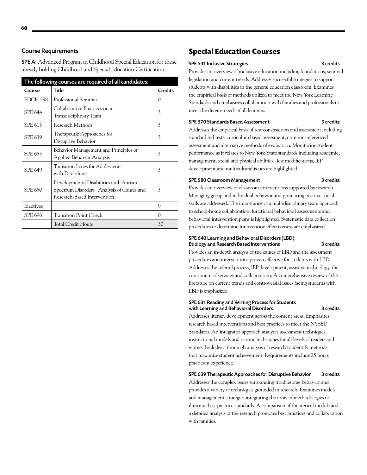# Course Requirements

SPE A: Advanced Program in Childhood Special Education for those already holding Childhood and Special Education Certification

| The following courses are required of all candidates: |                                                                                                                    |                |
|-------------------------------------------------------|--------------------------------------------------------------------------------------------------------------------|----------------|
| Course                                                | Title                                                                                                              | <b>Credits</b> |
| EDCH 598                                              | Professional Seminar                                                                                               | 0              |
| <b>SPE 644</b>                                        | Collaborative Practices on a<br>Transdisciplinary Team                                                             | 3              |
| <b>SPE 615</b>                                        | Research Methods                                                                                                   | 3              |
| <b>SPE 639</b>                                        | Therapeutic Approaches for<br>Disruptive Behavior                                                                  | 3              |
| SPE 653                                               | Behavior Management and Principles of<br>Applied Behavior Analysis                                                 | 3              |
| <b>SPE 649</b>                                        | Transition Issues for Adolescents<br>with Disabilities                                                             | 3              |
| <b>SPE 650</b>                                        | Developmental Disabilities and Autism<br>Spectrum Disorders: Analysis of Causes and<br>Research-Based Intervention | 3              |
| Electives                                             |                                                                                                                    | 9              |
| <b>SPE 696</b>                                        | Transition Point Check                                                                                             | 0              |
|                                                       | <b>Total Credit Hours</b>                                                                                          | 30             |

# **Special Education Courses**

#### SPE 541 Inclusive Strategies 3 credits

Provides an overview of inclusive education including foundations, seminal legislation and current trends. Addresses successful strategies to support students with disabilities in the general education classroom. Examines the empirical basis of methods utilized to meet the New York Learning Standards and emphasizes collaboration with families and professionals to meet the diverse needs of all learners.

#### SPE 570 Standards Based Assessment 3 credits

Addresses the empirical basis of test construction and assessment including standardized tests, curriculum based assessment, criterion-referenced assessment and alternative methods of evaluation. Monitoring student performance as it relates to New York State standards including academic, management, social and physical abilities. Test modifications, IEP development and multicultural issues are highlighted.

#### SPE 580 Classroom Management 3 credits

Provides an overview of classroom interventions supported by research. Managing group and individual behavior and promoting positive social skills are addressed. The importance of a multidisciplinary team approach to school-home collaboration, functional behavioral assessments and behavioral intervention plans is highlighted. Systematic data collection procedures to determine intervention effectiveness are emphasized.

#### SPE 640 Learning and Behavioral Disorders (LBD): Etiology and Research Based Interventions 3 credits

Provides an in-depth analysis of the causes of LBD and the assessment procedures and interventions proven effective for students with LBD. Addresses the referral process, IEP development, assistive technology, the continuum of services and collaboration. A comprehensive review of the literature on current trends and controversial issues facing students with LBD is emphasized.

#### SPE 631 Reading and Writing Process for Students with Learning and Behavioral Disorders **3** credits

Addresses literacy development across the content areas. Emphasizes research based interventions and best practices to meet the NYSED Standards. An integrated approach analyzes assessment techniques, instructional models and scoring techniques for all levels of readers and writers. Includes a thorough analysis of research to identify methods that maximize student achievement. Requirements include 25 hours practicum experience.

# SPE 639 Therapeutic Approaches for Disruptive Behavior 3 credits

Addresses the complex issues surrounding troublesome behavior and provides a variety of techniques grounded in research. Examines models and management strategies integrating the array of methodologies to illustrate best practice standards. A comparison of theoretical models and a detailed analysis of the research promotes best practices and collaboration with families.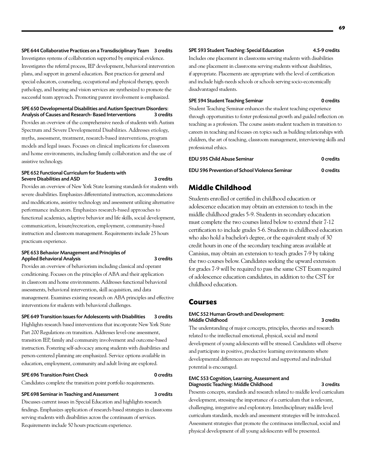Investigates systems of collaboration supported by empirical evidence. Investigates the referral process, IEP development, behavioral intervention plans, and support in general education. Best practices for general and special educators, counseling, occupational and physical therapy, speech pathology, and hearing and vision services are synthesized to promote the successful team approach. Promoting parent involvement is emphasized.

SPE 650 Developmental Disabilities and Autism Spectrum Disorders: Analysis of Causes and Research- Based Interventions Provides an overview of the comprehensive needs of students with Autism Spectrum and Severe Developmental Disabilities. Addresses etiology, myths, assessment, treatment, research-based interventions, program models and legal issues. Focuses on clinical implications for classroom and home environments, including family collaboration and the use of assistive technology.

#### SPE 652 Functional Curriculum for Students with Severe Disabilities and ASD 3 credits

Provides an overview of New York State learning standards for students with severe disabilities. Emphasizes differentiated instruction, accommodations and modifications, assistive technology and assessment utilizing alternative performance indicators. Emphasizes research-based approaches to functional academics, adaptive behavior and life skills, social development, communication, leisure/recreation, employment, community-based instruction and classroom management. Requirements include 25 hours practicum experience.

#### SPE 653 Behavior Management and Principles of Applied Behavioral Analysis 3 credits

Provides an overview of behaviorism including classical and operant conditioning. Focuses on the principles of ABA and their application in classroom and home environments. Addresses functional behavioral assessments, behavioral intervention, skill acquisition, and data management. Examines existing research on ABA principles and effective interventions for students with behavioral challenges.

#### SPE 649 Transition Issues for Adolescents with Disabilities 3 credits

Highlights research based interventions that incorporate New York State Part 200 Regulations on transition. Addresses level-one assessment, transition IEP, family and community involvement and outcome-based instruction. Fostering self-advocacy among students with disabilities and person-centered planning are emphasized. Service options available in education, employment, community and adult living are explored.

#### SPE 696 Transition Point Check 0 credits

Candidates complete the transition point portfolio requirements.

#### SPE 698 Seminar in Teaching and Assessment 3 credits

Discusses current issues in Special Education and highlights research findings. Emphasizes application of research-based strategies in classrooms serving students with disabilities across the continuum of services. Requirements include 50 hours practicum experience.

#### SPE 593 Student Teaching: Special Education 4.5-9 credits

Includes one placement in classrooms serving students with disabilities and one placement in classrooms serving students without disabilities, if appropriate. Placements are appropriate with the level of certification and include high-needs schools or schools serving socio-economically disadvantaged students.

# SPE 594 Student Teaching Seminar 0 credits

Student Teaching Seminar enhances the student teaching experience through opportunities to foster professional growth and guided reflection on teaching as a profession. The course assists student teachers in transition to careers in teaching and focuses on topics such as building relationships with children, the art of teaching, classroom management, interviewing skills and professional ethics.

| EDU 595 Child Abuse Seminar                   | 0 credits |
|-----------------------------------------------|-----------|
| EDU 596 Prevention of School Violence Seminar | 0 credits |

# **Middle Childhood**

Students enrolled or certified in childhood education or adolescence education may obtain an extension to teach in the middle childhood grades 5-9. Students in secondary education must complete the two courses listed below to extend their 7-12 certification to include grades 5-6. Students in childhood education who also hold a bachelor's degree, or the equivalent study of 30 credit hours in one of the secondary teaching areas available at Canisius, may obtain an extension to teach grades 7-9 by taking the two courses below. Candidates seeking the upward extension for grades 7-9 will be required to pass the same CST Exam required of adolescence education candidates, in addition to the CST for childhood education.

#### **Courses**

#### EMC 552 Human Growth and Development: Middle Childhood 3 credits

The understanding of major concepts, principles, theories and research related to the intellectual emotional, physical, social and moral development of young adolescents will be stressed. Candidates will observe and participate in positive, productive learning environments where developmental differences are respected and supported and individual potential is encouraged.

#### EMC 553 Cognition, Learning, Assessment and Diagnostic Teaching: Middle Childhood 3 credits

Presents concepts, standards and research related to middle level curriculum development, stressing the importance of a curriculum that is relevant, challenging, integrative and exploratory. Interdisciplinary middle level curriculum standards, models and assessment strategies will be introduced. Assessment strategies that promote the continuous intellectual, social and physical development of all young adolescents will be presented.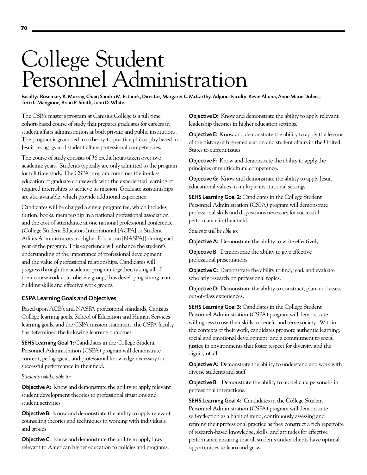# College Student Personnel Administration

Faculty: Rosemary K. Murray, Chair; Sandra M. Estanek, Director; Margaret C. McCarthy. Adjunct Faculty: Kevin Ahuna, Anne Marie Dobies, Terri L. Mangione, Brian P. Smith, John D. White.

The CSPA master's program at Canisius College is a full time cohort-based course of study that prepares graduates for careers in student affairs administration at both private and public institutions. The program is grounded in a theory-to-practice philosophy based in Jesuit pedagogy and student affairs professional competencies.

The course of study consists of 36 credit hours taken over two academic years. Students typically are only admitted to the program for full time study. The CSPA program combines the in-class education of graduate coursework with the experiential learning of required internships to achieve its mission. Graduate assistantships are also available, which provide additional experience.

Candidates will be charged a single program fee, which includes tuition, books, membership in a national professional association and the cost of attendance at one national professional conference (College Student Educators International [ACPA] or Student Affairs Administrators in Higher Education [NASPA]) during each year of the program. This experience will enhance the student's understanding of the importance of professional development and the value of professional relationships. Candidates will progress through the academic program together, taking all of their coursework as a cohesive group, thus developing strong team building skills and effective work groups.

## CSPA Learning Goals and Objectives

Based upon ACPA and NASPA professional standards, Canisius College learning goals, School of Education and Human Services learning goals, and the CSPA mission statement, the CSPA faculty has determined the following learning outcomes.

SEHS Learning Goal 1: Candidates in the College Student Personnel Administration (CSPA) program will demonstrate content, pedagogical, and professional knowledge necessary for successful performance in their field.

*Students will be able to:*

Objective A: Know and demonstrate the ability to apply relevant student development theories to professional situations and student activities.

**Objective B:** Know and demonstrate the ability to apply relevant counseling theories and techniques in working with individuals and groups.

**Objective C:** Know and demonstrate the ability to apply laws relevant to American higher education to policies and programs. **Objective D:** Know and demonstrate the ability to apply relevant leadership theories in higher education settings.

**Objective E:** Know and demonstrate the ability to apply the lessons of the history of higher education and student affairs in the United States to current issues.

**Objective F:** Know and demonstrate the ability to apply the principles of multicultural competence.

**Objective G:** Know and demonstrate the ability to apply Jesuit educational values in multiple institutional settings.

SEHS Learning Goal 2: Candidates in the College Student Personnel Administration (CSPA) program will demonstrate professional skills and dispositions necessary for successful performance in their field.

*Students will be able to:*

Objective A: Demonstrate the ability to write effectively.

**Objective B:** Demonstrate the ability to give effective professional presentations.

**Objective C:** Demonstrate the ability to find, read, and evaluate scholarly research on professional topics.

**Objective D:** Demonstrate the ability to construct, plan, and assess out-of-class experiences.

SEHS Learning Goal 3: Candidates in the College Student Personnel Administration (CSPA) program will demonstrate willingness to use their skills to benefit and serve society. Within the contexts of their work, candidates promote authentic learning, social and emotional development, and a commitment to social justice in environments that foster respect for diversity and the dignity of all.

Objective A: Demonstrate the ability to understand and work with diverse students and staff.

Objective B: Demonstrate the ability to model cura personalis in professional interactions.

SEHS Learning Goal 4: Candidates in the College Student Personnel Administration (CSPA) program will demonstrate self-reflection as a habit of mind, continuously assessing and refining their professional practice as they construct a rich repertoire of research-based knowledge, skills, and attitudes for effective performance ensuring that all students and/or clients have optimal opportunities to learn and grow.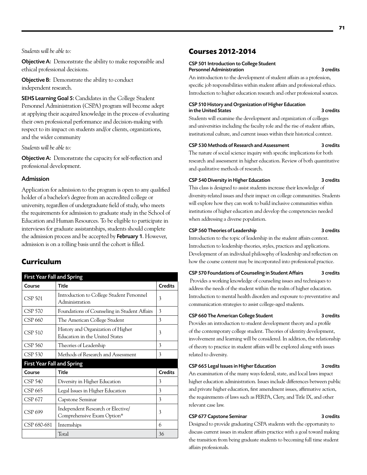*Students will be able to:*

Objective A: Demonstrate the ability to make responsible and ethical professional decisions.

**Objective B:** Demonstrate the ability to conduct independent research.

SEHS Learning Goal 5: Candidates in the College Student Personnel Administration (CSPA) program will become adept at applying their acquired knowledge in the process of evaluating their own professional performance and decision-making with respect to its impact on students and/or clients, organizations, and the wider community

*Students will be able to:*

Objective A: Demonstrate the capacity for self-reflection and professional development.

#### Admission

Application for admission to the program is open to any qualified holder of a bachelor's degree from an accredited college or university, regardless of undergraduate field of study, who meets the requirements for admission to graduate study in the School of Education and Human Resources. To be eligible to participate in interviews for graduate assistantships, students should complete the admission process and be accepted by **February 1**. However, admission is on a rolling basis until the cohort is filled.

# **Curriculum**

| <b>First Year Fall and Spring</b> |                                                                      |                |
|-----------------------------------|----------------------------------------------------------------------|----------------|
| Course                            | <b>Title</b>                                                         | <b>Credits</b> |
| <b>CSP 501</b>                    | Introduction to College Student Personnel<br>Administration          | 3              |
| CSP 570                           | Foundations of Counseling in Student Affairs                         | 3              |
| CSP 660                           | The American College Student                                         | 3              |
| CSP 510                           | History and Organization of Higher<br>Education in the United States | 3              |
| CSP 560                           | Theories of Leadership                                               | 3              |
| <b>CSP 530</b>                    | Methods of Research and Assessment                                   | 3              |
| <b>First Year Fall and Spring</b> |                                                                      |                |
| Course                            | <b>Title</b>                                                         | <b>Credits</b> |
| <b>CSP 540</b>                    | Diversity in Higher Education                                        | 3              |
| CSP 665                           | Legal Issues in Higher Education                                     | 3              |
| CSP 677                           | Capstone Seminar                                                     | 3              |
| CSP 699                           | Independent Research or Elective<br>Comprehensive Exam Option*       | 3              |
| CSP 680-681                       | Internships                                                          | 6              |
|                                   | Total                                                                | 36             |

# **Courses 2012-2014**

#### CSP 501 Introduction to College Student Personnel Administration 3 credits

An introduction to the development of student affairs as a profession, specific job responsibilities within student affairs and professional ethics. Introduction to higher education research and other professional sources.

# CSP 510 History and Organization of Higher Education in the United States 3 credits

Students will examine the development and organization of colleges and universities including the faculty role and the rise of student affairs, institutional culture, and current issues within their historical context.

#### CSP 530 Methods of Research and Assessment 3 credits

The nature of social science inquiry with specific implications for both research and assessment in higher education. Review of both quantitative and qualitative methods of research.

## CSP 540 Diversity in Higher Education 3 credits

This class is designed to assist students increase their knowledge of diversity-related issues and their impact on college communities. Students will explore how they can work to build inclusive communities within institutions of higher education and develop the competencies needed when addressing a diverse population.

#### CSP 560 Theories of Leadership 3 credits

Introduction to the topic of leadership in the student affairs context. Introduction to leadership theories, styles, practices and applications. Development of an individual philosophy of leadership and reflection on how the course content may be incorporated into professional practice.

CSP 570 Foundations of Counseling in Student Affairs 3 credits

Provides a working knowledge of counseling issues and techniques to address the needs of the student within the realm of higher education. Introduction to mental health disorders and exposure to preventative and communication strategies to assist college-aged students.

## CSP 660 The American College Student 3 credits

Provides an introduction to student development theory and a profile of the contemporary college student. Theories of identity development, involvement and learning will be considered. In addition, the relationship of theory to practice in student affairs will be explored along with issues related to diversity.

#### CSP 665 Legal Issues in Higher Education 3 credits

An examination of the many ways federal, state, and local laws impact higher education administration. Issues include differences between public and private higher education, first amendment issues, affirmative action, the requirements of laws such as FERPA, Clery, and Title IX, and other relevant case law.

#### CSP 677 Capstone Seminar 3 credits

Designed to provide graduating CSPA students with the opportunity to discuss current issues in student affairs practice with a goal toward making the transition from being graduate students to becoming full time student affairs professionals.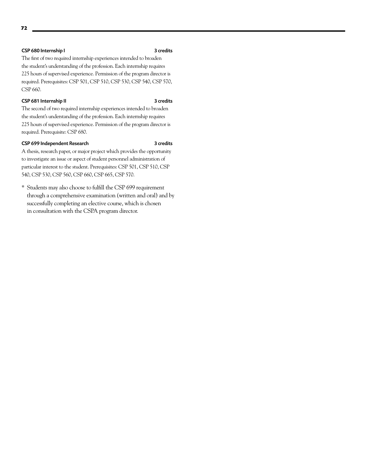**72**

The first of two required internship experiences intended to broaden the student's understanding of the profession. Each internship requires 225 hours of supervised experience. Permission of the program director is required. Prerequisites: CSP 501, CSP 510, CSP 530, CSP 540, CSP 570, CSP 660.

# CSP 681 Internship II 3 credits

The second of two required internship experiences intended to broaden the student's understanding of the profession. Each internship requires 225 hours of supervised experience. Permission of the program director is required. Prerequisite: CSP 680.

## CSP 699 Independent Research 3 credits

A thesis, research paper, or major project which provides the opportunity to investigate an issue or aspect of student personnel administration of particular interest to the student. Prerequisites: CSP 501, CSP 510, CSP 540, CSP 530, CSP 560, CSP 660, CSP 665, CSP 570.

\* Students may also choose to fulfill the CSP 699 requirement through a comprehensive examination (written and oral) and by successfully completing an elective course, which is chosen in consultation with the CSPA program director.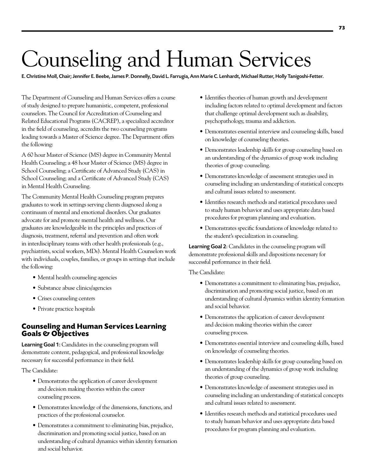# Counseling and Human Services

E. Christine Moll, Chair; Jennifer E. Beebe, James P. Donnelly, David L. Farrugia, Ann Marie C. Lenhardt, Michael Rutter, Holly Tanigoshi-Fetter.

The Department of Counseling and Human Services offers a course of study designed to prepare humanistic, competent, professional counselors. The Council for Accreditation of Counseling and Related Educational Programs (CACREP), a specialized accreditor in the field of counseling, accredits the two counseling programs leading towards a Master of Science degree. The Department offers the following:

A 60 hour Master of Science (MS) degree in Community Mental Health Counseling; a 48 hour Master of Science (MS) degree in School Counseling; a Certificate of Advanced Study (CAS) in School Counseling; and a Certificate of Advanced Study (CAS) in Mental Health Counseling.

The Community Mental Health Counseling program prepares graduates to work in settings serving clients diagnosed along a continuum of mental and emotional disorders. Our graduates advocate for and promote mental health and wellness. Our graduates are knowledgeable in the principles and practices of diagnosis, treatment, referral and prevention and often work in interdisciplinary teams with other health professionals (e.g., psychiatrists, social workers, MDs). Mental Health Counselors work with individuals, couples, families, or groups in settings that include the following:

- Mental health counseling agencies
- Substance abuse clinics/agencies
- • Crises counseling centers
- Private practice hospitals

# **Counseling and Human Services Learning Goals & Objectives**

Learning Goal 1: Candidates in the counseling program will demonstrate content, pedagogical, and professional knowledge necessary for successful performance in their field.

The Candidate:

- Demonstrates the application of career development and decision making theories within the career counseling process.
- • Demonstrates knowledge of the dimensions, functions, and practices of the professional counselor.
- • Demonstrates a commitment to eliminating bias, prejudice, discrimination and promoting social justice, based on an understanding of cultural dynamics within identity formation and social behavior.
- Identifies theories of human growth and development including factors related to optimal development and factors that challenge optimal development such as disability, psychopathology, trauma and addiction.
- • Demonstrates essential interview and counseling skills, based on knowledge of counseling theories.
- Demonstrates leadership skills for group counseling based on an understanding of the dynamics of group work including theories of group counseling.
- • Demonstrates knowledge of assessment strategies used in counseling including an understanding of statistical concepts and cultural issues related to assessment.
- Identifies research methods and statistical procedures used to study human behavior and uses appropriate data based procedures for program planning and evaluation.
- • Demonstrates specific foundations of knowledge related to the student's specialization in counseling.

Learning Goal 2: Candidates in the counseling program will demonstrate professional skills and dispositions necessary for successful performance in their field.

The Candidate:

- • Demonstrates a commitment to eliminating bias, prejudice, discrimination and promoting social justice, based on an understanding of cultural dynamics within identity formation and social behavior.
- • Demonstrates the application of career development and decision making theories within the career counseling process.
- • Demonstrates essential interview and counseling skills, based on knowledge of counseling theories.
- • Demonstrates leadership skills for group counseling based on an understanding of the dynamics of group work including theories of group counseling.
- Demonstrates knowledge of assessment strategies used in counseling including an understanding of statistical concepts and cultural issues related to assessment.
- Identifies research methods and statistical procedures used to study human behavior and uses appropriate data based procedures for program planning and evaluation.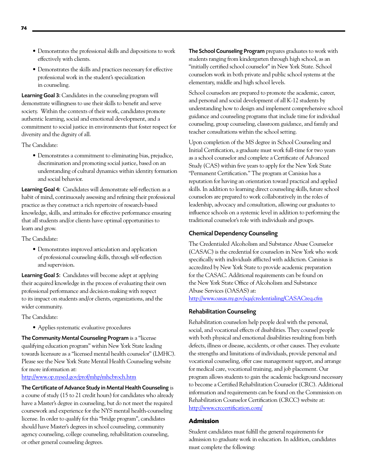- • Demonstrates the professional skills and dispositions to work effectively with clients.
- • Demonstrates the skills and practices necessary for effective professional work in the student's specialization in counseling.

Learning Goal 3: Candidates in the counseling program will demonstrate willingness to use their skills to benefit and serve society. Within the contexts of their work, candidates promote authentic learning, social and emotional development, and a commitment to social justice in environments that foster respect for diversity and the dignity of all.

The Candidate:

• Demonstrates a commitment to eliminating bias, prejudice, discrimination and promoting social justice, based on an understanding of cultural dynamics within identity formation and social behavior.

Learning Goal 4: Candidates will demonstrate self-reflection as a habit of mind, continuously assessing and refining their professional practice as they construct a rich repertoire of research-based knowledge, skills, and attitudes for effective performance ensuring that all students and/or clients have optimal opportunities to learn and grow.

The Candidate:

• Demonstrates improved articulation and application of professional counseling skills, through self-reflection and supervision.

**Learning Goal 5:** Candidates will become adept at applying their acquired knowledge in the process of evaluating their own professional performance and decision-making with respect to its impact on students and/or clients, organizations, and the wider community.

The Candidate:

• Applies systematic evaluative procedures

The Community Mental Counseling Program is a "license qualifying education program" within New York State leading towards licensure as a "licensed mental health counselor" (LMHC). Please see the New York State Mental Health Counseling website for more information at:

# <http://www.op.nysed.gov/prof/mhp/mhcbroch.htm>

The Certificate of Advance Study in Mental Health Counseling is a course of study (15 to 21 credit hours) for candidates who already have a Master's degree in counseling, but do not meet the required coursework and experience for the NYS mental health-counseling license. In order to qualify for this "bridge program", candidates should have Master's degrees in school counseling, community agency counseling, college counseling, rehabilitation counseling, or other general counseling degrees.

The School Counseling Program prepares graduates to work with students ranging from kindergarten through high school, as an "initially certified school counselor" in New York State. School counselors work in both private and public school systems at the elementary, middle and high school levels.

School counselors are prepared to promote the academic, career, and personal and social development of all K-12 students by understanding how to design and implement comprehensive school guidance and counseling programs that include time for individual counseling, group counseling, classroom guidance, and family and teacher consultations within the school setting.

Upon completion of the MS degree in School Counseling and Initial Certification, a graduate must work full-time for two years as a school counselor and complete a Certificate of Advanced Study (CAS) within five years to apply for the New York State "Permanent Certification." The program at Canisius has a reputation for having an orientation toward practical and applied skills. In addition to learning direct counseling skills, future school counselors are prepared to work collaboratively in the roles of leadership, advocacy and consultation, allowing our graduates to influence schools on a systemic level in addition to performing the traditional counselor's role with individuals and groups.

# Chemical Dependency Counseling

The Credentialed Alcoholism and Substance Abuse Counselor (CASAC) is the credential for counselors in New York who work specifically with individuals afflicted with addiction. Canisius is accredited by New York State to provide academic preparation for the CASAC. Additional requirements can be found on the New York State Office of Alcoholism and Substance Abuse Services (OASAS) at: <http://www.oasas.ny.gov/sqa/credentialing/CASACreq.cfm>

# Rehabilitation Counseling

Rehabilitation counselors help people deal with the personal, social, and vocational effects of disabilities. They counsel people with both physical and emotional disabilities resulting from birth defects, illness or disease, accidents, or other causes. They evaluate the strengths and limitations of individuals, provide personal and vocational counseling, offer case management support, and arrange for medical care, vocational training, and job placement. Our program allows students to gain the academic background necessary to become a Certified Rehabilitation Counselor (CRC). Additional information and requirements can be found on the Commission on Rehabilitation Counselor Certification (CRCC) website at: <http://www.crccertification.com/>

# **Admission**

Student candidates must fulfill the general requirements for admission to graduate work in education. In addition, candidates must complete the following: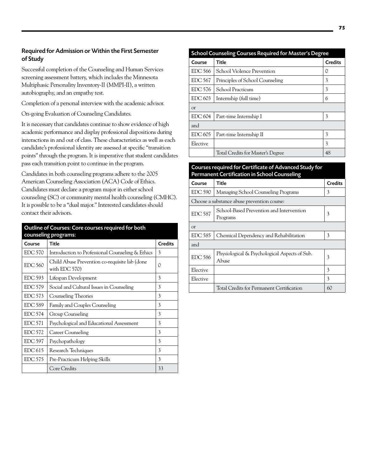# Required for Admission or Within the First Semester of Study

Successful completion of the Counseling and Human Services screening assessment battery, which includes the Minnesota Multiphasic Personality Inventory-II (MMPI-II), a written autobiography, and an empathy test.

Completion of a personal interview with the academic advisor.

On-going Evaluation of Counseling Candidates.

It is necessary that candidates continue to show evidence of high academic performance and display professional dispositions during interactions in and out of class. These characteristics as well as each candidate's professional identity are assessed at specific "transition points" through the program. It is imperative that student candidates pass each transition point to continue in the program.

Candidates in both counseling programs adhere to the 2005 American Counseling Association (ACA) Code of Ethics. Candidates must declare a program major in either school counseling (SC) or community mental health counseling (CMHC). It is possible to be a "dual major." Interested candidates should contact their advisors.

| Outline of Courses: Core courses required for both<br>counseling programs: |                                                                |                |
|----------------------------------------------------------------------------|----------------------------------------------------------------|----------------|
| Course                                                                     | <b>Title</b>                                                   | <b>Credits</b> |
| <b>EDC 570</b>                                                             | Introduction to Professional Counseling & Ethics               | 3              |
| <b>EDC 560</b>                                                             | Child Abuse Prevention co-requisite lab (done<br>with EDC 570) | 0              |
| <b>EDC 593</b>                                                             | Lifespan Development                                           | 3              |
| <b>EDC 579</b>                                                             | Social and Cultural Issues in Counseling                       | 3              |
| EDC 573                                                                    | Counseling Theories                                            | 3              |
| <b>EDC 589</b>                                                             | Family and Couples Counseling                                  | 3              |
| <b>EDC 574</b>                                                             | Group Counseling                                               | 3              |
| <b>EDC 571</b>                                                             | Psychological and Educational Assessment                       | 3              |
| <b>EDC 572</b>                                                             | Career Counseling                                              | 3              |
| <b>EDC 597</b>                                                             | Psychopathology                                                | 3              |
| EDC <sub>615</sub>                                                         | Research Techniques                                            | 3              |
| <b>EDC 575</b>                                                             | Pre-Practicum Helping Skills                                   | 3              |
|                                                                            | Core Credits                                                   | 33             |

# School Counseling Courses Required for Master's Degree Course Title Course Course Credits EDC 566 School Violence Prevention 0 EDC 567 Principles of School Counseling 3 EDC 576 School Practicum 3  $EDC 603$  Internship (full time) 6 or  $EDC 604$  Part-time Internship I 3 and  $EDC 605$  Part-time Internship II 3 Elective 3 Total Credits for Master's Degree 48

# Courses required for Certificate of Advanced Study for Permanent Certification in School Counseling

| Course   | Title                                                  | Credits |
|----------|--------------------------------------------------------|---------|
| EDC 590  | Managing School Counseling Programs                    | 3       |
|          | Choose a substance abuse prevention course:            |         |
| EDC 587  | School-Based Prevention and Intervention<br>Programs   | 3       |
| $\alpha$ |                                                        |         |
| EDC 585  | Chemical Dependency and Rehabilitation                 | 3       |
| and      |                                                        |         |
| EDC 586  | Physiological & Psychological Aspects of Sub.<br>Abuse | 3       |
| Elective |                                                        | 3       |
| Elective |                                                        | 3       |
|          | Total Credits for Permanent Certification              | 60      |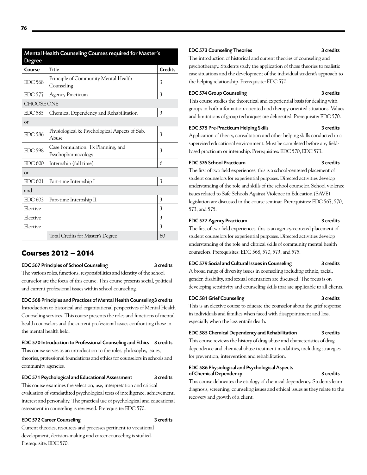| <b>Mental Health Counseling Courses required for Master's</b><br>Degree |                                                          |                |
|-------------------------------------------------------------------------|----------------------------------------------------------|----------------|
| Course                                                                  | <b>Title</b>                                             | <b>Credits</b> |
| EDC 568                                                                 | Principle of Community Mental Health<br>Counseling       | 3              |
| <b>EDC 577</b>                                                          | <b>Agency Practicum</b>                                  | 3              |
| <b>CHOOSE ONE</b>                                                       |                                                          |                |
| <b>EDC 585</b>                                                          | Chemical Dependency and Rehabilitation                   | 3              |
| Οľ                                                                      |                                                          |                |
| <b>EDC 586</b>                                                          | Physiological & Psychological Aspects of Sub.<br>Abuse   | 3              |
| <b>EDC 598</b>                                                          | Case Formulation, Tx Planning, and<br>Psychopharmacology | 3              |
| <b>EDC 600</b>                                                          | Internship (full time)                                   | 6              |
| Οľ                                                                      |                                                          |                |
| <b>EDC 601</b>                                                          | Part-time Internship I                                   | 3              |
| and                                                                     |                                                          |                |
| EDC 602                                                                 | Part-time Internship II                                  | 3              |
| Elective                                                                |                                                          | 3              |
| Elective                                                                |                                                          | 3              |
| Elective                                                                |                                                          | 3              |
|                                                                         | Total Credits for Master's Degree                        | 60             |

# **Courses 2012 – 2014**

#### EDC 567 Principles of School Counseling 3 credits

The various roles, functions, responsibilities and identity of the school counselor are the focus of this course. This course presents social, political and current professional issues within school counseling.

## EDC 568 Principles and Practices of Mental Health Counseling3 credits

Introduction to historical and organizational perspectives of Mental Health Counseling services. This course presents the roles and functions of mental health counselors and the current professional issues confronting those in the mental health field.

# EDC 570 Introduction to Professional Counseling and Ethics 3 credits

This course serves as an introduction to the roles, philosophy, issues, theories, professional foundations and ethics for counselors in schools and community agencies.

## EDC 571 Psychological and Educational Assessment 3 credits

This course examines the selection, use, interpretation and critical evaluation of standardized psychological tests of intelligence, achievement, interest and personality. The practical use of psychological and educational assessment in counseling is reviewed. Prerequisite: EDC 570.

# EDC 572 Career Counseling 3 credits

Current theories, resources and processes pertinent to vocational development, decision-making and career counseling is studied. Prerequisite: EDC 570.

## EDC 573 Counseling Theories 3 credits

The introduction of historical and current theories of counseling and psychotherapy. Students study the application of those theories to realistic case situations and the development of the individual student's approach to the helping relationship. Prerequisite: EDC 570.

#### EDC 574 Group Counseling 3 credits

This course studies the theoretical and experiential basis for dealing with groups in both information-oriented and therapy-oriented situations. Values and limitations of group techniques are delineated. Prerequisite: EDC 570.

## EDC 575 Pre-Practicum Helping Skills 3 credits

Application of theory, consultation and other helping skills conducted in a supervised educational environment. Must be completed before any fieldbased practicum or internship. Prerequisites: EDC 570, EDC 573.

# EDC 576 School Practicum 3 credits

The first of two field experiences, this is a school-centered placement of student counselors for experiential purposes. Directed activities develop understanding of the role and skills of the school counselor. School violence issues related to Safe Schools Against Violence in Education (SAVE) legislation are discussed in the course seminar. Prerequisites: EDC 567, 570, 573, and 575.

# EDC 577 Agency Practicum 3 credits

The first of two field experiences, this is an agency-centered placement of student counselors for experiential purposes. Directed activities develop understanding of the role and clinical skills of community mental health counselors. Prerequisites: EDC 568, 570, 573, and 575.

# EDC 579 Social and Cultural Issues in Counseling 3 credits

A broad range of diversity issues in counseling including ethnic, racial, gender, disability, and sexual orientation are discussed. The focus is on developing sensitivity and counseling skills that are applicable to all clients.

# EDC 581 Grief Counseling 3 credits

This is an elective course to educate the counselor about the grief response in individuals and families when faced with disappointment and loss, especially when the loss entails death.

# EDC 585 Chemical Dependency and Rehabilitation 3 credits

This course reviews the history of drug abuse and characteristics of drug dependence and chemical abuse treatment modalities, including strategies for prevention, intervention and rehabilitation.

# EDC 586 Physiological and Psychological Aspects of Chemical Dependency 3 credits

This course delineates the etiology of chemical dependency. Students learn diagnosis, screening, counseling issues and ethical issues as they relate to the recovery and growth of a client.

**76**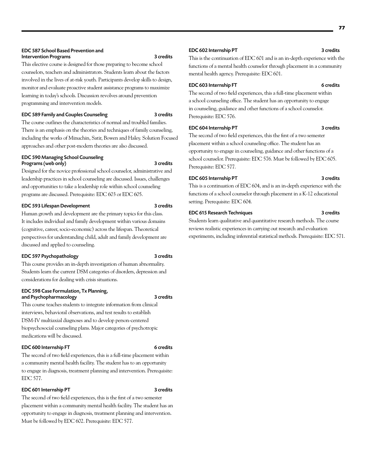# EDC 587 School Based Prevention and Intervention Programs 3 credits

This elective course is designed for those preparing to become school counselors, teachers and administrators. Students learn about the factors involved in the lives of at-risk youth. Participants develop skills to design, monitor and evaluate proactive student assistance programs to maximize learning in today's schools. Discussion revolves around prevention programming and intervention models.

# EDC 589 Family and Couples Counseling 3 credits

The course outlines the characteristics of normal and troubled families. There is an emphasis on the theories and techniques of family counseling, including the works of Minuchin, Satir, Bowen and Haley. Solution Focused approaches and other post-modern theories are also discussed.

# EDC 590 Managing School Counseling Programs (web only) 3 credits

Designed for the novice professional school counselor, administrative and leadership practices in school counseling are discussed. Issues, challenges and opportunities to take a leadership role within school counseling programs are discussed. Prerequisite: EDC 603 or EDC 605.

# EDC 593 Lifespan Development 3 credits

Human growth and development are the primary topics for this class. It includes individual and family development within various domains (cognitive, career, socio-economic) across the lifespan. Theoretical perspectives for understanding child, adult and family development are discussed and applied to counseling.

# EDC 597 Psychopathology 3 credits

This course provides an in-depth investigation of human abnormality. Students learn the current DSM categories of disorders, depression and considerations for dealing with crisis situations.

# EDC 598 Case Formulation, Tx Planning, and Psychopharmacology 3 credits

# This course teaches students to integrate information from clinical interviews, behavioral observations, and test results to establish DSM-IV multiaxial diagnoses and to develop person-centered biopsychosocial counseling plans. Major categories of psychotropic medications will be discussed.

# EDC 600 Internship FT 6 credits

The second of two field experiences, this is a full-time placement within a community mental health facility. The student has to an opportunity to engage in diagnosis, treatment planning and intervention. Prerequisite: EDC 577.

# EDC 601 Internship PT 3 credits

The second of two field experiences, this is the first of a two semester placement within a community mental health facility. The student has an opportunity to engage in diagnosis, treatment planning and intervention. Must be followed by EDC 602. Prerequisite: EDC 577.

## EDC 602 Internship PT 3 credits

This is the continuation of EDC 601 and is an in-depth experience with the functions of a mental health counselor through placement in a community mental health agency. Prerequisite: EDC 601.

# EDC 603 Internship FT 6 credits

The second of two field experiences, this a full-time placement within a school counseling office. The student has an opportunity to engage in counseling, guidance and other functions of a school counselor. Prerequisite: EDC 576.

# EDC 604 Internship PT 3 credits

The second of two field experiences, this the first of a two semester placement within a school counseling office. The student has an opportunity to engage in counseling, guidance and other functions of a school counselor. Prerequisite: EDC 576. Must be followed by EDC 605. Prerequisite: EDC 577.

# EDC 605 Internship PT 3 credits

This is a continuation of EDC 604, and is an in-depth experience with the functions of a school counselor through placement in a K-12 educational setting. Prerequisite: EDC 604.

# EDC 615 Research Techniques 3 credits

Students learn qualitative and quantitative research methods. The course reviews realistic experiences in carrying out research and evaluation experiments, including inferential statistical methods. Prerequisite: EDC 571.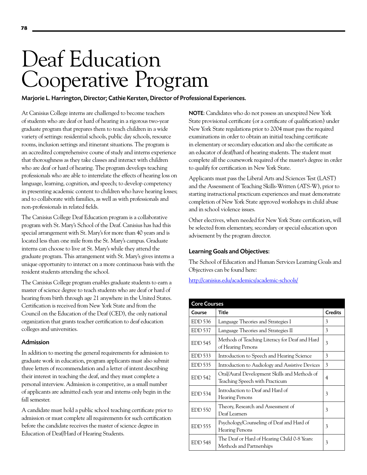# Deaf Education Cooperative Program

Marjorie L. Harrington, Director; Cathie Kersten, Director of Professional Experiences.

At Canisius College interns are challenged to become teachers of students who are deaf or hard of hearing in a rigorous two-year graduate program that prepares them to teach children in a wide variety of settings: residential schools, public day schools, resource rooms, inclusion settings and itinerant situations. The program is an accredited comprehensive course of study and interns experience that thoroughness as they take classes and interact with children who are deaf or hard of hearing. The program develops teaching professionals who are able to interrelate the effects of hearing loss on language, learning, cognition, and speech; to develop competency in presenting academic content to children who have hearing losses; and to collaborate with families, as well as with professionals and non-professionals in related fields.

The Canisius College Deaf Education program is a collaborative program with St. Mary's School of the Deaf. Canisius has had this special arrangement with St. Mary's for more than 40 years and is located less than one mile from the St. Mary's campus. Graduate interns can choose to live at St. Mary's while they attend the graduate program. This arrangement with St. Mary's gives interns a unique opportunity to interact on a more continuous basis with the resident students attending the school.

The Canisius College program enables graduate students to earn a master of science degree to teach students who are deaf or hard of hearing from birth through age 21 anywhere in the United States. Certification is received from New York State and from the Council on the Education of the Deaf (CED), the only national organization that grants teacher certification to deaf education colleges and universities.

# Admission

In addition to meeting the general requirements for admission to graduate work in education, program applicants must also submit three letters of recommendation and a letter of intent describing their interest in teaching the deaf, and they must complete a personal interview. Admission is competitive, as a small number of applicants are admitted each year and interns only begin in the fall semester.

A candidate must hold a public school teaching certificate prior to admission or must complete all requirements for such certification before the candidate receives the master of science degree in Education of Deaf/Hard of Hearing Students.

NOTE: Candidates who do not possess an unexpired New York State provisional certificate (or a certificate of qualification) under New York State regulations prior to 2004 must pass the required examinations in order to obtain an initial teaching certificate in elementary or secondary education and also the certificate as an educator of deaf/hard of hearing students. The student must complete all the coursework required of the master's degree in order to qualify for certification in New York State.

Applicants must pass the Liberal Arts and Sciences Test (LAST) and the Assessment of Teaching Skills-Written (ATS-W), prior to starting instructional practicum experiences and must demonstrate completion of New York State approved workshops in child abuse and in school violence issues.

Other electives, when needed for New York State certification, will be selected from elementary, secondary or special education upon advisement by the program director.

# Learning Goals and Objectives:

The School of Education and Human Services Learning Goals and Objectives can be found here:

# <http://canisius.edu/academics/academic-schools/>

| <b>Core Courses</b> |                                                                                |                |
|---------------------|--------------------------------------------------------------------------------|----------------|
| Course              | Title                                                                          | <b>Credits</b> |
| EDD 536             | Language Theories and Strategies I                                             | 3              |
| <b>EDD</b> 537      | Language Theories and Strategies II                                            | 3              |
| <b>EDD 545</b>      | Methods of Teaching Literacy for Deaf and Hard<br>of Hearing Persons           | 3              |
| EDD 533             | Introduction to Speech and Hearing Science                                     | 3              |
| EDD 535             | Introduction to Audiology and Assistive Devices                                | 3              |
| <b>EDD 542</b>      | Oral/Aural Development Skills and Methods of<br>Teaching Speech with Practicum | 4              |
| EDD 534             | Introduction to Deaf and Hard of<br><b>Hearing Persons</b>                     | 3              |
| <b>EDD 550</b>      | Theory, Research and Assessment of<br>Deaf Learners                            | 3              |
| $EDD$ 555           | Psychology/Counseling of Deaf and Hard of<br><b>Hearing Persons</b>            | 3              |
| EDD 548             | The Deaf or Hard of Hearing Child 0-8 Years:<br>Methods and Partnerships       | 3              |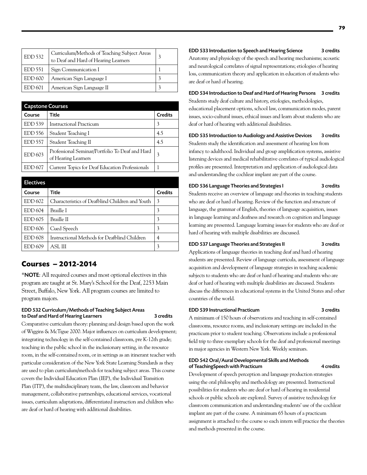| <b>EDD 532</b> | Curriculum/Methods of Teaching Subject Areas<br>to Deaf and Hard of Hearing Learners |  |
|----------------|--------------------------------------------------------------------------------------|--|
| EDD 551        | Sign Communication I                                                                 |  |
| <b>EDD 600</b> | American Sign Language I                                                             |  |
| EDD 601        | American Sign Language II                                                            |  |

| <b>Capstone Courses</b> |                                                                        |                |
|-------------------------|------------------------------------------------------------------------|----------------|
| Course                  | Title                                                                  | <b>Credits</b> |
| EDD 539                 | <b>Instructional Practicum</b>                                         | 3              |
| EDD 556                 | Student Teaching I                                                     | 4.5            |
| <b>EDD</b> 557          | Student Teaching II                                                    | 4.5            |
| EDD 603                 | Professional Seminar/Portfolio To Deaf and Hard<br>of Hearing Learners | 3              |
| EDD 607                 | Current Topics for Deaf Education Professionals                        |                |

| <b>Electives</b> |                                                 |                |
|------------------|-------------------------------------------------|----------------|
| Course           | Title                                           | <b>Credits</b> |
| EDD 602          | Characteristics of Deafblind Children and Youth | 3              |
| EDD 604          | Braille I                                       | 3              |
| EDD 605          | Braille II                                      | 3              |
| EDD 606          | Cued Speech                                     | 3              |
| <b>EDD 608</b>   | Instructional Methods for Deafblind Children    | 4              |
| EDD 609          | ASL III                                         | 3              |

# **Courses – 2012-2014**

\*NOTE: All required courses and most optional electives in this program are taught at St. Mary's School for the Deaf, 2253 Main Street, Buffalo, New York. All program courses are limited to program majors.

# EDD 532 Curriculum/Methods of Teaching Subject Areas to Deaf and Hard of Hearing Learners 3 credits

Comparative curriculum theory: planning and design based upon the work of Wiggins & McTigue 2000. Major influences on curriculum development; integrating technology in the self-contained classroom, pre K-12th grade; teaching in the public school in the inclusionary setting, in the resource room, in the self-contained room, or in settings as an itinerant teacher with particular consideration of the New York State Learning Standards as they are used to plan curriculum/methods for teaching subject areas. This course covers the Individual Education Plan (IEP), the Individual Transition Plan (ITP), the multidisciplinary team, the law, classroom and behavior management, collaborative partnerships, educational services, vocational issues, curriculum adaptations, differentiated instruction and children who are deaf or hard of hearing with additional disabilities.

#### EDD 533 Introduction to Speech and Hearing Science 3 credits

Anatomy and physiology of the speech and hearing mechanisms; acoustic and neurological correlates of signal representations; etiologies of hearing loss, communication theory and application in education of students who are deaf or hard of hearing.

## EDD 534 Introduction to Deaf and Hard of Hearing Persons 3 credits Students study deaf culture and history, etiologies, methodologies,

educational placement options, school law, communication modes, parent issues, socio-cultural issues, ethical issues and learn about students who are deaf or hard of hearing with additional disabilities.

# EDD 535 Introduction to Audiology and Assistive Devices 3 credits

Students study the identification and assessment of hearing loss from infancy to adulthood. Individual and group amplification systems, assistive listening devices and medical rehabilitative correlates of typical audiological profiles are presented. Interpretation and application of audiological data and understanding the cochlear implant are part of the course.

# EDD 536 Language Theories and Strategies I 3 credits

Students receive an overview of language and theories in teaching students who are deaf or hard of hearing. Review of the function and structure of language, the grammar of English, theories of language acquisition, issues in language learning and deafness and research on cognition and language learning are presented. Language learning issues for students who are deaf or hard of hearing with multiple disabilities are discussed.

## EDD 537 Language Theories and Strategies II 3 credits

Applications of language theories in teaching deaf and hard of hearing students are presented. Review of language curricula, assessment of language acquisition and development of language strategies in teaching academic subjects to students who are deaf or hard of hearing and students who are deaf or hard of hearing with multiple disabilities are discussed. Students discuss the differences in educational systems in the United States and other countries of the world.

## EDD 539 Instructional Practicum 3 credits

A minimum of 150 hours of observations and teaching in self-contained classrooms, resource rooms, and inclusionary settings are included in the practicum prior to student teaching. Observations include a professional field trip to three exemplary schools for the deaf and professional meetings in major agencies in Western New York. Weekly seminars.

# EDD 542 Oral/Aural Developmental Skills and Methods of TeachingSpeech with Practicum 4 credits

Development of speech perception and language production strategies using the oral philosophy and methodology are presented. Instructional possibilities for students who are deaf or hard of hearing in residential schools or public schools are explored. Survey of assistive technology for classroom communication and understanding students' use of the cochlear implant are part of the course. A minimum 65 hours of a practicum assignment is attached to the course so each intern will practice the theories and methods presented in the course.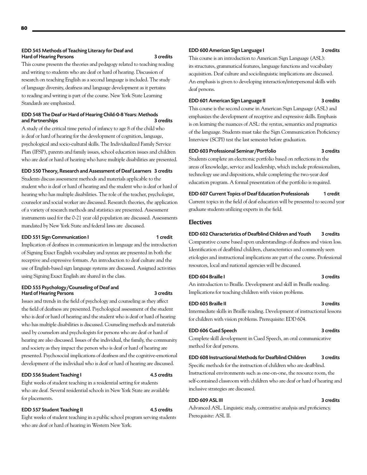## EDD 545 Methods of Teaching Literacy for Deaf and Hard of Hearing Persons 3 credits

This course presents the theories and pedagogy related to teaching reading and writing to students who are deaf or hard of hearing. Discussion of research on teaching English as a second language is included. The study of language diversity, deafness and language development as it pertains to reading and writing is part of the course. New York State Learning Standards are emphasized.

# EDD 548 The Deaf or Hard of Hearing Child-0-8 Years: Methods and Partnerships 3 credits

A study of the critical time period of infancy to age 8 of the child who is deaf or hard of hearing for the development of cognition, language, psychological and socio-cultural skills. The Individualized Family Service Plan (IFSP), parents and family issues, school education issues and children who are deaf or hard of hearing who have multiple disabilities are presented.

## EDD 550 Theory, Research and Assessment of Deaf Learners 3 credits

Students discuss assessment methods and materials applicable to the student who is deaf or hard of hearing and the student who is deaf or hard of hearing who has multiple disabilities. The role of the teacher, psychologist, counselor and social worker are discussed. Research theories, the application of a variety of research methods and statistics are presented. Assessment instruments used for the 0-21 year old population are discussed. Assessments mandated by New York State and federal laws are discussed.

## EDD 551 Sign Communication I 1 credit

Implication of deafness in communication in language and the introduction of Signing Exact English vocabulary and syntax are presented in both the receptive and expressive formats. An introduction to deaf culture and the use of English-based sign language systems are discussed. Assigned activities using Signing Exact English are shared in the class.

## EDD 555 Psychology/Counseling of Deaf and Hard of Hearing Persons

Issues and trends in the field of psychology and counseling as they affect the field of deafness are presented. Psychological assessment of the student who is deaf or hard of hearing and the student who is deaf or hard of hearing who has multiple disabilities is discussed. Counseling methods and materials used by counselors and psychologists for persons who are deaf or hard of hearing are also discussed. Issues of the individual, the family, the community and society as they impact the person who is deaf or hard of hearing are presented. Psychosocial implications of deafness and the cognitive-emotional development of the individual who is deaf or hard of hearing are discussed.

# EDD 556 Student Teaching I 4.5 credits

Eight weeks of student teaching in a residential setting for students who are deaf. Several residential schools in New York State are available for placements.

# EDD 557 Student Teaching II 4.5 credits

Eight weeks of student teaching in a public school program serving students who are deaf or hard of hearing in Western New York.

## EDD 600 American Sign Language I 3 credits

This course is an introduction to American Sign Language (ASL): its structures, grammatical features, language functions and vocabulary acquisition. Deaf culture and sociolinguistic implications are discussed. An emphasis is given to developing interaction/interpersonal skills with deaf persons.

#### EDD 601 American Sign Language II 3 credits

This course is the second course in American Sign Language (ASL) and emphasizes the development of receptive and expressive skills. Emphasis is on learning the nuances of ASL: the syntax, semantics and pragmatics of the language. Students must take the Sign Communication Proficiency Interview (SCPI) test the last semester before graduation.

# EDD 603 Professional Seminar/Portfolio 3 credits

Students complete an electronic portfolio based on reflections in the areas of knowledge, service and leadership, which include professionalism, technology use and dispositions, while completing the two-year deaf education program. A formal presentation of the portfolio is required.

EDD 607 Current Topics of Deaf Education Professionals 1 credit Current topics in the field of deaf education will be presented to second year graduate students utilizing experts in the field.

# Electives

# EDD 602 Characteristics of Deafblind Children and Youth 3 credits

Comparative course based upon understandings of deafness and vision loss. Identification of deafblind children, characteristics and commonly seen etiologies and instructional implications are part of the course. Professional resources, local and national agencies will be discussed.

An introduction to Braille. Development and skill in Braille reading. Implications for teaching children with vision problems.

#### EDD 605 Braille II 3 credits

Intermediate skills in Braille reading. Development of instructional lessons for children with vision problems. Prerequisite: EDD 604.

## EDD 606 Cued Speech 3 credits

Complete skill development in Cued Speech, an oral communicative method for deaf persons.

# EDD 608 Instructional Methods for Deafblind Children 3 credits

Specific methods for the instruction of children who are deafblind. Instructional environments such as one-on-one, the resource room, the self-contained classroom with children who are deaf or hard of hearing and inclusive strategies are discussed.

# EDD 609 ASL III 3 credits

Advanced ASL. Linguistic study, contrastive analysis and proficiency. Prerequisite: ASL II.

# EDD 604 Braille I 3 credits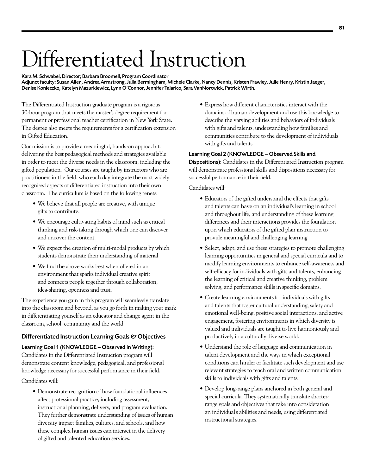# Differentiated Instruction

Kara M. Schwabel, Director; Barbara Broomell, Program Coordinator Adjunct faculty: Susan Allen, Andrea Armstrong, Julia Bermingham, Michele Clarke, Nancy Dennis, Kristen Frawley, Julie Henry, Kristin Jaeger, Denise Konieczko, Katelyn Mazurkiewicz, Lynn O'Connor, Jennifer Talarico, Sara VanNortwick, Patrick Wirth.

The Differentiated Instruction graduate program is a rigorous 30-hour program that meets the master's degree requirement for permanent or professional teacher certification in New York State. The degree also meets the requirements for a certification extension in Gifted Education.

Our mission is to provide a meaningful, hands-on approach to delivering the best pedagogical methods and strategies available in order to meet the diverse needs in the classroom, including the gifted population. Our courses are taught by instructors who are practitioners in the field, who each day integrate the most widely recognized aspects of differentiated instruction into their own classroom. The curriculum is based on the following tenets:

- • We believe that all people are creative, with unique gifts to contribute.
- We encourage cultivating habits of mind such as critical thinking and risk-taking through which one can discover and uncover the content.
- We expect the creation of multi-modal products by which students demonstrate their understanding of material.
- We find the above works best when offered in an environment that sparks individual creative spirit and connects people together through collaboration, idea-sharing, openness and trust.

The experience you gain in this program will seamlessly translate into the classroom and beyond, as you go forth in making your mark in differentiating yourself as an educator and change agent in the classroom, school, community and the world.

# Differentiated Instruction Learning Goals & Objectives

Learning Goal 1 (KNOWLEDGE – Observed in Writing): Candidates in the Differentiated Instruction program will demonstrate content knowledge, pedagogical, and professional knowledge necessary for successful performance in their field.

Candidates will:

• Demonstrate recognition of how foundational influences affect professional practice, including assessment, instructional planning, delivery, and program evaluation. They further demonstrate understanding of issues of human diversity impact families, cultures, and schools, and how these complex human issues can interact in the delivery of gifted and talented education services.

• Express how different characteristics interact with the domains of human development and use this knowledge to describe the varying abilities and behaviors of individuals with gifts and talents, understanding how families and communities contribute to the development of individuals with gifts and talents.

# Learning Goal 2 (KNOWLEDGE – Observed Skills and

Dispositions): Candidates in the Differentiated Instruction program will demonstrate professional skills and dispositions necessary for successful performance in their field.

Candidates will:

- Educators of the gifted understand the effects that gifts and talents can have on an individual's learning in school and throughout life, and understanding of these learning differences and their interactions provides the foundation upon which educators of the gifted plan instruction to provide meaningful and challenging learning.
- Select, adapt, and use these strategies to promote challenging learning opportunities in general and special curricula and to modify learning environments to enhance self-awareness and self-efficacy for individuals with gifts and talents, enhancing the learning of critical and creative thinking, problem solving, and performance skills in specific domains.
- Create learning environments for individuals with gifts and talents that foster cultural understanding, safety and emotional well-being, positive social interactions, and active engagement, fostering environments in which diversity is valued and individuals are taught to live harmoniously and productively in a culturally diverse world.
- Understand the role of language and communication in talent development and the ways in which exceptional conditions can hinder or facilitate such development and use relevant strategies to teach oral and written communication skills to individuals with gifts and talents.
- Develop long-range plans anchored in both general and special curricula. They systematically translate shorterrange goals and objectives that take into consideration an individual's abilities and needs, using differentiated instructional strategies.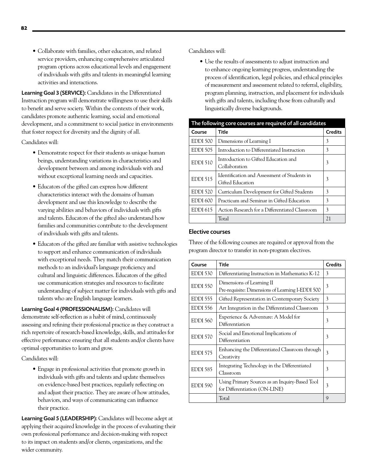• Collaborate with families, other educators, and related service providers, enhancing comprehensive articulated program options across educational levels and engagement of individuals with gifts and talents in meaningful learning activities and interactions.

Learning Goal 3 (SERVICE): Candidates in the Differentiated Instruction program will demonstrate willingness to use their skills to benefit and serve society. Within the contexts of their work, candidates promote authentic learning, social and emotional development, and a commitment to social justice in environments that foster respect for diversity and the dignity of all.

Candidates will:

- Demonstrate respect for their students as unique human beings, understanding variations in characteristics and development between and among individuals with and without exceptional learning needs and capacities.
- Educators of the gifted can express how different characteristics interact with the domains of human development and use this knowledge to describe the varying abilities and behaviors of individuals with gifts and talents. Educators of the gifted also understand how families and communities contribute to the development of individuals with gifts and talents.
- Educators of the gifted are familiar with assistive technologies to support and enhance communication of individuals with exceptional needs. They match their communication methods to an individual's language proficiency and cultural and linguistic differences. Educators of the gifted use communication strategies and resources to facilitate understanding of subject matter for individuals with gifts and talents who are English language learners.

Learning Goal 4 (PROFESSIONALISM): Candidates will demonstrate self-reflection as a habit of mind, continuously assessing and refining their professional practice as they construct a rich repertoire of research-based knowledge, skills, and attitudes for effective performance ensuring that all students and/or clients have optimal opportunities to learn and grow.

Candidates will:

• Engage in professional activities that promote growth in individuals with gifts and talents and update themselves on evidence-based best practices, regularly reflecting on and adjust their practice. They are aware of how attitudes, behaviors, and ways of communicating can influence their practice.

Learning Goal 5 (LEADERSHIP): Candidates will become adept at applying their acquired knowledge in the process of evaluating their own professional performance and decision-making with respect to its impact on students and/or clients, organizations, and the wider community.

Candidates will:

• Use the results of assessments to adjust instruction and to enhance ongoing learning progress, understanding the process of identification, legal policies, and ethical principles of measurement and assessment related to referral, eligibility, program planning, instruction, and placement for individuals with gifts and talents, including those from culturally and linguistically diverse backgrounds.

| The following core courses are required of all candidates |                                                                  |                |
|-----------------------------------------------------------|------------------------------------------------------------------|----------------|
| Course                                                    | <b>Title</b>                                                     | <b>Credits</b> |
| EDDI 500                                                  | Dimensions of Learning I                                         | 3              |
| <b>EDDI 505</b>                                           | Introduction to Differentiated Instruction                       | 3              |
| <b>EDDI 510</b>                                           | Introduction to Gifted Education and<br>Collaboration            | 3              |
| <b>EDDI 515</b>                                           | Identification and Assessment of Students in<br>Gifted Education | 3              |
| <b>EDDI 520</b>                                           | Curriculum Development for Gifted Students                       | 3              |
| <b>EDDI 600</b>                                           | Practicum and Seminar in Gifted Education                        | 3              |
| <b>EDDI 615</b>                                           | Action Research for a Differentiated Classroom                   | 3              |
|                                                           | Total                                                            | 21             |

# Elective courses

Three of the following courses are required or approval from the program director to transfer in non-program electives.

| Course          | Title                                                                           | <b>Credits</b> |
|-----------------|---------------------------------------------------------------------------------|----------------|
| EDDI 530        | Differentiating Instruction in Mathematics K-12                                 | 3              |
| EDDI 550        | Dimensions of Learning II<br>Pre-requisite: Dimensions of Learning I-EDDI 500   | 3              |
| <b>EDDI 555</b> | Gifted Representation in Contemporary Society                                   | 3              |
| <b>EDDI 556</b> | Art Integration in the Differentiated Classroom                                 | 3              |
| EDDI 560        | Experience & Adventure: A Model for<br>Differentiation                          | 3              |
| EDDI 570        | Social and Emotional Implications of<br>Differentiation                         | 3              |
| <b>EDDI 575</b> | Enhancing the Differentiated Classroom through<br>Creativity                    | 3              |
| <b>EDDI 585</b> | Integrating Technology in the Differentiated<br>Classroom                       | 3              |
| EDDI 590        | Using Primary Sources as an Inquiry-Based Tool<br>for Differentiation (ON-LINE) | 3              |
|                 | Total                                                                           | 9              |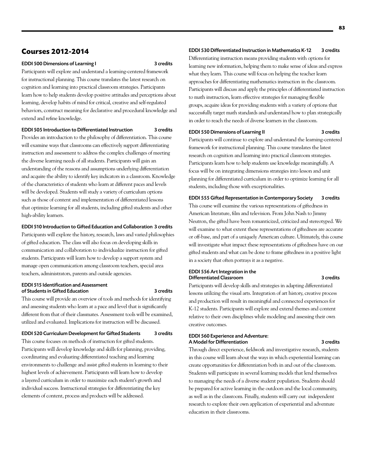# **Courses 2012-2014**

## EDDI 500 Dimensions of Learning I 3 credits

Participants will explore and understand a learning-centered framework for instructional planning. This course translates the latest research on cognition and learning into practical classroom strategies. Participants learn how to help students develop positive attitudes and perceptions about learning, develop habits of mind for critical, creative and self-regulated behaviors, construct meaning for declarative and procedural knowledge and extend and refine knowledge.

# EDDI 505 Introduction to Differentiated Instruction 3 credits

Provides an introduction to the philosophy of differentiation. This course will examine ways that classrooms can effectively support differentiating instruction and assessment to address the complex challenges of meeting the diverse learning needs of all students. Participants will gain an understanding of the reasons and assumptions underlying differentiation and acquire the ability to identify key indicators in a classroom. Knowledge of the characteristics of students who learn at different paces and levels will be developed. Students will study a variety of curriculum options such as those of content and implementation of differentiated lessons that optimize learning for all students, including gifted students and other high-ability learners.

# EDDI 510 Introduction to Gifted Education and Collaboration 3 credits

Participants will explore the history, research, laws and varied philosophies of gifted education. The class will also focus on developing skills in communication and collaboration to individualize instruction for gifted students. Participants will learn how to develop a support system and manage open communication among classroom teachers, special area teachers, administrators, parents and outside agencies.

## EDDI 515 Identification and Assessment of Students in Gifted Education 3 credits

This course will provide an overview of tools and methods for identifying and assessing students who learn at a pace and level that is significantly different from that of their classmates. Assessment tools will be examined, utilized and evaluated. Implications for instruction will be discussed.

# EDDI 520 Curriculum Development for Gifted Students 3 credits

This course focuses on methods of instruction for gifted students. Participants will develop knowledge and skills for planning, providing, coordinating and evaluating differentiated teaching and learning environments to challenge and assist gifted students in learning to their highest levels of achievement. Participants will learn how to develop a layered curriculum in order to maximize each student's growth and individual success. Instructional strategies for differentiating the key elements of content, process and products will be addressed.

# EDDI 530 Differentiated Instruction in Mathematics K-12 3 credits

Differentiating instruction means providing students with options for learning new information, helping them to make sense of ideas and express what they learn. This course will focus on helping the teacher learn approaches for differentiating mathematics instruction in the classroom. Participants will discuss and apply the principles of differentiated instruction to math instruction, learn effective strategies for managing flexible groups, acquire ideas for providing students with a variety of options that successfully target math standards and understand how to plan strategically in order to reach the needs of diverse learners in the classroom.

# EDDI 550 Dimensions of Learning II 3 credits

Participants will continue to explore and understand the learning-centered framework for instructional planning. This course translates the latest research on cognition and learning into practical classroom strategies. Participants learn how to help students use knowledge meaningfully. A focus will be on integrating dimensions strategies into lesson and unit planning for differentiated curriculum in order to optimize learning for all students, including those with exceptionalities.

#### EDDI 555 Gifted Representation in Contemporary Society 3 credits

This course will examine the various representations of giftedness in American literature, film and television. From John Nash to Jimmy Neutron, the gifted have been romanticized, criticized and stereotyped. We will examine to what extent these representations of giftedness are accurate or off-base, and part of a uniquely American culture. Ultimately, this course will investigate what impact these representations of giftedness have on our gifted students and what can be done to frame giftedness in a positive light in a society that often portrays it as a negative.

#### EDDI 556 Art Integration in the Differentiated Classroom 3 credits

Participants will develop skills and strategies in adapting differentiated lessons utilizing the visual arts. Integration of art history, creative process and production will result in meaningful and connected experiences for K-12 students. Participants will explore and extend themes and content relative to their own disciplines while modeling and assessing their own creative outcomes.

## EDDI 560 Experience and Adventure: A Model for Differentiation 3 credits

Through direct experience, fieldwork and investigative research, students in this course will learn about the ways in which experiential learning can create opportunities for differentiation both in and out of the classroom. Students will participate in several learning models that lend themselves to managing the needs of a diverse student population. Students should be prepared for active learning in the outdoors and the local community, as well as in the classroom. Finally, students will carry out independent research to explore their own application of experiential and adventure education in their classrooms.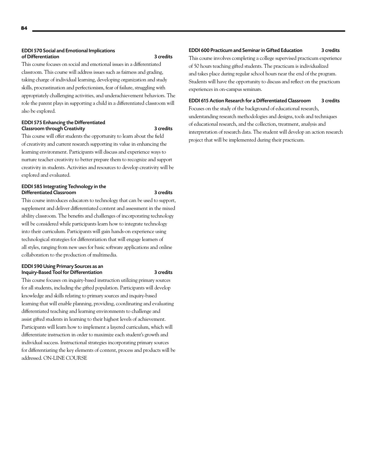# EDDI 570 Social and Emotional Implications of Differentiation 3 credits

This course focuses on social and emotional issues in a differentiated classroom. This course will address issues such as fairness and grading, taking charge of individual learning, developing organization and study skills, procrastination and perfectionism, fear of failure, struggling with appropriately challenging activities, and underachievement behaviors. The role the parent plays in supporting a child in a differentiated classroom will also be explored.

# EDDI 575 Enhancing the Differentiated Classroom through Creativity **3** credits

This course will offer students the opportunity to learn about the field of creativity and current research supporting its value in enhancing the learning environment. Participants will discuss and experience ways to nurture teacher creativity to better prepare them to recognize and support creativity in students. Activities and resources to develop creativity will be explored and evaluated.

## EDDI 585 Integrating Technology in the Differentiated Classroom 3 credits

This course introduces educators to technology that can be used to support, supplement and deliver differentiated content and assessment in the mixed ability classroom. The benefits and challenges of incorporating technology will be considered while participants learn how to integrate technology into their curriculum. Participants will gain hands-on experience using technological strategies for differentiation that will engage learners of all styles, ranging from new uses for basic software applications and online collaboration to the production of multimedia.

# EDDI 590 Using Primary Sources as an Inquiry-Based Tool for Differentiation 3 credits

This course focuses on inquiry-based instruction utilizing primary sources for all students, including the gifted population. Participants will develop knowledge and skills relating to primary sources and inquiry-based learning that will enable planning, providing, coordinating and evaluating differentiated teaching and learning environments to challenge and assist gifted students in learning to their highest levels of achievement. Participants will learn how to implement a layered curriculum, which will differentiate instruction in order to maximize each student's growth and individual success. Instructional strategies incorporating primary sources for differentiating the key elements of content, process and products will be addressed. ON-LINE COURSE

# EDDI 600 Practicum and Seminar in Gifted Education 3 credits

This course involves completing a college supervised practicum experience of 50 hours teaching gifted students. The practicum is individualized and takes place during regular school hours near the end of the program. Students will have the opportunity to discuss and reflect on the practicum experiences in on-campus seminars.

# EDDI 615 Action Research for a Differentiated Classroom 3 credits

Focuses on the study of the background of educational research, understanding research methodologies and designs, tools and techniques of educational research, and the collection, treatment, analysis and interpretation of research data. The student will develop an action research project that will be implemented during their practicum.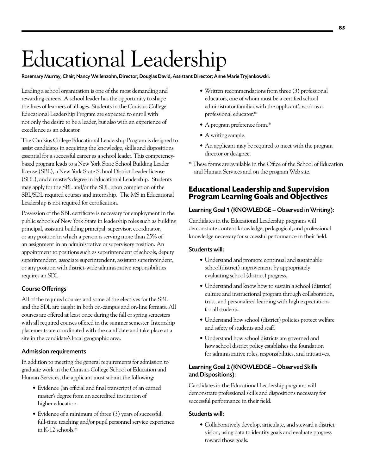# Educational Leadership

Rosemary Murray, Chair; Nancy Wellenzohn, Director; Douglas David, Assistant Director; Anne Marie Tryjankowski.

Leading a school organization is one of the most demanding and rewarding careers. A school leader has the opportunity to shape the lives of learners of all ages. Students in the Canisius College Educational Leadership Program are expected to enroll with not only the desire to be a leader, but also with an experience of excellence as an educator.

The Canisius College Educational Leadership Program is designed to assist candidates in acquiring the knowledge, skills and dispositions essential for a successful career as a school leader. This competencybased program leads to a New York State School Building Leader license (SBL), a New York State School District Leader license (SDL), and a master's degree in Educational Leadership. Students may apply for the SBL and/or the SDL upon completion of the SBL/SDL required courses and internship. The MS in Educational Leadership is not required for certification.

Possession of the SBL certificate is necessary for employment in the public schools of New York State in leadership roles such as building principal, assistant building principal, supervisor, coordinator, or any position in which a person is serving more than 25% of an assignment in an administrative or supervisory position. An appointment to positions such as superintendent of schools, deputy superintendent, associate superintendent, assistant superintendent, or any position with district-wide administrative responsibilities requires an SDL.

# Course Offerings

All of the required courses and some of the electives for the SBL and the SDL are taught in both on-campus and on-line formats. All courses are offered at least once during the fall or spring semesters with all required courses offered in the summer semester. Internship placements are coordinated with the candidate and take place at a site in the candidate's local geographic area.

# Admission requirements

In addition to meeting the general requirements for admission to graduate work in the Canisius College School of Education and Human Services, the applicant must submit the following:

- Evidence (an official and final transcript) of an earned master's degree from an accredited institution of higher education.
- Evidence of a minimum of three (3) years of successful, full-time teaching and/or pupil personnel service experience in K-12 schools.\*
- Written recommendations from three (3) professional educators, one of whom must be a certified school administrator familiar with the applicant's work as a professional educator.\*
- • A program preference form.\*
- A writing sample.
- An applicant may be required to meet with the program director or designee.
- \* These forms are available in the Office of the School of Education and Human Services and on the program Web site.

# **Educational Leadership and Supervision Program Learning Goals and Objectives**

# Learning Goal 1 (KNOWLEDGE – Observed in Writing):

Candidates in the Educational Leadership programs will demonstrate content knowledge, pedagogical, and professional knowledge necessary for successful performance in their field.

# Students will:

- • Understand and promote continual and sustainable school(district) improvement by appropriately evaluating school (district) progress.
- Understand and know how to sustain a school (district) culture and instructional program through collaboration, trust, and personalized learning with high expectations for all students.
- • Understand how school (district) policies protect welfare and safety of students and staff.
- Understand how school districts are governed and how school district policy establishes the foundation for administrative roles, responsibilities, and initiatives.

# Learning Goal 2 (KNOWLEDGE – Observed Skills and Dispositions):

Candidates in the Educational Leadership programs will demonstrate professional skills and dispositions necessary for successful performance in their field.

# Students will:

• Collaboratively develop, articulate, and steward a district vision, using data to identify goals and evaluate progress toward those goals.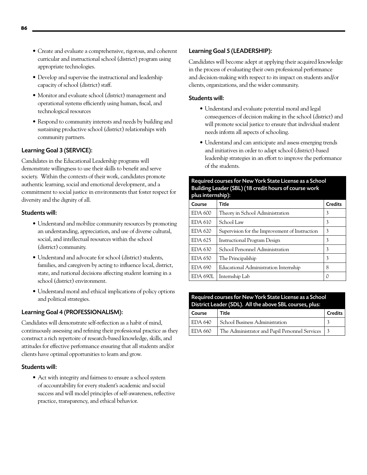- • Create and evaluate a comprehensive, rigorous, and coherent curricular and instructional school (district) program using appropriate technologies.
- Develop and supervise the instructional and leadership capacity of school (district) staff.
- • Monitor and evaluate school (district) management and operational systems efficiently using human, fiscal, and technological resources
- Respond to community interests and needs by building and sustaining productive school (district) relationships with community partners.

# Learning Goal 3 (SERVICE):

Candidates in the Educational Leadership programs will demonstrate willingness to use their skills to benefit and serve society. Within the contexts of their work, candidates promote authentic learning, social and emotional development, and a commitment to social justice in environments that foster respect for diversity and the dignity of all.

# Students will:

- Understand and mobilize community resources by promoting an understanding, appreciation, and use of diverse cultural, social, and intellectual resources within the school (district) community.
- • Understand and advocate for school (district) students, families, and caregivers by acting to influence local, district, state, and national decisions affecting student learning in a school (district) environment.
- Understand moral and ethical implications of policy options and political strategies.

# Learning Goal 4 (PROFESSIONALISM):

Candidates will demonstrate self-reflection as a habit of mind, continuously assessing and refining their professional practice as they construct a rich repertoire of research-based knowledge, skills, and attitudes for effective performance ensuring that all students and/or clients have optimal opportunities to learn and grow.

# Students will:

• Act with integrity and fairness to ensure a school system of accountability for every student's academic and social success and will model principles of self-awareness, reflective practice, transparency, and ethical behavior.

# Learning Goal 5 (LEADERSHIP):

Candidates will become adept at applying their acquired knowledge in the process of evaluating their own professional performance and decision-making with respect to its impact on students and/or clients, organizations, and the wider community.

# Students will:

- • Understand and evaluate potential moral and legal consequences of decision making in the school (district) and will promote social justice to ensure that individual student needs inform all aspects of schooling.
- Understand and can anticipate and assess emerging trends and initiatives in order to adapt school (district)-based leadership strategies in an effort to improve the performance of the students.

# Required courses for New York State License as a School Building Leader (SBL) (18 credit hours of course work plus international

| pius internamp <sub>i</sub> .                  |                |  |
|------------------------------------------------|----------------|--|
| Title                                          | <b>Credits</b> |  |
| Theory in School Administration                | 3              |  |
| School Law                                     | 3              |  |
| Supervision for the Improvement of Instruction | 3              |  |
| <b>Instructional Program Design</b>            | 3              |  |
| School Personnel Administration                | 3              |  |
| The Principalship                              | 3              |  |
| Educational Administration Internship          | 8              |  |
| Internship Lab                                 |                |  |
|                                                |                |  |

| Required courses for New York State License as a School<br>District Leader (SDL). All the above SBL courses, plus: |                                                |                |  |
|--------------------------------------------------------------------------------------------------------------------|------------------------------------------------|----------------|--|
| Course                                                                                                             | Title                                          | <b>Credits</b> |  |
| EDA 640                                                                                                            | School Business Administration                 |                |  |
| EDA 660                                                                                                            | The Administrator and Pupil Personnel Services |                |  |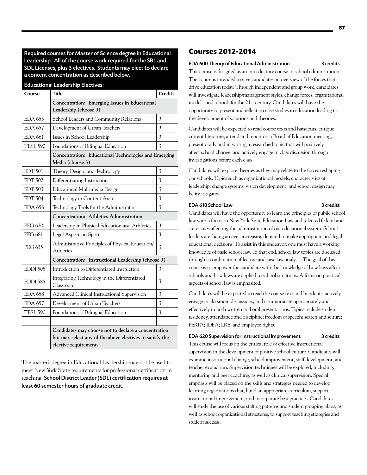Required courses for Master of Science degree in Educational Leadership. All of the course work required for the SBL and SDL Licenses, plus 3 electives. Students may elect to declare a content concentration as described below.

## Educational Leadership Electives:

| Course          | <b>Title</b>                                                                                                                              | <b>Credits</b> |
|-----------------|-------------------------------------------------------------------------------------------------------------------------------------------|----------------|
|                 | Concentration: Emerging Issues in Educational<br>Leadership (choose 3)                                                                    |                |
| <b>EDA 655</b>  | School Leaders and Community Relations                                                                                                    | 3              |
| <b>EDA 657</b>  | Development of Urban Teachers                                                                                                             | 3              |
| <b>EDA 661</b>  | Issues in School Leadership                                                                                                               | 3              |
| <b>TESL 590</b> | Foundations of Bilingual Education                                                                                                        | 3              |
|                 | Concentration: Educational Technologies and Emerging                                                                                      |                |
|                 | Media (choose 3)                                                                                                                          |                |
| <b>EDT 501</b>  | Theory, Design, and Technology                                                                                                            | 3              |
| <b>EDT 502</b>  | Differentiating Instruction                                                                                                               | 3              |
| <b>EDT 503</b>  | Educational Multimedia Design                                                                                                             | 3              |
| <b>EDT 504</b>  | Technology in Content Area                                                                                                                | 3              |
| <b>EDA 656</b>  | Technology Tools for the Administrator                                                                                                    | 3              |
|                 | <b>Concentration: Athletics Administration</b>                                                                                            |                |
| <b>PEG 620</b>  | Leadership in Physical Education and Athletics                                                                                            | 3              |
| <b>PEG 681</b>  | Legal Aspects in Sport                                                                                                                    | 3              |
| <b>PEG 635</b>  | Administrative Principles of Physical Education/<br><b>Athletics</b>                                                                      | 3              |
|                 | Concentration: Instructional Leadership (choose 3)                                                                                        |                |
| <b>EDDI 505</b> | Introduction to Differentiated Instruction                                                                                                | 3              |
| <b>EDDI 585</b> | Integrating Technology in the Differentiated<br>Classroom                                                                                 | 3              |
| <b>EDA 658</b>  | Advanced Clinical Instructional Supervision                                                                                               | 3              |
| <b>EDA 657</b>  | Development of Urban Teachers                                                                                                             | 3              |
| <b>TESL 590</b> | Foundations of Bilingual Education                                                                                                        | 3              |
|                 |                                                                                                                                           |                |
|                 | Candidates may choose not to declare a concentration<br>but may select any of the above electives to satisfy the<br>elective requirement. |                |

The master's degree in Educational Leadership may not be used to meet New York State requirements for professional certification in teaching. School District Leader (SDL) certification requires at least 60 semester hours of graduate credit.

# **Courses 2012-2014**

## EDA 600 Theory of Educational Administration 3 credits

This course is designed as an introductory course in school administration. The course is intended to give candidates an overview of the forces that drive education today. Through independent and group work, candidates will investigate leadership/management styles, change forces, organizational models, and schools for the 21st century. Candidates will have the opportunity to present and reflect on case studies in education leading to the development of solutions and theories.

Candidates will be expected to read course texts and handouts, critique current literature, attend and report on a Board of Education meeting, present orally and in writing a researched topic that will positively affect school change, and actively engage in class discussion through investigations before each class.

Candidates will explore theories as they may relate to the forces reshaping our schools. Topics such as organizational models, characteristics of leadership, change systems, vision development, and school design may be investigated.

# EDA 610 School Law 3 credits

Candidates will have the opportunity to learn the principles of public school law with a focus on New York State Education Law and selected federal and state cases affecting the administration of our educational system. School leaders are facing an ever-increasing demand to make appropriate and legal educational decisions. To assist in this endeavor, one must have a working knowledge of basic school law. To that end, school law topics are discussed through a combination of lecture and case law analysis. The goal of this course is to empower the candidate with the knowledge of how laws affect schools and how laws are applied to school situations. A focus on practical aspects of school law is emphasized.

Candidates will be expected to read the course text and handouts, actively engage in classroom discussions, and communicate appropriately and effectively in both written and oral presentations. Topics include student residency, attendance and discipline; freedom of speech; search and seizure; FERPA; IDEA; LRE; and employee rights.

EDA 620 Supervision for Instructional Improvement 3 credits This course will focus on the critical role of effective instructional supervision in the development of positive school culture. Candidates will examine institutional change, school improvement, staff development, and teacher evaluation. Supervision techniques will be explored, including: mentoring and peer coaching, as well as clinical supervision. Special emphasis will be placed on the skills and strategies needed to develop learning organizations that, build an appropriate curriculum, support instructional improvement, and incorporate best practices. Candidates will study the use of various staffing patterns and student grouping plans, as well as school organizational structures, to support teaching strategies and student success.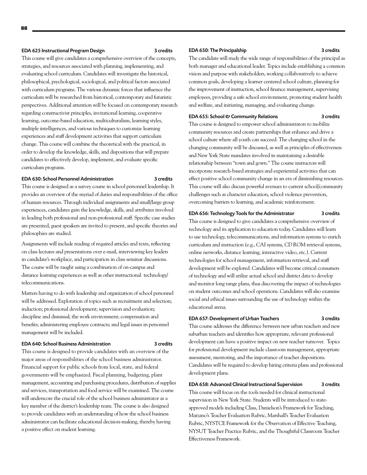# EDA 625 Instructional Program Design and Manuscriptus 3 credits

This course will give candidates a comprehensive overview of the concepts, strategies, and resources associated with planning, implementing, and evaluating school curriculum. Candidates will investigate the historical, philosophical, psychological, sociological, and political factors associated with curriculum programs. The various dynamic forces that influence the curriculum will be researched from historical, contemporary and futuristic perspectives. Additional attention will be focused on contemporary research regarding constructivist principles, invitational learning, cooperative learning, outcome-based education, multiculturalism, learning styles, multiple intelligences, and various techniques to customize learning experiences and staff development activities that support curriculum change. This course will combine the theoretical with the practical, in order to develop the knowledge, skills, and dispositions that will prepare candidates to effectively develop, implement, and evaluate specific curriculum programs.

#### EDA 630: School Personnel Administration 3 credits

This course is designed as a survey course in school personnel leadership. It provides an overview of the myriad of duties and responsibilities of the office of human resources. Through individual assignments and small/large group experiences, candidates gain the knowledge, skills, and attributes involved in leading both professional and non-professional staff. Specific case studies are presented, guest speakers are invited to present, and specific theories and philosophies are studied.

Assignments will include reading of required articles and texts, reflecting on class lectures and presentations over e-mail, interviewing key leaders in candidate's workplace, and participation in class seminar discussions. The course will be taught using a combination of on-campus and distance learning experiences as well as other instructional technology/ telecommunications.

Matters having to do with leadership and organization of school personnel will be addressed. Exploration of topics such as recruitment and selection; induction; professional development; supervision and evaluation; discipline and dismissal; the work environment; compensation and benefits; administering employee contracts; and legal issues in personnel management will be included.

#### EDA 640: School Business Administration 3 credits

This course is designed to provide candidates with an overview of the major areas of responsibilities of the school business administrator. Financial support for public schools from local, state, and federal governments will be emphasized. Fiscal planning, budgeting, plant management, accounting and purchasing procedures, distribution of supplies and services, transportation and food service will be examined. The course will underscore the crucial role of the school business administrator as a key member of the district's leadership team. The course is also designed to provide candidates with an understanding of how the school business administrator can facilitate educational decision-making, thereby having a positive effect on student learning.

## EDA 650: The Principalship 3 credits

The candidate will study the wide range of responsibilities of the principal as both manager and educational leader. Topics include establishing a common vision and purpose with stakeholders, working collaboratively to achieve common goals, developing a learner centered school culture, planning for the improvement of instruction, school finance management, supervising employees, providing a safe school environment, promoting student health and welfare, and initiating, managing, and evaluating change.

# EDA 655: School & Community Relations 3 credits

This course is designed to empower school administrators to mobilize community resources and create partnerships that enhance and drive a school culture where all youth can succeed. The changing school in the changing community will be discussed, as well as principles of effectiveness and New York State mandates involved in maintaining a desirable relationship between "town and gown." The course instructors will incorporate research-based strategies and experiential activities that can effect positive school community change in an era of diminishing resources. This course will also discuss powerful avenues to current school/community challenges such as character education, school violence prevention, overcoming barriers to learning, and academic reinforcement.

# EDA 656: Technology Tools for the Administrator 3 credits

This course is designed to give candidates a comprehensive overview of technology and its application to education today. Candidates will learn to use technology, telecommunications, and information systems to enrich curriculum and instruction (e.g., CAI systems, CD ROM retrieval systems, online networks, distance learning, interactive video, etc.). Current technologies for school management, information retrieval, and staff development will be explored. Candidates will become critical consumers of technology and will utilize actual school and district data to develop and monitor long range plans, thus discovering the impact of technologies on student outcomes and school operations. Candidates will also examine social and ethical issues surrounding the use of technology within the educational arena.

#### EDA 657: Development of Urban Teachers 3 credits

This course addresses the difference between new urban teachers and new suburban teachers and identifies how appropriate, relevant professional development can have a positive impact on new teacher turnover. Topics for professional development include classroom management, appropriate assessment, mentoring, and the importance of teacher dispositions. Candidates will be required to develop hiring criteria plans and professional development plans.

#### EDA 658: Advanced Clinical Instructional Supervision 3 credits

This course will focus on the tools needed for clinical instructional supervision in New York State. Students will be introduced to stateapproved models including Class, Danielson's Framework for Teaching, Marzano's Teacher Evaluation Rubric, Marshall's Teacher Evaluation Rubric, NYSTCE Framework for the Observation of Effective Teaching, NYSUT Teacher Practice Rubric, and the Thoughtful Classroom Teacher Effectiveness Framework.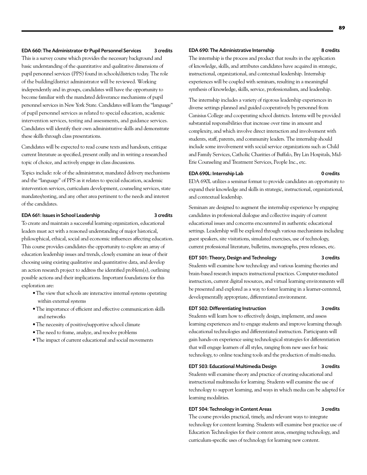#### EDA 660: The Administrator & Pupil Personnel Services 3 credits

This is a survey course which provides the necessary background and basic understanding of the quantitative and qualitative dimensions of pupil personnel services (PPS) found in schools/districts today. The role of the building/district administrator will be reviewed. Working independently and in groups, candidates will have the opportunity to become familiar with the mandated deliverance mechanisms of pupil personnel services in New York State. Candidates will learn the "language" of pupil personnel services as related to special education, academic intervention services, testing and assessments, and guidance services. Candidates will identify their own administrative skills and demonstrate these skills through class presentations.

Candidates will be expected to read course texts and handouts, critique current literature as specified, present orally and in writing a researched topic of choice, and actively engage in class discussions.

Topics include: role of the administrator, mandated delivery mechanisms and the "language" of PPS as it relates to special education, academic intervention services, curriculum development, counseling services, state mandates/testing, and any other area pertinent to the needs and interest of the candidates.

## EDA 661: Issues in School Leadership 3 credits

To create and maintain a successful learning organization, educational leaders must act with a reasoned understanding of major historical, philosophical, ethical, social and economic influences affecting education. This course provides candidates the opportunity to explore an array of education leadership issues and trends, closely examine an issue of their choosing using existing qualitative and quantitative data, and develop an action research project to address the identified problem(s), outlining possible actions and their implications. Important foundations for this exploration are:

- The view that schools are interactive internal systems operating within external systems
- • The importance of efficient and effective communication skills and networks
- The necessity of positive/supportive school climate
- The need to frame, analyze, and resolve problems
- The impact of current educational and social movements

#### EDA 690: The Administrative Internship 8 credits

The internship is the process and product that results in the application of knowledge, skills, and attributes candidates have acquired in strategic, instructional, organizational, and contextual leadership. Internship experiences will be coupled with seminars, resulting in a meaningful synthesis of knowledge, skills, service, professionalism, and leadership.

The internship includes a variety of rigorous leadership experiences in diverse settings planned and guided cooperatively by personnel from Canisius College and cooperating school districts. Interns will be provided substantial responsibilities that increase over time in amount and complexity, and which involve direct interaction and involvement with students, staff, parents, and community leaders. The internship should include some involvement with social service organizations such as Child and Family Services, Catholic Charities of Buffalo, Bry Lin Hospitals, Mid-Erie Counseling and Treatment Services, People Inc., etc.

#### EDA 690L: Internship Lab 0 credits

EDA 690L utilizes a seminar format to provide candidates an opportunity to expand their knowledge and skills in strategic, instructional, organizational, and contextual leadership.

Seminars are designed to augment the internship experience by engaging candidates in professional dialogue and collective inquiry of current educational issues and concerns encountered in authentic educational settings. Leadership will be explored through various mechanisms including guest speakers, site visitations, simulated exercises, use of technology, current professional literature, bulletins, monographs, press releases, etc.

# EDT 501: Theory, Design and Technology 3 credits

Students will examine how technology and various learning theories and brain-based research impacts instructional practices. Computer-mediated instruction, current digital resources, and virtual learning environments will be presented and explored as a way to foster learning in a learner-centered, developmentally appropriate, differentiated environment.

# EDT 502: Differentiating Instruction 3 credits

Students will learn how to effectively design, implement, and assess learning experiences and to engage students and improve learning through educational technologies and differentiated instruction. Participants will gain hands-on experience using technological strategies for differentiation that will engage learners of all styles, ranging from new uses for basic technology, to online teaching tools and the production of multi-media.

# EDT 503: Educational Multimedia Design 3 credits

Students will examine theory and practice of creating educational and instructional multimedia for learning. Students will examine the use of technology to support learning, and ways in which media can be adapted for learning modalities.

#### EDT 504: Technology in Content Areas 3 credits

The course provides practical, timely, and relevant ways to integrate technology for content learning. Students will examine best practice use of Education Technologies for their content areas, emerging technology, and curriculum-specific uses of technology for learning new content.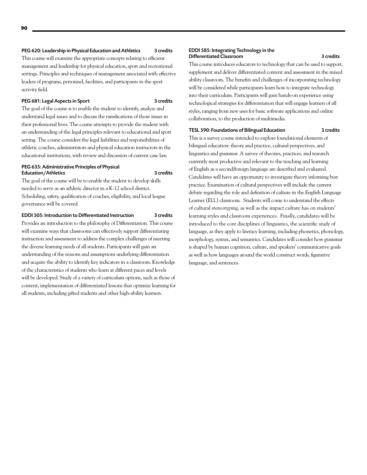# PEG 620: Leadership in Physical Education and Athletics 3 credits

This course will examine the appropriate concepts relating to efficient management and leadership for physical education, sport and recreational settings. Principles and techniques of management associated with effective leaders of programs, personnel, facilities, and participants in the sport activity field.

# PEG 681: Legal Aspects in Sport 3 credits

The goal of the course is to enable the student to identify, analyze and understand legal issues and to discuss the ramifications of those issues in their professional lives. The course attempts to provide the student with an understanding of the legal principles relevant to educational and sport setting. The course considers the legal liabilities and responsibilities of athletic coaches, administrators and physical education instructors in the educational institutions, with review and discussion of current case law.

#### PEG 635: Administrative Principles of Physical Education/Athletics 3 credits

The goal of the course will be to enable the student to develop skills needed to serve as an athletic director in a K-12 school district. Scheduling, safety, qualification of coaches, eligibility, and local league governance will be covered.

# EDDI 505: Introduction to Differentiated Instruction 3 credits

Provides an introduction to the philosophy of Differentiation. This course will examine ways that classrooms can effectively support differentiating instruction and assessment to address the complex challenges of meeting the diverse learning needs of all students. Participants will gain an understanding of the reasons and assumptions underlying differentiation and acquire the ability to identify key indicators in a classroom. Knowledge of the characteristics of students who learn at different paces and levels will be developed. Study of a variety of curriculum options, such as those of content, implementation of differentiated lessons that optimize learning for all students, including gifted students and other high-ability learners.

#### EDDI 585: Integrating Technology in the Differentiated Classroom 3 credits

This course introduces educators to technology that can be used to support, supplement and deliver differentiated content and assessment in the mixed ability classroom. The benefits and challenges of incorporating technology will be considered while participants learn how to integrate technology into their curriculum. Participants will gain hands-on experience using technological strategies for differentiation that will engage learners of all styles, ranging from new uses for basic software applications and online collaboration, to the production of multimedia.

# TESL 590: Foundations of Bilingual Education 3 credits

This is a survey course intended to explore foundational elements of bilingual education: theory and practice, cultural perspectives, and linguistics and grammar. A survey of theories, practices, and research currently most productive and relevant to the teaching and learning of English as a second/foreign language are described and evaluated. Candidates will have an opportunity to investigate theory informing best practice. Examination of cultural perspectives will include the current debate regarding the role and definition of culture in the English Language Learner (ELL) classroom. Students will come to understand the effects of cultural stereotyping, as well as the impact culture has on students' learning styles and classroom experiences. Finally, candidates will be introduced to the core disciplines of linguistics, the scientific study of language, as they apply to literacy learning, including phonetics, phonology, morphology, syntax, and semantics. Candidates will consider how grammar is shaped by human cognition, culture, and speakers' communicative goals as well as how languages around the world construct words, figurative language, and sentences.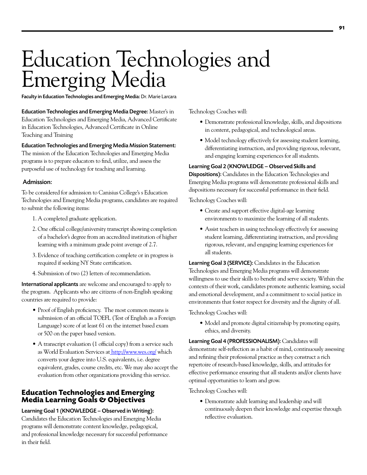# Education Technologies and Emerging Media

Faculty in Education Technologies and Emerging Media: Dr. Marie Larcara

Education Technologies and Emerging Media Degree: Master's in Education Technologies and Emerging Media, Advanced Certificate in Education Technologies, Advanced Certificate in Online Teaching and Training

# Education Technologies and Emerging Media Mission Statement:

The mission of the Education Technologies and Emerging Media programs is to prepare educators to find, utilize, and assess the purposeful use of technology for teaching and learning.

# Admission:

To be considered for admission to Canisius College's s Education Technologies and Emerging Media programs, candidates are required to submit the following items:

- 1. A completed graduate application.
- 2. One official college/university transcript showing completion of a bachelor's degree from an accredited institution of higher learning with a minimum grade point average of 2.7.
- 3. Evidence of teaching certification complete or in progress is required if seeking NY State certification.
- 4. Submission of two (2) letters of recommendation.

International applicants are welcome and encouraged to apply to the program. Applicants who are citizens of non-English speaking countries are required to provide:

- Proof of English proficiency. The most common means is submission of an official TOEFL (Test of English as a Foreign Language) score of at least 61 on the internet based exam or 500 on the paper based version.
- A transcript evaluation (1 official copy) from a service such as [World Evaluation Services](http://www.wes.org/) at <http://www.wes.org/>which converts your degree into U.S. equivalents, i.e. degree equivalent, grades, course credits, etc. We may also accept the evaluation from other organizations providing this service.

# **Education Technologies and Emerging Media Learning Goals & Objectives**

Learning Goal 1 (KNOWLEDGE – Observed in Writing): Candidates the Education Technologies and Emerging Media programs will demonstrate content knowledge, pedagogical, and professional knowledge necessary for successful performance in their field.

Technology Coaches will:

- • Demonstrate professional knowledge, skills, and dispositions in content, pedagogical, and technological areas.
- Model technology effectively for assessing student learning, differentiating instruction, and providing rigorous, relevant, and engaging learning experiences for all students.

# Learning Goal 2 (KNOWLEDGE – Observed Skills and

Dispositions): Candidates in the Education Technologies and Emerging Media programs will demonstrate professional skills and dispositions necessary for successful performance in their field.

Technology Coaches will:

- • Create and support effective digital-age learning environments to maximize the learning of all students.
- Assist teachers in using technology effectively for assessing student learning, differentiating instruction, and providing rigorous, relevant, and engaging learning experiences for all students.

Learning Goal 3 (SERVICE): Candidates in the Education Technologies and Emerging Media programs will demonstrate willingness to use their skills to benefit and serve society. Within the contexts of their work, candidates promote authentic learning, social and emotional development, and a commitment to social justice in environments that foster respect for diversity and the dignity of all.

Technology Coaches will:

• Model and promote digital citizenship by promoting equity, ethics, and diversity.

Learning Goal 4 (PROFESSIONALISM): Candidates will demonstrate self-reflection as a habit of mind, continuously assessing and refining their professional practice as they construct a rich repertoire of research-based knowledge, skills, and attitudes for effective performance ensuring that all students and/or clients have optimal opportunities to learn and grow.

Technology Coaches will:

• Demonstrate adult learning and leadership and will continuously deepen their knowledge and expertise through reflective evaluation.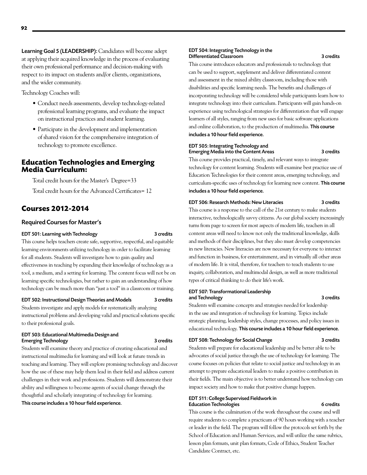Learning Goal 5 (LEADERSHIP): Candidates will become adept at applying their acquired knowledge in the process of evaluating their own professional performance and decision-making with respect to its impact on students and/or clients, organizations, and the wider community.

Technology Coaches will:

- Conduct needs assessments, develop technology-related professional learning programs, and evaluate the impact on instructional practices and student learning.
- Participate in the development and implementation of shared vision for the comprehensive integration of technology to promote excellence.

# **Education Technologies and Emerging Media Curriculum:**

Total credit hours for the Master's Degree=33 Total credit hours for the Advanced Certificates= 12

# **Courses 2012-2014**

# Required Courses for Master's

# EDT 501: Learning with Technology 3 credits

This course helps teachers create safe, supportive, respectful, and equitable learning environments utilizing technology in order to facilitate learning for all students. Students will investigate how to gain quality and effectiveness in teaching by expanding their knowledge of technology as a tool, a medium, and a setting for learning. The content focus will not be on learning specific technologies, but rather to gain an understanding of how technology can be much more than "just a tool" in a classroom or training.

#### EDT 502: Instructional Design Theories and Models 3 credits

Students investigate and apply models for systematically analyzing instructional problems and developing valid and practical solutions specific to their professional goals.

### EDT 503: Educational Multimedia Design and Emerging Technology **3** credits

Students will examine theory and practice of creating educational and instructional multimedia for learning and will look at future trends in teaching and learning. They will explore promising technology and discover how the use of these may help them lead in their field and address current challenges in their work and professions. Students will demonstrate their ability and willingness to become agents of social change through the thoughtful and scholarly integrating of technology for learning. This course includes a 10 hour field experience.

#### EDT 504: Integrating Technology in the Differentiated Classroom 3 credits

This course introduces educators and professionals to technology that can be used to support, supplement and deliver differentiated content and assessment in the mixed ability classroom, including those with disabilities and specific learning needs. The benefits and challenges of incorporating technology will be considered while participants learn how to integrate technology into their curriculum. Participants will gain hands-on experience using technological strategies for differentiation that will engage learners of all styles, ranging from new uses for basic software applications and online collaboration, to the production of multimedia. This course includes a 10 hour field experience.

#### EDT 505: Integrating Technology and Emerging Media into the Content Areas 3 credits

This course provides practical, timely, and relevant ways to integrate technology for content learning. Students will examine best practice use of Education Technologies for their content areas, emerging technology, and curriculum-specific uses of technology for learning new content. This course includes a 10 hour field experience.

# EDT 506: Research Methods: New Literacies 3 credits

This course is a response to the call of the 21st century to make students interactive, technologically savvy citizens. As our global society increasingly turns from page to screen for most aspects of modern life, teachers in all content areas will need to know not only the traditional knowledge, skills and methods of their disciplines, but they also must develop competencies in new literacies. New literacies are now necessary for everyone to interact and function in business, for entertainment, and in virtually all other areas of modern life. It is vital, therefore, for teachers to teach students to use inquiry, collaboration, and multimodal design, as well as more traditional types of critical thinking to do their life's work.

# EDT 507: Transformational Leadership and Technology 3 credits

Students will examine concepts and strategies needed for leadership in the use and integration of technology for learning. Topics include strategic planning, leadership styles, change processes, and policy issues in educational technology. This course includes a 10 hour field experience.

#### EDT 508: Technology for Social Change 3 credits

Students will prepare for educational leadership and be better able to be advocates of social justice through the use of technology for learning. The course focuses on policies that relate to social justice and technology in an attempt to prepare educational leaders to make a positive contribution in their fields. The main objective is to better understand how technology can impact society and how to make that positive change happen.

# EDT 511: College Supervised Fieldwork in Education Technologies 6 credits

This course is the culmination of the work throughout the course and will require students to complete a practicum of 90 hours working with a teacher or leader in the field. The program will follow the protocols set forth by the School of Education and Human Services, and will utilize the same rubrics, lesson plan formats, unit plan formats, Code of Ethics, Student Teacher Candidate Contract, etc.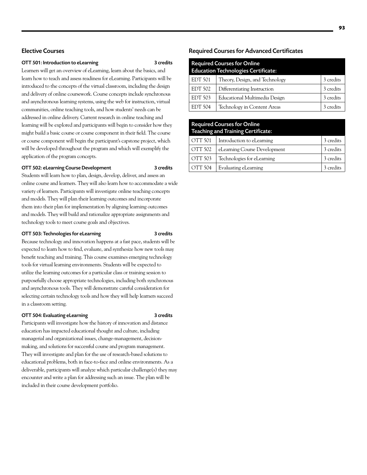# OTT 501: Introduction to eLearning 3 credits

Learners will get an overview of eLearning, learn about the basics, and learn how to teach and assess readiness for eLearning. Participants will be introduced to the concepts of the virtual classroom, including the design and delivery of online coursework. Course concepts include synchronous and asynchronous learning systems, using the web for instruction, virtual communities, online teaching tools, and how students' needs can be addressed in online delivery. Current research in online teaching and learning will be explored and participants will begin to consider how they might build a basic course or course component in their field. The course or course component will begin the participant's capstone project, which will be developed throughout the program and which will exemplify the application of the program concepts.

## OTT 502: eLearning Course Development 3 credits

Students will learn how to plan, design, develop, deliver, and assess an online course and learners. They will also learn how to accommodate a wide variety of learners. Participants will investigate online teaching concepts and models. They will plan their learning outcomes and incorporate them into their plan for implementation by aligning learning outcomes and models. They will build and rationalize appropriate assignments and technology tools to meet course goals and objectives.

## OTT 503: Technologies for eLearning 3 credits

Because technology and innovation happens at a fast pace, students will be expected to learn how to find, evaluate, and synthesize how new tools may benefit teaching and training. This course examines emerging technology tools for virtual learning environments. Students will be expected to utilize the learning outcomes for a particular class or training session to purposefully choose appropriate technologies, including both synchronous and asynchronous tools. They will demonstrate careful consideration for selecting certain technology tools and how they will help learners succeed in a classroom setting.

# OTT 504: Evaluating eLearning 3 credits

Participants will investigate how the history of innovation and distance education has impacted educational thought and culture, including managerial and organizational issues, change-management, decisionmaking, and solutions for successful course and program management. They will investigate and plan for the use of research-based solutions to educational problems, both in face-to-face and online environments. As a deliverable, participants will analyze which particular challenge(s) they may encounter and write a plan for addressing such an issue. The plan will be included in their course development portfolio.

# Required Courses for Advanced Certificates

| <b>Required Courses for Online</b><br><b>Education Technologies Certificate:</b> |                                |           |
|----------------------------------------------------------------------------------|--------------------------------|-----------|
| <b>EDT 501</b>                                                                   | Theory, Design, and Technology | 3 credits |
| <b>EDT 502</b>                                                                   | Differentiating Instruction    | 3 credits |
| <b>EDT 503</b>                                                                   | Educational Multimedia Design  | 3 credits |
| <b>EDT 504</b>                                                                   | Technology in Content Areas    | 3 credits |

| <b>Required Courses for Online</b><br><b>Teaching and Training Certificate:</b> |                              |           |  |
|---------------------------------------------------------------------------------|------------------------------|-----------|--|
| OTT 501                                                                         | Introduction to eLearning    | 3 credits |  |
| <b>OTT 502</b>                                                                  | eLearning Course Development | 3 credits |  |
| OTT 503                                                                         | Technologies for eLearning   | 3 credits |  |
| OTT 504                                                                         | Evaluating eLearning         | 3 credits |  |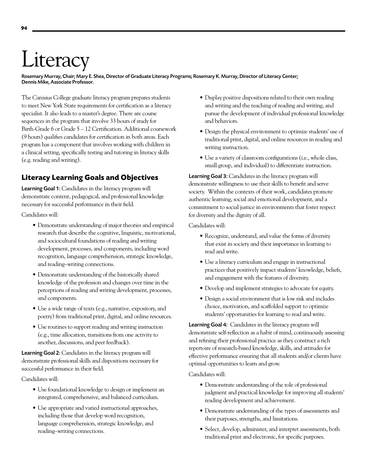# **Literacy**

Rosemary Murray, Chair; Mary E. Shea, Director of Graduate Literacy Programs; Rosemary K. Murray, Director of Literacy Center; Dennis Mike, Associate Professor.

The Canisius College graduate literacy program prepares students to meet New York State requirements for certification as a literacy specialist. It also leads to a master's degree. There are course sequences in the program that involve 33 hours of study for Birth-Grade 6 or Grade 5 – 12 Certification. Additional coursework (9 hours) qualifies candidates for certification in both areas. Each program has a component that involves working with children in a clinical setting, specifically testing and tutoring in literacy skills (e.g. reading and writing).

# **Literacy Learning Goals and Objectives**

Learning Goal 1: Candidates in the literacy program will demonstrate content, pedagogical, and professional knowledge necessary for successful performance in their field.

Candidates will:

- Demonstrate understanding of major theories and empirical research that describe the cognitive, linguistic, motivational, and sociocultural foundations of reading and writing development, processes, and components, including word recognition, language comprehension, strategic knowledge, and reading–writing connections.
- • Demonstrate understanding of the historically shared knowledge of the profession and changes over time in the perceptions of reading and writing development, processes, and components.
- Use a wide range of texts (e.g., narrative, expository, and poetry) from traditional print, digital, and online resources.
- • Use routines to support reading and writing instruction (e.g., time allocation, transitions from one activity to another, discussions, and peer feedback).

Learning Goal 2: Candidates in the literacy program will demonstrate professional skills and dispositions necessary for successful performance in their field.

Candidates will:

- • Use foundational knowledge to design or implement an integrated, comprehensive, and balanced curriculum.
- Use appropriate and varied instructional approaches, including those that develop word recognition, language comprehension, strategic knowledge, and reading–writing connections.
- Display positive dispositions related to their own reading and writing and the teaching of reading and writing, and pursue the development of individual professional knowledge and behaviors.
- Design the physical environment to optimize students' use of traditional print, digital, and online resources in reading and writing instruction.
- Use a variety of classroom configurations (i.e., whole class, small group, and individual) to differentiate instruction.

Learning Goal 3: Candidates in the literacy program will demonstrate willingness to use their skills to benefit and serve society. Within the contexts of their work, candidates promote authentic learning, social and emotional development, and a commitment to social justice in environments that foster respect for diversity and the dignity of all.

Candidates will:

- Recognize, understand, and value the forms of diversity that exist in society and their importance in learning to read and write.
- Use a literacy curriculum and engage in instructional practices that positively impact students' knowledge, beliefs, and engagement with the features of diversity.
- • Develop and implement strategies to advocate for equity.
- • Design a social environment that is low risk and includes choice, motivation, and scaffolded support to optimize students' opportunities for learning to read and write.

Learning Goal 4: Candidates in the literacy program will demonstrate self-reflection as a habit of mind, continuously assessing and refining their professional practice as they construct a rich repertoire of research-based knowledge, skills, and attitudes for effective performance ensuring that all students and/or clients have optimal opportunities to learn and grow.

Candidates will:

- Demonstrate understanding of the role of professional judgment and practical knowledge for improving all students' reading development and achievement.
- Demonstrate understanding of the types of assessments and their purposes, strengths, and limitations.
- Select, develop, administer, and interpret assessments, both traditional print and electronic, for specific purposes.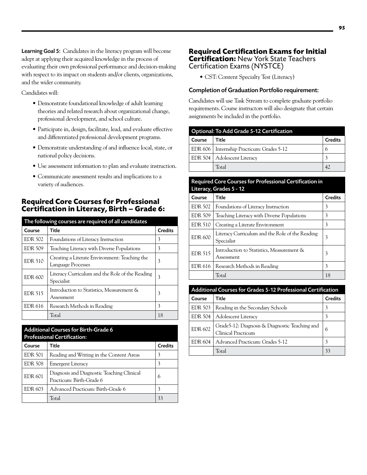Learning Goal 5: Candidates in the literacy program will become adept at applying their acquired knowledge in the process of evaluating their own professional performance and decision-making with respect to its impact on students and/or clients, organizations, and the wider community.

Candidates will:

- • Demonstrate foundational knowledge of adult learning theories and related research about organizational change, professional development, and school culture.
- Participate in, design, facilitate, lead, and evaluate effective and differentiated professional development programs.
- • Demonstrate understanding of and influence local, state, or national policy decisions.
- Use assessment information to plan and evaluate instruction.
- • Communicate assessment results and implications to a variety of audiences.

# **Required Core Courses for Professional Certification in Literacy, Birth – Grade 6:**

| The following courses are required of all candidates |                                                                     |                |
|------------------------------------------------------|---------------------------------------------------------------------|----------------|
| Course                                               | Title                                                               | <b>Credits</b> |
| <b>EDR 502</b>                                       | Foundations of Literacy Instruction                                 | 3              |
| <b>EDR 509</b>                                       | Teaching Literacy with Diverse Populations                          | 3              |
| <b>EDR 510</b>                                       | Creating a Literate Environment: Teaching the<br>Language Processes | 3              |
| <b>EDR 600</b>                                       | Literacy Curriculum and the Role of the Reading<br>Specialist       | 3              |
| <b>EDR 515</b>                                       | Introduction to Statistics, Measurement &<br>Assessment             | 3              |
| EDR 616                                              | Research Methods in Reading                                         | 3              |
|                                                      | Total                                                               | 18             |

| <b>Additional Courses for Birth-Grade 6</b><br><b>Professional Certification:</b> |                                                                        |         |  |
|-----------------------------------------------------------------------------------|------------------------------------------------------------------------|---------|--|
| Course                                                                            | Title                                                                  | Credits |  |
| <b>EDR 501</b>                                                                    | Reading and Writing in the Content Areas                               | 3       |  |
| <b>EDR 508</b>                                                                    | <b>Emergent Literacy</b>                                               | 3       |  |
| <b>EDR 601</b>                                                                    | Diagnosis and Diagnostic Teaching Clinical<br>Practicum: Birth-Grade 6 | 6       |  |
| EDR 603                                                                           | Advanced Practicum: Birth-Grade 6                                      | 3       |  |
|                                                                                   | Total                                                                  |         |  |

# **Required Certification Exams for Initial Certification:** New York State Teachers Certification Exams (NYSTCE)

• CST: Content Specialty Test (Literacy)

# Completion of Graduation Portfolio requirement:

Candidates will use Task Stream to complete graduate portfolio requirements. Course instructors will also designate that certain assignments be included in the portfolio.

| <b>Optional: To Add Grade 5-12 Certification</b> |                                             |                |
|--------------------------------------------------|---------------------------------------------|----------------|
| Course                                           | Title                                       | <b>Credits</b> |
|                                                  | EDR 606   Internship Practicum: Grades 5-12 | 6              |
|                                                  | EDR 504   Adolescent Literacy               |                |
|                                                  | Total                                       | 42             |

# Required Core Courses for Professional Certification in  $C$ *under*  $F$   $-$  12

| $H = 1$        |                                                               |                |
|----------------|---------------------------------------------------------------|----------------|
| Course         | Title                                                         | <b>Credits</b> |
| <b>EDR 502</b> | Foundations of Literacy Instruction                           | 3              |
| <b>EDR 509</b> | Teaching Literacy with Diverse Populations                    | 3              |
| <b>EDR 510</b> | Creating a Literate Environment                               | 3              |
| <b>EDR 600</b> | Literacy Curriculum and the Role of the Reading<br>Specialist | 3              |
| <b>EDR 515</b> | Introduction to Statistics, Measurement &<br>Assessment       | 3              |
| <b>EDR 616</b> | Research Methods in Reading                                   | 3              |
|                | Total                                                         | 18             |

| <b>Additional Courses for Grades 5-12 Professional Certification</b> |                                                                             |                |
|----------------------------------------------------------------------|-----------------------------------------------------------------------------|----------------|
| Course                                                               | Title                                                                       | <b>Credits</b> |
| <b>EDR 503</b>                                                       | Reading in the Secondary Schools                                            | 3              |
| <b>EDR 504</b>                                                       | <b>Adolescent Literacy</b>                                                  | 3              |
| <b>EDR 602</b>                                                       | Grade5-12: Diagnosis & Diagnostic Teaching and<br><b>Clinical Practicum</b> | 6              |
| EDR 604                                                              | Advanced Practicum: Grades 5-12                                             | 3              |
|                                                                      | Total                                                                       | 33             |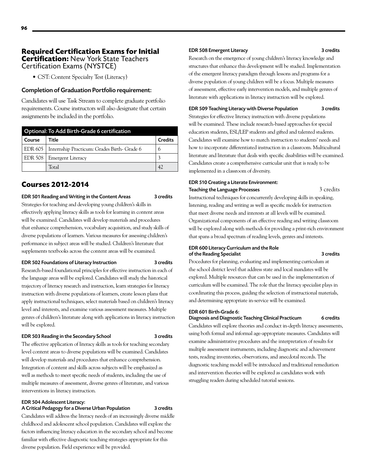# **Required Certification Exams for Initial Certification:** New York State Teachers Certification Exams (NYSTCE)

• CST: Content Specialty Test (Literacy)

# Completion of Graduation Portfolio requirement:

Candidates will use Task Stream to complete graduate portfolio requirements. Course instructors will also designate that certain assignments be included in the portfolio.

| Optional: To Add Birth-Grade 6 certification |                                                       |                |
|----------------------------------------------|-------------------------------------------------------|----------------|
| Course                                       | Title                                                 | <b>Credits</b> |
|                                              | EDR 605   Internship Practicum: Grades Birth- Grade 6 | 6              |
|                                              | EDR 508   Emergent Literacy                           |                |
|                                              | Total                                                 |                |

# **Courses 2012-2014**

# EDR 501 Reading and Writing in the Content Areas 3 credits

Strategies for teaching and developing young children's skills in effectively applying literacy skills as tools for learning in content areas will be examined. Candidates will develop materials and procedures that enhance comprehension, vocabulary acquisition, and study skills of diverse populations of learners. Various measures for assessing children's performance in subject areas will be studied. Children's literature that supplements textbooks across the content areas will be examined.

#### EDR 502 Foundations of Literacy Instruction 3 credits

Research-based foundational principles for effective instruction in each of the language areas will be explored. Candidates will study the historical trajectory of literacy research and instruction, learn strategies for literacy instruction with diverse populations of learners, create lesson plans that apply instructional techniques, select materials based on children's literacy level and interests, and examine various assessment measures. Multiple genres of children's literature along with applications in literacy instruction will be explored.

## EDR 503 Reading in the Secondary School 3 credits

The effective application of literacy skills as tools for teaching secondary level content areas to diverse populations will be examined. Candidates will develop materials and procedures that enhance comprehension. Integration of content and skills across subjects will be emphasized as well as methods to meet specific needs of students, including the use of multiple measures of assessment, diverse genres of literature, and various interventions in literacy instruction.

# EDR 504 Adolescent Literacy:

# A Critical Pedagogy for a Diverse Urban Population 3 credits

Candidates will address the literacy needs of an increasingly diverse middle childhood and adolescent school population. Candidates will explore the factors influencing literacy education in the secondary school and become familiar with effective diagnostic teaching strategies appropriate for this diverse population. Field experience will be provided.

# EDR 508 Emergent Literacy 3 credits

Research on the emergence of young children's literacy knowledge and structures that enhance this development will be studied. Implementation of the emergent literacy paradigm through lessons and programs for a diverse population of young children will be a focus. Multiple measures of assessment, effective early intervention models, and multiple genres of

EDR 509 Teaching Literacy with Diverse Population 3 credits

literature with applications in literacy instruction will be explored.

Strategies for effective literacy instruction with diverse populations will be examined. These include research-based approaches for special education students, ESL/LEP students and gifted and talented students. Candidates will examine how to match instruction to students' needs and how to incorporate differentiated instruction in a classroom. Multicultural literature and literature that deals with specific disabilities will be examined. Candidates create a comprehensive curricular unit that is ready to be implemented in a classroom of diversity.

## EDR 510 Creating a Literate Environment: Teaching the Language Processes 3 credits

Instructional techniques for concurrently developing skills in speaking, listening, reading and writing as well as specific models for instruction that meet diverse needs and interests at all levels will be examined. Organizational components of an effective reading and writing classroom will be explored along with methods for providing a print-rich environment that spans a broad spectrum of reading levels, genres and interests.

# EDR 600 Literacy Curriculum and the Role of the Reading Specialist 3 credits

Procedures for planning, evaluating and implementing curriculum at the school district level that address state and local mandates will be explored. Multiple resources that can be used in the implementation of curriculum will be examined. The role that the literacy specialist plays in coordinating this process, guiding the selection of instructional materials, and determining appropriate in-service will be examined.

# EDR 601 Birth-Grade 6:

Diagnosis and Diagnostic Teaching Clinical Practicum 6 credits

Candidates will explore theories and conduct in-depth literacy assessments, using both formal and informal age-appropriate measures. Candidates will examine administrative procedures and the interpretation of results for multiple assessment instruments, including diagnostic and achievement tests, reading inventories, observations, and anecdotal records. The diagnostic teaching model will be introduced and traditional remediation and intervention theories will be explored as candidates work with struggling readers during scheduled tutorial sessions.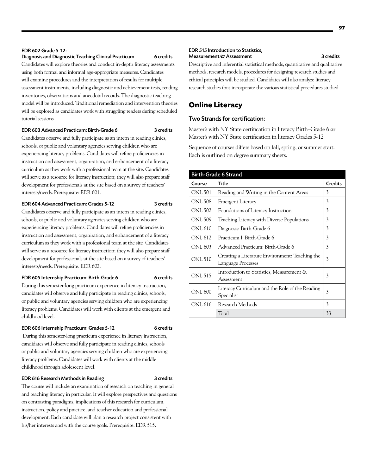# Diagnosis and Diagnostic Teaching Clinical Practicum 6 credits

Candidates will explore theories and conduct in-depth literacy assessments using both formal and informal age-appropriate measures. Candidates will examine procedures and the interpretation of results for multiple assessment instruments, including diagnostic and achievement tests, reading inventories, observations and anecdotal records. The diagnostic teaching model will be introduced. Traditional remediation and intervention theories will be explored as candidates work with struggling readers during scheduled tutorial sessions.

# EDR 603 Advanced Practicum: Birth-Grade 6 3 credits

Candidates observe and fully participate as an intern in reading clinics, schools, or public and voluntary agencies serving children who are experiencing literacy problems. Candidates will refine proficiencies in instruction and assessment, organization, and enhancement of a literacy curriculum as they work with a professional team at the site. Candidates will serve as a resource for literacy instruction; they will also prepare staff development for professionals at the site based on a survey of teachers' interests/needs. Prerequisite: EDR 601.

#### EDR 604 Advanced Practicum: Grades 5-12 3 credits

Candidates observe and fully participate as an intern in reading clinics, schools, or public and voluntary agencies serving children who are experiencing literacy problems. Candidates will refine proficiencies in instruction and assessment, organization, and enhancement of a literacy curriculum as they work with a professional team at the site Candidates will serve as a resource for literacy instruction; they will also prepare staff development for professionals at the site based on a survey of teachers' interests/needs. Prerequisite: EDR 602.

# EDR 605 Internship Practicum: Birth-Grade 6 6 credits

During this semester-long practicum experience in literacy instruction, candidates will observe and fully participate in reading clinics, schools, or public and voluntary agencies serving children who are experiencing literacy problems. Candidates will work with clients at the emergent and childhood level.

#### EDR 606 Internship Practicum: Grades 5-12 6 credits

During this semester-long practicum experience in literacy instruction, candidates will observe and fully participate in reading clinics, schools or public and voluntary agencies serving children who are experiencing literacy problems. Candidates will work with clients at the middle childhood through adolescent level.

#### EDR 616 Research Methods in Reading 3 credits

The course will include an examination of research on teaching in general and teaching literacy in particular. It will explore perspectives and questions on contrasting paradigms, implications of this research for curriculum, instruction, policy and practice, and teacher education and professional development. Each candidate will plan a research project consistent with his/her interests and with the course goals. Prerequisite: EDR 515.

#### EDR 515 Introduction to Statistics, Measurement & Assessment 3 credits

Descriptive and inferential statistical methods, quantitative and qualitative methods, research models, procedures for designing research studies and ethical principles will be studied. Candidates will also analyze literacy research studies that incorporate the various statistical procedures studied.

# **Online Literacy**

# Two Strands for certification:

Master's with NY State certification in literacy Birth–Grade 6 **or** Master's with NY State certification in literacy Grades 5-12

Sequence of courses differs based on fall, spring, or summer start. Each is outlined on degree summary sheets.

| <b>Birth-Grade 6 Strand</b> |                                                                       |                |
|-----------------------------|-----------------------------------------------------------------------|----------------|
| Course                      | Title                                                                 | <b>Credits</b> |
| ONL 501                     | Reading and Writing in the Content Areas                              | 3              |
| ONL 508                     | <b>Emergent Literacy</b>                                              | 3              |
| <b>ONL 502</b>              | Foundations of Literacy Instruction                                   | 3              |
| <b>ONL 509</b>              | Teaching Literacy with Diverse Populations                            | 3              |
| ONL 610                     | Diagnosis: Birth-Grade 6                                              | 3              |
| <b>ONL 612</b>              | Practicum I: Birth-Grade 6                                            | 3              |
| ONL 603                     | Advanced Practicum: Birth-Grade 6                                     | 3              |
| <b>ONL 510</b>              | Creating a Literature Environment: Teaching the<br>Language Processes | 3              |
| <b>ONL 515</b>              | Introduction to Statistics, Measurement &<br>Assessment               | 3              |
| <b>ONL 600</b>              | Literacy Curriculum and the Role of the Reading<br>Specialist         | 3              |
| ONL 616                     | Research Methods                                                      | 3              |
|                             | Total                                                                 | 33             |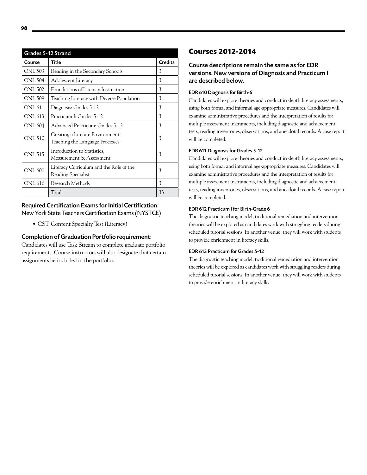| Grades 5-12 Strand |                                                                     |                |
|--------------------|---------------------------------------------------------------------|----------------|
| Course             | Title                                                               | <b>Credits</b> |
| ONL 503            | Reading in the Secondary Schools                                    | 3              |
| <b>ONL 504</b>     | Adolescent Literacy                                                 | 3              |
| <b>ONL 502</b>     | Foundations of Literacy Instruction                                 | 3              |
| <b>ONL 509</b>     | Teaching Literacy with Diverse Population                           | 3              |
| <b>ONL 611</b>     | Diagnosis: Grades 5-12                                              | 3              |
| ONL 613            | Practicum I: Grades 5-12                                            | 3              |
| <b>ONL 604</b>     | Advanced Practicum: Grades 5-12                                     | 3              |
| <b>ONL 510</b>     | Creating a Literate Environment:<br>Teaching the Language Processes | 3              |
| <b>ONL 515</b>     | Introduction to Statistics,<br>Measurement & Assessment             | 3              |
| <b>ONL 600</b>     | Literacy Curriculum and the Role of the<br>Reading Specialist       | 3              |
| <b>ONL 616</b>     | Research Methods                                                    | 3              |
|                    | Total                                                               | 33             |

# Required Certification Exams for Initial Certification: New York State Teachers Certification Exams (NYSTCE)

• CST: Content Specialty Test (Literacy)

# Completion of Graduation Portfolio requirement:

Candidates will use Task Stream to complete graduate portfolio requirements. Course instructors will also designate that certain assignments be included in the portfolio.

# **Courses 2012-2014**

# Course descriptions remain the same as for EDR versions. New versions of Diagnosis and Practicum I are described below.

# EDR 610 Diagnosis for Birth-6

Candidates will explore theories and conduct in-depth literacy assessments, using both formal and informal age-appropriate measures. Candidates will examine administrative procedures and the interpretation of results for multiple assessment instruments, including diagnostic and achievement tests, reading inventories, observations, and anecdotal records. A case report will be completed.

# EDR 611 Diagnosis for Grades 5-12

Candidates will explore theories and conduct in-depth literacy assessments, using both formal and informal age-appropriate measures. Candidates will examine administrative procedures and the interpretation of results for multiple assessment instruments, including diagnostic and achievement tests, reading inventories, observations, and anecdotal records. A case report will be completed.

# EDR 612 Practicum I for Birth-Grade 6

The diagnostic teaching model, traditional remediation and intervention theories will be explored as candidates work with struggling readers during scheduled tutorial sessions. In another venue, they will work with students to provide enrichment in literacy skills.

# EDR 613 Practicum for Grades 5-12

The diagnostic teaching model, traditional remediation and intervention theories will be explored as candidates work with struggling readers during scheduled tutorial sessions. In another venue, they will work with students to provide enrichment in literacy skills.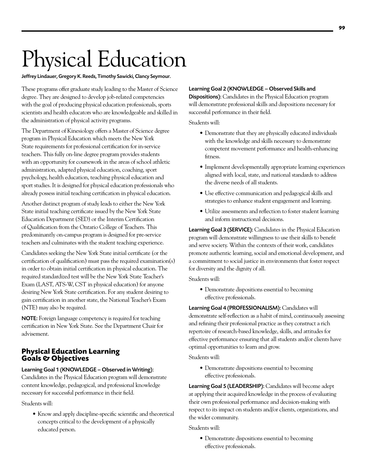# Physical Education

# Jeffrey Lindauer, Gregory K. Reeds, Timothy Sawicki, Clancy Seymour.

These programs offer graduate study leading to the Master of Science degree. They are designed to develop job-related competencies with the goal of producing physical education professionals, sports scientists and health educators who are knowledgeable and skilled in the administration of physical activity programs.

The Department of Kinesiology offers a Master of Science degree program in Physical Education which meets the New York State requirements for professional certification for in-service teachers. This fully on-line degree program provides students with an opportunity for coursework in the areas of school athletic administration, adapted physical education, coaching, sport psychology, health education, teaching physical education and sport studies. It is designed for physical education professionals who already possess initial teaching certification in physical education.

Another distinct program of study leads to either the New York State initial teaching certificate issued by the New York State Education Department (SED) or the Interim Certification of Qualification from the Ontario College of Teachers. This predominantly on-campus program is designed for pre-service teachers and culminates with the student teaching experience.

Candidates seeking the New York State initial certificate (or the certification of qualification) must pass the required examination(s) in order to obtain initial certification in physical education. The required standardized test will be the New York State Teacher's Exam (LAST, ATS-W, CST in physical education) for anyone desiring New York State certification. For any student desiring to gain certification in another state, the National Teacher's Exam (NTE) may also be required.

NOTE: Foreign language competency is required for teaching certification in New York State. See the Department Chair for advisement.

# **Physical Education Learning Goals & Objectives**

# Learning Goal 1 (KNOWLEDGE – Observed in Writing):

Candidates in the Physical Education program will demonstrate content knowledge, pedagogical, and professional knowledge necessary for successful performance in their field.

Students will:

• Know and apply discipline-specific scientific and theoretical concepts critical to the development of a physically educated person.

# Learning Goal 2 (KNOWLEDGE – Observed Skills and

Dispositions): Candidates in the Physical Education program will demonstrate professional skills and dispositions necessary for successful performance in their field.

Students will:

- Demonstrate that they are physically educated individuals with the knowledge and skills necessary to demonstrate competent movement performance and health-enhancing fitness.
- Implement developmentally appropriate learning experiences aligned with local, state, and national standards to address the diverse needs of all students.
- Use effective communication and pedagogical skills and strategies to enhance student engagement and learning.
- • Utilize assessments and reflection to foster student learning and inform instructional decisions.

Learning Goal 3 (SERVICE): Candidates in the Physical Education program will demonstrate willingness to use their skills to benefit and serve society. Within the contexts of their work, candidates promote authentic learning, social and emotional development, and a commitment to social justice in environments that foster respect for diversity and the dignity of all.

Students will:

• Demonstrate dispositions essential to becoming effective professionals.

Learning Goal 4 (PROFESSIONALISM): Candidates will demonstrate self-reflection as a habit of mind, continuously assessing and refining their professional practice as they construct a rich repertoire of research-based knowledge, skills, and attitudes for effective performance ensuring that all students and/or clients have optimal opportunities to learn and grow.

Students will:

• Demonstrate dispositions essential to becoming effective professionals.

Learning Goal 5 (LEADERSHIP): Candidates will become adept at applying their acquired knowledge in the process of evaluating their own professional performance and decision-making with respect to its impact on students and/or clients, organizations, and the wider community.

Students will:

• Demonstrate dispositions essential to becoming effective professionals.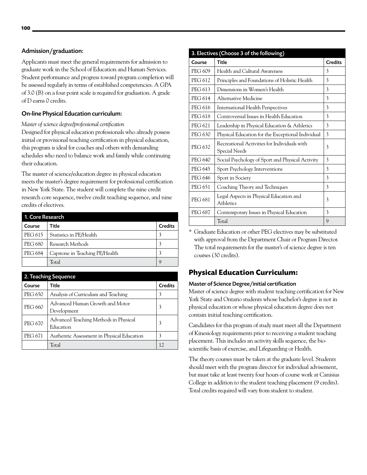# Admission/graduation:

Applicants must meet the general requirements for admission to graduate work in the School of Education and Human Services. Student performance and progress toward program completion will be assessed regularly in terms of established competencies. A GPA of 3.0 (B) on a four point scale is required for graduation. A grade of D earns 0 credits.

# On-line Physical Education curriculum:

*Master of science degree/professional certification* 

Designed for physical education professionals who already possess initial or provisional teaching certification in physical education, this program is ideal for coaches and others with demanding schedules who need to balance work and family while continuing their education.

The master of science/education degree in physical education meets the master's degree requirement for professional certification in New York State. The student will complete the nine credit research core sequence, twelve credit teaching sequence, and nine credits of electives.

| 1. Core Research |                                |                |
|------------------|--------------------------------|----------------|
| Course           | Title                          | <b>Credits</b> |
| PEG 615          | Statistics in PE/Health        | 3              |
| PEG 680          | Research Methods               | 3              |
| <b>PEG 684</b>   | Capstone in Teaching PE/Health | 3              |
|                  | Total                          | Q              |

| 2. Teaching Sequence |                |                                                    |                |
|----------------------|----------------|----------------------------------------------------|----------------|
|                      | Course         | Title                                              | <b>Credits</b> |
|                      | <b>PEG 650</b> | Analysis of Curriculum and Teaching                | 3              |
|                      | <b>PEG 660</b> | Advanced Human Growth and Motor<br>Development     | 3              |
|                      | <b>PEG 670</b> | Advanced Teaching Methods in Physical<br>Education | 3              |
|                      | <b>PEG 671</b> | Authentic Assessment in Physical Education         | 3              |
|                      |                | Total                                              | 12             |

| 3. Electives (Choose 3 of the following) |                                                               |                |  |
|------------------------------------------|---------------------------------------------------------------|----------------|--|
| Course                                   | <b>Title</b>                                                  | <b>Credits</b> |  |
| PEG 609                                  | Health and Cultural Awareness                                 | 3              |  |
| PEG 612                                  | Principles and Foundations of Holistic Health                 | 3              |  |
| PEG 613                                  | Dimensions in Women's Health                                  | 3              |  |
| PEG 614                                  | Alternative Medicine                                          | 3              |  |
| <b>PEG 616</b>                           | International Health Perspectives                             | 3              |  |
| PEG 618                                  | Controversial Issues in Health Education                      | 3              |  |
| <b>PEG 621</b>                           | Leadership in Physical Education & Athletics                  | 3              |  |
| <b>PEG 630</b>                           | Physical Education for the Exceptional Individual             | 3              |  |
| <b>PEG 632</b>                           | Recreational Activities for Individuals with<br>Special Needs | 3              |  |
| <b>PEG 640</b>                           | Social Psychology of Sport and Physical Activity              | 3              |  |
| <b>PEG 645</b>                           | Sport Psychology Interventions                                | 3              |  |
| <b>PEG 646</b>                           | Sport in Society                                              | 3              |  |
| PEG 651                                  | Coaching Theory and Techniques                                | 3              |  |
| <b>PEG 681</b>                           | Legal Aspects in Physical Education and<br>Athletics          | 3              |  |
| <b>PEG 687</b>                           | Contemporary Issues in Physical Education                     | 3              |  |
|                                          | Total                                                         | 9              |  |

\* Graduate Education or other PEG electives may be substituted with approval from the Department Chair or Program Director. The total requirements for the master's of science degree is ten courses (30 credits).

# **Physical Education Curriculum:**

# Master of Science Degree/initial certification

Master of science degree with student teaching certification for New York State and Ontario students whose bachelor's degree is not in physical education or whose physical education degree does not contain initial teaching certification.

Candidates for this program of study must meet all the Department of Kinesiology requirements prior to receiving a student teaching placement. This includes an activity skills sequence, the bioscientific basis of exercise, and Lifeguarding or Health.

The theory courses must be taken at the graduate level. Students should meet with the program director for individual advisement, but must take at least twenty four hours of course work at Canisius College in addition to the student teaching placement (9 credits). Total credits required will vary from student to student.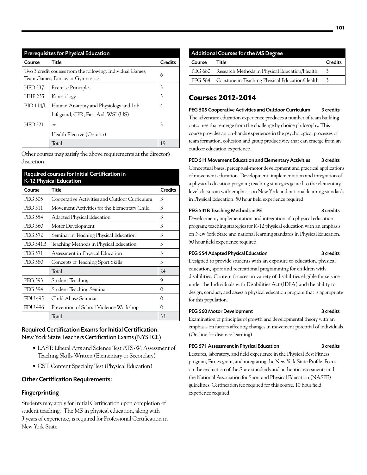| <b>Prerequisites for Physical Education</b>                                                    |                                                                              |                |  |
|------------------------------------------------------------------------------------------------|------------------------------------------------------------------------------|----------------|--|
| Course                                                                                         | Title                                                                        | <b>Credits</b> |  |
| Two 3 credit courses from the following: Individual Games,<br>Team Games, Dance, or Gymnastics |                                                                              | 6              |  |
| <b>HED 337</b>                                                                                 | <b>Exercise Principles</b>                                                   | 3              |  |
| <b>HHP 235</b>                                                                                 | Kinesiology                                                                  | 3              |  |
| <b>BIO 114/L</b>                                                                               | Human Anatomy and Physiology and Lab                                         | 4              |  |
| <b>HED 321</b>                                                                                 | Lifeguard, CPR, First Aid, WSI (US)<br>$\alpha$<br>Health Elective (Ontario) | 3              |  |
|                                                                                                | Total                                                                        | 19             |  |

Other courses may satisfy the above requirements at the director's discretion.

| Required courses for Initial Certification in<br>K-12 Physical Education |                                               |                |  |
|--------------------------------------------------------------------------|-----------------------------------------------|----------------|--|
| Course                                                                   | Title                                         | <b>Credits</b> |  |
| <b>PEG 505</b>                                                           | Cooperative Activities and Outdoor Curriculum | 3              |  |
| <b>PEG 511</b>                                                           | Movement Activities for the Elementary Child  | 3              |  |
| <b>PEG 554</b>                                                           | Adapted Physical Education                    | 3              |  |
| <b>PEG 560</b>                                                           | Motor Development                             | 3              |  |
| <b>PEG 572</b>                                                           | Seminar in Teaching Physical Education        | 3              |  |
| <b>PEG 541B</b>                                                          | Teaching Methods in Physical Education        | 3              |  |
| <b>PEG 571</b>                                                           | Assessment in Physical Education              | 3              |  |
| <b>PEG 580</b>                                                           | Concepts of Teaching Sport Skills             | 3              |  |
|                                                                          | Total                                         | 24             |  |
| <b>PEG 593</b>                                                           | Student Teaching                              | 9              |  |
| <b>PEG 594</b>                                                           | Student Teaching Seminar                      | $\Omega$       |  |
| <b>EDU 495</b>                                                           | Child Abuse Seminar                           | $\Omega$       |  |
| <b>EDU 496</b>                                                           | Prevention of School Violence Workshop        | $\Omega$       |  |
|                                                                          | Total                                         | 33             |  |

# Required Certification Exams for Initial Certification: New York State Teachers Certification Exams (NYSTCE)

- • LAST: Liberal Arts and Science Test ATS-W: Assessment of Teaching Skills-Written (Elementary or Secondary)
- • CST: Content Specialty Test (Physical Education)

# Other Certification Requirements:

# Fingerprinting

Students may apply for Initial Certification upon completion of student teaching. The MS in physical education, along with 3 years of experience, is required for Professional Certification in New York State.

| <b>Additional Courses for the MS Degree</b> |                                                         |                |
|---------------------------------------------|---------------------------------------------------------|----------------|
| Course                                      | Title                                                   | <b>Credits</b> |
|                                             | PEG 680   Research Methods in Physical Education/Health |                |
|                                             | PEG 584 Capstone in Teaching Physical Education/Health  | 3              |

# **Courses 2012-2014**

PEG 505 Cooperative Activities and Outdoor Curriculum 3 credits The adventure education experience produces a number of team building outcomes that emerge from the challenge by choice philosophy. This course provides an on-hands experience in the psychological processes of team formation, cohesion and group productivity that can emerge from an outdoor education experience.

# PED 511 Movement Education and Elementary Activities 3 credits

Conceptual bases, perceptual-motor development and practical applications of movement education. Development, implementation and integration of a physical education program; teaching strategies geared to the elementary level classroom with emphasis on New York and national learning standards in Physical Education. 50 hour field experience required.

# PEG 541B Teaching Methods in PE 3 credits

Development, implementation and integration of a physical education program; teaching strategies for K-12 physical education with an emphasis on New York State and national learning standards in Physical Education. 50 hour field experience required.

# PEG 554 Adapted Physical Education 3 credits

Designed to provide students with an exposure to education, physical education, sport and recreational programming for children with disabilities. Content focuses on variety of disabilities eligible for service under the Individuals with Disabilities Act (IDEA) and the ability to design, conduct, and assess a physical education program that is appropriate for this population.

# PEG 560 Motor Development 3 credits

Examination of principles of growth and developmental theory with an emphasis on factors affecting changes in movement potential of individuals. (On-line for distance learning).

# PEG 571 Assessment in Physical Education 3 credits

Lectures, laboratory, and field experience in the Physical Best Fitness program, Fitnessgram, and integrating the New York State Profile. Focus on the evaluation of the State standards and authentic assessments and the National Association for Sport and Physical Education (NASPE) guidelines. Certification fee required for this course. 10 hour field experience required.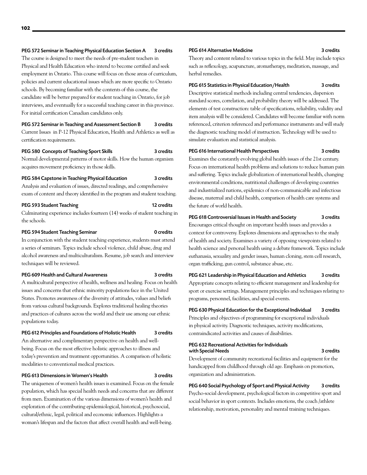# PEG 572 Seminar in Teaching Physical Education Section A 3 credits

The course is designed to meet the needs of pre-student teachers in Physical and Health Education who intend to become certified and seek employment in Ontario. This course will focus on those areas of curriculum, policies and current educational issues which are more specific to Ontario schools. By becoming familiar with the contents of this course, the candidate will be better prepared for student teaching in Ontario, for job interviews, and eventually for a successful teaching career in this province. For initial certification Canadian candidates only.

# PEG 572 Seminar in Teaching and Assessment Section B 3 credits

Current Issues in P-12 Physical Education, Health and Athletics as well as certification requirements.

## PEG 580 Concepts of Teaching Sport Skills 3 credits

Normal developmental patterns of motor skills. How the human organism acquires movement proficiency in those skills.

# PEG 584 Capstone in Teaching Physical Education 3 credits

Analysis and evaluation of issues, directed readings, and comprehensive exam of content and theory identified in the program and student teaching.

# PEG 593 Student Teaching 12 credits

Culminating experience includes fourteen (14) weeks of student teaching in the schools.

### PEG 594 Student Teaching Seminar 0 credits

In conjunction with the student teaching experience, students must attend a series of seminars. Topics include school violence, child abuse, drug and alcohol awareness and multiculturalism. Resume, job search and interview techniques will be reviewed.

#### PEG 609 Health and Cultural Awareness 3 credits

A multicultural perspective of health, wellness and healing. Focus on health issues and concerns that ethnic minority populations face in the United States. Promotes awareness of the diversity of attitudes, values and beliefs from various cultural backgrounds. Explores traditional healing theories and practices of cultures across the world and their use among our ethnic populations today.

## PEG 612 Principles and Foundations of Holistic Health 3 credits

An alternative and complimentary perspective on health and wellbeing. Focus on the most effective holistic approaches to illness and today's prevention and treatment opportunities. A comparison of holistic modalities to conventional medical practices.

# PEG 613 Dimensions in Women's Health 3 credits

The uniqueness of women's health issues is examined. Focus on the female population, which has special health needs and concerns that are different from men. Examination of the various dimensions of women's health and exploration of the contributing epidemiological, historical, psychosocial, cultural/ethnic, legal, political and economic influences. Highlights a woman's lifespan and the factors that affect overall health and well-being.

#### PEG 614 Alternative Medicine 3 credits

Theory and content related to various topics in the field. May include topics such as reflexology, acupuncture, aromatherapy, meditation, massage, and herbal remedies.

# PEG 615 Statistics in Physical Education/Health 3 credits

Descriptive statistical methods including central tendencies, dispersion standard scores, correlation, and probability theory will be addressed. The elements of test construction: table of specifications, reliability, validity and item analysis will be considered. Candidates will become familiar with norm referenced, criterion referenced and performance instruments and will study the diagnostic teaching model of instruction. Technology will be used to simulate evaluation and statistical analysis.

#### PEG 616 International Health Perspectives 3 credits

the future of world health.

Examines the constantly evolving global health issues of the 21st century. Focus on international health problems and solutions to reduce human pain and suffering. Topics include globalization of international health, changing environmental conditions, nutritional challenges of developing countries and industrialized nations, epidemics of non-communicable and infectious disease, maternal and child health, comparison of health care systems and

## PEG 618 Controversial Issues in Health and Society 3 credits

Encourages critical thought on important health issues and provides a context for controversy. Explores dimensions and approaches to the study of health and society. Examines a variety of opposing viewpoints related to health science and personal health using a debate framework. Topics include euthanasia, sexuality and gender issues, human cloning, stem cell research, organ trafficking, gun control, substance abuse, etc.

PEG 621 Leadership in Physical Education and Athletics 3 credits Appropriate concepts relating to efficient management and leadership for sport or exercise settings. Management principles and techniques relating to programs, personnel, facilities, and special events.

PEG 630 Physical Education for the Exceptional Individual 3 credits Principles and objectives of programming for exceptional individuals in physical activity. Diagnostic techniques, activity modifications, contraindicated activities and causes of disabilities.

#### PEG 632 Recreational Activities for Individuals with Special Needs 3 credits

Development of community recreational facilities and equipment for the handicapped from childhood through old age. Emphasis on promotion, organization and administration.

# PEG 640 Social Psychology of Sport and Physical Activity 3 credits

Psycho-social development, psychological factors in competitive sport and social behavior in sport contexts. Includes emotions, the coach /athlete relationship, motivation, personality and mental training techniques.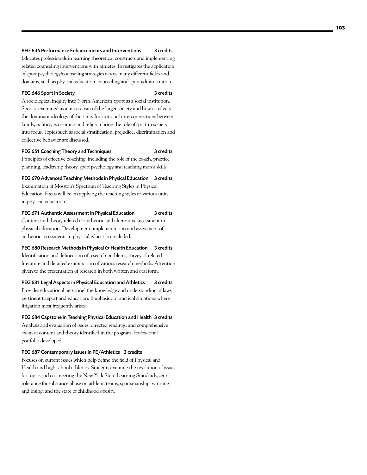# PEG 645 Performance Enhancements and Interventions 3 credits

Educates professionals in learning theoretical constructs and implementing related counseling interventions with athletes. Investigates the application of sport psychology/counseling strategies across many different fields and domains, such as physical education, counseling and sport administration.

# PEG 646 Sport in Society 3 credits

A sociological inquiry into North American Sport as a social institution. Sport is examined as a microcosm of the larger society and how it reflects the dominant ideology of the time. Institutional interconnections between family, politics, economics and religion bring the role of sport in society into focus. Topics such as social stratification, prejudice, discrimination and collective behavior are discussed.

# PEG 651 Coaching Theory and Techniques 3 credits

Principles of effective coaching, including the role of the coach, practice planning, leadership theory, sport psychology and teaching motor skills.

PEG 670 Advanced Teaching Methods in Physical Education 3 credits Examination of Mosston's Spectrum of Teaching Styles in Physical Education. Focus will be on applying the teaching styles to various units in physical education.

PEG 671 Authentic Assessment in Physical Education 3 credits Content and theory related to authentic and alternative assessment in physical education. Development, implementation and assessment of authentic assessments in physical education included.

PEG 680 Research Methods in Physical & Health Education 3 credits Identification and delineation of research problems, survey of related literature and detailed examination of various research methods. Attention given to the presentation of research in both written and oral form.

PEG 681 Legal Aspects in Physical Education and Athletics 3 credits Provides educational personnel the knowledge and understanding of laws pertinent to sport and education. Emphasis on practical situations where litigation most frequently arises.

PEG 684 Capstone in Teaching Physical Education and Health 3 credits Analysis and evaluation of issues, directed readings, and comprehensive exam of content and theory identified in the program. Professional portfolio developed.

PEG 687 Contemporary Issues in PE/Athletics 3 credits

Focuses on current issues which help define the field of Physical and Health and high school athletics. Students examine the resolution of issues for topics such as meeting the New York State Learning Standards, zero tolerance for substance abuse on athletic teams, sportsmanship, winning and losing, and the state of childhood obesity.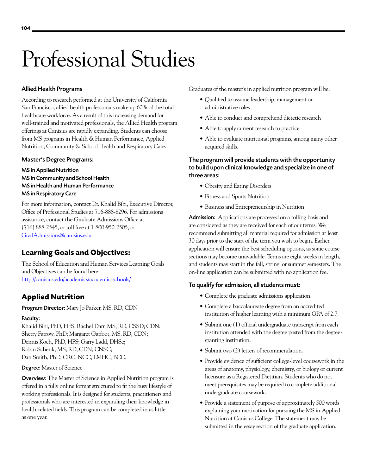# Professional Studies

# Allied Health Programs

According to research performed at the University of California San Francisco, allied health professionals make up 60% of the total healthcare workforce. As a result of this increasing demand for well-trained and motivated professionals, the Allied Health program offerings at Canisius are rapidly expanding. Students can choose from MS programs in [Health & Human Performance,](http://www.canisius.edu/hhp/) [Applied](http://www.canisius.edu/masters-in-applied-nutrition/default.asp)  [Nutrition,](http://www.canisius.edu/masters-in-applied-nutrition/default.asp) [Community & School Health](http://www.canisius.edu/csh/) and [Respiratory Care](http://www.canisius.edu/respcare/).

# Master's Degree Programs:

[MS in Applied Nutrition](http://www.canisius.edu/nutrition/)  [MS in Community and School Health](http://www.canisius.edu/csh/) [MS in Health and Human Performance](http://www.canisius.edu/hhp/) [MS in Respiratory Care](http://www.canisius.edu/respcare/)

For more information, contact Dr. Khalid Bibi, Executive Director, Office of Professional Studies at 716-888-8296. For admissions assistance, contact the Graduate Admissions Office at (716) 888-2545, or toll free at 1-800-950-2505, or [GradAdmissions@canisius.edu](mailto:GradAdmissions@canisius.edu)

# **Learning Goals and Objectives:**

The School of Education and Human Services Learning Goals and Objectives can be found here: <http://canisius.edu/academics/academic-schools/>

# **Applied Nutrition**

Program Director: Mary Jo Parker, MS, RD, CDN

# Faculty:

Khalid Bibi, PhD, HFS; Rachel Darr, MS, RD, CSSD; CDN; Sherry Farrow, PhD; Margaret Garfoot, MS, RD, CDN; Dennis Koch, PhD, HFS; Garry Ladd, DHSc; Robin Schenk, MS, RD, CDN, CNSC; Dan Smith, PhD, CRC, NCC, LMHC, BCC.

# Degree: Master of Science

Overview: The Master of Science in Applied Nutrition program is offered in a fully online format structured to fit the busy lifestyle of working professionals. It is designed for students, practitioners and professionals who are interested in expanding their knowledge in health-related fields. This program can be completed in as little as one year.

Graduates of the master's in applied nutrition program will be:

- Qualified to assume leadership, management or administrative roles
- Able to conduct and comprehend dietetic research
- Able to apply current research to practice
- Able to evaluate nutritional programs, among many other acquired skills.

# The program will provide students with the opportunity to build upon clinical knowledge and specialize in one of three areas:

- Obesity and Eating Disorders
- Fitness and Sports Nutrition
- • Business and Entrepreneurship in Nutrition

Admission: Applications are processed on a rolling basis and are considered as they are received for each of our terms. We recommend submitting all material required for admission at least 30 days prior to the start of the term you wish to begin. Earlier application will ensure the best scheduling options, as some course sections may become unavailable. Terms are eight weeks in length, and students may start in the fall, spring, or summer semesters. The on-line application can be submitted with no application fee.

# To qualify for admission, all students must:

- Complete the graduate admissions application.
- • Complete a baccalaureate degree from an accredited institution of higher learning with a minimum GPA of 2.7.
- Submit one (1) official undergraduate transcript from each institution attended with the degree posted from the degreegranting institution.
- Submit two (2) letters of recommendation.
- • Provide evidence of sufficient college-level coursework in the areas of anatomy, physiology, chemistry, or biology or current licensure as a Registered Dietitian. Students who do not meet prerequisites may be required to complete additional undergraduate coursework.
- • Provide a statement of purpose of approximately 500 words explaining your motivation for pursuing the MS in Applied Nutrition at Canisius College. The statement may be submitted in the essay section of the graduate application.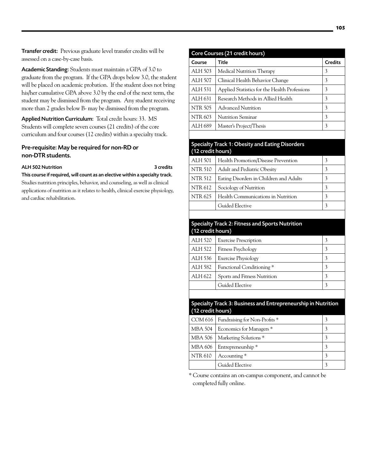Transfer credit: Previous graduate level transfer credits will be assessed on a case-by-case basis.

Academic Standing: Students must maintain a GPA of 3.0 to graduate from the program. If the GPA drops below 3.0, the student will be placed on academic probation. If the student does not bring his/her cumulative GPA above 3.0 by the end of the next term, the student may be dismissed from the program. Any student receiving more than 2 grades below B- may be dismissed from the program.

Applied Nutrition Curriculum: Total credit hours: 33. MS Students will complete seven courses (21 credits) of the core curriculum and four courses (12 credits) within a specialty track.

# Pre-requisite: May be required for non-RD or non-DTR students.

# ALH502 Nutrition 3 credits

This course if required, will count as an elective within a specialty track. Studies nutrition principles, behavior, and counseling, as well as clinical applications of nutrition as it relates to health, clinical exercise physiology, and cardiac rehabilitation.

|                   | Core Courses (21 credit hours)                                |                         |
|-------------------|---------------------------------------------------------------|-------------------------|
| Course            | <b>Title</b>                                                  | <b>Credits</b>          |
| ALH 503           | Medical Nutrition Therapy                                     | 3                       |
| ALH 507           | Clinical Health Behavior Change                               | 3                       |
| <b>ALH 531</b>    | Applied Statistics for the Health Professions                 | 3                       |
| ALH 631           | Research Methods in Allied Health                             | 3                       |
| <b>NTR 505</b>    | Advanced Nutrition                                            | 3                       |
| <b>NTR 603</b>    | <b>Nutrition Seminar</b>                                      | 3                       |
| ALH 689           | Master's Project/Thesis                                       | 3                       |
|                   |                                                               |                         |
|                   | <b>Specialty Track 1: Obesity and Eating Disorders</b>        |                         |
| (12 credit hours) |                                                               |                         |
| <b>ALH 501</b>    | Health Promotion/Disease Prevention                           | 3                       |
| <b>NTR 510</b>    | <b>Adult and Pediatric Obesity</b>                            | 3                       |
| <b>NTR 512</b>    | Eating Disorders in Children and Adults                       | 3                       |
| <b>NTR 612</b>    | Sociology of Nutrition                                        | 3                       |
| <b>NTR 625</b>    | Health Communications in Nutrition                            | 3                       |
|                   | Guided Elective                                               | 3                       |
|                   |                                                               |                         |
|                   | <b>Specialty Track 2: Fitness and Sports Nutrition</b>        |                         |
| (12 credit hours) |                                                               |                         |
| <b>ALH 520</b>    | <b>Exercise Prescription</b>                                  | 3                       |
| ALH 522           | Fitness Psychology                                            | 3                       |
| ALH 536           | <b>Exercise Physiology</b>                                    | 3                       |
| <b>ALH 582</b>    | Functional Conditioning*                                      | 3                       |
| ALH 622           | Sports and Fitness Nutrition                                  | 3                       |
|                   | Guided Elective                                               | 3                       |
|                   |                                                               |                         |
|                   | Specialty Track 3: Business and Entrepreneurship in Nutrition |                         |
| (12 credit hours) |                                                               |                         |
|                   | COM 616   Fundraising for Non-Profits *                       | 3                       |
| <b>MBA 504</b>    | Economics for Managers *                                      | 3                       |
| <b>MBA 506</b>    | Marketing Solutions <sup>*</sup>                              | $\overline{\mathbf{3}}$ |
| <b>MBA 606</b>    | Entrepreneurship*                                             | $\overline{\mathbf{3}}$ |
| <b>NTR 610</b>    | Accounting *                                                  | $\overline{\mathbf{3}}$ |
|                   | Guided Elective                                               | $\mathfrak{Z}$          |
|                   |                                                               |                         |

\* Course contains an on-campus component, and cannot be completed fully online.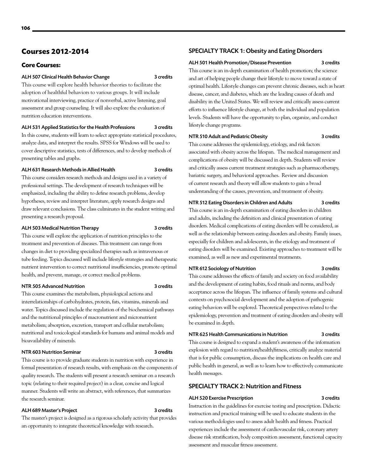# **Courses 2012-2014**

# **Core Courses:**

### ALH 507 Clinical Health Behavior Change 3 credits

This course will explore health behavior theories to facilitate the adoption of healthful behaviors to various groups. It will include motivational interviewing, practice of nonverbal, active listening, goal assessment and group counseling. It will also explore the evaluation of nutrition education interventions.

# ALH 531 Applied Statistics for the Health Professions 3 credits

In this course, students will learn to select appropriate statistical procedures, analyze data, and interpret the results. SPSS for Windows will be used to cover descriptive statistics, tests of differences, and to develop methods of presenting tables and graphs.

# ALH 631 Research Methods in Allied Health 3 credits

This course considers research methods and designs used in a variety of professional settings. The development of research techniques will be emphasized, including the ability to define research problems, develop hypotheses, review and interpret literature, apply research designs and draw relevant conclusions. The class culminates in the student writing and presenting a research proposal.

## ALH 503 Medical Nutrition Therapy 3 credits

This course will explore the application of nutrition principles to the treatment and prevention of diseases. This treatment can range from changes in diet to providing specialized therapies such as intravenous or tube feeding. Topics discussed will include lifestyle strategies and therapeutic nutrient intervention to correct nutritional insufficiencies, promote optimal health, and prevent, manage, or correct medical problems.

#### NTR 505 Advanced Nutrition 3 credits

This course examines the metabolism, physiological actions and interrelationships of carbohydrates, protein, fats, vitamins, minerals and water. Topics discussed include the regulation of the biochemical pathways and the nutritional principles of macronutrient and micronutrient metabolism; absorption, excretion, transport and cellular metabolism; nutritional and toxicological standards for humans and animal models and bioavailability of minerals.

# NTR 603 Nutrition Seminar 3 credits

This course is to provide graduate students in nutrition with experience in formal presentation of research results, with emphasis on the components of quality research. The students will present a research seminar on a research topic (relating to their required project) in a clear, concise and logical manner. Students will write an abstract, with references, that summarizes the research seminar.

# ALH 689 Master's Project 3 credits

The master's project is designed as a rigorous scholarly activity that provides an opportunity to integrate theoretical knowledge with research.

# SPECIALTY TRACK 1: Obesity and Eating Disorders

## ALH 501 Health Promotion/Disease Prevention 3 credits

This course is an in-depth examination of health promotion; the science and art of helping people change their lifestyle to move toward a state of optimal health. Lifestyle changes can prevent chronic diseases, such as heart disease, cancer, and diabetes, which are the leading causes of death and disability in the United States. We will review and critically assess current efforts to influence lifestyle change, at both the individual and population levels. Students will have the opportunity to plan, organize, and conduct lifestyle change programs.

## NTR 510 Adult and Pediatric Obesity 3 credits

This course addresses the epidemiology, etiology, and risk factors associated with obesity across the lifespan. The medical management and complications of obesity will be discussed in depth. Students will review and critically assess current treatment strategies such as pharmacotherapy, bariatric surgery, and behavioral approaches. Review and discussion of current research and theory will allow students to gain a broad understanding of the causes, prevention, and treatment of obesity.

# NTR 512 Eating Disorders in Children and Adults 3 credits

This course is an in-depth examination of eating disorders in children and adults, including the definition and clinical presentation of eating disorders. Medical complications of eating disorders will be considered, as well as the relationship between eating disorders and obesity. Family issues, especially for children and adolescents, in the etiology and treatment of eating disorders will be examined. Existing approaches to treatment will be examined, as well as new and experimental treatments.

# NTR 612 Sociology of Nutrition 3 credits

This course addresses the effects of family and society on food availability and the development of eating habits, food rituals and norms, and body acceptance across the lifespan. The influence of family systems and cultural contexts on psychosocial development and the adoption of pathogenic eating behaviors will be explored. Theoretical perspectives related to the epidemiology, prevention and treatment of eating disorders and obesity will be examined in depth.

# NTR 625 Health Communications in Nutrition 3 credits

This course is designed to expand a student's awareness of the information explosion with regard to nutrition/health/fitness, critically analyze material that is for public consumption, discuss the implications on health care and public health in general, as well as to learn how to effectively communicate health messages.

# SPECIALTY TRACK 2: Nutrition and Fitness

# ALH 520 Exercise Prescription 3 credits

Instruction in the guidelines for exercise testing and prescription. Didactic instruction and practical training will be used to educate students in the various methodologies used to assess adult health and fitness. Practical experiences include the assessment of cardiovascular risk, coronary artery disease risk stratification, body composition assessment, functional capacity assessment and muscular fitness assessment.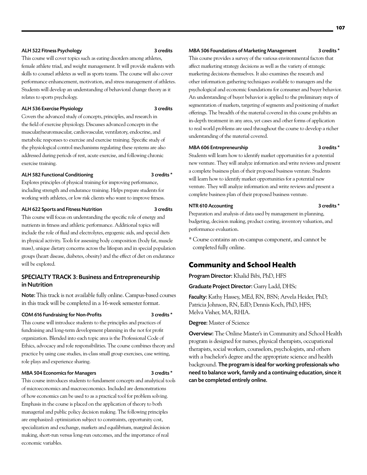#### ALH 522 Fitness Psychology 3 credits

This course will cover topics such as eating disorders among athletes, female athlete triad, and weight management. It will provide students with skills to counsel athletes as well as sports teams. The course will also cover performance enhancement, motivation, and stress management of athletes. Students will develop an understanding of behavioral change theory as it relates to sports psychology.

# ALH 536 Exercise Physiology 3 credits

Covers the advanced study of concepts, principles, and research in the field of exercise physiology. Discusses advanced concepts in the muscular/neuromuscular, cardiovascular, ventilatory, endocrine, and metabolic responses to exercise and exercise training. Specific study of the physiological control mechanisms regulating these systems are also addressed during periods of rest, acute exercise, and following chronic exercise training.

# ALH 582 Functional Conditioning 3 credits \*

Explores principles of physical training for improving performance, including strength and endurance training. Helps prepare students for working with athletes, or low risk clients who want to improve fitness.

# ALH 622 Sports and Fitness Nutrition 3 credits

This course will focus on understanding the specific role of energy and nutrients in fitness and athletic performance. Additional topics will include the role of fluid and electrolytes, ergogenic aids, and special diets in physical activity. Tools for assessing body composition (body fat, muscle mass), unique dietary concerns across the lifespan and in special population groups (heart disease, diabetes, obesity) and the effect of diet on endurance will be explored.

# SPECIALTY TRACK 3: Business and Entrepreneurship in Nutrition

Note: This track is not available fully online. Campus-based courses in this track will be completed in a 16-week semester format.

## COM 616 Fundraising for Non-Profits 3 credits \*

This course will introduce students to the principles and practices of fundraising and long-term development planning in the not for profit organization. Blended into each topic area is the Professional Code of Ethics, advocacy and role responsibilities. The course combines theory and practice by using case studies, in-class small group exercises, case writing, role plays and experience sharing.

# MBA 504 Economics for Managers 3 credits \*

This course introduces students to fundament concepts and analytical tools of microeconomics and macroeconomics. Included are demonstrations of how economics can be used to as a practical tool for problem solving. Emphasis in the course is placed on the application of theory to both managerial and public policy decision making. The following principles are emphasized: optimization subject to constraints, opportunity cost, specialization and exchange, markets and equilibrium, marginal decision making, short-run versus long-run outcomes, and the importance of real economic variables.

#### MBA 506 Foundations of Marketing Management 3 credits \*

This course provides a survey of the various environmental factors that affect marketing strategy decisions as well as the variety of strategic marketing decisions themselves. It also examines the research and other information gathering techniques available to managers and the psychological and economic foundations for consumer and buyer behavior. An understanding of buyer behavior is applied to the preliminary steps of segmentation of markets, targeting of segments and positioning of market offerings. The breadth of the material covered in this course prohibits an in-depth treatment in any area, yet cases and other forms of application to real world problems are used throughout the course to develop a richer understanding of the material covered.

# MBA 606 Entrepreneurship 3 credits \*

Students will learn how to identify market opportunities for a potential new venture. They will analyze information and write reviews and present a complete business plan of their proposed business venture. Students will learn how to identify market opportunities for a potential new venture. They will analyze information and write reviews and present a complete business plan of their proposed business venture.

# NTR 610 Accounting 3 credits \*

Preparation and analysis of data used by management in planning, budgeting, decision making, product costing, inventory valuation, and performance evaluation.

\* Course contains an on-campus component, and cannot be completed fully online.

# **Community and School Health**

Program Director: Khalid Bibi, PhD, HFS

Graduate Project Director: Garry Ladd, DHSc

Faculty: Kathy Hassey, MEd, RN, BSN; Arvela Heider, PhD; Patricia Johnson, RN, EdD; Dennis Koch, PhD, HFS; Melva Visher, MA, RHIA.

Degree: Master of Science

Overview: The Online Master's in Community and School Health program is designed for nurses, physical therapists, occupational therapists, social workers, counselors, psychologists, and others with a bachelor's degree and the appropriate science and health background. The program is ideal for working professionals who need to balance work, family and a continuing education, since it can be completed entirely online.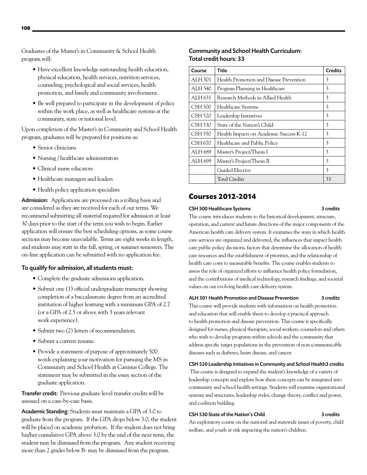Graduates of the Master's in Community & School Health program will:

- Have excellent knowledge surrounding health education, physical education, health services, nutrition services, counseling, psychological and social services, health promotion, and family and community involvement.
- Be well prepared to participate in the development of policy within the work place, as well as healthcare systems at the community, state or national level.

Upon completion of the Master's in Community and School Health program, graduates will be prepared for positions as:

- Senior clinicians
- Nursing / healthcare administrators
- • Clinical nurse educators
- Healthcare managers and leaders
- Health policy application specialists

Admission: Applications are processed on a rolling basis and are considered as they are received for each of our terms. We recommend submitting all material required for admission at least 30 days prior to the start of the term you wish to begin. Earlier application will ensure the best scheduling options, as some course sections may become unavailable. Terms are eight weeks in length, and students may start in the fall, spring, or summer semesters. The on-line application can be submitted with no application fee.

# To qualify for admission, all students must:

- Complete the graduate admissions application.
- Submit one (1) official undergraduate transcript showing completion of a baccalaureate degree from an accredited institution of higher learning with a minimum GPA of 2.7 (or a GPA of 2.5 or above with 3 years relevant work experience).
- Submit two (2) letters of recommendation.
- Submit a current resume.
- Provide a statement of purpose of approximately 500 words explaining your motivation for pursuing the MS in Community and School Health at Canisius College. The statement may be submitted in the essay section of the graduate application.

Transfer credit: Previous graduate level transfer credits will be assessed on a case-by-case basis.

Academic Standing: Students must maintain a GPA of 3.0 to graduate from the program. If the GPA drops below 3.0, the student will be placed on academic probation. If the student does not bring his/her cumulative GPA above 3.0 by the end of the next term, the student may be dismissed from the program. Any student receiving more than 2 grades below B- may be dismissed from the program.

# Community and School Health Curriculum: Total credit hours: 33

| Course         | Title                                   | <b>Credits</b> |
|----------------|-----------------------------------------|----------------|
| <b>ALH 501</b> | Health Promotion and Disease Prevention | 3              |
| ALH 540        | Program Planning in Healthcare          | 3              |
| ALH 631        | Research Methods in Allied Health       | 3              |
| <b>CSH 500</b> | <b>Healthcare Systems</b>               | 3              |
| CSH 520        | Leadership Initiatives                  | 3              |
| CSH 530        | State of the Nation's Child             | 3              |
| CSH 550        | Health Impacts on Academic Success K-12 | 3              |
| <b>CSH 670</b> | Healthcare and Public Policy            | 3              |
| ALH 689        | Master's Project/Thesis I               | 3              |
| ALH 699        | Master's Project/Thesis II              | 3              |
|                | Guided Elective                         | 3              |
|                | Total Credits                           | 33             |

# **Courses 2012-2014**

# CSH 500 Healthcare Systems 3 credits

The course introduces students to the historical development, structure, operation, and current and future directions of the major components of the American health care delivery system. It examines the ways in which health care services are organized and delivered, the influences that impact health care public policy decisions, factors that determine the allocation of health care resources and the establishment of priorities, and the relationship of health care costs to measurable benefits. The course enables students to assess the role of organized efforts to influence health policy formulation, and the contributions of medical technology, research findings, and societal values on our evolving health care delivery system.

## ALH 501 Health Promotion and Disease Prevention 3 credits

This course will provide students with information on health promotion and education that will enable them to develop a practical approach to health promotion and disease prevention. This course is specifically designed for nurses, physical therapists, social workers, counselors and others who wish to develop programs within schools and the community that address specific target populations in the prevention of non-communicable diseases such as diabetes, heart disease, and cancer.

## CSH 520 Leadership Initiatives in Community and School Health3 credits

This course is designed to expand the student's knowledge of a variety of leadership concepts and explore how these concepts can be integrated into community and school health settings. Students will examine organizational systems and structures, leadership styles, change theory, conflict and power, and coalition building.

#### CSH 530 State of the Nation's Child 3 credits

An exploratory course on the national and statewide issues of poverty, child welfare, and youth at risk impacting the nation's children.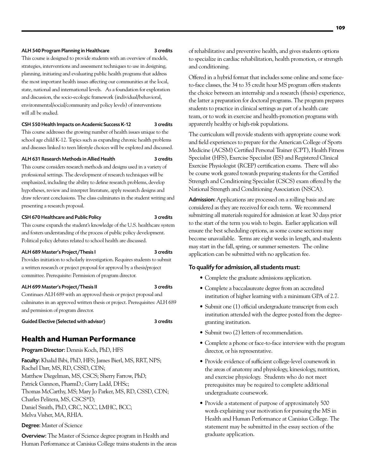#### ALH 540 Program Planning in Healthcare 3 credits

This course is designed to provide students with an overview of models, strategies, interventions and assessment techniques to use in designing, planning, initiating and evaluating public health programs that address the most important health issues affecting our communities at the local, state, national and international levels. As a foundation for exploration and discussion, the socio-ecologic framework (individual/behavioral, environmental/social/community and policy levels) of interventions will all be studied.

### CSH 550 Health Impacts on Academic Success K-12 3 credits

This course addresses the growing number of health issues unique to the school age child K-12. Topics such as expanding chronic health problems and diseases linked to teen lifestyle choices will be explored and discussed.

# ALH 631 Research Methods in Allied Health 3 credits

This course considers research methods and designs used in a variety of professional settings. The development of research techniques will be emphasized, including the ability to define research problems, develop hypotheses, review and interpret literature, apply research designs and draw relevant conclusions. The class culminates in the student writing and presenting a research proposal.

## CSH 670 Healthcare and Public Policy 3 credits

This course expands the student's knowledge of the U.S. healthcare system and fosters understanding of the process of public policy development. Political policy debates related to school health are discussed.

#### ALH 689 Master's Project/Thesis I 3 credits

Provides initiation to scholarly investigation. Requires students to submit a written research or project proposal for approval by a thesis/project committee. Prerequisite: Permission of program director.

### ALH 699 Master's Project/Thesis II 3 credits

Continues ALH 689 with an approved thesis or project proposal and culminates in an approved written thesis or project. Prerequisites: ALH 689 and permission of program director.

Guided Elective (Selected with advisor) 3 credits

# **Health and Human Performance**

Program Director: Dennis Koch, PhD, HFS

Faculty: Khalid Bibi, PhD, HFS; James Bierl, MS, RRT, NPS; Rachel Darr, MS, RD, CSSD, CDN; Matthew Diegelman, MS, CSCS; Sherry Farrow, PhD; Patrick Gannon, PharmD.; Garry Ladd, DHSc; Thomas McCarthy, MS; Mary Jo Parker, MS, RD, CSSD, CDN; Charles Pelitera, MS, CSCS\*D; Daniel Smith, PhD, CRC, NCC, LMHC, BCC; Melva Visher, MA, RHIA.

# Degree: Master of Science

Overview: The Master of Science degree program in Health and Human Performance at Canisius College trains students in the areas of rehabilitative and preventive health, and gives students options to specialize in cardiac rehabilitation, health promotion, or strength and conditioning.

Offered in a hybrid format that includes some online and some faceto-face classes, the 34 to 35 credit hour MS program offers students the choice between an internship and a research (thesis) experience, the latter a preparation for doctoral programs. The program prepares students to practice in clinical settings as part of a health care team, or to work in exercise and health-promotion programs with apparently healthy or high-risk populations.

The curriculum will provide students with appropriate course work and field experiences to prepare for the American College of Sports Medicine (ACSM) Certified Personal Trainer (CPT), Health Fitness Specialist (HFS), Exercise Specialist (ES) and Registered Clinical Exercise Physiologist (RCEP) certification exams. There will also be course work geared towards preparing students for the Certified Strength and Conditioning Specialist (CSCS) exam offered by the National Strength and Conditioning Association (NSCA).

Admission: Applications are processed on a rolling basis and are considered as they are received for each term. We recommend submitting all materials required for admission at least 30 days prior to the start of the term you wish to begin. Earlier application will ensure the best scheduling options, as some course sections may become unavailable. Terms are eight weeks in length, and students may start in the fall, spring, or summer semesters. The online application can be submitted with no application fee.

# To qualify for admission, all students must:

- • Complete the graduate admissions application.
- • Complete a baccalaureate degree from an accredited institution of higher learning with a minimum GPA of 2.7.
- Submit one (1) official undergraduate transcript from each institution attended with the degree posted from the degreegranting institution.
- Submit two (2) letters of recommendation.
- • Complete a phone or face-to-face interview with the program director, or his representative.
- Provide evidence of sufficient college-level coursework in the areas of anatomy and physiology, kinesiology, nutrition, and exercise physiology. Students who do not meet prerequisites may be required to complete additional undergraduate coursework.
- Provide a statement of purpose of approximately 500 words explaining your motivation for pursuing the MS in Health and Human Performance at Canisius College. The statement may be submitted in the essay section of the graduate application.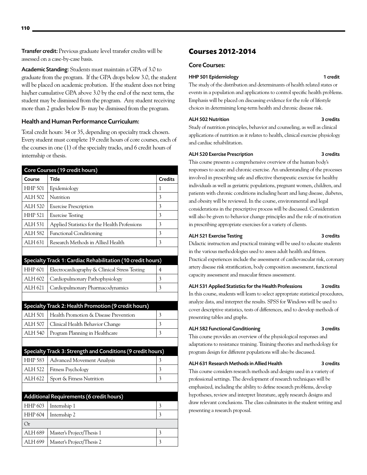Transfer credit: Previous graduate level transfer credits will be assessed on a case-by-case basis.

Academic Standing: Students must maintain a GPA of 3.0 to graduate from the program. If the GPA drops below 3.0, the student will be placed on academic probation. If the student does not bring his/her cumulative GPA above 3.0 by the end of the next term, the student may be dismissed from the program. Any student receiving more than 2 grades below B- may be dismissed from the program.

# Health and Human Performance Curriculum:

Total credit hours: 34 or 35, depending on specialty track chosen. Every student must complete 19 credit hours of core courses, each of the courses in one (1) of the specialty tracks, and 6 credit hours of internship or thesis.

|                | Core Courses (19 credit hours)                              |                         |
|----------------|-------------------------------------------------------------|-------------------------|
| Course         | <b>Title</b>                                                | <b>Credits</b>          |
| <b>HHP 501</b> | Epidemiology                                                | 1                       |
| <b>ALH 502</b> | Nutrition                                                   | 3                       |
| <b>ALH 520</b> | <b>Exercise Prescription</b>                                | 3                       |
| <b>HHP 521</b> | <b>Exercise Testing</b>                                     | 3                       |
| <b>ALH 531</b> | Applied Statistics for the Health Professions               | 3                       |
| <b>ALH 582</b> | <b>Functional Conditioning</b>                              | 3                       |
| ALH 631        | Research Methods in Allied Health                           | $\overline{\mathbf{3}}$ |
|                |                                                             |                         |
|                | Specialty Track 1: Cardiac Rehabilitation (10 credit hours) |                         |
| <b>HHP 601</b> | Electrocardiography & Clinical Stress Testing               | 4                       |
| ALH 602        | Cardiopulmonary Pathophysiology                             | 3                       |
| ALH 621        | Cardiopulmonary Pharmacodynamics                            | 3                       |
|                |                                                             |                         |
|                | Specialty Track 2: Health Promotion (9 credit hours)        |                         |
| <b>ALH 501</b> | Health Promotion & Disease Prevention                       | 3                       |
| <b>ALH 507</b> | Clinical Health Behavior Change                             | 3                       |
| ALH 540        | Program Planning in Healthcare                              | 3                       |
|                |                                                             |                         |
|                | Specialty Track 3: Strength and Conditions (9 credit hours) |                         |
| <b>HHP 583</b> | <b>Advanced Movement Analysis</b>                           | 3                       |
| <b>ALH 522</b> | Fitness Psychology                                          | 3                       |
| ALH 622        | Sport & Fitness Nutrition                                   | 3                       |
|                |                                                             |                         |
|                | Additional Requirements (6 credit hours)                    |                         |
| <b>HHP 603</b> | Internship 1                                                | 3                       |
| <b>HHP 604</b> | Internship 2                                                | 3                       |
| Or             |                                                             |                         |
| ALH 689        | Master's Project/Thesis 1                                   | 3                       |
| ALH 699        | Master's Project/Thesis 2                                   | $\overline{3}$          |

# **Courses 2012-2014**

# Core Courses:

# HHP 501 Epidemiology 1 credit

The study of the distribution and determinants of health related states or events in a population and applications to control specific health problems. Emphasis will be placed on discussing evidence for the role of lifestyle choices in determining long-term health and chronic disease risk.

# ALH 502 Nutrition 3 credits

Study of nutrition principles, behavior and counseling, as well as clinical applications of nutrition as it relates to health, clinical exercise physiology and cardiac rehabilitation.

# ALH 520 Exercise Prescription 3 credits

This course presents a comprehensive overview of the human body's responses to acute and chronic exercise. An understanding of the processes involved in prescribing safe and effective therapeutic exercise for healthy individuals as well as geriatric populations, pregnant women, children, and patients with chronic conditions including heart and lung disease, diabetes, and obesity will be reviewed. In the course, environmental and legal considerations in the prescriptive process will be discussed. Consideration will also be given to behavior change principles and the role of motivation in prescribing appropriate exercises for a variety of clients.

# ALH 521 Exercise Testing 3 credits

Didactic instruction and practical training will be used to educate students in the various methodologies used to assess adult health and fitness. Practical experiences include the assessment of cardiovascular risk, coronary artery disease risk stratification, body composition assessment, functional capacity assessment and muscular fitness assessment.

# ALH 531 Applied Statistics for the Health Professions 3 credits

In this course, students will learn to select appropriate statistical procedures, analyze data, and interpret the results. SPSS for Windows will be used to cover descriptive statistics, tests of differences, and to develop methods of presenting tables and graphs.

# ALH 582 Functional Conditioning 3 credits

This course provides an overview of the physiological responses and adaptations to resistance training. Training theories and methodology for program design for different populations will also be discussed.

# ALH 631 Research Methods in Allied Health 3 credits

This course considers research methods and designs used in a variety of professional settings. The development of research techniques will be emphasized, including the ability to define research problems, develop hypotheses, review and interpret literature, apply research designs and draw relevant conclusions. The class culminates in the student writing and presenting a research proposal.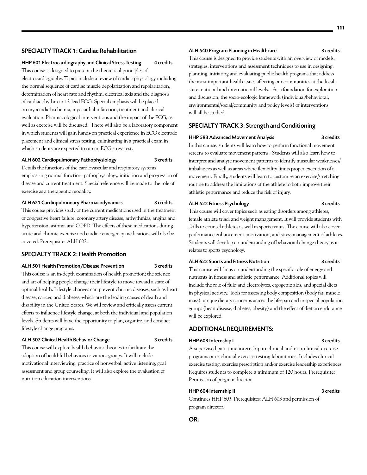# SPECIALTY TRACK 1: Cardiac Rehabilitation

#### HHP 601 Electrocardiography and Clinical Stress Testing 4 credits

This course is designed to present the theoretical principles of electrocardiography. Topics include a review of cardiac physiology including the normal sequence of cardiac muscle depolarization and repolarization, determination of heart rate and rhythm, electrical axis and the diagnosis of cardiac rhythm in 12-lead ECG. Special emphasis will be placed on myocardial ischemia, myocardial infarction, treatment and clinical evaluation. Pharmacological interventions and the impact of the ECG, as well as exercise will be discussed. There will also be a laboratory component in which students will gain hands-on practical experience in ECG electrode placement and clinical stress testing, culminating in a practical exam in which students are expected to run an ECG stress test.

#### ALH 602 Cardiopulmonary Pathophysiology 3 credits

Details the functions of the cardiovascular and respiratory systems

emphasizing normal function, pathophysiology, initiation and progression of disease and current treatment. Special reference will be made to the role of exercise as a therapeutic modality.

#### ALH 621 Cardiopulmonary Pharmacodynamics 3 credits

This course provides study of the current medications used in the treatment of congestive heart failure, coronary artery disease, arrhythmias, angina and hypertension, asthma and COPD. The effects of these medications during acute and chronic exercise and cardiac emergency medications will also be covered. Prerequisite: ALH 602.

# SPECIALTY TRACK 2: Health Promotion

#### ALH 501 Health Promotion/Disease Prevention 3 credits

This course is an in-depth examination of health promotion; the science and art of helping people change their lifestyle to move toward a state of optimal health. Lifestyle changes can prevent chronic diseases, such as heart disease, cancer, and diabetes, which are the leading causes of death and disability in the United States. We will review and critically assess current efforts to influence lifestyle change, at both the individual and population levels. Students will have the opportunity to plan, organize, and conduct lifestyle change programs.

#### ALH 507 Clinical Health Behavior Change 3 credits

This course will explore health behavior theories to facilitate the adoption of healthful behaviors to various groups. It will include motivational interviewing, practice of nonverbal, active listening, goal assessment and group counseling. It will also explore the evaluation of nutrition education interventions.

#### ALH 540 Program Planning in Healthcare 3 credits

This course is designed to provide students with an overview of models, strategies, interventions and assessment techniques to use in designing, planning, initiating and evaluating public health programs that address the most important health issues affecting our communities at the local, state, national and international levels. As a foundation for exploration and discussion, the socio-ecologic framework (individual/behavioral, environmental/social/community and policy levels) of interventions will all be studied.

# SPECIALTY TRACK 3: Strength and Conditioning

#### HHP 583 Advanced Movement Analysis 3 credits

In this course, students will learn how to perform functional movement screens to evaluate movement patterns. Students will also learn how to interpret and analyze movement patterns to identify muscular weaknesses/ imbalances as well as areas where flexibility limits proper execution of a movement. Finally, students will learn to customize an exercise/stretching routine to address the limitations of the athlete to both improve their athletic performance and reduce the risk of injury.

# ALH 522 Fitness Psychology 3 credits

This course will cover topics such as eating disorders among athletes, female athlete triad, and weight management. It will provide students with skills to counsel athletes as well as sports teams. The course will also cover performance enhancement, motivation, and stress management of athletes. Students will develop an understanding of behavioral change theory as it relates to sports psychology.

# ALH 622 Sports and Fitness Nutrition 3 credits

This course will focus on understanding the specific role of energy and nutrients in fitness and athletic performance. Additional topics will include the role of fluid and electrolytes, ergogenic aids, and special diets in physical activity. Tools for assessing body composition (body fat, muscle mass), unique dietary concerns across the lifespan and in special population groups (heart disease, diabetes, obesity) and the effect of diet on endurance will be explored.

#### ADDITIONAL REQUIREMENTS:

# HHP 603 Internship I 3 credits

A supervised part-time internship in clinical and non-clinical exercise

programs or in clinical exercise testing laboratories. Includes clinical exercise testing, exercise prescription and/or exercise leadership experiences. Requires students to complete a minimum of 120 hours. Prerequisite: Permission of program director.

## HHP 604 Internship II 3 credits

OR:

Continues HHP 603. Prerequisites: ALH 603 and permission of program director.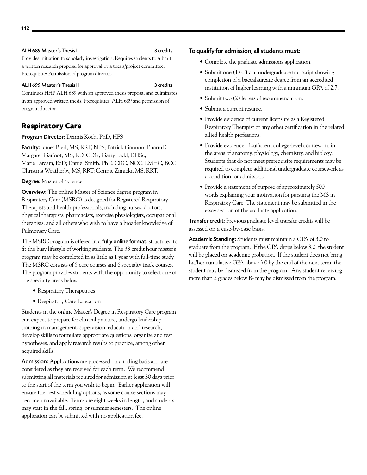# ALH 689 Master's Thesis I 3 credits

Provides initiation to scholarly investigation. Requires students to submit a written research proposal for approval by a thesis/project committee. Prerequisite: Permission of program director.

### ALH 699 Master's Thesis II 3 credits

Continues HHP ALH 689 with an approved thesis proposal and culminates in an approved written thesis. Prerequisites: ALH 689 and permission of program director.

# **Respiratory Care**

# Program Director: Dennis Koch, PhD, HFS

Faculty: James Bierl, MS, RRT, NPS; Patrick Gannon, PharmD; Margaret Garfoot, MS, RD, CDN; Garry Ladd, DHSc; Marie Larcara, EdD; Daniel Smith, PhD, CRC, NCC, LMHC, BCC; Christina Weatherby, MS, RRT; Connie Zimicki, MS, RRT.

# Degree: Master of Science

Overview: The online Master of Science degree program in Respiratory Care (MSRC) is designed for Registered Respiratory Therapists and health professionals, including nurses, doctors, physical therapists, pharmacists, exercise physiologists, occupational therapists, and all others who wish to have a broader knowledge of Pulmonary Care.

The MSRC program is offered in a **fully online format**, structured to fit the busy lifestyle of working students. The 33 credit hour master's program may be completed in as little as 1 year with full-time study. The MSRC consists of 5 core courses and 6 specialty track courses. The program provides students with the opportunity to select one of the specialty areas below:

- Respiratory Therapeutics
- Respiratory Care Education

Students in the online Master's Degree in Respiratory Care program can expect to prepare for clinical practice, undergo leadership training in management, supervision, education and research, develop skills to formulate appropriate questions, organize and test hypotheses, and apply research results to practice, among other acquired skills.

Admission: Applications are processed on a rolling basis and are considered as they are received for each term. We recommend submitting all materials required for admission at least 30 days prior to the start of the term you wish to begin. Earlier application will ensure the best scheduling options, as some course sections may become unavailable. Terms are eight weeks in length, and students may start in the fall, spring, or summer semesters. The online application can be submitted with no application fee.

# To qualify for admission, all students must:

- Complete the graduate admissions application.
- Submit one (1) official undergraduate transcript showing completion of a baccalaureate degree from an accredited institution of higher learning with a minimum GPA of 2.7.
- Submit two (2) letters of recommendation.
- Submit a current resume.
- • Provide evidence of current licensure as a Registered Respiratory Therapist or any other certification in the related allied health professions.
- • Provide evidence of sufficient college-level coursework in the areas of anatomy, physiology, chemistry, and biology. Students that do not meet prerequisite requirements may be required to complete additional undergraduate coursework as a condition for admission.
- Provide a statement of purpose of approximately 500 words explaining your motivation for pursuing the MS in Respiratory Care. The statement may be submitted in the essay section of the graduate application.

Transfer credit: Previous graduate level transfer credits will be assessed on a case-by-case basis.

Academic Standing: Students must maintain a GPA of 3.0 to graduate from the program. If the GPA drops below 3.0, the student will be placed on academic probation. If the student does not bring his/her cumulative GPA above 3.0 by the end of the next term, the student may be dismissed from the program. Any student receiving more than 2 grades below B- may be dismissed from the program.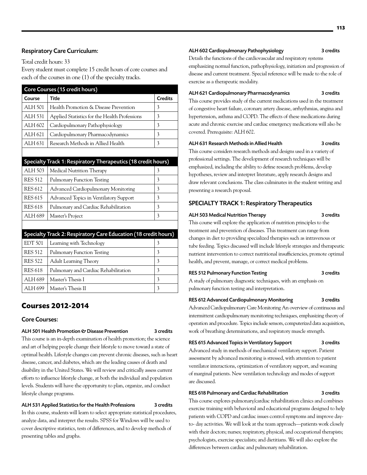# Respiratory Care Curriculum:

Total credit hours: 33

Every student must complete 15 credit hours of core courses and each of the courses in one (1) of the specialty tracks.

|                | Core Courses (15 credit hours)                                  |                |
|----------------|-----------------------------------------------------------------|----------------|
| Course         | <b>Title</b>                                                    | <b>Credits</b> |
| ALH 501        | Health Promotion & Disease Prevention                           | 3              |
| ALH 531        | Applied Statistics for the Health Professions                   | 3              |
| ALH 602        | Cardiopulmonary Pathophysiology                                 | 3              |
| ALH 621        | Cardiopulmonary Pharmacodynamics                                | 3              |
| ALH 631        | Research Methods in Allied Health                               | 3              |
|                |                                                                 |                |
|                | Specialty Track 1: Respiratory Therapeutics (18 credit hours)   |                |
| ALH 503        | Medical Nutrition Therapy                                       | 3              |
| <b>RES 512</b> | <b>Pulmonary Function Testing</b>                               | 3              |
| <b>RES 612</b> | Advanced Cardiopulmonary Monitoring                             | 3              |
| <b>RES 615</b> | <b>Advanced Topics in Ventilatory Support</b>                   | 3              |
| <b>RES 618</b> | Pulmonary and Cardiac Rehabilitation                            | 3              |
| ALH 689        | Master's Project                                                | 3              |
|                |                                                                 |                |
|                | Specialty Track 2: Respiratory Care Education (18 credit hours) |                |
| <b>EDT 501</b> | Learning with Technology                                        | 3              |
| <b>RES 512</b> | <b>Pulmonary Function Testing</b>                               | 3              |

# RES 618 Pulmonary and Cardiac Rehabilitation 3 ALH 689 | Master's Thesis I  $\vert$  3 ALH 699 Master's Thesis II  $\frac{3}{3}$

RES 522 Adult Learning Theory 3

# **Courses 2012-2014**

# Core Courses:

lifestyle change programs.

### ALH 501 Health Promotion & Disease Prevention 3 credits

This course is an in-depth examination of health promotion; the science and art of helping people change their lifestyle to move toward a state of optimal health. Lifestyle changes can prevent chronic diseases, such as heart disease, cancer, and diabetes, which are the leading causes of death and disability in the United States. We will review and critically assess current efforts to influence lifestyle change, at both the individual and population levels. Students will have the opportunity to plan, organize, and conduct

# ALH 531 Applied Statistics for the Health Professions 3 credits

In this course, students will learn to select appropriate statistical procedures, analyze data, and interpret the results. SPSS for Windows will be used to cover descriptive statistics, tests of differences, and to develop methods of presenting tables and graphs.

# ALH 602 Cardiopulmonary Pathophysiology 3 credits

Details the functions of the cardiovascular and respiratory systems emphasizing normal function, pathophysiology, initiation and progression of disease and current treatment. Special reference will be made to the role of exercise as a therapeutic modality.

# ALH 621 Cardiopulmonary Pharmacodynamics 3 credits

This course provides study of the current medications used in the treatment of congestive heart failure, coronary artery disease, arrhythmias, angina and hypertension, asthma and COPD. The effects of these medications during acute and chronic exercise and cardiac emergency medications will also be covered. Prerequisite: ALH 602.

# ALH 631 Research Methods in Allied Health 3 credits

This course considers research methods and designs used in a variety of professional settings. The development of research techniques will be emphasized, including the ability to define research problems, develop hypotheses, review and interpret literature, apply research designs and draw relevant conclusions. The class culminates in the student writing and presenting a research proposal.

# SPECIALTY TRACK 1: Respiratory Therapeutics

#### ALH 503 Medical Nutrition Therapy 3 credits

This course will explore the application of nutrition principles to the treatment and prevention of diseases. This treatment can range from changes in diet to providing specialized therapies such as intravenous or tube feeding. Topics discussed will include lifestyle strategies and therapeutic nutrient intervention to correct nutritional insufficiencies, promote optimal health, and prevent, manage, or correct medical problems.

# RES 512 Pulmonary Function Testing 3 credits

A study of pulmonary diagnostic techniques, with an emphasis on pulmonary function testing and interpretation.

# RES 612 Advanced Cardiopulmonary Monitoring 3 credits

Advanced Cardiopulmonary Care Monitoring An overview of continuous and intermittent cardiopulmonary monitoring techniques, emphasizing theory of operation and procedure. Topics include sensors, computerized data acquisition, work of breathing determinations, and respiratory muscle strength.

# RES 615 Advanced Topics in Ventilatory Support 3 credits

Advanced study in methods of mechanical ventilatory support. Patient assessment by advanced monitoring is stressed, with attention to patient ventilator interactions, optimization of ventilatory support, and weaning of marginal patients. New ventilation technology and modes of support are discussed.

# RES 618 Pulmonary and Cardiac Rehabilitation 3 credits

This course explores pulmonary/cardiac rehabilitation clinics and combines exercise training with behavioral and educational programs designed to help patients with COPD and cardiac issues control symptoms and improve dayto- day activities. We will look at the team approach—patients work closely with their doctors; nurses; respiratory, physical, and occupational therapists; psychologists, exercise specialists; and dietitians. We will also explore the differences between cardiac and pulmonary rehabilitation.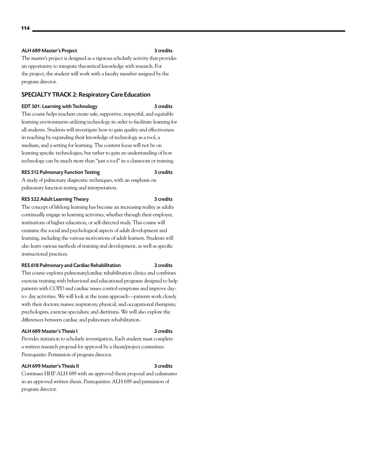# ALH 689 Master's Project 3 credits

The master's project is designed as a rigorous scholarly activity that provides an opportunity to integrate theoretical knowledge with research. For the project, the student will work with a faculty member assigned by the program director.

# SPECIALTY TRACK 2: Respiratory Care Education

#### EDT 501: Learning with Technology 3 credits

This course helps teachers create safe, supportive, respectful, and equitable learning environments utilizing technology in order to facilitate learning for all students. Students will investigate how to gain quality and effectiveness in teaching by expanding their knowledge of technology as a tool, a medium, and a setting for learning. The content focus will not be on learning specific technologies, but rather to gain an understanding of how technology can be much more than "just a tool" in a classroom or training.

#### RES 512 Pulmonary Function Testing 3 credits

A study of pulmonary diagnostic techniques, with an emphasis on pulmonary function testing and interpretation.

#### RES 522 Adult Learning Theory 3 credits

The concept of lifelong learning has become an increasing reality as adults continually engage in learning activities, whether through their employer, institutions of higher education, or self-directed study. This course will examine the social and psychological aspects of adult development and learning, including the various motivations of adult learners. Students will also learn various methods of training and development, as well as specific instructional practices.

#### RES 618 Pulmonary and Cardiac Rehabilitation 3 credits

This course explores pulmonary/cardiac rehabilitation clinics and combines exercise training with behavioral and educational programs designed to help patients with COPD and cardiac issues control symptoms and improve dayto- day activities. We will look at the team approach—patients work closely with their doctors; nurses; respiratory, physical, and occupational therapists; psychologists, exercise specialists; and dietitians. We will also explore the differences between cardiac and pulmonary rehabilitation.

#### ALH 689 Master's Thesis I 3 credits

Provides initiation to scholarly investigation. Each student must complete a written research proposal for approval by a thesis/project committee. Prerequisite: Permission of program director.

#### ALH 699 Master's Thesis II 3 credits

Continues HHP ALH 689 with an approved thesis proposal and culminates in an approved written thesis. Prerequisites: ALH 689 and permission of program director.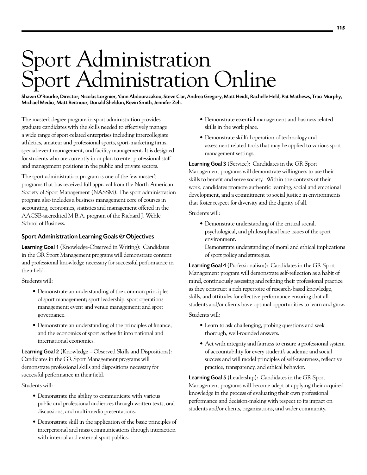# Sport Administration Sport Administration Online

Shawn O'Rourke, Director; Nicolas Lorgnier, Yann Abdourazakou, Steve Clar, Andrea Gregory, Matt Heidt, Rachelle Held, Pat Mathews, Traci Murphy, Michael Medici, Matt Reitnour, Donald Sheldon, Kevin Smith, Jennifer Zeh.

The master's degree program in sport administration provides graduate candidates with the skills needed to effectively manage a wide range of sport-related enterprises including intercollegiate athletics, amateur and professional sports, sport-marketing firms, special-event management, and facility management. It is designed for students who are currently in or plan to enter professional staff and management positions in the public and private sectors.

The sport administration program is one of the few master's programs that has received full approval from the North American Society of Sport Management (NASSM). The sport administration program also includes a business management core of courses in accounting, economics, statistics and management offered in the AACSB-accredited M.B.A. program of the Richard J. Wehle School of Business.

# Sport Administration Learning Goals & Objectives

Learning Goal 1 (Knowledge-Observed in Writing): Candidates in the GR Sport Management programs will demonstrate content and professional knowledge necessary for successful performance in their field.

Students will:

- Demonstrate an understanding of the common principles of sport management; sport leadership; sport operations management; event and venue management; and sport governance.
- Demonstrate an understanding of the principles of finance, and the economics of sport as they fit into national and international economies.

**Learning Goal 2** (Knowledge – Observed Skills and Dispositions): Candidates in the GR Sport Management programs will demonstrate professional skills and dispositions necessary for successful performance in their field.

Students will:

- Demonstrate the ability to communicate with various public and professional audiences through written texts, oral discussions, and multi-media presentations.
- • Demonstrate skill in the application of the basic principles of interpersonal and mass communications through interaction with internal and external sport publics.
- • Demonstrate essential management and business related skills in the work place.
- Demonstrate skillful operation of technology and assessment related tools that may be applied to various sport management settings.

Learning Goal 3 (Service): Candidates in the GR Sport Management programs will demonstrate willingness to use their skills to benefit and serve society. Within the contexts of their work, candidates promote authentic learning, social and emotional development, and a commitment to social justice in environments that foster respect for diversity and the dignity of all.

Students will:

- • Demonstrate understanding of the critical social, psychological, and philosophical base issues of the sport environment.
- Demonstrate understanding of moral and ethical implications of sport policy and strategies.

Learning Goal 4 (Professionalism): Candidates in the GR Sport Management program will demonstrate self-reflection as a habit of mind, continuously assessing and refining their professional practice as they construct a rich repertoire of research-based knowledge, skills, and attitudes for effective performance ensuring that all students and/or clients have optimal opportunities to learn and grow.

Students will:

- • Learn to ask challenging, probing questions and seek thorough, well-rounded answers.
- Act with integrity and fairness to ensure a professional system of accountability for every student's academic and social success and will model principles of self-awareness, reflective practice, transparency, and ethical behavior.

Learning Goal 5 (Leadership): Candidates in the GR Sport Management programs will become adept at applying their acquired knowledge in the process of evaluating their own professional performance and decision-making with respect to its impact on students and/or clients, organizations, and wider community.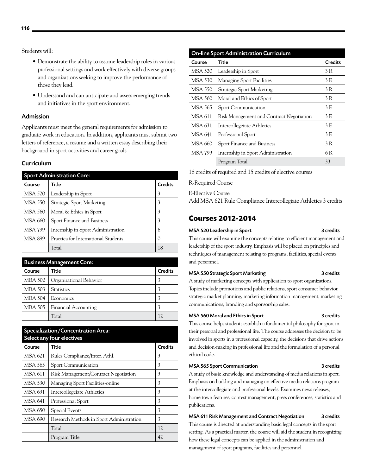Students will:

- Demonstrate the ability to assume leadership roles in various professional settings and work effectively with diverse groups and organizations seeking to improve the performance of those they lead.
- • Understand and can anticipate and assess emerging trends and initiatives in the sport environment.

# Admission

Applicants must meet the general requirements for admission to graduate work in education. In addition, applicants must submit two letters of reference, a resume and a written essay describing their background in sport activities and career goals.

# Curriculum

| <b>Sport Administration Core:</b> |                                     |                |
|-----------------------------------|-------------------------------------|----------------|
| Course                            | Title                               | <b>Credits</b> |
| MSA 520                           | Leadership in Sport                 | 3              |
| MSA 550                           | <b>Strategic Sport Marketing</b>    | 3              |
| <b>MSA 560</b>                    | Moral & Ethics in Sport             | 3              |
| <b>MSA 660</b>                    | Sport Finance and Business          | 3              |
| <b>MSA 799</b>                    | Internship in Sport Administration  | 6              |
| <b>MSA 899</b>                    | Practica for International Students | 0              |
|                                   | Total                               | 18             |

| <b>Business Management Core:</b> |                             |                |
|----------------------------------|-----------------------------|----------------|
| Course                           | Title                       | <b>Credits</b> |
| <b>MBA 502</b>                   | Organizational Behavior     | 3              |
| MBA 503                          | <b>Statistics</b>           | 3              |
| <b>MBA 504</b>                   | Economics                   |                |
| <b>MBA 505</b>                   | <b>Financial Accounting</b> | 3              |
|                                  | Total                       | 12             |

| Specialization/Concentration Area:<br>Select any four electives |                                          |                |
|-----------------------------------------------------------------|------------------------------------------|----------------|
| Course                                                          | Title                                    | <b>Credits</b> |
| MSA 621                                                         | Rules Compliance/Inter. Athl.            | 3              |
| MSA 565                                                         | <b>Sport Communication</b>               | 3              |
| MSA 611                                                         | Risk Management/Contract Negotiation     | 3              |
| MSA 530                                                         | Managing Sport Facilities-online         | 3              |
| MSA 631                                                         | Intercollegeiate Athletics               | 3              |
| MSA 641                                                         | Professional Sport                       | 3              |
| MSA 650                                                         | Special Events                           | 3              |
| MSA 690                                                         | Research Methods in Sport Administration | 3              |
|                                                                 | Total                                    | 12             |
|                                                                 | Program Title                            | 42             |

| <b>On-line Sport Administration Curriculum</b> |                                          |                |
|------------------------------------------------|------------------------------------------|----------------|
| Course                                         | Title                                    | <b>Credits</b> |
| <b>MSA 520</b>                                 | Leadership in Sport                      | 3 R            |
| MSA 530                                        | <b>Managing Sport Facilities</b>         | 3 E            |
| MSA 550                                        | <b>Strategic Sport Marketing</b>         | 3 R            |
| MSA 560                                        | Moral and Ethics of Sport                | 3 R            |
| MSA 565                                        | Sport Communication                      | 3 E            |
| MSA 611                                        | Risk Management and Contract Negotiation | 3 E            |
| <b>MSA 631</b>                                 | Intercollegeiate Athletics               | 3 E            |
| MSA 641                                        | Professional Sport                       | 3 E            |
| MSA 660                                        | Sport Finance and Business               | 3 R            |
| MSA 799                                        | Internship in Sport Administration       | 6 R            |
|                                                | Program Total                            | 33             |

18 credits of required and 15 credits of elective courses

R-Required Course

E-Elective Course

Add MSA 621 Rule Compliance Intercollegiate Athletics 3 credits

# **Courses 2012-2014**

# MSA 520 Leadership in Sport 3 credits

This course will examine the concepts relating to efficient management and leadership of the sport industry. Emphasis will be placed on principles and techniques of management relating to programs, facilities, special events and personnel.

#### MSA 550 Strategic Sport Marketing 3 credits

A study of marketing concepts with application to sport organizations. Topics include promotions and public relations, sport consumer behavior, strategic market planning, marketing information management, marketing communications, branding and sponsorship sales.

### MSA 560 Moral and Ethics in Sport 3 credits

This course helps students establish a fundamental philosophy for sport in their personal and professional life. The course addresses the decision to be involved in sports in a professional capacity, the decisions that drive actions and decision-making in professional life and the formulation of a personal ethical code.

# MSA 565 Sport Communication 3 credits

A study of basic knowledge and understanding of media relations in sport. Emphasis on building and managing an effective media relations program at the intercollegiate and professional levels. Examines news releases, home town features, contest management, press conferences, statistics and publications.

# MSA 611 Risk Management and Contract Negotiation 3 credits

This course is directed at understanding basic legal concepts in the sport setting. As a practical matter, the course will aid the student in recognizing how these legal concepts can be applied in the administration and management of sport programs, facilities and personnel.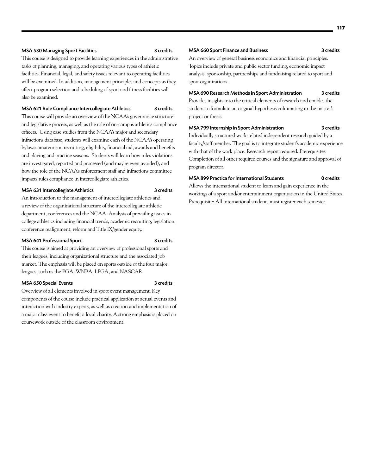#### MSA 530 Managing Sport Facilities 3 credits

This course is designed to provide learning experiences in the administrative tasks of planning, managing, and operating various types of athletic facilities. Financial, legal, and safety issues relevant to operating facilities will be examined. In addition, management principles and concepts as they affect program selection and scheduling of sport and fitness facilities will also be examined.

#### MSA 621 Rule Compliance Intercollegiate Athletics 3 credits

This course will provide an overview of the NCAA's governance structure and legislative process, as well as the role of on-campus athletics compliance officers. Using case studies from the NCAA's major and secondary infractions database, students will examine each of the NCAA's operating bylaws: amateurism, recruiting, eligibility, financial aid, awards and benefits and playing and practice seasons. Students will learn how rules violations are investigated, reported and processed (and maybe even avoided), and how the role of the NCAA's enforcement staff and infractions committee impacts rules compliance in intercollegiate athletics.

#### MSA 631 Intercollegiate Athletics 3 credits

An introduction to the management of intercollegiate athletics and a review of the organizational structure of the intercollegiate athletic department, conferences and the NCAA. Analysis of prevailing issues in college athletics including financial trends, academic recruiting, legislation, conference realignment, reform and Title IX/gender equity.

#### MSA 641 Professional Sport 3 credits

This course is aimed at providing an overview of professional sports and their leagues, including organizational structure and the associated job market. The emphasis will be placed on sports outside of the four major leagues, such as the PGA, WNBA, LPGA, and NASCAR.

#### MSA 650 Special Events 3 credits

Overview of all elements involved in sport event management. Key components of the course include practical application at actual events and interaction with industry experts, as well as creation and implementation of a major class event to benefit a local charity. A strong emphasis is placed on coursework outside of the classroom environment.

#### MSA 660 Sport Finance and Business 3 credits

An overview of general business economics and financial principles. Topics include private and public sector funding, economic impact analysis, sponsorship, partnerships and fundraising related to sport and sport organizations.

# MSA 690 Research Methods in Sport Administration 3 credits

Provides insights into the critical elements of research and enables the student to formulate an original hypothesis culminating in the master's project or thesis.

# MSA 799 Internship in Sport Administration 3 credits

Individually structured work-related independent research guided by a faculty/staff member. The goal is to integrate student's academic experience with that of the work place. Research report required. Prerequisites: Completion of all other required courses and the signature and approval of program director.

# MSA 899 Practica for International Students 0 credits

Allows the international student to learn and gain experience in the workings of a sport and/or entertainment organization in the United States. Prerequisite: All international students must register each semester.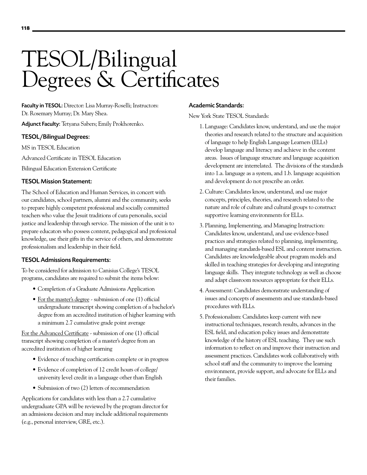# TESOL/Bilingual Degrees & Certificates

Faculty in TESOL: Director: Lisa Murray-Roselli; Instructors: Dr. Rosemary Murray; Dr. Mary Shea.

Adjunct Faculty: Tetyana Sabers; Emily Prokhorenko.

# TESOL/Bilingual Degrees:

MS in TESOL Education

Advanced Certificate in TESOL Education

Bilingual Education Extension Certificate

# TESOL Mission Statement:

The School of Education and Human Services, in concert with our candidates, school partners, alumni and the community, seeks to prepare highly competent professional and socially committed teachers who value the Jesuit traditions of cura personalis, social justice and leadership through service. The mission of the unit is to prepare educators who possess content, pedagogical and professional knowledge, use their gifts in the service of others, and demonstrate professionalism and leadership in their field.

# TESOL Admissions Requirements:

To be considered for admission to Canisius College's TESOL programs, candidates are required to submit the items below:

- Completion of a Graduate Admissions [Application](https://asterope.canisius.edu/pls/prod/bwskalog.P_DispLoginNon)
- For the master's degree submission of one (1) official undergraduate transcript showing completion of a bachelor's degree from an accredited institution of higher learning with a minimum 2.7 cumulative grade point average

For the Advanced Certificate - submission of one (1) official transcript showing completion of a master's degree from an accredited institution of higher learning

- Evidence of teaching certification complete or in progress
- • Evidence of completion of 12 credit hours of college/ university level credit in a language other than English
- Submission of two (2) letters of recommendation

Applications for candidates with less than a 2.7 cumulative undergraduate GPA will be reviewed by the program director for an admissions decision and may include additional requirements (e.g., personal interview, GRE, etc.).

# Academic Standards:

New York State TESOL Standards:

- 1. Language: Candidates know, understand, and use the major theories and research related to the structure and acquisition of language to help English Language Learners (ELLs) develop language and literacy and achieve in the content areas. Issues of language structure and language acquisition development are interrelated. The divisions of the standards into 1.a. language as a system, and 1.b. language acquisition and development do not prescribe an order.
- 2. Culture: Candidates know, understand, and use major concepts, principles, theories, and research related to the nature and role of culture and cultural groups to construct supportive learning environments for ELLs.
- 3. Planning, Implementing, and Managing Instruction: Candidates know, understand, and use evidence-based practices and strategies related to planning, implementing, and managing standards-based ESL and content instruction. Candidates are knowledgeable about program models and skilled in teaching strategies for developing and integrating language skills. They integrate technology as well as choose and adapt classroom resources appropriate for their ELLs.
- 4. Assessment: Candidates demonstrate understanding of issues and concepts of assessments and use standards-based procedures with ELLs.
- 5. Professionalism: Candidates keep current with new instructional techniques, research results, advances in the ESL field, and education policy issues and demonstrate knowledge of the history of ESL teaching. They use such information to reflect on and improve their instruction and assessment practices. Candidates work collaboratively with school staff and the community to improve the learning environment, provide support, and advocate for ELLs and their families.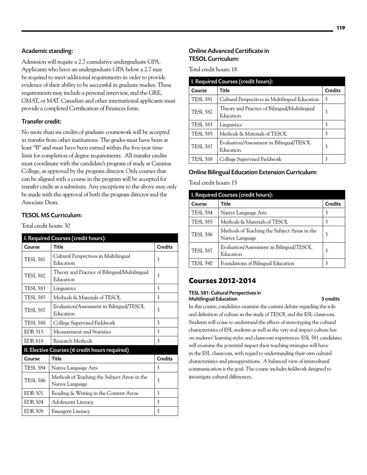# Academic standing:

Admission will require a 2.7 cumulative undergraduate GPA. Applicants who have an undergraduate GPA below a 2.7 may be required to meet additional requirements in order to provide evidence of their ability to be successful in graduate studies. These requirements may include a personal interview, and the GRE, GMAT, or MAT. Canadian and other international applicants must provide a completed Certification of Finances form.

# Transfer credit:

No more than six credits of graduate coursework will be accepted in transfer from other institutions. The grades must have been at least "B" and must have been earned within the five-year time limit for completion of degree requirements. All transfer credits must coordinate with the candidate's program of study at Canisius College, as approved by the program director. Only courses that can be aligned with a course in the program will be accepted for transfer credit as a substitute. Any exceptions to the above may only be made with the approval of both the program director and the Associate Dean.

# TESOL MS Curriculum:

Total credit hours: 30

| I. Required Courses (credit hours): |                                                                 |                |
|-------------------------------------|-----------------------------------------------------------------|----------------|
| Course                              | <b>Title</b>                                                    | <b>Credits</b> |
| <b>TESL 581</b>                     | Cultural Perspectives in Multilingual<br>Education              | 3              |
| <b>TESL 582</b>                     | Theory and Practice of Bilingual/Multilingual<br>Education      | 3              |
| <b>TESL 583</b>                     | Linguistics                                                     | 3              |
| <b>TESL 585</b>                     | Methods & Materials of TESOL                                    | 3              |
| <b>TESL 587</b>                     | Evaluation/Assessment in Bilingual/TESOL<br>Education           | 3              |
| <b>TESL 588</b>                     | College Supervised Fieldwork                                    | 3              |
| <b>EDR 515</b>                      | Measurement and Statistics                                      | 3              |
| <b>EDR 616</b>                      | Research Methods                                                | 3              |
|                                     | II. Elective Courses (6 credit hours required)                  |                |
| Course                              | Title                                                           | <b>Credits</b> |
| <b>TESL 584</b>                     | Native Language Arts                                            | 3              |
| <b>TESL 586</b>                     | Methods of Teaching the Subject Areas in the<br>Native Language | 3              |
| <b>EDR 501</b>                      | Reading & Writing in the Content Areas                          | 3              |
| <b>EDR 504</b>                      | <b>Adolescent Literacy</b>                                      | 3              |
| <b>EDR 508</b>                      | Emergent Literacy                                               | 3              |

# Online Advanced Certificate in TESOL Curriculum:

Total credit hours: 18

| I. Required Courses (credit hours): |                                                            |                |
|-------------------------------------|------------------------------------------------------------|----------------|
| Course                              | Title                                                      | <b>Credits</b> |
| <b>TESL 581</b>                     | Cultural Perspectives in Multilingual Education            | 3              |
| <b>TESL 582</b>                     | Theory and Practice of Bilingual/Multilingual<br>Education | 3              |
| <b>TESL 583</b>                     | Linguistics                                                | 3              |
| <b>TESL 585</b>                     | Methods & Materials of TESOL                               | 3              |
| <b>TESL 587</b>                     | Evaluation/Assessment in Bilingual/TESOL<br>Education      | 3              |
| <b>TESL 588</b>                     | College Supervised Fieldwork                               | 3              |

# Online Bilingual Education Extension Curriculum:

Total credit hours: 15

| I. Required Courses (credit hours): |                                                                 |         |
|-------------------------------------|-----------------------------------------------------------------|---------|
| Course                              | <b>Title</b>                                                    | Credits |
| <b>TESL 584</b>                     | Native Language Arts                                            | 3       |
| <b>TESL 585</b>                     | Methods & Materials of TESOL                                    | 3       |
| <b>TESL 586</b>                     | Methods of Teaching the Subject Areas in the<br>Native Language | 3       |
| <b>TESL 587</b>                     | Evaluation/Assessment in Bilingual/TESOL<br>Education           | 3       |
| <b>TESL 590</b>                     | Foundations of Bilingual Education                              | 3       |

# **Courses 2012-2014**

### TESL 581: Cultural Perspectives in Multilingual Education **3** credits

In this course, candidates examine the current debate regarding the role and definition of culture in the study of TESOL and the ESL classroom. Students will come to understand the effects of stereotyping the cultural characteristics of ESL students as well as the very real impact culture has on students' learning styles and classroom experiences. ESL 581 candidates will examine the potential impact their teaching strategies will have in the ESL classroom, with regard to understanding their own cultural characteristics and presuppositions. A balanced view of intercultural communication is the goal. The course includes fieldwork designed to investigate cultural differences.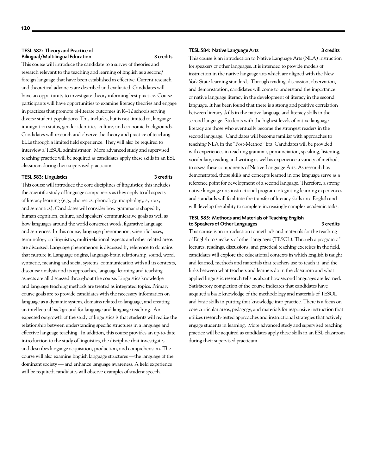#### TESL 582: Theory and Practice of Bilingual/Multilingual Education 3 credits

This course will introduce the candidate to a survey of theories and research relevant to the teaching and learning of English as a second/ foreign language that have been established as effective. Current research and theoretical advances are described and evaluated. Candidates will have an opportunity to investigate theory informing best practice. Course participants will have opportunities to examine literacy theories and engage in practices that promote bi-literate outcomes in K–12 schools serving diverse student populations. This includes, but is not limited to, language immigration status, gender identities, culture, and economic backgrounds. Candidates will research and observe the theory and practice of teaching ELLs through a limited field experience. They will also be required to interview a TESOL administrator. More advanced study and supervised teaching practice will be acquired as candidates apply these skills in an ESL classroom during their supervised practicum.

## TESL 583: Linguistics 3 credits

This course will introduce the core disciplines of linguistics; this includes the scientific study of language components as they apply to all aspects of literacy learning (e.g., phonetics, phonology, morphology, syntax, and semantics). Candidates will consider how grammar is shaped by human cognition, culture, and speakers' communicative goals as well as how languages around the world construct words, figurative language, and sentences. In this course, language phenomenon, scientific bases, terminology on linguistics, multi-relational aspects and other related areas are discussed. Language phenomenon is discussed by reference to domains that nurture it. Language origins, language-brain relationship, sound, word, syntactic, meaning and social systems, communication with all its contexts, discourse analysis and its approaches, language learning and teaching aspects are all discussed throughout the course. Linguistics knowledge and language teaching methods are treated as integrated topics. Primary course goals are to provide candidates with the necessary information on language as a dynamic system, domains related to language, and creating an intellectual background for language and language teaching. An expected outgrowth of the study of linguistics is that students will realize the relationship between understanding specific structures in a language and effective language teaching. In addition, this course provides an up-to-date introduction to the study of linguistics, the discipline that investigates and describes language acquisition, production, and comprehension. The course will also examine English language structures —the language of the dominant society — and enhance language awareness. A field experience will be required; candidates will observe examples of student speech.

#### TESL 584: Native Language Arts 3 credits

This course is an introduction to Native Language Arts (NLA) instruction for speakers of other languages. It is intended to provide models of instruction in the native language arts which are aligned with the New York State learning standards. Through reading, discussion, observation, and demonstration, candidates will come to understand the importance of native language literacy in the development of literacy in the second language. It has been found that there is a strong and positive correlation between literacy skills in the native language and literacy skills in the second language. Students with the highest levels of native language literacy are those who eventually become the strongest readers in the second language. Candidates will become familiar with approaches to teaching NLA in the "Post-Method" Era. Candidates will be provided with experiences in teaching grammar, pronunciation, speaking, listening, vocabulary, reading and writing as well as experience a variety of methods to assess these components of Native Language Arts. As research has demonstrated, those skills and concepts learned in one language serve as a reference point for development of a second language. Therefore, a strong native language arts instructional program integrating learning experiences and standards will facilitate the transfer of literacy skills into English and will develop the ability to complete increasingly complex academic tasks.

# TESL 585: Methods and Materials of Teaching English to Speakers of Other Languages 3 credits

This course is an introduction to methods and materials for the teaching of English to speakers of other languages (TESOL). Through a program of lectures, readings, discussions, and practical teaching exercises in the field, candidates will explore the educational contexts in which English is taught and learned, methods and materials that teachers use to teach it, and the links between what teachers and learners do in the classroom and what applied linguistic research tells us about how second languages are learned. Satisfactory completion of the course indicates that candidates have acquired a basic knowledge of the methodology and materials of TESOL and basic skills in putting that knowledge into practice. There is a focus on core curricular areas, pedagogy, and materials for responsive instruction that utilizes research-tested approaches and instructional strategies that actively engage students in learning. More advanced study and supervised teaching practice will be acquired as candidates apply these skills in an ESL classroom during their supervised practicum.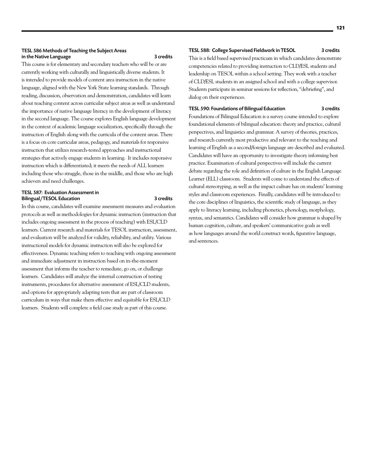## TESL 586 Methods of Teaching the Subject Areas in the Native Language 3 credits

This course is for elementary and secondary teachers who will be or are currently working with culturally and linguistically diverse students. It is intended to provide models of content area instruction in the native language, aligned with the New York State learning standards. Through reading, discussion, observation and demonstration, candidates will learn about teaching content across curricular subject areas as well as understand the importance of native language literacy in the development of literacy in the second language. The course explores English language development in the context of academic language socialization, specifically through the instruction of English along with the curricula of the content areas. There is a focus on core curricular areas, pedagogy, and materials for responsive instruction that utilizes research-tested approaches and instructional strategies that actively engage students in learning. It includes responsive instruction which is differentiated; it meets the needs of ALL learners including those who struggle, those in the middle, and those who are high achievers and need challenges.

#### TESL 587: Evaluation Assessment in Bilingual/TESOL Education 3 credits

In this course, candidates will examine assessment measures and evaluation protocols as well as methodologies for dynamic instruction (instruction that includes ongoing assessment in the process of teaching) with ESL/CLD learners. Current research and materials for TESOL instruction, assessment, and evaluation will be analyzed for validity, reliability, and utility. Various instructional models for dynamic instruction will also be explored for effectiveness. Dynamic teaching refers to teaching with ongoing assessment and immediate adjustment in instruction based on in-the-moment assessment that informs the teacher to remediate, go on, or challenge learners. Candidates will analyze the internal construction of testing instruments, procedures for alternative assessment of ESL/CLD students, and options for appropriately adapting tests that are part of classroom curriculum in ways that make them effective and equitable for ESL/CLD learners. Students will complete a field case study as part of this course.

# TESL 588: College Supervised Fieldwork in TESOL 3 credits

This is a field based supervised practicum in which candidates demonstrate competencies related to providing instruction to CLD/ESL students and leadership on TESOL within a school setting. They work with a teacher of CLD/ESL students in an assigned school and with a college supervisor. Students participate in seminar sessions for reflection, "debriefing", and dialog on their experiences.

# TESL 590: Foundations of Bilingual Education 3 credits

Foundations of Bilingual Education is a survey course intended to explore foundational elements of bilingual education: theory and practice, cultural perspectives, and linguistics and grammar. A survey of theories, practices, and research currently most productive and relevant to the teaching and learning of English as a second/foreign language are described and evaluated. Candidates will have an opportunity to investigate theory informing best practice. Examination of cultural perspectives will include the current debate regarding the role and definition of culture in the English Language Learner (ELL) classroom. Students will come to understand the effects of cultural stereotyping, as well as the impact culture has on students' learning styles and classroom experiences. Finally, candidates will be introduced to the core disciplines of linguistics, the scientific study of language, as they apply to literacy learning, including phonetics, phonology, morphology, syntax, and semantics. Candidates will consider how grammar is shaped by human cognition, culture, and speakers' communicative goals as well as how languages around the world construct words, figurative language, and sentences.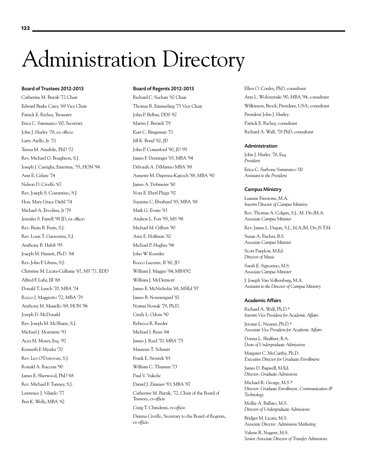# Administration Directory

#### Board of Trustees 2012-2013

Catherine M. Burzik '72 Chair Edward Burke Carey '69 Vice Chair Patrick E. Richey, Treasurer Erica C. Sammarco '00, Secretary John J. Hurley '78, ex officio Larry Aiello, Jr. '71 Teresa M. Amabile, PhD '72 Rev. Michael G. Boughton, S.J. Joseph J. Castiglia, Emeritus, '55, HON '94 Ann E. Celani '74 Nelson D. Civello '67 Rev. Joseph S. Costantino, S.J. Hon. Mary Grace Diehl '74 Michael A. Ervolina, Jr '79 Jennifer S. Farrell '98 JD, ex officio Rev. Brain B. Frain, S.J. Rev. Louis T. Garaventa, S.J. Anthony B. Habib '95 Joseph M. Hassett, Ph.D. '64 Rev. John F. Libens, S.J. Christine M. Licata-Culhane '67, MS '71, EDD Alfred F. Luhr, III '68 Donald T. Lynch '70, MBA '74 Rocco J. Maggiotto '72, MBA '79 Anthony M. Masiello '69, HON '96 Joseph D. McDonald Rev. Joseph M. McShane, S.J. Michael J. Montante '91 Acea M. Mosey, Esq. '92 Kenneth F. Myszka '70 Rev. Leo O'Donovan, S.J. Ronald A. Raccuia '90 James E. Sherwood, PhD '68 Rev. Michael F. Tunney, S.J. Lawrence J. Vilardo '77 Ben K. Wells, MBA '82

# Board of Regents 2012-2013

Richard C. Suchan '82 Chair Thomas R. Emmerling '75 Vice Chair John P. Belbas, DDS '82 Martin J. Berardi '79 Kurt C. Bingeman '71 Jill K. Bond '82, JD John P. Comerford '90, JD '95 James F. Dentinger '83, MBA '94 Deborah A. DiMatteo MBA '88 Annette M. Dispenza-Kajtoch '88, MBA '90 James A. Dobmeier '80 Nora E. Eberl Plizga '92 Suzanne C. Eberhard '85, MBA '88 Mark G. Evans '83 Andrew L. Fors '95, MS '98 Michael M. Gilbert '90 Amy E. Hoffman '82 Michael P. Hughes '94 John W. Koessler Rocco Lucente, II '80, JD William J. Maggio '84, MBA'92 William J. McDermott James E. McNicholas '68, MSEd '97 James B. Nonnengard '82 Norma Nowak '79, Ph.D. Cindy L. Odom '90 Rebecca R. Reeder Michael J. Ryan '64 James J. Rzad '70, MBA '75 Maureen T. Schmitt Frank E. Swiatek '65 William C. Thuman '73 Paul V. Vukelic Daniel J. Zimmer '83, MBA '87 Catherine M. Burzik, '72, Chair of the Board of Trustees, *ex-officio* Craig T. Chindemi, *ex-officio* Dianna Civello, Secretary to the Board of Regents, *ex-officio*

Ellen O. Conley, PhD, consultant Ann L. Woloszynski '90, MBA '94, consultant Wilkinson, Brock, President, USA, consultant President John J. Hurley Patrick E. Richey, consultant Richard A. Wall, '78 PhD, consultant

#### Administration

John J. Hurley '78, Esq. *President* Erica C. Surbone Sammarco '00 *Assistant to the President*

#### Campus Ministry

Luanne Firestone, M.A. *Interim Director of Campus Ministry*

Rev. Thomas A. Colgan, S.J., M. Div./M.A. *Associate Campus Minister*

Rev. James L. Dugan, S.J., M.A./M. Div./S.T.M.

Susan A. Fischer, B.S. *Associate Campus Minister*

Scott Paeplow, M.Ed. *Director of Music*

Sarah E. Signorino, M.S. *Associate Campus Minister*

J. Joseph Van Volkenburg, M.A. *Assistant to the Director of Campus Ministry*

#### Academic Affairs

Richard A. Wall, Ph.D.\* *Interim Vice President for Academic Affairs*

Jerome L. Neuner, Ph.D.\* *Associate Vice President for Academic Affairs*

Donna L. Shaffner, B.A. *Dean of Undergraduate Admissions*

Margaret C. McCarthy, Ph.D. *Executive Director for Graduate Enrollment*

James D. Bagwell, M.Ed. *Director, Graduate Admissions*

Michael R. George, M.S.\* *Director, Graduate Enrollment, Communication & Technology*

Mollie A. Ballaro, M.S. *Director of Undergraduate Admissions*

Bridget M. Licata, M.S. *Associate Director, Admissions Marketing*

Valerie R. Nugent, M.S. *Senior Associate Director of Transfer Admissions*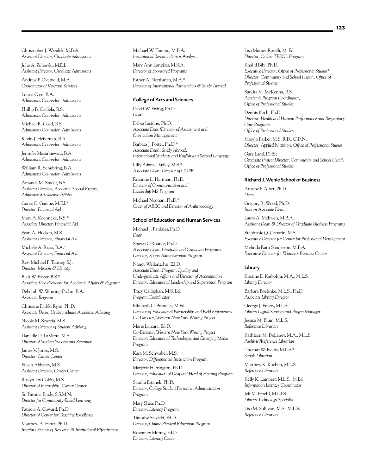Christopher J. Wszalek, M.B.A. *Assistant Director, Graduate Admissions*

Julie A. Zulewski, M.Ed. *Assistant Director, Graduate Admissions* 

Andrew P. Overfield, M.A. *Coordinator of Veterans Services*

Louiza Case, B.A. *Admissions Counselor, Admissions*

Phillip B. Ciallela, B.S. *Admissions Counselor, Admissions*

Michael R. Coad, B.S. *Admissions Counselor, Admissions*

Kevin J. Heffernan, B.A. *Admissions Counselor, Admissions*

Jennifer Mazurkiewicz, B.A. *Admissions Counselor, Admissions*

William R. Schubring, B.A. *Admissions Counselor, Admissions*

Amanda M. Snider, B.S. *Assistant Director, Academic Special Events, Admissions/Academic Affairs*

Curtis C. Gaume, M.Ed.\* *Director, Financial Aid*

Mary A. Koehneke, B.S.\* *Associate Director, Financial Aid*

Sean A. Hudson, M.S. *Assistant Director, Financial Aid*

Michele A. Rizzo, B.A.\* *Assistant Director, Financial Aid*

Rev. Michael F. Tunney, S.J. *Director, Mission & Identity*

Blair W. Foster, B.S.\* *Associate Vice President for Academic Affairs & Registrar*

Deborah W. Whiting-Prohn, B.A. *Associate Registrar*

Christine Dulski Ryan, Ph.D. *Associate Dean, Undergraduate Academic Advising*

Nicole M. Scaccia, M.S. *Assistant Director of Student Advising*

Danielle D. LaMarre, M.S. *Director of Student Success and Retention*

James V. Jones, M.S. *Director, Career Center*

Eileen Abbatoy, M.S. *Assistant Director, Career Center*

Roslyn Joy Colón, M.S. *Director of Internships, Career Center*

Sr. Patricia Brady, S.S.M.N. *Director for Community-Based Learning*

Patricia A. Coward, Ph.D. *Director of Center for Teaching Excellence*

Matthew A. Hertz, Ph.D. *Interim Director of Research & Institutional Effectiveness* Michael W. Tampio, M.B.A. *Institutional Research Senior Analyst*

Mary Ann Langlois, M.B.A. *Director of Sponsored Programs*

Esther A. Northman, M.A.\* *Director of International Partnerships & Study Abroad*

#### College of Arts and Sciences

David W. Ewing, Ph.D. *Dean* Debra Instone, Ph.D.

*Associate Dean/Director of Assessment and Curriculum Management*

Barbara J. Porter, Ph.D.\* *Associate Dean, Study Abroad, International Students and English as a Second Language*

Lilly Adams Dudley, M.S.\* *Associate Dean, Director of COPE*

Rosanne L. Hartman, Ph.D. *Director of Communication and Leadership MS Program*

Michael Noonan, Ph.D.\* *Chair of ABEC and Director of Anthrozoology*

#### School of Education and Human Services

Michael J. Pardales, Ph.D. *Dean*

Shawn O'Rourke, Ph.D. *Associate Dean, Graduate and Canadian Programs Director, Sports Administration Program*

Nancy Wellenzohn, Ed.D. *Associate Dean, Program Quality and Undergraduate Affairs and Director of Accreditation Director, Educational Leadership and Supervision Program*

Tracy Callaghan, M.S. Ed. *Program Coordinator*

Elizabeth C. Brandjes, M.Ed. *Director of Educational Partnerships and Field Experiences Co-Director, Western New York Writing Project*

Marie Larcara, Ed.D. *Co-Director, Western New York Writing Project Director, Educational Technologies and Emerging Media Program*

Kara M. Schwabel, M.S. *Director, Differentiated Instruction Program*

Marjorie Harrington, Ph.D. *Director, Education of Deaf and Hard of Hearing Program*

Sandra Estanek, Ph.D. *Director, College Student Personnel Administration Program*

Mary Shea, Ph.D. *Director, Literacy Program*

Timothy Sawicki, Ed.D. *Director, Online Physical Education Program*

Rosemary Murray, Ed.D. *Director, Literacy Center*

Lisa Murray-Roselli, M. Ed. *Director, Online TESOL Program*

Khalid Bibi, Ph.D. *Executive Director, Office of Professional Studies\* Director, Community and School Health, Office of Professional Studies*

Sandra M. McKenna, B.S. *Academic Program Coordinator, Office of Professional Studies*

Dennis Koch, Ph.D. *Director, Health and Human Performance and Respiratory Care Programs Office of Professional Studies*

MaryJo Parker, M.S.,R.D., C.D.N. *Director, Applied Nutrition, Office of Professional Studies*

Gary Ladd, DHSc, *Graduate Project Director, Community and School Health Office of Professional Studies*

#### Richard J. Wehle School of Business

Antone F. Alber, Ph.D. *Dean*

Gregory R. Wood, Ph.D. *Interim Associate Dean*

Laura A. McEwen, M.B.A. *Assistant Dean & Director of Graduate Business Programs*

Stephanie Q. Cattarin, M.S. *Executive Director for Center for Professional Development*

Melinda Rath Sanderson, M.B.A. *Executive Director for Women's Business Center*

#### Library

Kristine E. Kasbohm, M.A., M.L.S. *Library Director*

Barbara Boehnke, M.L.S., Ph.D. *Associate Library Director*

George J. Emery, M.L.S. *Library Digital Services and Project Manager*

Jessica M. Blum, M.L.S. *Reference Librarian* 

Kathleen M. DeLaney, M.A., M.L.S. *Archivist/Reference Librarian* 

Thomas W. Evans, M.L.S.\* *Serials Librarian* 

Matthew K. Kochan, M.L.S *Reference Librarian*

Kelly K. Lambert, M.L.S., M.Ed. *Information Literacy Coordinator*

Jeff M. Proehl, M.L.I.S. *Library Technology Specialist*

Lisa M. Sullivan, M.S., M.L.S. *Reference Librarian*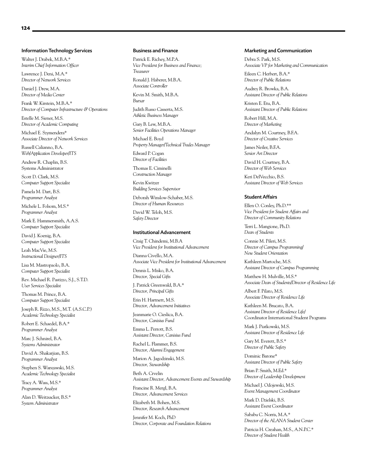#### Information Technology Services

Walter J. Drabek, M.B.A.\* *Interim Chief Information Officer*

Lawrence J. Deni, M.A.\* *Director of Network Services*

Daniel J. Drew, M.A. *Director of Media Center*

Frank W. Kirstein, M.B.A.\* *Director of Computer Infrastructure & Operations*

Estelle M. Siener, M.S. *Director of Academic Computing* 

Michael E. Szymendera\* *Associate Director of Network Services*

Russell Calianno, B.A. *Web/Application Developer/ITS*

Andrew R. Chaplin, B.S. Systems Administrator

Scott D. Clark, M.S. *Computer Support Specialist* 

Pamela M. Dart, B.S. *Programmer Analyst* 

Michele L. Folsom, M.S.\* *Programmer Analyst* 

Mark E. Hammersmith, A.A.S. *Computer Support Specialist* 

David J. Koenig, B.A. *Computer Support Specialist* 

Leah MacVie, M.S. *Instructional Designer/ITS*

Lisa M. Mastropaolo, B.A. *Computer Support Specialist* 

Rev. Michael R. Pastizzo, S.J., S.T.D. *User Services Specialist*

Thomas M. Prince, B.A. *Computer Support Specialist* 

Joseph R. Rizzo, M.S., M.T. (A.S.C.P.) *Academic Technology Specialist* 

Robert E. Schaedel, B.A.\* *Programmer Analyst* 

Marc J. Schnirel, B.A. *Systems Administrator* 

David A. Shakarjian, B.S. *Programmer Analyst*

Stephen S. Warszawski, M.S. *Academic Technology Specialist* 

Tracy A. Wass, M.S.\* *Programmer Analyst* 

Alan D. Weitzsacker, B.S.\* *System Administrator* 

#### Business and Finance

Patrick E. Richey, M.P.A. *Vice President for Business and Finance; Treasurer*

Ronald J. Haberer, M.B.A. *Associate Controller*

Kevin M. Smith, M.B.A. *Bursar*

Judith Russo Casserta, M.S. *Athletic Business Manager*

Gary B. Lew, M.B.A. *Senior Facilities Operations Manager*

Michael E. Boyd *Property Manager/Technical Trades Manager*

Edward P. Cogan *Director of Facilities*

Thomas E. Ciminelli *Construction Manager*

Kevin Kwitzer *Building Services Supervisor*

Deborah Winslow-Schaber, M.S. *Director of Human Resources*

David W. Teloh, M.S. *Safety Director*

#### Institutional Advancement

Craig T. Chindemi, M.B.A *Vice President for Institutional Advancement*

Dianna Civello, M.A. *Associate Vice President for Institutional Advancement*

Dennis L. Misko, B.A. *Director, Special Gifts*

J. Patrick Greenwald, B.A.\* *Director, Principal Gifts*

Erin H. Hartnett, M.S. *Director, Advancement Initiatives*

Jeanmarie O. Cieslica, B.A. *Director, Canisius Fund*

Emma L. Perrott, B.S. *Assistant Director, Canisius Fund*

Rachel L. Flammer, B.S. *Director, Alumni Engagement*

Marion A. Jagodzinski, M.S. *Director, Stewardship*

Beth A. Crvelin *Assistant Director, Advancement Events and Stewardship*

Francine R. Mergl, B.A. *Director, Advancement Services*

Elizabeth M. Bohen, M.S. *Director, Research Advancement*

Jennifer M. Koch, PhD *Director, Corporate and Foundation Relations*

#### Marketing and Communication

Debra S. Park, M.S. *Associate VP for Marketing and Communication*

Eileen C. Herbert, B.A.\* *Director of Public Relations*

Audrey R. Browka, B.A. *Assistant Director of Public Relations*

Kristen E. Etu, B.A. *Assistant Director of Public Relations*

Robert Hill, M.A. *Director of Marketing* 

Andalyn M. Courtney, B.F.A. *Director of Creative Services*

James Neiler, B.F.A. *Senior Art Director*

David H. Courtney, B.A. *Director of Web Services*

Keri DelVecchio, B.S. *Assistant Director of Web Services*

#### Student Affairs

Ellen O. Conley, Ph.D.\*\* *Vice President for Student Affairs and Director of Community Relations*

Terri L. Mangione, Ph.D. *Dean of Students*

Connie M. Pileri, M.S. *Director of Campus Programming/ New Student Orientation*

Kathleen Martoche, M.S. *Assistant Director of Campus Programming*

Matthew H. Mulville, M.S.\* *Associate Dean of Students/Director of Residence Life*

Albert F. Pilato, M.S. *Associate Director of Residence Life*

Kathleen M. Brucato, B.A. *Assistant Director of Residence Life/* Coordinator International Student Programs

Mark J. Piatkowski, M.S. *Assistant Director of Residence Life*

Gary M. Everett, B.S.\* *Director of Public Safety*

Dominic Barone\* *Assistant Director of Public Safety*

Brian P. Smith, M.Ed.\* *Director of Leadership Development*

Michael J. Odojewski, M.S. *Event Management Coordinator*

Mark D. Dzielski, B.S. *Assistant Event Coordinator*

Sababu C. Norris, M.A.\* *Director of the ALANA Student Center*

Patricia H. Creahan, M.S., A.N.P.C.\* *Director of Student Health*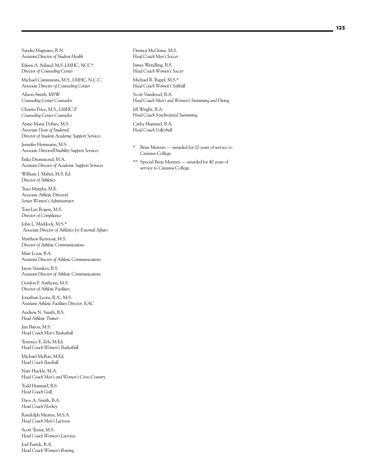Sandra Magnano, R.N. *Assistant Director of Student Health*

Eileen A. Niland, M.S.,LMHC, NCC\* *Director of Counseling Center*

Michael Cammarata, M.S., LMHC, N.C.C. *Associate Director of Counseling Center*

Alison Smith, MSW *Counseling Center Counselor*

Charita Price, M.S., LMHC-P *Counseling Center Counselor*

Anne-Marie Dobies, M.S. *Associate Dean of Students/ Director of Student Academic Support Services*

Jennifer Herrmann, M.S. *Associate Director/Disability Support Services*

Erika Drummond, M.A. *Assistant Director of Academic Support Services*

William J. Maher, M.S. Ed. *Director of Athletics*

Traci Murphy, M.E. *Associate Athletic Director/ Senior Women's Administrator*

Toni Lyn Rogers, M.S. *Director of Compliance*

John L. Maddock, M.S.\*  *Associate Director of Athletics for External Affairs*

Matthew Reitnour, M.S. *Director of Athletic Communications*

Matt Lozar, B.A. *Assistant Director of Athletic Communications*

Jason Veniskey, B.S. *Assistant Director of Athletic Communications*

Gordon F. Anthony, M.S. *Director of Athletic Facilities*

Jonathan Lyons, B.A., M.S. *Assistant Athletic Facilities Director, KAC*

Andrew N. Smith, B.S. *Head Athletic Trainer*

Jim Baron, M.S. *Head Coach Men's Basketball* 

Terrence E. Zeh, M.Ed. *Head Coach Women's Basketball*

Michael McRae, M.Ed. *Head Coach Baseball*

Nate Huckle, M.A. *Head Coach Men's and Women's Cross Country* 

Todd Hummel, B.S. *Head Coach Golf* 

Dave A. Smith, B.A. *Head Coach Hockey* 

Randolph Mearns, M.S.A. *Head Coach Men's Lacrosse* 

Scott Teeter, M.S. *Head Coach Women's Lacrosse* 

Joel Furtek, B.A. *Head Coach Women's Rowing*

Dermot McGrane, M.S. *Head Coach Men's Soccer* 

James Wendling, B.S. *Head Coach Women's Soccer* 

Michael R. Rappl, M.S.\* *Head Coach Women's Softball* 

Scott Vanderzel, B.A. *Head Coach Men's and Women's Swimming and Diving* 

Jill Wright, B.A. *Head Coach Synchronized Swimming*

Cathy Hummel, B.A. *Head Coach Volleyball*

- \* Bene Merenti awarded for 20 years of service to Canisius College.
- \*\* Special Bene Merenti awarded for 40 years of service to Canisius College.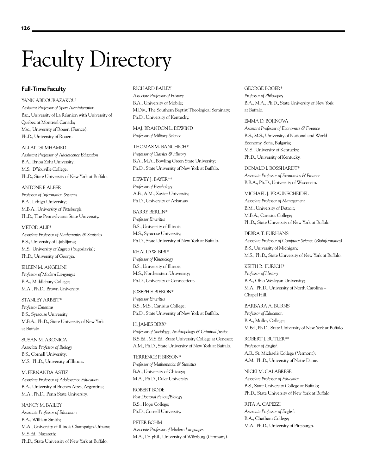# Faculty Directory

# Full-Time Faculty

YANN ABDOURAZAKOU *Assistant Professor of Sport Administration* Bsc., University of La Réunion with University of Quebec at Montreal Canada; Msc., University of Rouen (France); Ph.D., University of Rouen.

ALI AIT SI MHAMED *Assistant Professor of Adolescence Education*  B.A., Ibnou Zohr University; M.S., D'Youville College; Ph.D., State University of New York at Buffalo.

ANTONE F. ALBER *Professor of Information Systems* B.A., Lehigh University; M.B.A., University of Pittsburgh; Ph.D., The Pennsylvania State University.

METOD ALIF\* *Associate Professor of Mathematics & Statistics* B.S., University of Ljublijana; M.S., University of Zagreb (Yugoslavia); Ph.D., University of Georgia.

EILEEN M. ANGELINI *Professor of Modern Languages* B.A., Middlebury College; M.A., Ph.D., Brown University.

STANLEY ARBEIT\* *Professor Emeritus*  B.S., Syracuse University; M.B.A., Ph.D., State University of New York at Buffalo.

SUSAN M. ARONICA *Associate Professor of Biology* B.S., Cornell University; M.S., Ph.D., University of Illinois.

M. FERNANDA ASTIZ *Associate Professor of Adolescence Education* B.A., University of Buenos Aires, Argentina; M.A., Ph.D., Penn State University.

NANCY M. BAILEY *Associate Professor of Education* B.A., William Smith; M.A., University of Illinois Champaign-Urbana; M.S.Ed., Nazareth; Ph.D., State University of New York at Buffalo.

RICHARD BAILEY *Associate Professor of History* B.A., University of Mobile; M.Div., The Southern Baptist Theological Seminary; Ph.D., University of Kentucky.

MAJ. BRANDON L. DEWIND *Professor of Military Science*

THOMAS M. BANCHICH\* *Professor of Classics & History* B.A., M.A., Bowling Green State University; Ph.D., State University of New York at Buffalo.

DEWEY J. BAYER\*\* *Professor of Psychology* A.B., A.M., Xavier University; Ph.D., University of Arkansas.

BARRY BERLIN\* *Professor Emeritus* B.S., University of Illinois; M.S., Syracuse University; Ph.D., State University of New York at Buffalo.

KHALID W. BIBI\* *Professor of Kinesiology* B.S., University of Illinois; M.S., Northeastern University; Ph.D., University of Connecticut.

JOSEPH F. BIERON\* *Professor Emeritus* B.S., M.S., Canisius College; Ph.D., State University of New York at Buffalo.

H. JAMES BIRX\* *Professor of Sociology, Anthropology & Criminal Justice* B.S.Ed., M.S.Ed., State University College at Geneseo; A.M., Ph.D., State University of New York at Buffalo.

TERRENCE P. BISSON\* *Professor of Mathematics & Statistics* B.A., University of Chicago; M.A., Ph.D., Duke University.

ROBERT BODE *Post Doctoral Fellow/Biology* B.S., Hope College; Ph.D., Cornell University.

PETER BÖHM *Associate Professor of Modern Languages* M.A., Dr. phil., University of Würzburg (Germany). GEORGE BOGER\* *Professor of Philosophy* B.A., M.A., Ph.D., State University of New York at Buffalo.

EMMA D. BOJINOVA *Assistant Professor of Economics & Finance* B.S., M.S., University of National and World Economy, Sofia, Bulgaria; M.S., University of Kentucky; Ph.D., University of Kentucky.

DONALD I. BOSSHARDT\* *Associate Professor of Economics & Finance* B.B.A., Ph.D., University of Wisconsin.

MICHAEL J. BRAUNSCHEIDEL *Associate Professor of Management* B.M., University of Detroit; M.B.A., Canisius College; Ph.D., State University of New York at Buffalo.

DEBRA T. BURHANS *Associate Professor of Computer Science (Bioinformatics)* B.S., University of Michigan; M.S., Ph.D., State University of New York at Buffalo.

KEITH R. BURICH\* *Professor of History* B.A., Ohio Wesleyan University; M.A., Ph.D., University of North Carolina – Chapel Hill.

BARBARA A. BURNS *Professor of Education*  B.A., Molloy College; M.Ed., Ph.D., State University of New York at Buffalo.

ROBERT J. BUTLER\*\* *Professor of English* A.B., St. Michael's College (Vermont); A.M., Ph.D., University of Notre Dame.

NICKI M. CALABRESE *Associate Professor of Education* B.S., State University College at Buffalo; Ph.D., State University of New York at Buffalo.

RITA A. CAPEZZI *Associate Professor of English* B.A., Chatham College; M.A., Ph.D., University of Pittsburgh.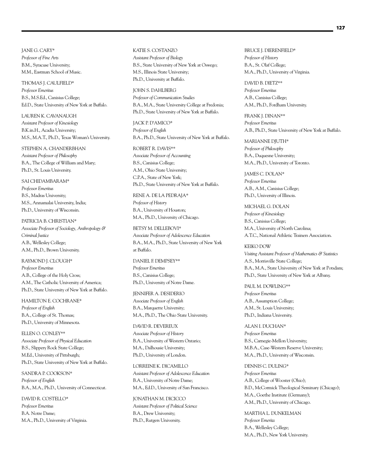JANE G. CARY\* *Professor of Fine Arts* B.M., Syracuse University; M.M., Eastman School of Music.

THOMAS J. CAULFIELD\* *Professor Emeritus* B.S., M.S.Ed., Canisius College; Ed.D., State University of New York at Buffalo.

LAUREN K. CAVANAUGH *Assistant Professor of Kinesiology* B.K.in.H., Acadia University; M.S., M.A.T., Ph.D., Texas Woman's University.

STEPHEN A. CHANDERBHAN *Assistant Professor of Philosophy* B.A., The College of William and Mary; Ph.D., St. Louis University.

SAI CHIDAMBARAM\* *Professor Emeritus* B.S., Madras University; M.S., Annamalai University, India; Ph.D., University of Wisconsin.

PATRICIA B. CHRISTIAN\* *Associate Professor of Sociology, Anthropology & Criminal Justice* A.B., Wellesley College; A.M., Ph.D., Brown University.

RAYMOND J. CLOUGH\* *Professor Emeritus* A.B., College of the Holy Cross; A.M., The Catholic University of America; Ph.D., State University of New York at Buffalo.

HAMILTON E. COCHRANE\* *Professor of English* B.A., College of St. Thomas; Ph.D., University of Minnesota.

ELLEN O. CONLEY\*\* *Associate Professor of Physical Education* B.S., Slippery Rock State College; M.Ed., University of Pittsburgh; Ph.D., State University of New York at Buffalo.

SANDRA P. COOKSON\* *Professor of English* B.A., M.A., Ph.D., University of Connecticut.

DAVID R. COSTELLO\* *Professor Emeritus* B.A. Notre Dame; M.A., Ph.D., University of Virginia. KATIE S. COSTANZO *Assistant Professor of Biology* B.S., State University of New York at Oswego; M.S., Illinois State University; Ph.D., University at Buffalo.

JOHN S. DAHLBERG *Professor of Communication Studies* B.A., M.A., State University College at Fredonia; Ph.D., State University of New York at Buffalo.

JACK P. D'AMICO\* *Professor of English* B.A., Ph.D., State University of New York at Buffalo.

ROBERT R. DAVIS\*\* *Associate Professor of Accounting* B.S., Canisius College; A.M., Ohio State University; C.P.A., State of New York; Ph.D., State University of New York at Buffalo.

RENE A. DE LA PEDRAJA\* *Professor of History* B.A., University of Houston; M.A., Ph.D., University of Chicago.

BETSY M. DELLEBOVI\* *Associate Professor of Adolescence Education* B.A., M.A., Ph.D., State University of New York at Buffalo.

DANIEL F. DEMPSEY\*\* *Professor Emeritus* B.S., Canisius College; Ph.D., University of Notre Dame.

JENNIFER A. DESIDERIO *Associate Professor of English* B.A., Marquette University; M.A., Ph.D., The Ohio State University.

DAVID R. DEVEREUX *Associate Professor of History* B.A., University of Western Ontario; M.A., Dalhousie University; Ph.D., University of London.

LORREINE K. DICAMILLO *Assistant Professor of Adolescence Education* B.A., University of Notre Dame; M.A., Ed.D., University of San Francisco.

JONATHAN M. DICICCO *Assistant Professor of Political Science* B.A., Drew University; Ph.D., Rutgers University.

BRUCE J. DIERENFIELD\* *Professor of History* B.A., St. Olaf College; M.A., Ph.D., University of Virginia.

DAVID B. DIETZ\*\* *Professor Emeritus* A.B., Canisius College; A.M., Ph.D., Fordham University.

FRANK J. DINAN\*\* *Professor Emeritus* A.B., Ph.D., State University of New York at Buffalo.

MARIANNE DJUTH\* *Professor of Philosophy* B.A., Duquesne University; M.A., Ph.D., University of Toronto.

JAMES C. DOLAN\* *Professor Emeritus* A.B., A.M., Canisius College; Ph.D., University of Illinois.

MICHAEL G. DOLAN *Professor of Kinesiology* B.S., Canisius College; M.A., University of North Carolina; A.T.C., National Athletic Trainers Association.

KEIKO DOW *Visiting Assistant Professor of Mathematics & Statistics* A.S., Morrisville State College; B.A., M.A., State University of New York at Potsdam; Ph.D., State University of New York at Albany.

PAUL M. DOWLING\*\* *Professor Emeritus* A.B., Assumption College; A.M., St. Louis University; Ph.D., Indiana University.

ALAN I. DUCHAN\* *Professor Emeritus* B.S., Carnegie-Mellon University; M.B.A., Case-Western Reserve University; M.A., Ph.D., University of Wisconsin.

DENNIS C. DULING\* *Professor Emeritus* A.B., College of Wooster (Ohio); B.D., McCormick Theological Seminary (Chicago); M.A., Goethe Institute (Germany); A.M., Ph.D., University of Chicago.

MARTHA L. DUNKELMAN *Professor Emerita* B.A., Wellesley College; M.A., Ph.D., New York University.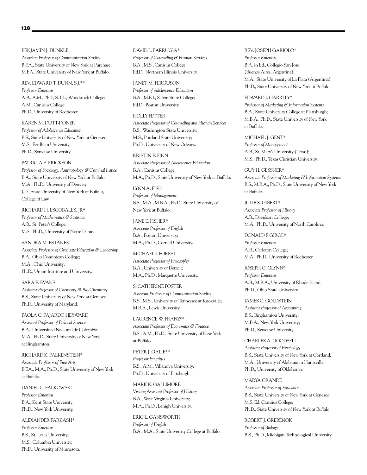BENJAMIN J. DUNKLE *Associate Professor of Communication Studies* B.F.A., State University of New York at Purchase; M.F.A., State University of New York at Buffalo.

REV. EDWARD T. DUNN, S.J.\*\* *Professor Emeritus* A.B., A.M., Ph.L, S.T.L., Woodstock College; A.M., Canisius College; Ph.D., University of Rochester.

KAREN M. DUTT-DONER *Professor of Adolescence Education* B.S., State University of New York at Geneseo; M.S., Fordham University; Ph.D., Syracuse University.

PATRICIA E. ERICKSON *Professor of Sociology, Anthropology & Criminal Justice* B.A., State University of New York at Buffalo;

M.A., Ph.D., University of Denver; J.D., State University of New York at Buffalo, College of Law.

RICHARD H. ESCOBALES, JR\* *Professor of Mathematics & Statistics* A.B., St. Peter's College; M.S., Ph.D., University of Notre Dame.

SANDRA M. ESTANEK *Associate Professor of Graduate Education & Leadership* B.A., Ohio Dominican College; M.A., Ohio University; Ph.D., Union Institute and University.

SARA E. EVANS *Assistant Professor of Chemistry & Bio-Chemistry* B.S., State University of New York at Geneseo; Ph.D., University of Maryland.

PAOLA C. FAJARDO HEYWARD *Assistant Professor of Political Science* B.A., Universidad Nacional de Colombia; M.A., Ph.D., State University of New York at Binghamton.

RICHARD K. FALKENSTEIN\* *Associate Professor of Fine Arts* B.F.A., M.A., Ph.D., State University of New York at Buffalo.

DANIEL C. FALKOWSKI *Professor Emeritus* B.A., Kent State University; Ph.D., New York University.

ALEXANDER FARKASH\* *Professor Emeritus* B.S., St. Louis University; M.S., Columbia University; Ph.D., University of Minnesota. DAVID L. FARRUGIA\* *Professor of Counseling & Human Services* B.A., M.S., Canisius College; Ed.D., Northern Illinois University.

JANET M. FERGUSON *Professor of Adolescence Education* B.A., M.Ed., Salem State College; Ed.D., Boston University.

HOLLY FETTER *Associate Professor of Counseling and Human Services* B.S., Washington State University; M.S., Portland State University; Ph.D., University of New Orleans.

KRISTIN E. FINN *Associate Professor of Adolescence Education* B.A., Canisius College; M.A., Ph.D., State University of New York at Buffalo.

LYNN A. FISH *Professor of Management* B.S., M.A., M.B.A., Ph.D., State University of New York at Buffalo.

JANE E. FISHER\* *Associate Professor of English* B.A., Boston University; M.A., Ph.D., Cornell University.

MICHAEL J. FOREST *Associate Professor of Philosophy* B.A., University of Detroit; M.A., Ph.D., Marquette University.

S. CATHERINE FOSTER *Assistant Professor of Communication Studies* B.S., M.S., University of Tennessee at Knoxville; M.B.A., Lewis University.

LAURENCE W. FRANZ\*\* *Associate Professor of Economics & Finance* B.S., A.M., Ph.D., State University of New York at Buffalo.

PETER J. GALIE\*\* *Professor Emeritus* B.S., A.M., Villanova University; Ph.D., University of Pittsburgh.

MARK K. GALLIMORE *Visiting Assistant Professor of History* B.A., West Virginia University; M.A., Ph.D., Lehigh University.

ERIC L. GANSWORTH *Professor of English* B.A., M.A., State University College at Buffalo. REV. JOSEPH GARIOLO\* *Professor Emeritus* B.A. in Ed., Collegio San Jose (Buenos Aires, Argentina); M.A., State University of La Plata (Argentina); Ph.D., State University of New York at Buffalo.

EDWARD J. GARRITY\* *Professor of Marketing & Information Systems* B.A., State University College at Plattsburgh; M.B.A., Ph.D., State University of New York at Buffalo.

MICHAEL J. GENT\* *Professor of Management* A.B., St. Mary's University (Texas); M.S., Ph.D., Texas Christian University.

GUY H. GESSNER\* *Associate Professor of Marketing & Information Systems* B.S., M.B.A., Ph.D., State University of New York at Buffalo.

JULIE S. GIBERT\* *Associate Professor of History* A.B., Davidson College; M.A., Ph.D., University of North Carolina.

DONALD F. GIROD\* *Professor Emeritus* A.B., Carleton College; M.A., Ph.D., University of Rochester.

JOSEPH G. GLYNN\* *Professor Emeritus* A.B., M.B.A., University of Rhode Island; Ph.D., Ohio State University.

JAMES C. GOLDSTEIN *Assistant Professor of Accounting* B.S., Binghamton University; M.B.A., New York University; Ph.D., Syracuse University.

CHARLES A. GOODSELL *Assistant Professor of Psychology* B.S., State University of New York at Cortland; M.A., University of Alabama in Huntsville; Ph.D., University of Oklahoma.

MARYA GRANDE *Associate Professor of Education* B.S., State University of New York at Geneseo; M.S. Ed, Canisius College; Ph.D., State University of New York at Buffalo.

ROBERT J. GREBENOK *Professor of Biology*  B.S., Ph.D., Michigan Technological University.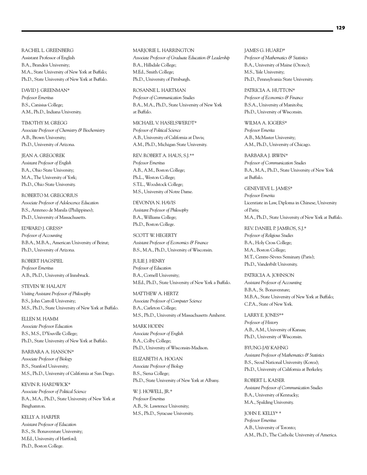RACHEL L. GREENBERG Assistant Professor of English B.A., Brandeis University; M.A., State University of New York at Buffalo; Ph.D., State University of New York at Buffalo.

DAVID J. GREENMAN\* *Professor Emeritus* B.S., Canisius College; A.M., Ph.D., Indiana University.

TIMOTHY M. GREGG *Associate Professor of Chemistry & Biochemistry* A.B., Brown University; Ph.D., University of Arizona.

JEAN A. GREGOREK *Assistant Professor of English* B.A., Ohio State University; M.A., The University of York; Ph.D., Ohio State University.

ROBERTO M. GREGORIUS *Associate Professor of Adolescence Education* B.S., Anteneo de Manila (Philippines); Ph.D., University of Massachusetts.

EDWARD J. GRESS\* *Professor of Accounting* B.B.A., M.B.A., American University of Beirut; Ph.D., University of Arizona.

ROBERT HAGSPIEL *Professor Emeritus* A.B., Ph.D., University of Innsbruck.

STEVEN W. HALADY *Visiting Assistant Professor of Philosophy* B.S., John Carroll University; M.S., Ph.D., State University of New York at Buffalo.

ELLEN M. HAMM *Associate Professor Education* B.S., M.S., D'Youville College; Ph.D., State University of New York at Buffalo.

BARBARA A. HANSON\* *Associate Professor of Biology* B.S., Stanford University; M.S., Ph.D., University of California at San Diego.

KEVIN R. HARDWICK\* *Associate Professor of Political Science* B.A., M.A., Ph.D., State University of New York at Binghamton.

KELLY A. HARPER *Assistant Professor of Education* B.S., St. Bonaventure University; M.Ed., University of Hartford; Ph.D., Boston College.

MARJORIE L. HARRINGTON *Associate Professor of Graduate Education & Leadership* B.A., Hillsdale College; M.Ed., Smith College; Ph.D., University of Pittsburgh.

ROSANNE L. HARTMAN *Professor of Communication Studies* B.A., M.A., Ph.D., State University of New York at Buffalo.

MICHAEL V. HASELSWERDT\* *Professor of Political Science* A.B., University of California at Davis; A.M., Ph.D., Michigan State University.

# REV. ROBERT A. HAUS, S.J.\*\* *Professor Emeritus* A.B., A.M., Boston College; Ph.L., Weston College; S.T.L., Woodstock College; M.S., University of Notre Dame.

DEVONYA N. HAVIS *Assistant Professor of Philosophy* B.A., Williams College; Ph.D., Boston College.

SCOTT W. HEGERTY *Assistant Professor of Economics & Finance* B.S., M.A., Ph.D., University of Wisconsin.

JULIE J. HENRY *Professor of Education* B.A., Cornell University; M.Ed., Ph.D., State University of New York a Buffalo.

MATTHEW A. HERTZ *Associate Professor of Computer Science* B.A., Carleton College; M.S., Ph.D., University of Massachusetts Amherst.

MARK HODIN *Associate Professor of English* B.A., Colby College; Ph.D., University of Wisconsin-Madison.

ELIZABETH A. HOGAN *Associate Professor of Biology* B.S., Siena College; Ph.D., State University of New York at Albany.

W. I. HOWELL, IR.\* *Professor Emeritus* A.B., St. Lawrence University; M.S., Ph.D., Syracuse University. JAMES G. HUARD\* *Professor of Mathematics & Statistics* B.A., University of Maine (Orono); M.S., Yale University; Ph.D., Pennsylvania State University.

PATRICIA A. HUTTON\* *Professor of Economics & Finance* B.S.A., University of Manitoba; Ph.D., University of Wisconsin.

WILMA A. IGGERS\* *Professor Emerita* A.B., McMaster University; A.M., Ph.D., University of Chicago.

BARBARA J. IRWIN\* *Professor of Communication Studies* B.A., M.A., Ph.D., State University of New York at Buffalo.

GENEVIEVE L. JAMES\* *Professor Emerita* Licentiate in Law, Diploma in Chinese, University of Paris; M.A., Ph.D., State University of New York at Buffalo.

REV. DANIEL P. JAMROS, S.J.\* *Professor of Religious Studies* B.A., Holy Cross College; M.A., Boston College; M.T., Centre-Sèvres Seminary (Paris); Ph.D., Vanderbilt University.

PATRICIA A. JOHNSON *Assistant Professor of Accounting* B.B.A., St. Bonaventure; M.B.A., State University of New York at Buffalo; C.P.A., State of New York.

LARRY E. JONES\*\* *Professor of History* A.B., A.M., University of Kansas; Ph.D., University of Wisconsin.

BYUNG-JAY KAHNG *Assistant Professor of Mathematics & Statistics* B.S., Seoul National University (Korea); Ph.D., University of California at Berkeley.

ROBERT L. KAISER *Assistant Professor of Communication Studies* B.A., University of Kentucky; M.A., Spalding University.

JOHN E. KELLY\* \* *Professor Emeritus* A.B., University of Toronto; A.M., Ph.D., The Catholic University of America.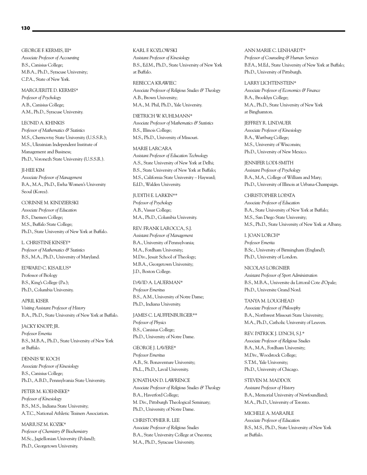GEORGE F. KERMIS, III\* *Associate Professor of Accounting* B.S., Canisius College; M.B.A., Ph.D., Syracuse University; C.P.A., State of New York.

MARGUERITE D. KERMIS\* *Professor of Psychology* A.B., Canisius College; A.M., Ph.D., Syracuse University.

LEONID A. KHINKIS *Professor of Mathematics & Statistics* M.S., Chernovtsy State University (U.S.S.R.); M.S., Ukrainian Independent Institute of Management and Business; Ph.D., Voronezh State University (U.S.S.R.).

JI-HEE KIM *Associate Professor of Management* B.A., M.A., Ph.D., Ewha Women's University Seoul (Korea).

CORINNE M. KINDZIERSKI *Associate Professor of Education* B.S., Daemen College; M.S., Buffalo State College; Ph.D., State University of New York at Buffalo.

L. CHRISTINE KINSEY\* *Professor of Mathematics & Statistics* B.S., M.A., Ph.D., University of Maryland.

EDWARD C. KISAILUS\* Professor of Biology B.S., King's College (Pa.); Ph.D., Columbia University.

APRIL KISER *Visiting Assistant Professor of History* B.A., Ph.D., State University of New York at Buffalo.

JACKY KNOPP, JR. *Professor Emerita* B.S., M.B.A., Ph.D., State University of New York at Buffalo.

DENNIS W. KOCH *Associate Professor of Kinesiology* B.S., Canisius College; Ph.D., A.B.D., Pennsylvania State University.

PETER M. KOEHNEKE\* *Professor of Kinesiology* B.S., M.S., Indiana State University; A.T.C., National Athletic Trainers Association.

MARIUSZ M. KOZIK\* *Professor of Chemistry & Biochemistry* M.Sc., Jagiellonian University (Poland); Ph.D., Georgetown University.

KARL F. KOZLOWSKI *Assistant Professor of Kinesiology* B.S., Ed.M., Ph.D., State University of New York at Buffalo.

REBECCA KRAWIEC *Associate Professor of Religious Studies & Theology* A.B., Brown University; M.A., M. Phil, Ph.D., Yale University.

DIETRICH W. KUHLMANN\*

*Associate Professor of Mathematics & Statistics* B.S., Illinois College; M.S., Ph.D., University of Missouri.

#### MARIE LARCARA

*Assistant Professor of Education Technology* A.S., State University of New York at Delhi; B.S., State University of New York at Buffalo; M.S., California State University – Hayward; Ed.D., Walden University.

JUDITH E. LARKIN\*\* *Professor of Psychology* A.B., Vassar College; M.A., Ph.D., Columbia University.

REV. FRANK LAROCCA, S.J.

*Assistant Professor of Management* B.A., University of Pennsylvania; M.A., Fordham University; M.Div., Jesuit School of Theology; M.B.A., Georgetown University; J.D., Boston College.

DAVID A. LAUERMAN\* *Professor Emeritus* B.S., A.M., University of Notre Dame; Ph.D., Indiana University.

JAMES C. LAUFFENBURGER\*\* *Professor of Physics* B.S., Canisius College; Ph.D., University of Notre Dame.

GEORGE J. LAVERE\* *Professor Emeritus* A.B., St. Bonaventure University; Ph.L., Ph.D., Laval University.

#### JONATHAN D. LAWRENCE

*Associate Professor of Religious Studies & Theology* B.A., Haverford College; M. Div., Pittsburgh Theological Seminary; Ph.D., University of Notre Dame.

CHRISTOPHER R. LEE *Associate Professor of Religious Studies* B.A., State University College at Oneonta; M.A., Ph.D., Syracuse University.

ANN MARIE C. LENHARDT\* *Professor of Counseling & Human Services* B.F.A., M.Ed., State University of New York at Buffalo; Ph.D., University of Pittsburgh.

LARRY LICHTENSTEIN\* *Associate Professor of Economics & Finance* B.A., Brooklyn College; M.A., Ph.D., State University of New York at Binghamton.

JEFFREY R. LINDAUER *Associate Professor of Kinesiology* B.A., Wartburg College; M.S., University of Wisconsin; Ph.D., University of New Mexico.

JENNIFER LODI-SMITH *Assistant Professor of Psychology* B.A., M.A., College of William and Mary; Ph.D., University of Illinois at Urbana-Champaign.

CHRISTOPHER LOPATA *Associate Professor of Education* B.A., State University of New York at Buffalo; M.S., San Diego State University; M.S., Ph.D., State University of New York at Albany.

#### I. JOAN LORCH\*

*Professor Emerita*  B.Sc., University of Birmingham (England); Ph.D., University of London.

NICOLAS LORGNIER *Assistant Professor of Sport Administration* B.S., M.B.A., Universite du Littoral Cote d'Opale; Ph.D., Universite Grand Nord.

TANYA M. LOUGHEAD *Associate Professor of Philosophy* B.A., Northwest Missouri State University; M.A., Ph.D., Catholic University of Leuven.

REV. PATRICK J. LYNCH, S.J.\* *Associate Professor of Religious Studies* B.A., M.A., Fordham University; M.Div., Woodstock College; S.T.M., Yale University; Ph.D., University of Chicago.

STEVEN M. MADDOX *Assistant Professor of History* B.A., Memorial University of Newfoundland; M.A., Ph.D., University of Toronto.

MICHELE A. MARABLE *Associate Professor of Education* B.S., M.S., Ph.D., State University of New York at Buffalo.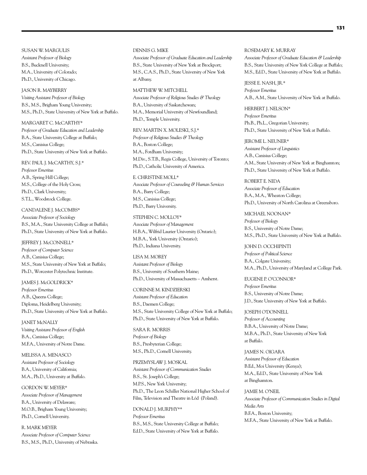SUSAN W. MARGULIS *Assistant Professor of Biology* B.S., Bucknell University; M.A., University of Colorado; Ph.D., University of Chicago.

#### JASON R. MAYBERRY

*Visiting Assistant Professor of Biology* B.S., M.S., Brigham Young University; M.S., Ph.D., State University of New York at Buffalo.

#### MARGARET C. McCARTHY\*

*Professor of Graduate Education and Leadership* B.A., State University College at Buffalo; M.S., Canisius College; Ph.D., State University of New York at Buffalo.

#### REV. PAUL J. McCARTHY, S.J.\*

*Professor Emeritus* A.B., Spring Hill College; M.S., College of the Holy Cross; Ph.D., Clark University; S.T.L., Woodstock College.

# CANDALENE J. McCOMBS\*

*Associate Professor of Sociology* B.S., M.A., State University College at Buffalo; Ph.D., State University of New York at Buffalo.

#### JEFFREY J. McCONNELL\*

*Professor of Computer Science* A.B., Canisius College; M.S., State University of New York at Buffalo; Ph.D., Worcester Polytechnic Institute.

#### JAMES J. McGOLDRICK\*

*Professor Emeritus* A.B., Queens College; Diploma, Heidelberg University; Ph.D., State University of New York at Buffalo.

JANET McNALLY *Visiting Assistant Professor of English* B.A., Canisius College; M.F.A., University of Notre Dame.

MELISSA A. MENASCO *Assistant Professor of Sociology* B.A., University of California; M.A., Ph.D., University at Buffalo.

#### GORDON W. MEYER\*

*Associate Professor of Management* B.A., University of Delaware; M.O.B., Brigham Young University; Ph.D., Cornell University.

R. MARK MEYER *Associate Professor of Computer Science* B.S., M.S., Ph.D., University of Nebraska.

#### DENNIS G. MIKE

*Associate Professor of Graduate Education and Leadership* B.S., State University of New York at Brockport; M.S., C.A.S., Ph.D., State University of New York at Albany.

#### MATTHEW W. MITCHELL

*Associate Professor of Religious Studies & Theology* B.A., University of Saskatchewan; M.A., Memorial University of Newfoundland; Ph.D., Temple University.

#### REV. MARTIN X. MOLESKI, S.J.\*

*Professor of Religious Studies & Theology* B.A., Boston College; M.A., Fordham University; M.Div., S.T.B., Regis College, University of Toronto; Ph.D., Catholic University of America.

#### E. CHRISTINE MOLL\*

*Associate Professor of Counseling & Human Services* B.A., Barry College; M.S., Canisius College; Ph.D., Barry University.

# STEPHEN C. MOLLOY\* *Associate Professor of Management*

H.B.A., Wilfrid Laurier University (Ontario); M.B.A., York University (Ontario); Ph.D., Indiana University.

#### LISA M. MOREY

*Assistant Professor of Biology* B.S., University of Southern Maine; Ph.D., University of Massachusetts – Amherst.

# CORINNE M. KINDZIERSKI *Assistant Professor of Education* B.S., Daemen College; M.S., State University College of New York at Buffalo; Ph.D., State University of New York at Buffalo.

SARA R. MORRIS *Professor of Biology* B.S., Presbyterian College; M.S., Ph.D., Cornell University.

# PRZEMYSLAW J. MOSKAL *Assistant Professor of Communication Studies* B.S., St. Joseph's College; M.P.S., New York University; Ph.D., The Leon Schiller National Higher School of Film, Television and Theatre in Łód (Poland).

DONALD J. MURPHY\*\* *Professor Emeritus* B.S., M.S., State University College at Buffalo; Ed.D., State University of New York at Buffalo.

#### ROSEMARY K. MURRAY

*Associate Professor of Graduate Education & Leadership* B.S., State University of New York College at Buffalo; M.S., Ed.D., State University of New York at Buffalo.

JESSE E. NASH, JR.\* *Professor Emeritus* A.B., A.M., State University of New York at Buffalo.

HERBERT J. NELSON\* *Professor Emeritus* Ph.B., Ph.L., Gregorian University; Ph.D., State University of New York at Buffalo.

JEROME L. NEUNER\* *Assistant Professor of Linguistics* A.B., Canisius College; A.M., State University of New York at Binghamton; Ph.D., State University of New York at Buffalo.

ROBERT E. NIDA *Associate Professor of Education* B.A., M.A., Wheaton College; Ph.D., University of North Carolina at Greensboro.

MICHAEL NOONAN\* *Professor of Biology*  B.S., University of Notre Dame; M.S., Ph.D., State University of New York at Buffalo.

JOHN D. OCCHIPINTI *Professor of Political Science* B.A., Colgate University; M.A., Ph.D., University of Maryland at College Park.

EUGENE P. O'CONNOR\* *Professor Emeritus* B.S., University of Notre Dame; J.D., State University of New York at Buffalo.

# JOSEPH O'DONNELL *Professor of Accounting* B.B.A., University of Notre Dame; M.B.A., Ph.D., State University of New York at Buffalo.

JAMES N. OIGARA *Assistant Professor of Education* B.Ed., Moi University (Kenya); M.A., Ed.D., State University of New York at Binghamton.

JAMIE M. O'NEIL *Associate Professor of Communication Studies in Digital Media Arts* B.F.A., Boston University; M.F.A., State University of New York at Buffalo.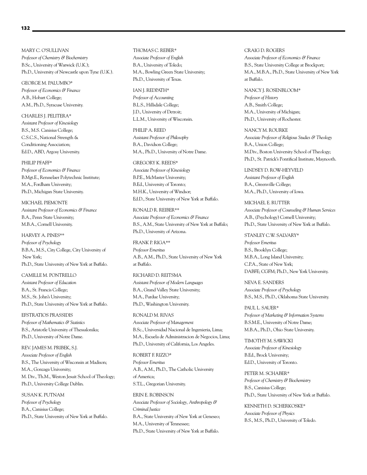MARY C. O'SULLIVAN *Professor of Chemistry & Biochemistry* B.Sc., University of Warwick (U.K.); Ph.D., University of Newcastle upon Tyne (U.K.).

GEORGE M. PALUMBO\* *Professor of Economics & Finance* A.B., Hobart College; A.M., Ph.D., Syracuse University.

CHARLES J. PELITERA\* *Assistant Professor of Kinesiology* B.S., M.S. Canisius College; C.S.C.S., National Strength & Conditioning Association; Ed.D., ABD, Argosy University.

#### PHILIP PFAFF\*

*Professor of Economics & Finance* B.Mgt.E., Rensselaer Polytechnic Institute; M.A., Fordham University; Ph.D., Michigan State University.

MICHAEL PIEMONTE *Assistant Professor of Economics & Finance* B.A., Penn State University; M.B.A., Cornell University.

HARVEY A. PINES\*\* *Professor of Psychology* B.B.A., M.S., City College, City University of New York; Ph.D., State University of New York at Buffalo.

CAMILLE M. PONTRELLO *Assistant Professor of Education* B.A., St. Francis College; M.S., St. John's University; Ph.D., State University of New York at Buffalo.

EFSTRATIOS PRASSIDIS *Professor of Mathematics & Statistics* B.S., Aristotle University of Thessalonika; Ph.D., University of Notre Dame.

REV. JAMES M. PRIBEK, S.J. *Associate Professor of English* B.S., The University of Wisconsin at Madison; M.A., Gonzaga University; M. Div., Th.M., Weston Jesuit School of Theology; Ph.D., University College Dublin.

SUSAN K. PUTNAM *Professor of Psychology* B.A., Canisius College; Ph.D., State University of New York at Buffalo.

THOMAS C. REBER\* *Associate Professor of English* B.A., University of Toledo; M.A., Bowling Green State University; Ph.D., University of Texas.

IAN J. REDPATH\* *Professor of Accounting* B.L.S., Hillsdale College; J.D., University of Detroit; L.L.M., University of Wisconsin.

PHILIP A. REED *Assistant Professor of Philosophy* B.A., Davidson College; M.A., Ph.D., University of Notre Dame.

#### GREGORY K. REEDS\*

*Associate Professor of Kinesiology* B.P.E., McMaster University; B.Ed., University of Toronto; M.H.K., University of Windsor; Ed.D., State University of New York at Buffalo.

RONALD R. REIBER\*\* *Associate Professor of Economics & Finance* B.S., A.M., State University of New York at Buffalo; Ph.D., University of Arizona.

FRANK P. RIGA\*\* *Professor Emeritus*  A.B., A.M., Ph.D., State University of New York at Buffalo.

RICHARD D. REITSMA *Assistant Professor of Modern Languages* B.A., Grand Valley State University; M.A., Purdue University; Ph.D., Washington University.

RONALD M. RIVAS *Associate Professor of Management* B.Sc., Universidad Nacional de Ingenieria, Lima; M.A., Escuela de Administracion de Negocios, Lima; Ph.D., University of California, Los Angeles.

ROBERT F. RIZZO\* *Professor Emeritus* A.B., A.M., Ph.D., The Catholic University of America; S.T.L., Gregorian University.

ERIN E. ROBINSON *Associate Professor of Sociology, Anthropology & Criminal Justice* B.A., State University of New York at Geneseo; M.A., University of Tennessee; Ph.D., State University of New York at Buffalo.

CRAIG D. ROGERS

*Associate Professor of Economics & Finance* B.S., State University College at Brockport; M.A., M.B.A., Ph.D., State University of New York at Buffalo.

NANCY J. ROSENBLOOM\* *Professor of History* A.B., Smith College; M.A., University of Michigan; Ph.D., University of Rochester.

NANCY M. ROURKE *Associate Professor of Religious Studies & Theology* B.A., Union College; M.Div., Boston University School of Theology; Ph.D., St. Patrick's Pontifical Institute, Maynooth.

LINDSEY D. ROW-HEYVELD *Assistant Professor of English* B.A., Greenville College; M.A., Ph.D., University of Iowa.

MICHAEL E. RUTTER *Associate Professor of Counseling & Human Services* A.B., (Psychology) Cornell University; Ph.D., State University of New York at Buffalo.

STANLEY C.W. SALVARY\* *Professor Emeritus* B.S., Brooklyn College; M.B.A., Long Island University; C.P.A., State of New York; DABFE; CGFM; Ph.D., New York University.

NEVA E. SANDERS *Associate Professor of Psychology* B.S., M.S., Ph.D., Oklahoma State University.

PAUL L. SAUER\* *Professor of Marketing & Information Systems* B.S.M.E., University of Notre Dame; M.B.A., Ph.D., Ohio State University.

TIMOTHY M. SAWICKI *Associate Professor of Kinesiology* B.Ed., Brock University; Ed.D., University of Toronto.

PETER M. SCHABER\* *Professor of Chemistry & Biochemistry* B.S., Canisius College; Ph.D., State University of New York at Buffalo.

KENNETH D. SCHERKOSKE\* *Associate Professor of Physics* B.S., M.S., Ph.D., University of Toledo.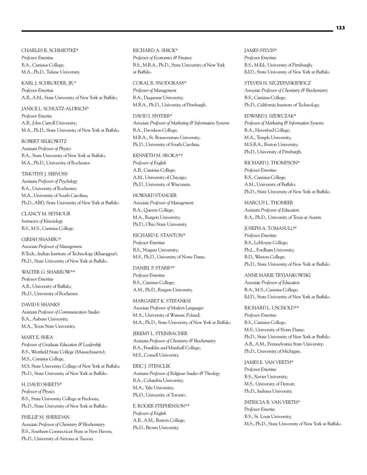CHARLES R. SCHMIDTKE\* *Professor Emeritus* B.A., Canisius College; M.A., Ph.D., Tulane University.

KARL J. SCHROEDER, JR.\* *Professor Emeritus* A.B., A.M., State University of New York at Buffalo.

JANICE L. SCHULTZ-ALDRICH\* *Professor Emerita* A.B., John Carroll University; M.A., Ph.D., State University of New York at Buffalo.

ROBERT SELKOWITZ *Assistant Professor of Physics* B.A., State University of New York at Buffalo; M.A., Ph.D., University of Rochester.

TIMOTHY J. SERVOSS *Assistant Professor of Psychology* B.A., University of Rochester; M.A., University of South Carolina; Ph.D., ABD, State University of New York at Buffalo.

CLANCY M. SEYMOUR *Instructor of Kinesiology* B.S., M.S., Canisius College.

GIRISH SHAMBU\* *Associate Professor of Management* B.Tech., Indian Institute of Technology (Kharagpur); Ph.D., State University of New York at Buffalo.

WALTER G. SHARROW\*\* *Professor Emeritus*  A.B., University of Buffalo; Ph.D., University of Rochester.

DAVID F. SHANKS *Assistant Professor of Communication Studies* B.A., Auburn University; M.A., Texas State University.

MARY E. SHEA *Professor of Graduate Education & Leadership* B.S., Westfield State College (Massachusetts); M.S., Canisius College, M.S. State University College of New York at Buffalo; Ph.D., State University of New York at Buffalo.

H. DAVID SHEETS\* *Professor of Physics* B.S., State University College at Fredonia; Ph.D., State University of New York at Buffalo.

PHILLIP M. SHERIDAN *Associate Professor of Chemistry & Biochemistry* B.S., Southern Connecticut State at New Haven; Ph.D., University of Arizona at Tucson.

RICHARD A. SHICK\* *Professor of Economics & Finance* B.S., M.B.A., Ph.D., State University of New York at Buffalo.

CORAL R. SNODGRASS\* *Professor of Management* B.A., Duquesne University; M.B.A., Ph.D., University of Pittsburgh.

DAVID J. SNYDER\*

*Associate Professor of Marketing & Information Systems* B.A., Davidson College; M.B.A., St. Bonaventure University; Ph.D., University of South Carolina.

KENNETH M. SROKA\*\*

*Professor of English* A.B., Canisius College; A.M., University of Chicago; Ph.D., University of Wisconsin.

HOWARD STANGER *Associate Professor of Management* B.A., Queens College; M.A., Rutgers University;

Ph.D., Ohio State University.

RICHARD E. STANTON\* *Professor Emeritus* B.S., Niagara University; M.S., Ph.D., University of Notre Dame.

DANIEL P. STARR\*\* *Professor Emeritus* B.S., Canisius College; A.M., Ph.D., Rutgers University.

MARGARET K. STEFANKSI *Associate Professor of Modern Languages* M.A., University of Warsaw, Poland; M.A., Ph.D., State University of New York at Buffalo.

JEREMY L. STEINBACHER *Assistant Professor of Chemistry & Biochemistry* B.A., Franklin and Marshall College; M.S., Cornell University.

ERIC J. STENCLIK *Assistant Professor of Religious Studies & Theology* B.A., Columbia University; M.A., Yale University; Ph.D., University of Toronto.

E. ROGER STEPHENSON\*\* *Professor of English* A.B., A.M., Boston College; Ph.D., Brown University.

JAMES SYLVIS\* *Professor Emeritus* B.S., M.Ed., University of Pittsburgh; Ed.D., State University of New York at Buffalo.

STEVEN H. SZCZEPANKIEWICZ *Associate Professor of Chemistry & Biochemistry* B.S., Canisius College; Ph.D., California Institute of Technology.

EDWARD J. SZEWCZAK\* *Professor of Marketing & Information Systems* B.A., Haverford College; M.A., Temple University; M.S.B.A., Boston University; Ph.D., University of Pittsburgh.

RICHARD J. THOMPSON\* *Professor Emeritus* B.S., Canisius College; A.M., University of Buffalo; Ph.D., State University of New York at Buffalo.

MARCUS L. THOMEER *Assistant Professor of Education* B.A., Ph.D., University of Texas at Austin

JOSEPH A. TOMASULO\* *Professor Emeritus* B.S., LeMoyne College; Ph.L., Fordham University; B.D., Weston College; Ph.D., State University of New York at Buffalo.

ANNE MARIE TRYJANKOWSKI *Associate Professor of Education* B.A., M.S., Canisius College; Ed.D., State University of New York at Buffalo.

RICHARD L. USCHOLD\*\* *Professor Emeritus* B.S., Canisius College; M.S., University of Notre Dame; Ph.D., State University of New York at Buffalo. A.B., A.M., Pennsylvania State University; Ph.D., University of Michigan.

JAMES E. VAN VERTH\* *Professor Emeritus* B.S., Xavier University; M.S., University of Detroit; Ph.D., Indiana University.

PATRICIA B. VAN VERTH\* *Professor Emerita* B.S., St. Louis University; M.S., Ph.D., State University of New York at Buffalo.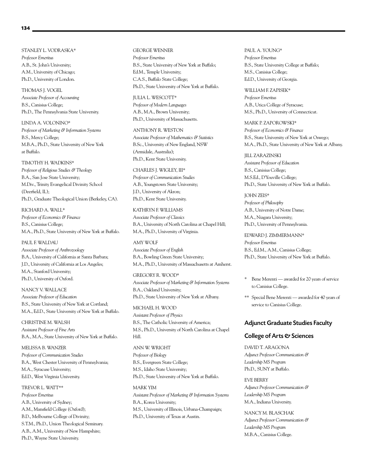STANLEY L. VODRASKA\* *Professor Emeritus* A.B., St. John's University; A.M., University of Chicago; Ph.D., University of London.

THOMAS J. VOGEL *Associate Professor of Accounting* B.S., Canisius College; Ph.D., The Pennsylvania State University.

LINDA A. VOLONINO\* *Professor of Marketing & Information Systems* B.S., Mercy College; M.B.A., Ph.D., State University of New York at Buffalo.

#### TIMOTHY H. WADKINS\*

*Professor of Religious Studies & Theology* B.A., San Jose State University; M.Div., Trinity Evangelical Divinity School (Deerfield, IL); Ph.D., Graduate Theological Union (Berkeley, CA).

RICHARD A. WALL\* *Professor of Economics & Finance* B.S., Canisius College; M.A., Ph.D., State University of New York at Buffalo.

#### PAUL F. WALDAU

*Associate Professor of Anthrozoology* B.A., University of California at Santa Barbara; J.D., University of California at Los Angeles; M.A., Stanford University; Ph.D., University of Oxford.

NANCY V. WALLACE *Associate Professor of Education* B.S., State University of New York at Cortland; M.A., Ed.D., State University of New York at Buffalo.

CHRISTINE M. WALSH *Assistant Professor of Fine Arts* B.A., M.A., State University of New York at Buffalo.

MELISSA B. WANZER *Professor of Communication Studies* B.A., West Chester University of Pennsylvania; M.A., Syracuse University; Ed.D., West Virginia University.

TREVOR L. WATT\*\* *Professor Emeritus* A.B., University of Sydney; A.M., Mansfield College (Oxford); B.D., Melbourne College of Divinity; S.T.M., Ph.D., Union Theological Seminary. A.B., A.M., University of New Hampshire; Ph.D., Wayne State University.

GEORGE WENNER *Professor Emeritus* B.S., State University of New York at Buffalo; Ed.M., Temple University; C.A.S., Buffalo State College; Ph.D., State University of New York at Buffalo.

#### JULIA L. WESCOTT\*

*Professor of Modern Languages* A.B., M.A., Brown University; Ph.D., University of Massachusetts.

#### ANTHONY R. WESTON

*Associate Professor of Mathematics & Statistics* B.Sc., University of New England, NSW (Armidale, Australia); Ph.D., Kent State University.

#### CHARLES J. WIGLEY, III\*

*Professor of Communication Studies* A.B., Youngstown State University; J.D., University of Akron; Ph.D., Kent State University.

KATHRYN F. WILLIAMS *Associate Professor of Classics* B.A., University of North Carolina at Chapel Hill; M.A., Ph.D., University of Virginia.

AMY WOLF *Associate Professor of English* B.A., Bowling Green State University; M.A., Ph.D., University of Massachusetts at Amherst.

#### GREGORY R. WOOD\*

*Associate Professor of Marketing & Information Systems* B.A., Oakland University; Ph.D., State University of New York at Albany.

MICHAEL H. WOOD *Assistant Professor of Physics* B.S., The Catholic University of America; M.S., Ph.D., University of North Carolina at Chapel Hill.

# ANN W. WRIGHT

*Professor of Biology* B.S., Evergreen State College; M.S., Idaho State University; Ph.D., State University of New York at Buffalo.

MARK YIM *Assistant Professor of Marketing & Information Systems* B.A., Korea University; M.S., University of Illinois, Urbana-Champaign; Ph.D., University of Texas at Austin.

PAUL A. YOUNG\* *Professor Emeritus* B.S., State University College at Buffalo; M.S., Canisius College; Ed.D., University of Georgia.

WILLIAM F. ZAPISEK\* *Professor Emeritus* A.B., Utica College of Syracuse; M.S., Ph.D., University of Connecticut.

MARK P. ZAPOROWSKI\* *Professor of Economics & Finance* B.S., State University of New York at Oswego; M.A., Ph.D., State University of New York at Albany.

JILL ZARAZINSKI *Assistant Professor of Education* B.S., Canisius College; M.S.Ed., D'Youville College; Ph.D., State University of New York at Buffalo.

JOHN ZEIS\* *Professor of Philosophy* A.B., University of Notre Dame; M.A., Niagara University; Ph.D., University of Pennsylvania.

EDWARD J. ZIMMERMANN\* *Professor Emeritus*  B.S., Ed.M., A.M., Canisius College; Ph.D., State University of New York at Buffalo.

- \* Bene Merenti awarded for 20 years of service to Canisius College.
- \*\* Special Bene Merenti awarded for 40 years of service to Canisius College.

# Adjunct Graduate Studies Faculty

# College of Arts & Sciences

DAVID T. ARAGONA *Adjunct Professor Communication & Leadership MS Program* Ph.D., SUNY at Buffalo.

EVE BERRY *Adjunct Professor Communication & Leadership MS Program* M.A., Indiana University.

NANCY M. BLASCHAK *Adjunct Professor Communication & Leadership MS Program* M.B.A., Canisius College.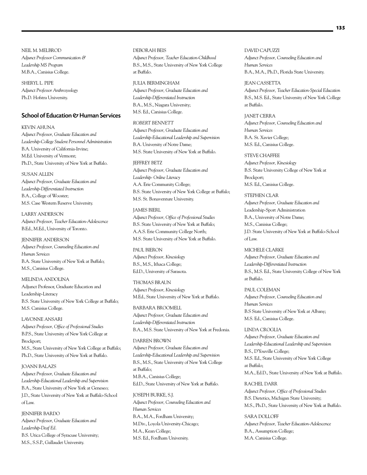NEIL M. MELBROD *Adjunct Professor Communication & Leadership MS Program* M.B.A., Canisius College.

SHERYL L. PIPE *Adjunct Professor Anthrozoology* Ph.D. Hofstra University.

### School of Education & Human Services

KEVIN AHUNA *Adjunct Professor, Graduate Education and Leadership-College Student Personnel Administration* B.A. University of California-Irvine; M.Ed. University of Vermont; Ph.D., State University of New York at Buffalo.

SUSAN ALLEN *Adjunct Professor, Graduate Education and Leadership-Differentiated Instruction* B.A., College of Wooster; M.S. Case Western Reserve University.

LARRY ANDERSON *Adjunct Professor, Teacher Education-Adolescence* B.Ed., M.Ed., University of Toronto.

JENNIFER ANDERSON *Adjunct Professor, Counseling Education and Human Services* B.A. State University of New York at Buffalo; M.S., Canisius College.

MELINDA ANDOLINA Adjunct Professor, Graduate Education and Leadership-Literacy B.S. State University of New York College at Buffalo; M.S. Canisius College.

LAVONNE ANSARI *Adjunct Professor, Office of Professional Studies* B.P.S., State University of New York College at Brockport; M.S., State University of New York College at Buffalo; Ph.D., State University of New York at Buffalo.

# JOANN BALAZS *Adjunct Professor, Graduate Education and Leadership-Educational Leadership and Supervision* B.A., State University of New York at Geneseo; J.D., State University of New York at Buffalo-School of Law.

JENNIFER BARDO *Adjunct Professor, Graduate Education and Leadership-Deaf Ed.* B.S. Utica College of Syracuse University; M.S., S.S.P., Gallaudet University.

### DEBORAH BEIS *Adjunct Professor, Teacher Education-Childhood* B.S., M.S., State University of New York College at Buffalo.

JULIA BERMINGHAM *Adjunct Professor, Graduate Education and Leadership-Differentiated Instruction* B.A., M.S., Niagara University; M.S. Ed., Canisius College.

#### *ROBERT BENNETT*

*Adjunct Professor, Graduate Education and Leadership-Educational Leadership and Supervision* B.A. University of Notre Dame; M.S. State University of New York at Buffalo.

#### JEFFREY BETZ

*Adjunct Professor, Graduate Education and Leadership- Online Literacy* A.A. Erie Community College; B.S. State University of New York College at Buffalo; M.S. St. Bonaventure University.

JAMES BIERL *Adjunct Professor, Office of Professional Studies* B.S. State University of New York at Buffalo; A.A.S. Erie Community College North;

M.S. State University of New York at Buffalo.

PAUL BIERON *Adjunct Professor, Kinesiology*  B.S., M.S., Ithaca College; Ed.D., University of Sarasota.

THOMAS BRAUN *Adjunct Professor, Kinesiology*  M.Ed., State University of New York at Buffalo.

BARBARA BROOMELL *Adjunct Professor, Graduate Education and Leadership-Differentiated Instruction* B.A., M.S. State University of New York at Fredonia.

DARREN BROWN *Adjunct Professor, Graduate Education and Leadership-Educational Leadership and Supervision* B.S., M.S., State University of New York College at Buffalo; M.B.A., Canisius College; Ed.D., State University of New York at Buffalo.

JOSEPH BURKE, S.J. *Adjunct Professor, Counseling Education and Human Services* B.A., M.A., Fordham University; M.Div., Loyola University-Chicago; M.A., Kean College; M.S. Ed., Fordham University.

DAVID CAPUZZI *Adjunct Professor, Counseling Education and Human Services* B.A., M.A., Ph.D., Florida State University.

JEAN CASSETTA *Adjunct Professor, Teacher Education-Special Education* B.S., M.S. Ed., State University of New York College at Buffalo.

JANET CERRA *Adjunct Professor, Counseling Education and Human Services* B.A. St. Xavier College; M.S. Ed., Canisius College.

STEVE CHAFFEE

*Adjunct Professor, Kinesiology*  B.S. State University College of New York at Brockport; M.S. Ed., Canisius College.

STEPHEN CLAR *Adjunct Professor, Graduate Education and*  Leadership-Sport Administration B.A., University of Notre Dame; M.S., Canisius College; J.D. State University of New York at Buffalo-School of Law.

MICHELE CLARKE *Adjunct Professor, Graduate Education and Leadership-Differentiated Instruction* B.S., M.S. Ed., State University College of New York at Buffalo.

PAUL COLEMAN *Adjunct Professor, Counseling Education and Human Services* B.S State University of New York at Albany; M.S. Ed., Canisius College.

LINDA CROGLIA *Adjunct Professor, Graduate Education and Leadership-Educational Leadership and Supervision* B.S., D'Youville College; M.S. Ed., State University of New York College at Buffalo; M.A., Ed.D., State University of New York at Buffalo.

RACHEL DARR *Adjunct Professor, Office of Professional Studies* B.S. Dietetics, Michigan State University; M.S., Ph.D., State University of New York at Buffalo.

SARA DOLLOFF *Adjunct Professor, Teacher Education-Adolescence* B.A., Assumption College; M.A. Canisius College.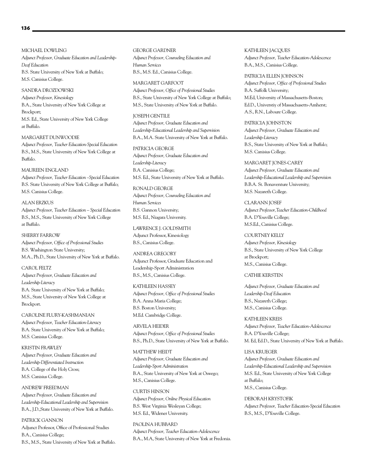#### MICHAEL DOWLING

*Adjunct Professor, Graduate Education and Leadership-Deaf Education* B.S. State University of New York at Buffalo; M.S. Canisius College.

## SANDRA DROZDOWSKI

*Adjunct Professor, Kinesiology*  B.A., State University of New York College at Brockport; M.S. Ed., State University of New York College at Buffalo.

#### MARGARET DUNWOODIE

*Adjunct Professor, Teacher Education-Special Education* B.S., M.S., State University of New York College at Buffalo.

## MAUREEN ENGLAND

*Adjunct Professor, Teacher Education –Special Education* B.S. State University of New York College at Buffalo; M.S. Canisius College.

#### ALAN ERZKUS

*Adjunct Professor, Teacher Education – Special Education* B.S., M.S., State University of New York College at Buffalo.

#### SHERRY FARROW

*Adjunct Professor, Office of Professional Studies* B.S. Washington State University; M.A., Ph.D., State University of New York at Buffalo.

#### CAROL FELTZ

*Adjunct Professor, Graduate Education and Leadership-Literacy* B.A. State University of New York at Buffalo; M.S., State University of New York College at Brockport.

CAROLINE FLURY-KASHMANIAN *Adjunct Professor, Teacher Education-Literacy*  B.A. State University of New York at Buffalo; M.S. Canisius College.

KRISTIN FRAWLEY *Adjunct Professor, Graduate Education and Leadership-Differentiated Instruction* B.A. College of the Holy Cross; M.S. Canisius College.

# ANDREW FREEDMAN *Adjunct Professor, Graduate Education and Leadership-Educational Leadership and Supervision*  B.A., J.D.,State University of New York at Buffalo.

PATRICK GANNON Adjunct Professor, Office of Professional Studies B.A., Canisius College; B.S., M.S., State University of New York at Buffalo. GEORGE GARDNER *Adjunct Professor, Counseling Education and Human Services* B.S., M.S. Ed., Canisius College.

#### MARGARET GARFOOT

*Adjunct Professor, Office of Professional Studies* B.S., State University of New York College at Buffalo; M.S., State University of New York at Buffalo.

# JOSEPH GENTILE

*Adjunct Professor, Graduate Education and Leadership-Educational Leadership and Supervision* B.A., M.A. State University of New York at Buffalo.

#### PATRICIA GEORGE

*Adjunct Professor, Graduate Education and Leadership-Literacy*  B.A. Canisius College; M.S. Ed., State University of New York at Buffalo.

#### RONALD GEORGE

*Adjunct Professor, Counseling Education and Human Services* B.S. Gannon University; M.S. Ed., Niagara University.

# LAWRENCE J. GOLDSMITH

Adjunct Professor, Kinesiology B.S., Canisius College.

#### ANDREA GREGORY

Adjunct Professor, Graduate Education and Leadership-Sport Administration B.S., M.S., Canisius College.

#### KATHLEEN HASSEY

*Adjunct Professor, Office of Professional Studies* B.A. Anna Maria College; B.S. Boston University; M.Ed. Cambridge College.

# ARVELA HEIDER *Adjunct Professor, Office of Professional Studies*  B.S., Ph.D., State University of New York at Buffalo.

MATTHEW HEIDT *Adjunct Professor, Graduate Education and Leadership-Sport Administration* B.A., State University of New York at Oswego; M.S., Canisius College.

#### CURTIS HINSON

*Adjunct Professor, Online Physical Education*  B.S. West Virginia Wesleyan College; M.S. Ed., Widener University.

# PAOLINA HUBBARD *Adjunct Professor, Teacher Education-Adolescence* B.A., M.A, State University of New York at Fredonia.

KATHLEEN JACQUES *Adjunct Professor, Teacher Education-Adolescence* B.A., M.S., Canisius College.

#### PATRICIA ELLEN JOHNSON

*Adjunct Professor, Office of Professional Studies* B.A. Suffolk University; M.Ed, University of Massachusetts-Boston; Ed.D., Universtiy of Massachusetts-Amherst; A.S., R.N., Laboure College.

#### PATRICIA JOHNSTON

*Adjunct Professor, Graduate Education and Leadership-Literacy* B.S., State University of New York at Buffalo; M.S. Canisius College.

#### MARGARET JONES-CAREY

*Adjunct Professor, Graduate Education and Leadership-Educational Leadership and Supervision* B.B.A. St. Bonaventure University; M.S. Nazareth College.

# CLARANN JOSEF

*Adjunct Professor,Teacher Education-Childhood* B.A. D'Youville College; M.S.Ed., Canisius College.

#### COURTNEY KELLY

*Adjunct Professor, Kinesiology* B.S., State University of New York College at Brockport; M.S., Canisius College.

#### CATHIE KERSTEN

*Adjunct Professor, Graduate Education and Leadership-Deaf Education* B.S., Nazareth College; M.S., Canisius College.

KATHLEEN KREIS *Adjunct Professor, Teacher Education-Adolescence* B.A. D'Youville College; M. Ed, Ed.D., State University of New York at Buffalo.

LISA KRUEGER *Adjunct Professor, Graduate Education and Leadership-Educational Leadership and Supervision* M.S. Ed., State University of New York College at Buffalo; M.S., Canisius College.

DEBORAH KRYSTOFIK *Adjunct Professor, Teacher Education-Special Education* B.S., M.S., D'Youville College.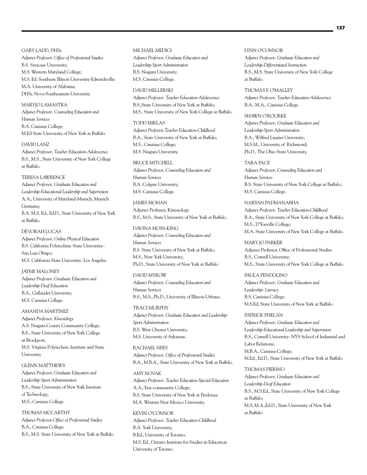GARY LADD, DHSc

*Adjunct Professor, Office of Professional Studies* B.S. Syracuse University; M.S. Western Maryland College; M.S. Ed. Southern Illinois University-Edwardsville; M.A. University of Alabama; DHSc Nova Southeastern University.

### MARYJO LAMASTRA

*Adjunct Professor, Counseling Education and Human Services* B.A. Canisius College; M.Ed State University of New York at Buffalo.

DAVID LANZ

*Adjunct Professor, Teacher Education-Adolescence* B.S., M.S., State University of New York College at Buffalo.

#### TERESA LAWRENCE

*Adjunct Professor, Graduate Education and Leadership-Educational Leadership and Supervision* A.A., University of Maryland-Munich, Munich Germany; B.A. M.S. Ed., Ed.D., State University of New York at Buffalo.

#### DEVORAH LUCAS

*Adjunct Professor, Online Physical Education* B.S. California Polytechnic State University– San Luis Obispo; M.S. California State University- Los Angeles.

JAYME MALONEY

*Adjunct Professor, Graduate Education and Leadership-Deaf Education* B.A., Gallaudet University; M.S. Canisius College.

#### AMANDA MARTINEZ

*Adjunct Professor, Kinesiology* A.S. Niagara County Community College; B.S., State University of New York College at Brockport; M.S. Virginia Polytechnic Institute and State University.

#### GLENN MATTHEWS

*Adjunct Professor, Graduate Education and Leadership-Sport Administration* B.S., State University of New York Institute of Technology; M.S., Canisius College.

### THOMAS MCCARTHY

*Adjunct Professor,Office of Professional Studies* B.A., Canisius College; B.S., M.S. State University of New York at Buffalo.

#### MICHAEL MEDICI

*Adjunct Professor, Graduate Education and Leadership-Sport Administration* B.S. Niagara University; M.S. Canisius College.

#### DAVID MELLERSKI

*Adjunct Professor, Teacher Education-Adolescence* B.S.,State University of New York at Buffalo; M.S., State University of New York College at Buffalo.

#### TODD MIKLAS

*Adjunct Professor,Teacher Education-Childhood* B.A., State University of New York at Buffalo; M.S., Canisius College; M.S. Niagara University.

#### BRUCE MITCHELL

*Adjunct Professor, Counseling Education and Human Services* B.A. Colgate University; M.S. Canisius College.

#### JAMES MOHAN

Adjunct Professor, Kinesiology B.S., M.S., State University of New York at Buffalo.

# DAVINA MOSS-KING

*Adjunct Professor, Counseling Education and Human Services* B.S. State University of New York at Buffalo; M.S., New York University; Ph.D., State University of New York at Buffalo.

#### DAVID MYROW

*Adjunct Professor, Counseling Education and Human Services* B.S., M.S., Ph.D., University of Illinois-Urbana.

TRACI MURPHY

*Adjunct Professor, Graduate Education and Leadership-Sport Administration*  B.S. West Chester University; M.S. University of Arkansas.

RACHAEL NEES *Adjunct Professor, Office of Professional Studies* B.A., M.B.A., State University of New York at Buffalo.

#### AMY NOVAK

*Adjunct Professor, Teacher Education-Special Education* A.A., Erie community College; B.S. State University of New York at Fredonia; M.A. Western New Mexico University.

#### KEVIN O'CONNOR

*Adjunct Professor, Teacher Education-Childhood* B.A. York University; B.Ed., University of Toronto; M.S. Ed., Ontario Institute for Studies in Education University of Toronto.

LYNN O'CONNOR *Adjunct Professor, Graduate Education and Leadership-Differentiated Instruction* B.S., M.S. State University of New York College at Buffalo.

THOMAS F. O'MALLEY *Adjunct Professor, Teacher Education-Adolescence*  B.A., M.A., Canisius College.

SHAWN O'ROURKE *Adjunct Professor, Graduate Education and Leadership-Sport Administration*  B.A., Wilfred Laurier University; M.S.M., University of Richmond; Ph.D., The Ohio State University.

#### TARA PACE

*Adjunct Professor, Counseling Education and Human Services* B.S. State University of New York College at Buffalo; M.S. Canisius College.

#### NARYAN PADMANABHA

*Adjunct Professor, Teacher Education-Childhood* B.A., State University of New York College at Buffalo; M.S., D'Youville College; M.A. State University of New York College at Buffalo.

MARY JO PARKER Adjunct Professor, Office of Professional Studies B.S., Cornell University; M.S., State University of New York College at Buffalo.

PAULA PENDOLINO *Adjunct Professor, Graduate Education and Leadership- Literacy* B.S. Canisius College; M.S.Ed, State University of New York at Buffalo.

PATRICK PHELAN *Adjunct Professor, Graduate Education and Leadership-Educational Leadership and Supervision* B.S., Cornell University- NYS School of Industrial and Labor Relations; M.B.A., Canisius College; M.Ed., Ed.D., State University of New York at Buffalo.

THOMAS PIERINO *Adjunct Professor, Graduate Education and Leadership-Deaf Education* B.S., M.S.Ed., State University of New York College at Buffalo; M.S, M.A.,Ed.D., State University of New York at Buffalo.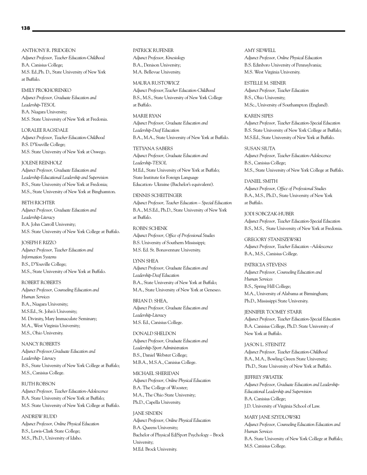ANTHONY R. PRIDGEON *Adjunct Professor, Teacher Education-Childhood* B.A. Canisius College; M.S. Ed.,Ph. D., State University of New York at Buffalo.

EMILY PROKHORENKO *Adjunct Professor, Graduate Education and Leadership-TESOL* B.A. Niagara University; M.S. State University of New York at Fredonia.

LORALEE RAGSDALE *Adjunct Professor, Teacher Education-Childhood* B.S. D'Youville College; M.S. State University of New York at Oswego.

#### JOLENE REINHOLZ

*Adjunct Professor, Graduate Education and Leadership-Educational Leadership and Supervision* B.S., State University of New York at Fredonia; M.S., State University of New York at Binghamton.

#### BETH RICHTER

*Adjunct Professor, Graduate Education and Leadership-Literacy* B.A. John Carroll University; M.S. State University of New York College at Buffalo.

#### JOSEPH F. RIZZO

*Adjunct Professor, Teacher Education and Information Systems* B.S., D'Youville College; M.S., State University of New York at Buffalo.

ROBERT ROBERTS

*Adjunct Professor, Counseling Education and Human Services* B.A., Niagara University; M.S.Ed., St. John's University; M. Divinity, Mary Immaculate Seminary; M.A., West Virginia University; M.S., Ohio University.

NANCY ROBERTS *Adjunct Professor,Graduate Education and Leadership- Literacy* B.S., State University of New York College at Buffalo; M.S., Canisius College.

#### RUTH ROBSON

*Adjunct Professor, Teacher Education-Adolescence* B.A. State University of New York at Buffalo; M.S. State University of New York College at Buffalo.

ANDREW RUDD *Adjunct Professor, Online Physical Education* B.S., Lewis-Clark State College; M.S., Ph.D., University of Idaho.

PATRICK RUFENER *Adjunct Professor, Kinesiology* B.A., Denison University; M.A. Bellevue University.

MAURA RUSTOWICZ *Adjunct Professor,Teacher Education-Childhood* B.S., M.S., State University of New York College at Buffalo.

MARIE RYAN *Adjunct Professor, Graduate Education and Leadership-Deaf Education* B.A., M.A., State University of New York at Buffalo.

TETYANA SABERS *Adjunct Professor, Graduate Education and Leadership-TESOL* M.Ed., State University of New York at Buffalo; State Institute for Foreign Language Education- Ukraine (Bachelor's equivalent).

DENNIS SCHEITINGER *Adjunct Professor, Teacher Education – Special Education* B.A., M.S.Ed., Ph.D., State University of New York at Buffalo.

ROBIN SCHENK *Adjunct Professor, Office of Professional Studies* B.S. University of Southern Mississippi; M.S. Ed. St. Bonaventure University.

# LYNN SHEA

*Adjunct Professor, Graduate Education and Leadership-Deaf Education* B.A., State University of New York at Buffalo; M.A., State University of New York at Geneseo.

BRIAN D. SHEA, *Adjunct Professor, Graduate Education and Leadership-Literacy* M.S. Ed., Canisius College.

DONALD SHELDON *Adjunct Professor, Graduate Education and Leadership-Sport Administration* B.S., Daniel Webster College; M.B.A., M.S.A., Canisius College.

MICHAEL SHERIDAN *Adjunct Professor, Online Physical Education* B.A. The College of Wooster; M.A., The Ohio State University; Ph.D., Capella University.

JANE SINDEN *Adjunct Professor, Online Physical Education* B.A. Queens University; Bachelor of Physical Ed/Sport Psychology – Brock University; M.Ed. Brock University.

AMY SIDWELL *Adjunct Professor, Online Physical Education* B.S. Edinboro University of Pennsylvania; M.S. West Virginia University.

ESTELLE M. SIENER *Adjunct Professor, Teacher Education* B.S., Ohio University; M.Sc., University of Southampton (England).

KAREN SIPES

*Adjunct Professor, Teacher Education-Special Education* B.S. State University of New York College at Buffalo; M.S.Ed., State University of New York at Buffalo.

SUSAN SIUTA *Adjunct Professor, Teacher Education-Adolescence* B.S., Canisius College; M.S., State University of New York College at Buffalo.

DANIEL SMITH *Adjunct Professor, Office of Professional Studies* B.A., M.S., Ph.D., State University of New York at Buffalo.

JODI SOBCZAK-HUBER *Adjunct Professor, Teacher Education-Special Education* B.S., M.S., State University of New York at Fredonia.

GREGORY STANISZEWSKI *Adjunct Professor, Teacher Education –Adolescence* B.A., M.S., Canisius College.

PATRICIA STEVENS *Adjunct Professor, Counseling Education and Human Services* B.S., Spring Hill College; M.A., University of Alabama at Birmingham; Ph.D., Mississippi State University.

JENNIFER TOOMEY STARR *Adjunct Professor, Teacher Education-Special Education* B.A. Canisius College, Ph.D. State University of New York at Buffalo.

JASON L. STEINITZ *Adjunct Professor, Teacher Education-Childhood* B.A., M.A., Bowling Green State University; Ph.D., State University of New York at Buffalo.

JEFFREY SWIATEK *Adjunct Professor, Graduate Education and Leadership-Educational Leadership and Supervision* B.A. Canisius College; J.D. University of Virginia School of Law.

MARY JANE SZYDLOWSKI *Adjunct Professor, Counseling Education Education and Human Services* B.A. State University of New York College at Buffalo; M.S. Canisius College.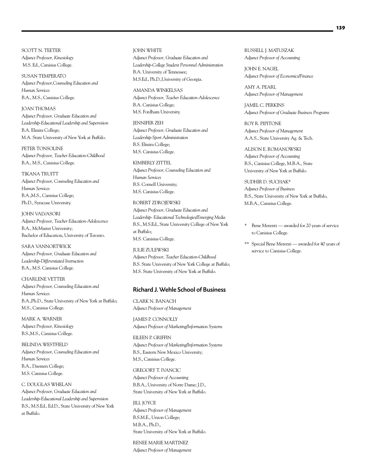SCOTT N. TEETER *Adjunct Professor, Kinesiology*  M.S. Ed., Canisius College.

SUSAN TEMPERATO *Adjunct Professor,Counseling Education and Human Services* B.A., M.S., Canisius College.

JOAN THOMAS *Adjunct Professor, Graduate Education and Leadership-Educational Leadership and Supervision* B.A. Elmira College; M.A. State University of New York at Buffalo.

PETER TONSOLINE *Adjunct Professor, Teacher Education-Childhood* B.A., M.S., Canisius College.

TIKANA TRUITT *Adjunct Professor, Counseling Education and Human Services* B.A.,M.S., Canisius College; Ph.D., Syracuse University.

JOHN VALVASORI *Adjunct Professor, Teacher Education-Adolescence* B.A., McMaster University; Bachelor of Education, University of Toronto.

SARA VANNORTWICK *Adjunct Professor, Graduate Education and Leadership-Differentiated Instruction* B.A., M.S. Canisius College.

CHARLENE VETTER *Adjunct Professor, Counseling Education and Human Services* B.A.,Ph.D., State University of New York at Buffalo; M.S., Canisius College.

MARK A. WARNER *Adjunct Professor, Kinesiology*  B.S.,M.S., Canisius College.

BELINDA WESTFIELD *Adjunct Professor, Counseling Education and Human Services* B.A., Daemen College; M.S. Canisius College.

C. DOUGLAS WHELAN *Adjunct Professor, Graduate Education and Leadership-Educational Leadership and Supervision* B.S., M.S.Ed., Ed.D., State University of New York at Buffalo.

JOHN WHITE *Adjunct Professor, Graduate Education and Leadership-College Student Personnel Administration* B.A. University of Tennessee; M.S.Ed., Ph.D.,University of Georgia.

AMANDA WINKELSAS *Adjunct Professor, Teacher Education-Adolescence* B.A. Canisius College; M.S. Fordham University.

JENNIFER ZEH *Adjunct Professor, Graduate Education and Leadership-Sport Administration* B.S. Elmira College; M.S. Canisius College.

KIMBERLY ZITTEL *Adjunct Professor, Counseling Education and Human Services* B.S. Cornell University; M.S. Canisius College.

ROBERT ZDROJEWSKI *Adjunct Professor, Graduate Education and Leadership- Educational Technologies/Emerging Media* B.S., M.S.Ed., State University College of New York at Buffalo; M.S. Canisius College.

JULIE ZULEWSKI *Adjunct Professor, Teacher Education-Childhood* B.S. State University of New York College at Buffalo; M.S. State University of New York at Buffalo.

## Richard J. Wehle School of Business

CLARK N. BANACH *Adjunct Professor of Management*

JAMES P. CONNOLLY *Adjunct Professor of Marketing/Information Systems*

EILEEN P. GRIFFIN *Adjunct Professor of Marketing/Information Systems* B.S., Eastern New Mexico University; M.S., Canisius College.

GREGORY T. IVANCIC

*Adjunct Professor of Accounting* B.B.A., University of Notre Dame; J.D., State University of New York at Buffalo.

JILL JOYCE *Adjunct Professor of Management* B.S.M.E., Union College; M.B.A., Ph.D., State University of New York at Buffalo.

RENEE MARIE MARTINEZ *Adjunct Professor of Management* RUSSELL J. MATUSZAK *Adjunct Professor of Accounting*

JOHN E. NAGEL *Adjunct Professor of Economics/Finance*

AMY A. PEARL *Adjunct Professor of Management*

JAMEL C. PERKINS *Adjunct Professor of Graduate Business Programs*

ROY R. PIPITONE *Adjunct Professor of Management* A.A.S., State University Ag. & Tech.

ALISON E. ROMANOWSKI *Adjunct Professor of Accounting* B.S., Canisius College, M.B.A., State University of New York at Buffalo.

SUDHIR D. SUCHAK\* *Adjunct Professor of Business* B.S., State University of New York at Buffalo, M.B.A., Canisius College.

- \* Bene Merenti awarded for 20 years of service to Canisius College.
- \*\* Special Bene Merenti awarded for 40 years of service to Canisius College.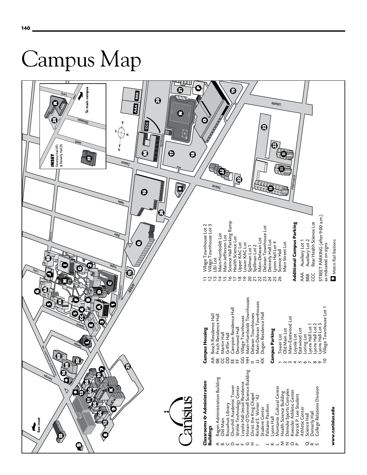

**140**